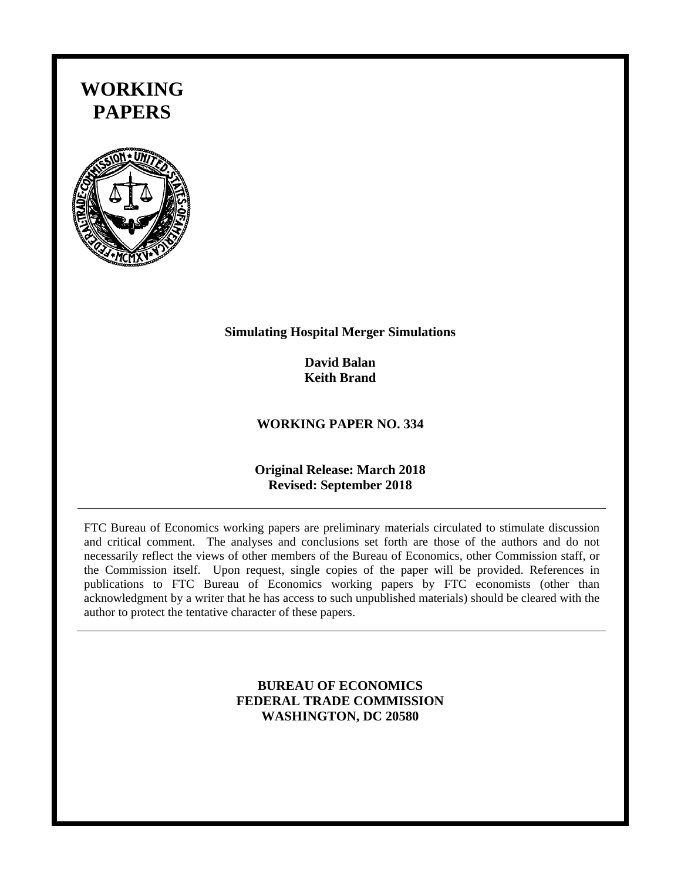# **WORKING PAPERS**



### **Simulating Hospital Merger Simulations**

**David Balan Keith Brand** 

## **WORKING PAPER NO. 334**

## **Original Release: March 2018 Revised: September 2018**

FTC Bureau of Economics working papers are preliminary materials circulated to stimulate discussion and critical comment. The analyses and conclusions set forth are those of the authors and do not necessarily reflect the views of other members of the Bureau of Economics, other Commission staff, or the Commission itself. Upon request, single copies of the paper will be provided. References in publications to FTC Bureau of Economics working papers by FTC economists (other than acknowledgment by a writer that he has access to such unpublished materials) should be cleared with the author to protect the tentative character of these papers.

## **BUREAU OF ECONOMICS FEDERAL TRADE COMMISSION WASHINGTON, DC 20580**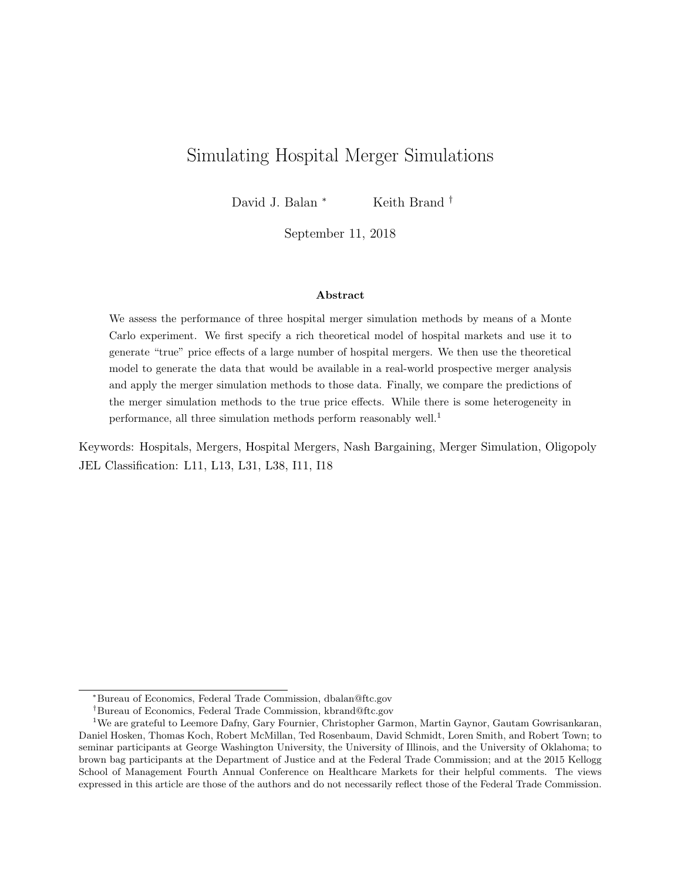## Simulating Hospital Merger Simulations

David J. Balan <sup>∗</sup> Keith Brand <sup>†</sup>

September 11, 2018

#### Abstract

We assess the performance of three hospital merger simulation methods by means of a Monte Carlo experiment. We first specify a rich theoretical model of hospital markets and use it to generate "true" price effects of a large number of hospital mergers. We then use the theoretical model to generate the data that would be available in a real-world prospective merger analysis and apply the merger simulation methods to those data. Finally, we compare the predictions of the merger simulation methods to the true price effects. While there is some heterogeneity in performance, all three simulation methods perform reasonably well.<sup>1</sup>

Keywords: Hospitals, Mergers, Hospital Mergers, Nash Bargaining, Merger Simulation, Oligopoly JEL Classification: L11, L13, L31, L38, I11, I18

<sup>∗</sup>Bureau of Economics, Federal Trade Commission, dbalan@ftc.gov

<sup>†</sup>Bureau of Economics, Federal Trade Commission, kbrand@ftc.gov

<sup>&</sup>lt;sup>1</sup>We are grateful to Leemore Dafny, Gary Fournier, Christopher Garmon, Martin Gaynor, Gautam Gowrisankaran, Daniel Hosken, Thomas Koch, Robert McMillan, Ted Rosenbaum, David Schmidt, Loren Smith, and Robert Town; to seminar participants at George Washington University, the University of Illinois, and the University of Oklahoma; to brown bag participants at the Department of Justice and at the Federal Trade Commission; and at the 2015 Kellogg School of Management Fourth Annual Conference on Healthcare Markets for their helpful comments. The views expressed in this article are those of the authors and do not necessarily reflect those of the Federal Trade Commission.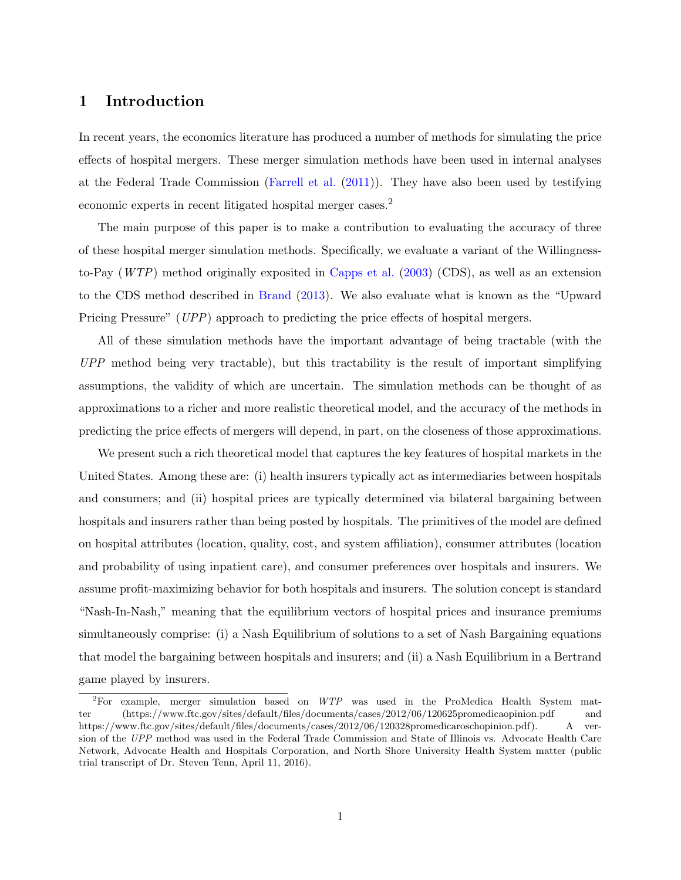## 1 Introduction

In recent years, the economics literature has produced a number of methods for simulating the price effects of hospital mergers. These merger simulation methods have been used in internal analyses at the Federal Trade Commission [\(Farrell et al.](#page-98-0) [\(2011\)](#page-98-0)). They have also been used by testifying economic experts in recent litigated hospital merger cases.<sup>2</sup>

The main purpose of this paper is to make a contribution to evaluating the accuracy of three of these hospital merger simulation methods. Specifically, we evaluate a variant of the Willingnessto-Pay  $(WTP)$  method originally exposited in [Capps et al.](#page-98-1) [\(2003\)](#page-98-1) (CDS), as well as an extension to the CDS method described in [Brand](#page-98-2) [\(2013\)](#page-98-2). We also evaluate what is known as the "Upward Pricing Pressure" (UPP) approach to predicting the price effects of hospital mergers.

All of these simulation methods have the important advantage of being tractable (with the UPP method being very tractable), but this tractability is the result of important simplifying assumptions, the validity of which are uncertain. The simulation methods can be thought of as approximations to a richer and more realistic theoretical model, and the accuracy of the methods in predicting the price effects of mergers will depend, in part, on the closeness of those approximations.

We present such a rich theoretical model that captures the key features of hospital markets in the United States. Among these are: (i) health insurers typically act as intermediaries between hospitals and consumers; and (ii) hospital prices are typically determined via bilateral bargaining between hospitals and insurers rather than being posted by hospitals. The primitives of the model are defined on hospital attributes (location, quality, cost, and system affiliation), consumer attributes (location and probability of using inpatient care), and consumer preferences over hospitals and insurers. We assume profit-maximizing behavior for both hospitals and insurers. The solution concept is standard "Nash-In-Nash," meaning that the equilibrium vectors of hospital prices and insurance premiums simultaneously comprise: (i) a Nash Equilibrium of solutions to a set of Nash Bargaining equations that model the bargaining between hospitals and insurers; and (ii) a Nash Equilibrium in a Bertrand game played by insurers.

 ${}^{2}$ For example, merger simulation based on  $WTP$  was used in the ProMedica Health System matter (https://www.ftc.gov/sites/default/files/documents/cases/2012/06/120625promedicaopinion.pdf and https://www.ftc.gov/sites/default/files/documents/cases/2012/06/120328promedicaroschopinion.pdf). A version of the UPP method was used in the Federal Trade Commission and State of Illinois vs. Advocate Health Care Network, Advocate Health and Hospitals Corporation, and North Shore University Health System matter (public trial transcript of Dr. Steven Tenn, April 11, 2016).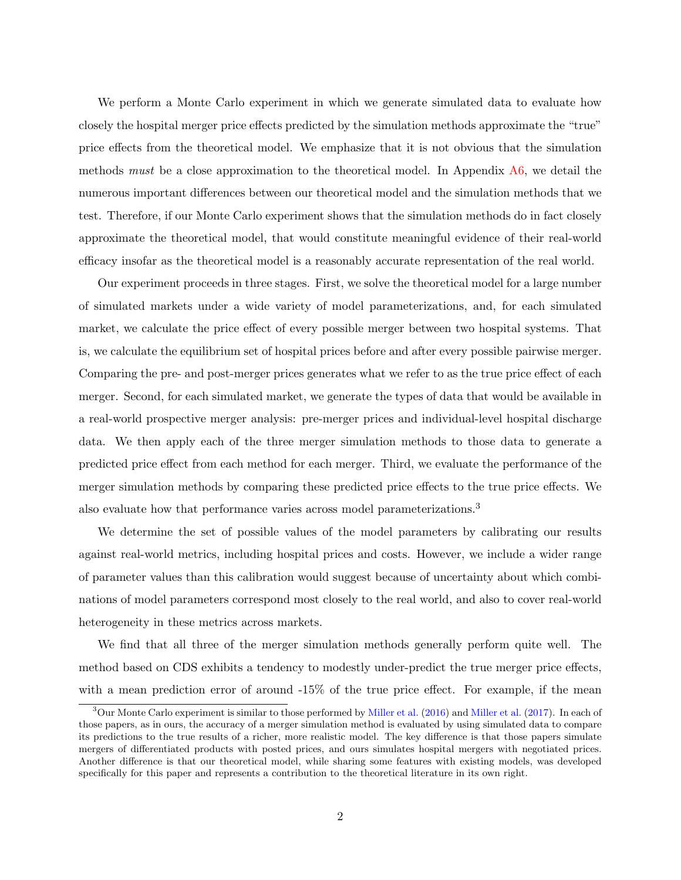We perform a Monte Carlo experiment in which we generate simulated data to evaluate how closely the hospital merger price effects predicted by the simulation methods approximate the "true" price effects from the theoretical model. We emphasize that it is not obvious that the simulation methods must be a close approximation to the theoretical model. In Appendix  $A6$ , we detail the numerous important differences between our theoretical model and the simulation methods that we test. Therefore, if our Monte Carlo experiment shows that the simulation methods do in fact closely approximate the theoretical model, that would constitute meaningful evidence of their real-world efficacy insofar as the theoretical model is a reasonably accurate representation of the real world.

Our experiment proceeds in three stages. First, we solve the theoretical model for a large number of simulated markets under a wide variety of model parameterizations, and, for each simulated market, we calculate the price effect of every possible merger between two hospital systems. That is, we calculate the equilibrium set of hospital prices before and after every possible pairwise merger. Comparing the pre- and post-merger prices generates what we refer to as the true price effect of each merger. Second, for each simulated market, we generate the types of data that would be available in a real-world prospective merger analysis: pre-merger prices and individual-level hospital discharge data. We then apply each of the three merger simulation methods to those data to generate a predicted price effect from each method for each merger. Third, we evaluate the performance of the merger simulation methods by comparing these predicted price effects to the true price effects. We also evaluate how that performance varies across model parameterizations.<sup>3</sup>

We determine the set of possible values of the model parameters by calibrating our results against real-world metrics, including hospital prices and costs. However, we include a wider range of parameter values than this calibration would suggest because of uncertainty about which combinations of model parameters correspond most closely to the real world, and also to cover real-world heterogeneity in these metrics across markets.

We find that all three of the merger simulation methods generally perform quite well. The method based on CDS exhibits a tendency to modestly under-predict the true merger price effects, with a mean prediction error of around -15% of the true price effect. For example, if the mean

 $3$ Our Monte Carlo experiment is similar to those performed by [Miller et al.](#page-99-1) [\(2016\)](#page-99-0) and Miller et al. [\(2017\)](#page-99-1). In each of those papers, as in ours, the accuracy of a merger simulation method is evaluated by using simulated data to compare its predictions to the true results of a richer, more realistic model. The key difference is that those papers simulate mergers of differentiated products with posted prices, and ours simulates hospital mergers with negotiated prices. Another difference is that our theoretical model, while sharing some features with existing models, was developed specifically for this paper and represents a contribution to the theoretical literature in its own right.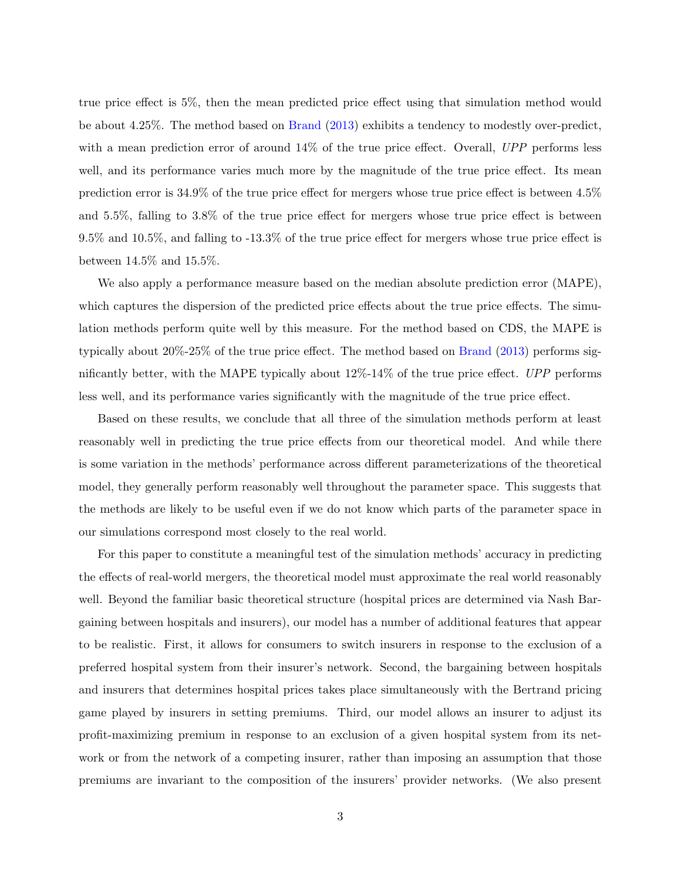true price effect is 5%, then the mean predicted price effect using that simulation method would be about 4.25%. The method based on [Brand](#page-98-2) [\(2013\)](#page-98-2) exhibits a tendency to modestly over-predict, with a mean prediction error of around 14% of the true price effect. Overall, UPP performs less well, and its performance varies much more by the magnitude of the true price effect. Its mean prediction error is 34.9% of the true price effect for mergers whose true price effect is between 4.5% and 5.5%, falling to 3.8% of the true price effect for mergers whose true price effect is between 9.5% and 10.5%, and falling to -13.3% of the true price effect for mergers whose true price effect is between 14.5% and 15.5%.

We also apply a performance measure based on the median absolute prediction error (MAPE), which captures the dispersion of the predicted price effects about the true price effects. The simulation methods perform quite well by this measure. For the method based on CDS, the MAPE is typically about 20%-25% of the true price effect. The method based on [Brand](#page-98-2) [\(2013\)](#page-98-2) performs significantly better, with the MAPE typically about  $12\%$ -14% of the true price effect. UPP performs less well, and its performance varies significantly with the magnitude of the true price effect.

Based on these results, we conclude that all three of the simulation methods perform at least reasonably well in predicting the true price effects from our theoretical model. And while there is some variation in the methods' performance across different parameterizations of the theoretical model, they generally perform reasonably well throughout the parameter space. This suggests that the methods are likely to be useful even if we do not know which parts of the parameter space in our simulations correspond most closely to the real world.

For this paper to constitute a meaningful test of the simulation methods' accuracy in predicting the effects of real-world mergers, the theoretical model must approximate the real world reasonably well. Beyond the familiar basic theoretical structure (hospital prices are determined via Nash Bargaining between hospitals and insurers), our model has a number of additional features that appear to be realistic. First, it allows for consumers to switch insurers in response to the exclusion of a preferred hospital system from their insurer's network. Second, the bargaining between hospitals and insurers that determines hospital prices takes place simultaneously with the Bertrand pricing game played by insurers in setting premiums. Third, our model allows an insurer to adjust its profit-maximizing premium in response to an exclusion of a given hospital system from its network or from the network of a competing insurer, rather than imposing an assumption that those premiums are invariant to the composition of the insurers' provider networks. (We also present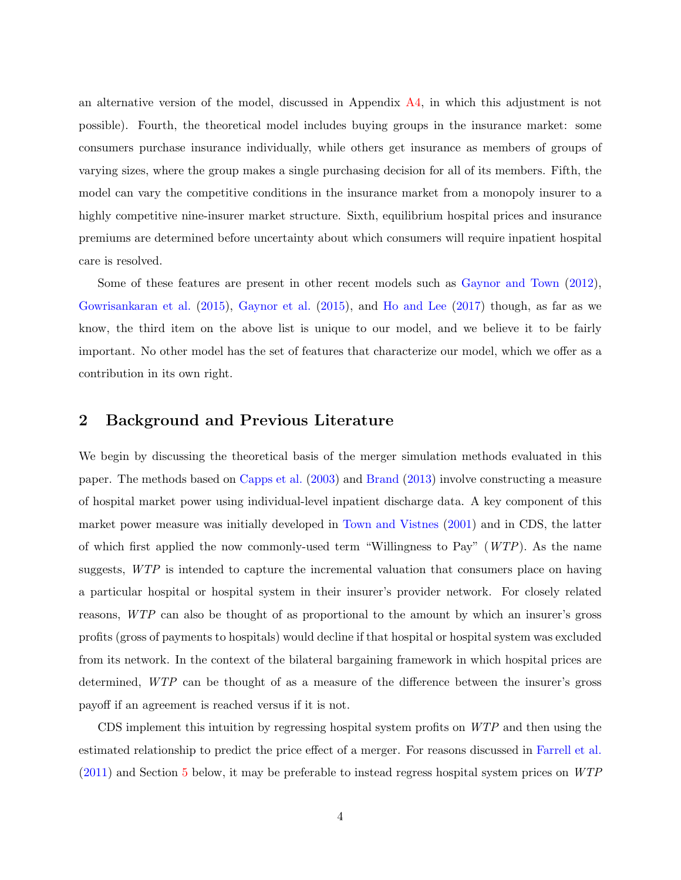an alternative version of the model, discussed in Appendix [A4,](#page-55-0) in which this adjustment is not possible). Fourth, the theoretical model includes buying groups in the insurance market: some consumers purchase insurance individually, while others get insurance as members of groups of varying sizes, where the group makes a single purchasing decision for all of its members. Fifth, the model can vary the competitive conditions in the insurance market from a monopoly insurer to a highly competitive nine-insurer market structure. Sixth, equilibrium hospital prices and insurance premiums are determined before uncertainty about which consumers will require inpatient hospital care is resolved.

Some of these features are present in other recent models such as [Gaynor and Town](#page-98-3) [\(2012\)](#page-98-3), [Gowrisankaran et al.](#page-98-4) [\(2015\)](#page-98-4), [Gaynor et al.](#page-98-5) [\(2015\)](#page-98-5), and [Ho and Lee](#page-99-2) [\(2017\)](#page-99-2) though, as far as we know, the third item on the above list is unique to our model, and we believe it to be fairly important. No other model has the set of features that characterize our model, which we offer as a contribution in its own right.

## 2 Background and Previous Literature

We begin by discussing the theoretical basis of the merger simulation methods evaluated in this paper. The methods based on [Capps et al.](#page-98-1) [\(2003\)](#page-98-1) and [Brand](#page-98-2) [\(2013\)](#page-98-2) involve constructing a measure of hospital market power using individual-level inpatient discharge data. A key component of this market power measure was initially developed in [Town and Vistnes](#page-99-3) [\(2001\)](#page-99-3) and in CDS, the latter of which first applied the now commonly-used term "Willingness to Pay"  $(WTP)$ . As the name suggests, WTP is intended to capture the incremental valuation that consumers place on having a particular hospital or hospital system in their insurer's provider network. For closely related reasons, WTP can also be thought of as proportional to the amount by which an insurer's gross profits (gross of payments to hospitals) would decline if that hospital or hospital system was excluded from its network. In the context of the bilateral bargaining framework in which hospital prices are determined, WTP can be thought of as a measure of the difference between the insurer's gross payoff if an agreement is reached versus if it is not.

CDS implement this intuition by regressing hospital system profits on WTP and then using the estimated relationship to predict the price effect of a merger. For reasons discussed in [Farrell et al.](#page-98-0) [\(2011\)](#page-98-0) and Section [5](#page-15-0) below, it may be preferable to instead regress hospital system prices on WTP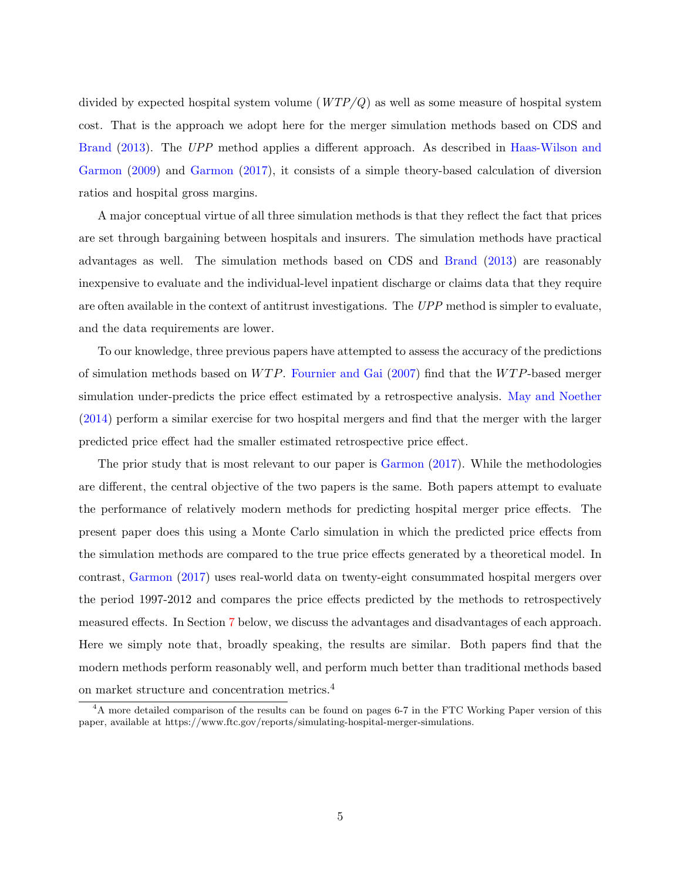divided by expected hospital system volume  $(WTP/Q)$  as well as some measure of hospital system cost. That is the approach we adopt here for the merger simulation methods based on CDS and [Brand](#page-98-2) [\(2013\)](#page-98-2). The UPP method applies a different approach. As described in [Haas-Wilson and](#page-98-6) [Garmon](#page-98-6) [\(2009\)](#page-98-6) and [Garmon](#page-98-7) [\(2017\)](#page-98-7), it consists of a simple theory-based calculation of diversion ratios and hospital gross margins.

A major conceptual virtue of all three simulation methods is that they reflect the fact that prices are set through bargaining between hospitals and insurers. The simulation methods have practical advantages as well. The simulation methods based on CDS and [Brand](#page-98-2) [\(2013\)](#page-98-2) are reasonably inexpensive to evaluate and the individual-level inpatient discharge or claims data that they require are often available in the context of antitrust investigations. The UPP method is simpler to evaluate, and the data requirements are lower.

To our knowledge, three previous papers have attempted to assess the accuracy of the predictions of simulation methods based on  $WTP$ . [Fournier and Gai](#page-98-8) [\(2007\)](#page-98-8) find that the  $WTP$ -based merger simulation under-predicts the price effect estimated by a retrospective analysis. [May and Noether](#page-99-4) [\(2014\)](#page-99-4) perform a similar exercise for two hospital mergers and find that the merger with the larger predicted price effect had the smaller estimated retrospective price effect.

The prior study that is most relevant to our paper is [Garmon](#page-98-7) [\(2017\)](#page-98-7). While the methodologies are different, the central objective of the two papers is the same. Both papers attempt to evaluate the performance of relatively modern methods for predicting hospital merger price effects. The present paper does this using a Monte Carlo simulation in which the predicted price effects from the simulation methods are compared to the true price effects generated by a theoretical model. In contrast, [Garmon](#page-98-7) [\(2017\)](#page-98-7) uses real-world data on twenty-eight consummated hospital mergers over the period 1997-2012 and compares the price effects predicted by the methods to retrospectively measured effects. In Section [7](#page-31-0) below, we discuss the advantages and disadvantages of each approach. Here we simply note that, broadly speaking, the results are similar. Both papers find that the modern methods perform reasonably well, and perform much better than traditional methods based on market structure and concentration metrics.<sup>4</sup>

 $4A$  more detailed comparison of the results can be found on pages 6-7 in the FTC Working Paper version of this paper, available at https://www.ftc.gov/reports/simulating-hospital-merger-simulations.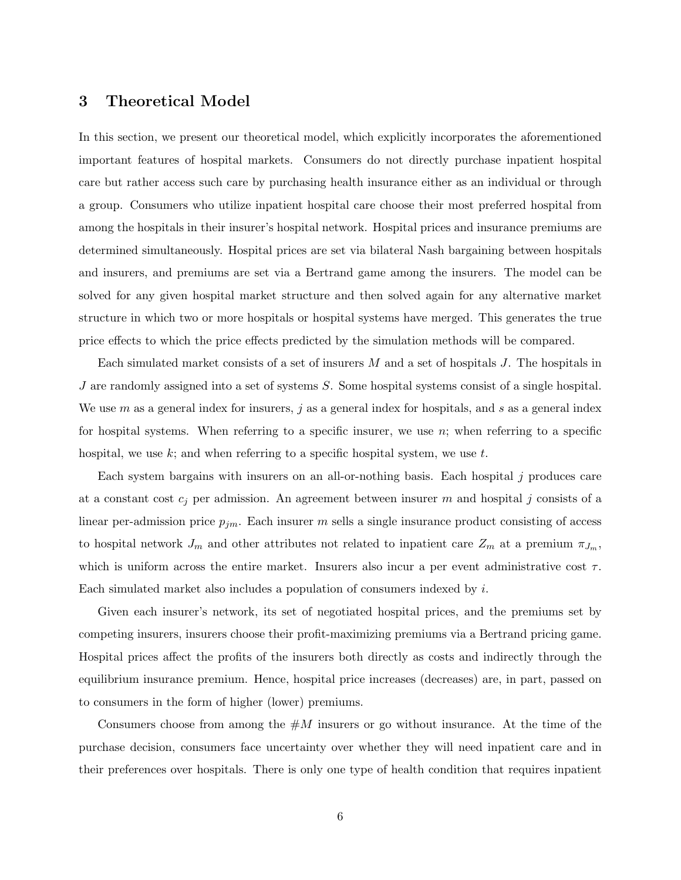## 3 Theoretical Model

In this section, we present our theoretical model, which explicitly incorporates the aforementioned important features of hospital markets. Consumers do not directly purchase inpatient hospital care but rather access such care by purchasing health insurance either as an individual or through a group. Consumers who utilize inpatient hospital care choose their most preferred hospital from among the hospitals in their insurer's hospital network. Hospital prices and insurance premiums are determined simultaneously. Hospital prices are set via bilateral Nash bargaining between hospitals and insurers, and premiums are set via a Bertrand game among the insurers. The model can be solved for any given hospital market structure and then solved again for any alternative market structure in which two or more hospitals or hospital systems have merged. This generates the true price effects to which the price effects predicted by the simulation methods will be compared.

Each simulated market consists of a set of insurers  $M$  and a set of hospitals  $J$ . The hospitals in J are randomly assigned into a set of systems  $S$ . Some hospital systems consist of a single hospital. We use  $m$  as a general index for insurers, j as a general index for hospitals, and  $s$  as a general index for hospital systems. When referring to a specific insurer, we use  $n$ ; when referring to a specific hospital, we use  $k$ ; and when referring to a specific hospital system, we use  $t$ .

Each system bargains with insurers on an all-or-nothing basis. Each hospital j produces care at a constant cost  $c_j$  per admission. An agreement between insurer m and hospital j consists of a linear per-admission price  $p_{jm}$ . Each insurer m sells a single insurance product consisting of access to hospital network  $J_m$  and other attributes not related to inpatient care  $Z_m$  at a premium  $\pi_{J_m}$ , which is uniform across the entire market. Insurers also incur a per event administrative cost  $\tau$ . Each simulated market also includes a population of consumers indexed by  $i$ .

Given each insurer's network, its set of negotiated hospital prices, and the premiums set by competing insurers, insurers choose their profit-maximizing premiums via a Bertrand pricing game. Hospital prices affect the profits of the insurers both directly as costs and indirectly through the equilibrium insurance premium. Hence, hospital price increases (decreases) are, in part, passed on to consumers in the form of higher (lower) premiums.

Consumers choose from among the  $\#M$  insurers or go without insurance. At the time of the purchase decision, consumers face uncertainty over whether they will need inpatient care and in their preferences over hospitals. There is only one type of health condition that requires inpatient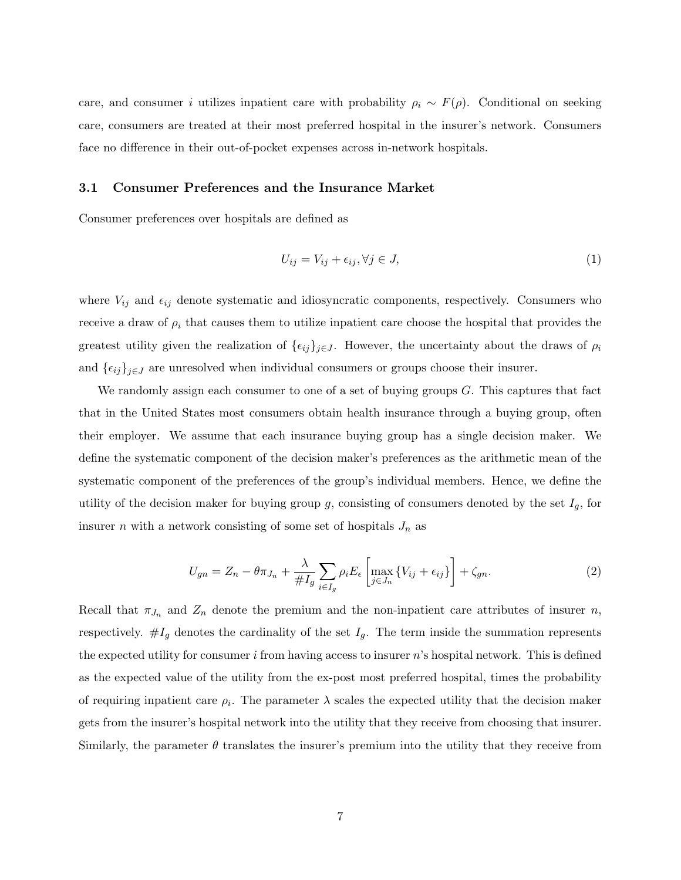care, and consumer i utilizes inpatient care with probability  $\rho_i \sim F(\rho)$ . Conditional on seeking care, consumers are treated at their most preferred hospital in the insurer's network. Consumers face no difference in their out-of-pocket expenses across in-network hospitals.

#### 3.1 Consumer Preferences and the Insurance Market

Consumer preferences over hospitals are defined as

$$
U_{ij} = V_{ij} + \epsilon_{ij}, \forall j \in J,\tag{1}
$$

where  $V_{ij}$  and  $\epsilon_{ij}$  denote systematic and idiosyncratic components, respectively. Consumers who receive a draw of  $\rho_i$  that causes them to utilize inpatient care choose the hospital that provides the greatest utility given the realization of  $\{\epsilon_{ij}\}_{j\in J}$ . However, the uncertainty about the draws of  $\rho_i$ and  $\{\epsilon_{ij}\}_{j\in J}$  are unresolved when individual consumers or groups choose their insurer.

We randomly assign each consumer to one of a set of buying groups G. This captures that fact that in the United States most consumers obtain health insurance through a buying group, often their employer. We assume that each insurance buying group has a single decision maker. We define the systematic component of the decision maker's preferences as the arithmetic mean of the systematic component of the preferences of the group's individual members. Hence, we define the utility of the decision maker for buying group  $g$ , consisting of consumers denoted by the set  $I_g$ , for insurer n with a network consisting of some set of hospitals  $J_n$  as

<span id="page-8-0"></span>
$$
U_{gn} = Z_n - \theta \pi_{J_n} + \frac{\lambda}{\#I_g} \sum_{i \in I_g} \rho_i E_{\epsilon} \left[ \max_{j \in J_n} \{ V_{ij} + \epsilon_{ij} \} \right] + \zeta_{gn}.
$$
 (2)

Recall that  $\pi_{J_n}$  and  $Z_n$  denote the premium and the non-inpatient care attributes of insurer n, respectively.  $\#I_g$  denotes the cardinality of the set  $I_g$ . The term inside the summation represents the expected utility for consumer i from having access to insurer  $n$ 's hospital network. This is defined as the expected value of the utility from the ex-post most preferred hospital, times the probability of requiring inpatient care  $\rho_i$ . The parameter  $\lambda$  scales the expected utility that the decision maker gets from the insurer's hospital network into the utility that they receive from choosing that insurer. Similarly, the parameter  $\theta$  translates the insurer's premium into the utility that they receive from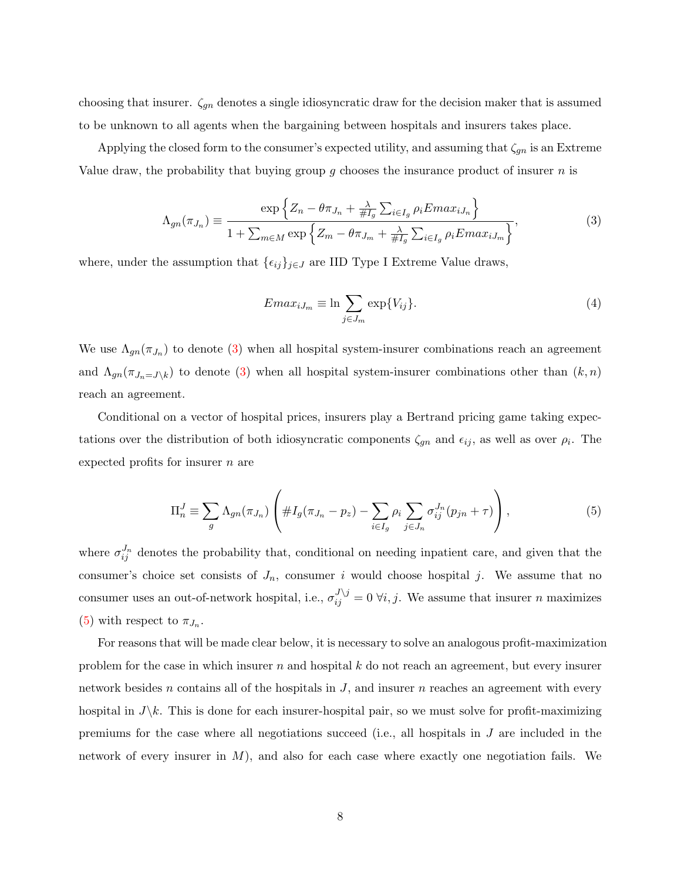choosing that insurer.  $\zeta_{gn}$  denotes a single idiosyncratic draw for the decision maker that is assumed to be unknown to all agents when the bargaining between hospitals and insurers takes place.

Applying the closed form to the consumer's expected utility, and assuming that  $\zeta_{gn}$  is an Extreme Value draw, the probability that buying group q chooses the insurance product of insurer  $n$  is

<span id="page-9-0"></span>
$$
\Lambda_{gn}(\pi_{J_n}) \equiv \frac{\exp\left\{Z_n - \theta \pi_{J_n} + \frac{\lambda}{\#I_g} \sum_{i \in I_g} \rho_i Emax_{iJ_n}\right\}}{1 + \sum_{m \in M} \exp\left\{Z_m - \theta \pi_{J_m} + \frac{\lambda}{\#I_g} \sum_{i \in I_g} \rho_i Emax_{iJ_m}\right\}},\tag{3}
$$

where, under the assumption that  $\{\epsilon_{ij}\}_{j\in J}$  are IID Type I Extreme Value draws,

$$
Emax_{iJ_m} \equiv \ln \sum_{j \in J_m} \exp\{V_{ij}\}.
$$
\n(4)

We use  $\Lambda_{gn}(\pi_{J_n})$  to denote [\(3\)](#page-9-0) when all hospital system-insurer combinations reach an agreement and  $\Lambda_{gn}(\pi_{J_n=J\setminus k})$  to denote [\(3\)](#page-9-0) when all hospital system-insurer combinations other than  $(k, n)$ reach an agreement.

Conditional on a vector of hospital prices, insurers play a Bertrand pricing game taking expectations over the distribution of both idiosyncratic components  $\zeta_{gn}$  and  $\epsilon_{ij}$ , as well as over  $\rho_i$ . The expected profits for insurer  $n$  are

<span id="page-9-1"></span>
$$
\Pi_n^J \equiv \sum_g \Lambda_{gn}(\pi_{J_n}) \left( \#I_g(\pi_{J_n} - p_z) - \sum_{i \in I_g} \rho_i \sum_{j \in J_n} \sigma_{ij}^{J_n}(p_{jn} + \tau) \right),\tag{5}
$$

where  $\sigma_{ij}^{J_n}$  denotes the probability that, conditional on needing inpatient care, and given that the consumer's choice set consists of  $J_n$ , consumer i would choose hospital j. We assume that no consumer uses an out-of-network hospital, i.e.,  $\sigma_{ij}^{J \setminus j} = 0 \ \forall i, j$ . We assume that insurer n maximizes [\(5\)](#page-9-1) with respect to  $\pi_{J_n}$ .

For reasons that will be made clear below, it is necessary to solve an analogous profit-maximization problem for the case in which insurer n and hospital  $k$  do not reach an agreement, but every insurer network besides n contains all of the hospitals in  $J$ , and insurer n reaches an agreement with every hospital in  $J\&$ . This is done for each insurer-hospital pair, so we must solve for profit-maximizing premiums for the case where all negotiations succeed (i.e., all hospitals in  $J$  are included in the network of every insurer in  $M$ ), and also for each case where exactly one negotiation fails. We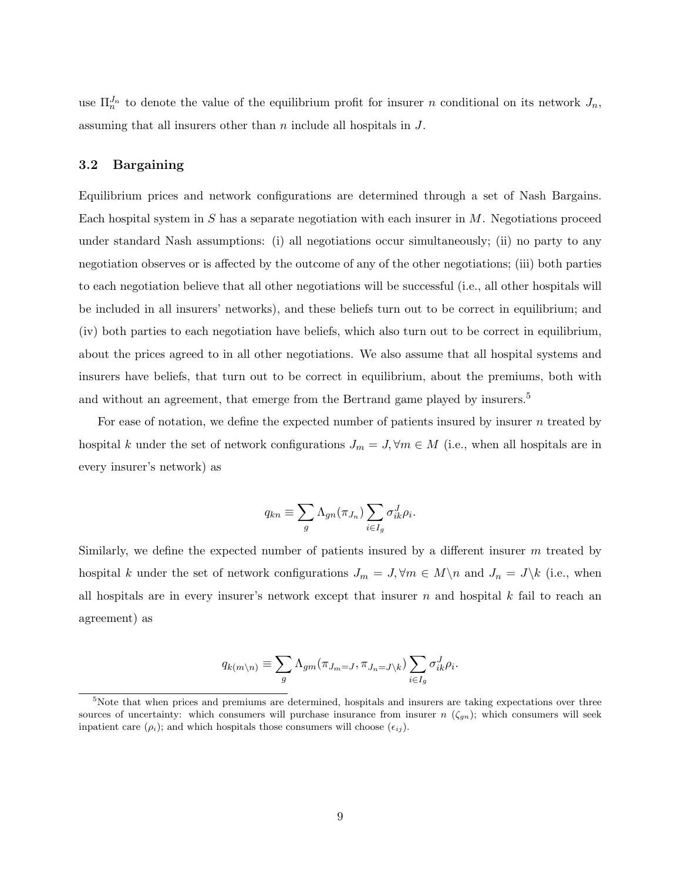use  $\Pi_n^{J_n}$  to denote the value of the equilibrium profit for insurer n conditional on its network  $J_n$ , assuming that all insurers other than n include all hospitals in J.

#### 3.2 Bargaining

Equilibrium prices and network configurations are determined through a set of Nash Bargains. Each hospital system in  $S$  has a separate negotiation with each insurer in  $M$ . Negotiations proceed under standard Nash assumptions: (i) all negotiations occur simultaneously; (ii) no party to any negotiation observes or is affected by the outcome of any of the other negotiations; (iii) both parties to each negotiation believe that all other negotiations will be successful (i.e., all other hospitals will be included in all insurers' networks), and these beliefs turn out to be correct in equilibrium; and (iv) both parties to each negotiation have beliefs, which also turn out to be correct in equilibrium, about the prices agreed to in all other negotiations. We also assume that all hospital systems and insurers have beliefs, that turn out to be correct in equilibrium, about the premiums, both with and without an agreement, that emerge from the Bertrand game played by insurers.<sup>5</sup>

For ease of notation, we define the expected number of patients insured by insurer  $n$  treated by hospital k under the set of network configurations  $J_m = J, \forall m \in M$  (i.e., when all hospitals are in every insurer's network) as

$$
q_{kn} \equiv \sum_{g} \Lambda_{gn}(\pi_{J_n}) \sum_{i \in I_g} \sigma_{ik}^J \rho_i.
$$

Similarly, we define the expected number of patients insured by a different insurer  $m$  treated by hospital k under the set of network configurations  $J_m = J, \forall m \in M \setminus n$  and  $J_n = J \setminus k$  (i.e., when all hospitals are in every insurer's network except that insurer  $n$  and hospital  $k$  fail to reach an agreement) as

$$
q_{k(m\setminus n)} \equiv \sum_{g} \Lambda_{gm}(\pi_{J_m=J}, \pi_{J_n=J\setminus k}) \sum_{i \in I_g} \sigma_{ik}^J \rho_i.
$$

<sup>&</sup>lt;sup>5</sup>Note that when prices and premiums are determined, hospitals and insurers are taking expectations over three sources of uncertainty: which consumers will purchase insurance from insurer  $n (\zeta_{gn})$ ; which consumers will seek inpatient care  $(\rho_i)$ ; and which hospitals those consumers will choose  $(\epsilon_{ij})$ .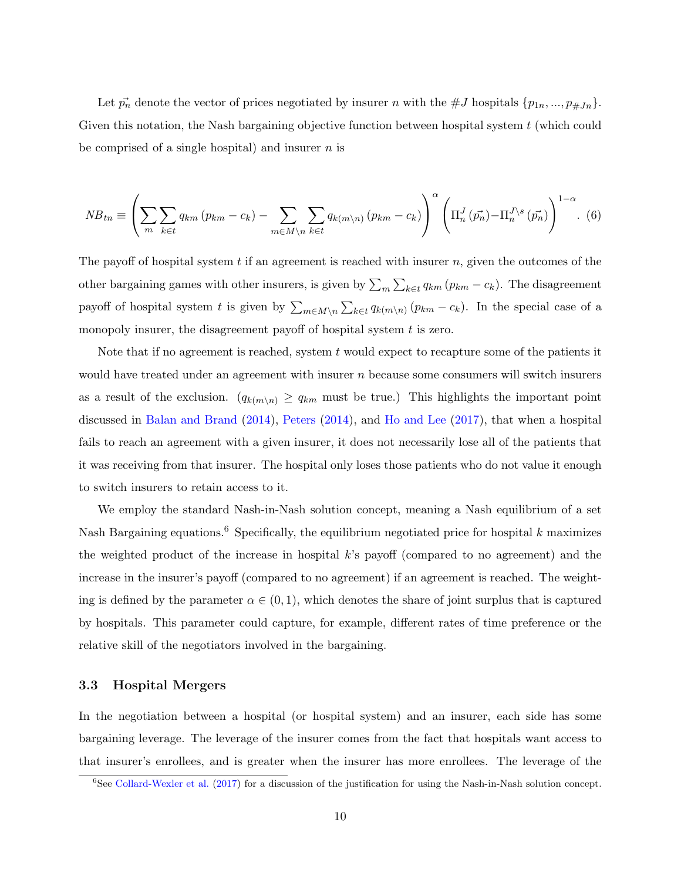Let  $\vec{p}_n$  denote the vector of prices negotiated by insurer n with the #J hospitals  $\{p_{1n},...,p_{\#Jn}\}.$ Given this notation, the Nash bargaining objective function between hospital system  $t$  (which could be comprised of a single hospital) and insurer  $n$  is

<span id="page-11-0"></span>
$$
NB_{tn} \equiv \left(\sum_{m}\sum_{k\in t}q_{km}\left(p_{km}-c_{k}\right)-\sum_{m\in M\backslash n}\sum_{k\in t}q_{k\left(m\backslash n\right)}\left(p_{km}-c_{k}\right)\right)^{\alpha}\left(\Pi_{n}^{J}\left(\vec{p_{n}}\right)-\Pi_{n}^{J\backslash s}\left(\vec{p_{n}}\right)\right)^{1-\alpha}.\tag{6}
$$

The payoff of hospital system t if an agreement is reached with insurer  $n$ , given the outcomes of the other bargaining games with other insurers, is given by  $\sum_{m} \sum_{k \in \mathcal{U}} q_{km} (p_{km} - c_k)$ . The disagreement payoff of hospital system t is given by  $\sum_{m\in M\setminus n}\sum_{k\in\mathcal{U}}q_{k(m\setminus n)}(p_{km}-c_k)$ . In the special case of a monopoly insurer, the disagreement payoff of hospital system  $t$  is zero.

Note that if no agreement is reached, system  $t$  would expect to recapture some of the patients it would have treated under an agreement with insurer  $n$  because some consumers will switch insurers as a result of the exclusion.  $(q_{k(m\setminus n)} \geq q_{km}$  must be true.) This highlights the important point discussed in [Balan and Brand](#page-98-9) [\(2014\)](#page-98-9), [Peters](#page-99-5) [\(2014\)](#page-99-5), and [Ho and Lee](#page-99-2) [\(2017\)](#page-99-2), that when a hospital fails to reach an agreement with a given insurer, it does not necessarily lose all of the patients that it was receiving from that insurer. The hospital only loses those patients who do not value it enough to switch insurers to retain access to it.

We employ the standard Nash-in-Nash solution concept, meaning a Nash equilibrium of a set Nash Bargaining equations.<sup>6</sup> Specifically, the equilibrium negotiated price for hospital k maximizes the weighted product of the increase in hospital k's payoff (compared to no agreement) and the increase in the insurer's payoff (compared to no agreement) if an agreement is reached. The weighting is defined by the parameter  $\alpha \in (0,1)$ , which denotes the share of joint surplus that is captured by hospitals. This parameter could capture, for example, different rates of time preference or the relative skill of the negotiators involved in the bargaining.

#### 3.3 Hospital Mergers

In the negotiation between a hospital (or hospital system) and an insurer, each side has some bargaining leverage. The leverage of the insurer comes from the fact that hospitals want access to that insurer's enrollees, and is greater when the insurer has more enrollees. The leverage of the

<sup>6</sup>See [Collard-Wexler et al.](#page-98-10) [\(2017\)](#page-98-10) for a discussion of the justification for using the Nash-in-Nash solution concept.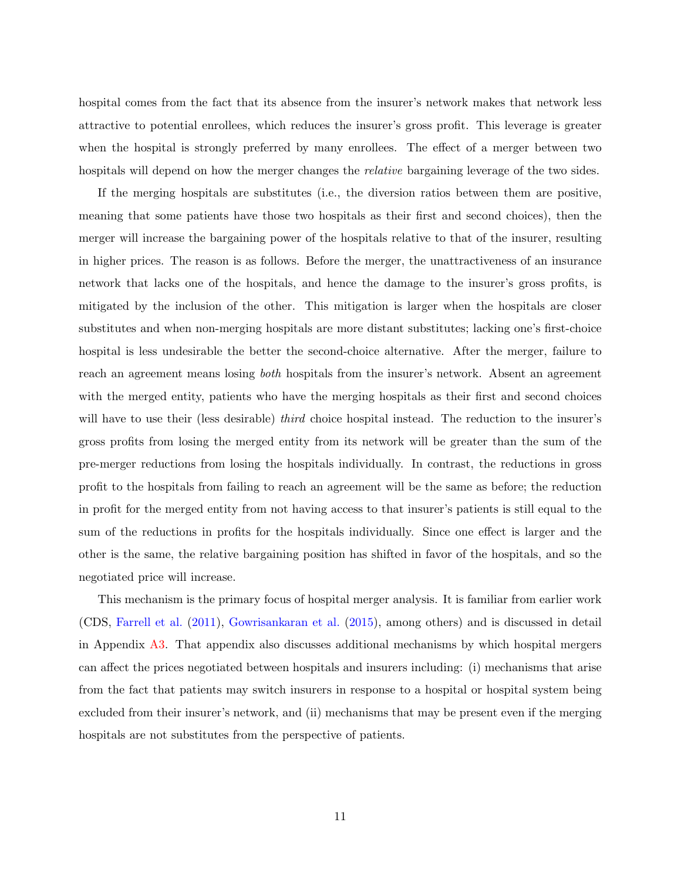hospital comes from the fact that its absence from the insurer's network makes that network less attractive to potential enrollees, which reduces the insurer's gross profit. This leverage is greater when the hospital is strongly preferred by many enrollees. The effect of a merger between two hospitals will depend on how the merger changes the *relative* bargaining leverage of the two sides.

If the merging hospitals are substitutes (i.e., the diversion ratios between them are positive, meaning that some patients have those two hospitals as their first and second choices), then the merger will increase the bargaining power of the hospitals relative to that of the insurer, resulting in higher prices. The reason is as follows. Before the merger, the unattractiveness of an insurance network that lacks one of the hospitals, and hence the damage to the insurer's gross profits, is mitigated by the inclusion of the other. This mitigation is larger when the hospitals are closer substitutes and when non-merging hospitals are more distant substitutes; lacking one's first-choice hospital is less undesirable the better the second-choice alternative. After the merger, failure to reach an agreement means losing both hospitals from the insurer's network. Absent an agreement with the merged entity, patients who have the merging hospitals as their first and second choices will have to use their (less desirable) *third* choice hospital instead. The reduction to the insurer's gross profits from losing the merged entity from its network will be greater than the sum of the pre-merger reductions from losing the hospitals individually. In contrast, the reductions in gross profit to the hospitals from failing to reach an agreement will be the same as before; the reduction in profit for the merged entity from not having access to that insurer's patients is still equal to the sum of the reductions in profits for the hospitals individually. Since one effect is larger and the other is the same, the relative bargaining position has shifted in favor of the hospitals, and so the negotiated price will increase.

This mechanism is the primary focus of hospital merger analysis. It is familiar from earlier work (CDS, [Farrell et al.](#page-98-0) [\(2011\)](#page-98-0), [Gowrisankaran et al.](#page-98-4) [\(2015\)](#page-98-4), among others) and is discussed in detail in Appendix [A3.](#page-51-0) That appendix also discusses additional mechanisms by which hospital mergers can affect the prices negotiated between hospitals and insurers including: (i) mechanisms that arise from the fact that patients may switch insurers in response to a hospital or hospital system being excluded from their insurer's network, and (ii) mechanisms that may be present even if the merging hospitals are not substitutes from the perspective of patients.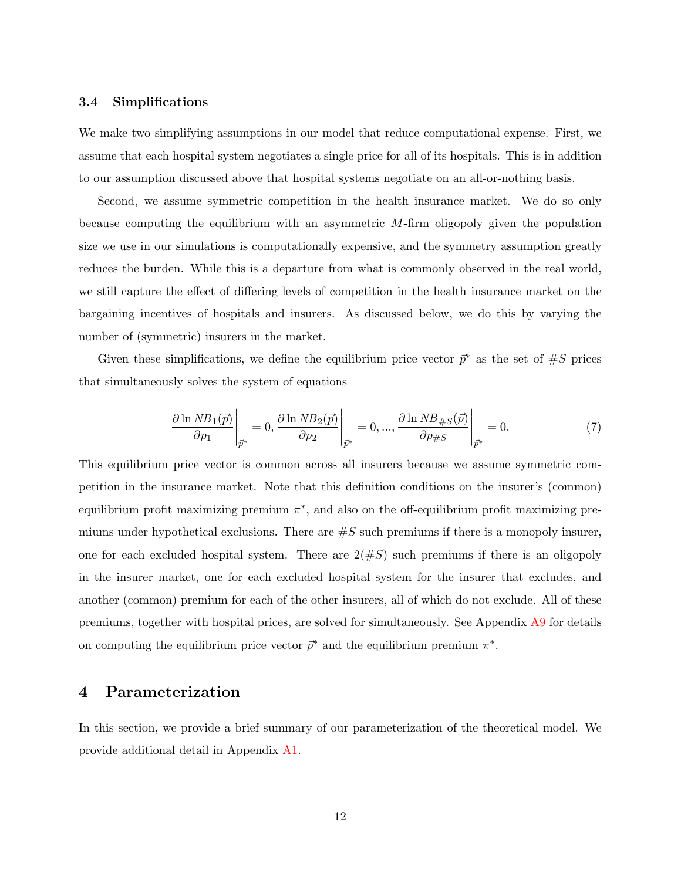#### 3.4 Simplifications

We make two simplifying assumptions in our model that reduce computational expense. First, we assume that each hospital system negotiates a single price for all of its hospitals. This is in addition to our assumption discussed above that hospital systems negotiate on an all-or-nothing basis.

Second, we assume symmetric competition in the health insurance market. We do so only because computing the equilibrium with an asymmetric  $M$ -firm oligopoly given the population size we use in our simulations is computationally expensive, and the symmetry assumption greatly reduces the burden. While this is a departure from what is commonly observed in the real world, we still capture the effect of differing levels of competition in the health insurance market on the bargaining incentives of hospitals and insurers. As discussed below, we do this by varying the number of (symmetric) insurers in the market.

Given these simplifications, we define the equilibrium price vector  $\bar{p}^*$  as the set of  $\#S$  prices that simultaneously solves the system of equations

<span id="page-13-0"></span>
$$
\frac{\partial \ln NB_1(\vec{p})}{\partial p_1}\Big|_{\vec{p}^*} = 0, \frac{\partial \ln NB_2(\vec{p})}{\partial p_2}\Big|_{\vec{p}^*} = 0, ..., \frac{\partial \ln NB_{\#S}(\vec{p})}{\partial p_{\#S}}\Big|_{\vec{p}^*} = 0.
$$
\n(7)

This equilibrium price vector is common across all insurers because we assume symmetric competition in the insurance market. Note that this definition conditions on the insurer's (common) equilibrium profit maximizing premium  $\pi^*$ , and also on the off-equilibrium profit maximizing premiums under hypothetical exclusions. There are  $\#S$  such premiums if there is a monopoly insurer, one for each excluded hospital system. There are  $2(\#S)$  such premiums if there is an oligopoly in the insurer market, one for each excluded hospital system for the insurer that excludes, and another (common) premium for each of the other insurers, all of which do not exclude. All of these premiums, together with hospital prices, are solved for simultaneously. See Appendix [A9](#page-87-0) for details on computing the equilibrium price vector  $\bar{p}^*$  and the equilibrium premium  $\pi^*$ .

## <span id="page-13-1"></span>4 Parameterization

In this section, we provide a brief summary of our parameterization of the theoretical model. We provide additional detail in Appendix [A1.](#page-36-0)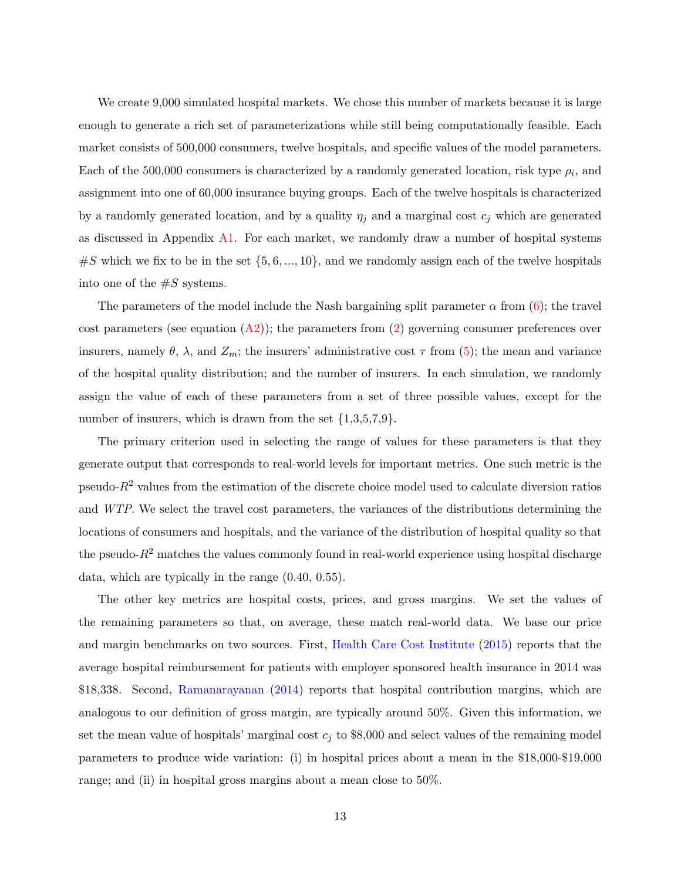We create 9,000 simulated hospital markets. We chose this number of markets because it is large enough to generate a rich set of parameterizations while still being computationally feasible. Each market consists of 500,000 consumers, twelve hospitals, and specific values of the model parameters. Each of the 500,000 consumers is characterized by a randomly generated location, risk type  $\rho_i$ , and assignment into one of 60,000 insurance buying groups. Each of the twelve hospitals is characterized by a randomly generated location, and by a quality  $\eta_j$  and a marginal cost  $c_j$  which are generated as discussed in Appendix [A1.](#page-36-0) For each market, we randomly draw a number of hospital systems  $\#S$  which we fix to be in the set  $\{5, 6, ..., 10\}$ , and we randomly assign each of the twelve hospitals into one of the  $\#S$  systems.

The parameters of the model include the Nash bargaining split parameter  $\alpha$  from [\(6\)](#page-11-0); the travel cost parameters (see equation  $(A2)$ ); the parameters from [\(2\)](#page-8-0) governing consumer preferences over insurers, namely  $\theta$ ,  $\lambda$ , and  $Z_m$ ; the insurers' administrative cost  $\tau$  from [\(5\)](#page-9-1); the mean and variance of the hospital quality distribution; and the number of insurers. In each simulation, we randomly assign the value of each of these parameters from a set of three possible values, except for the number of insurers, which is drawn from the set  $\{1,3,5,7,9\}$ .

The primary criterion used in selecting the range of values for these parameters is that they generate output that corresponds to real-world levels for important metrics. One such metric is the pseudo- $R^2$  values from the estimation of the discrete choice model used to calculate diversion ratios and WTP. We select the travel cost parameters, the variances of the distributions determining the locations of consumers and hospitals, and the variance of the distribution of hospital quality so that the pseudo- $R^2$  matches the values commonly found in real-world experience using hospital discharge data, which are typically in the range (0.40, 0.55).

The other key metrics are hospital costs, prices, and gross margins. We set the values of the remaining parameters so that, on average, these match real-world data. We base our price and margin benchmarks on two sources. First, [Health Care Cost Institute](#page-99-6) [\(2015\)](#page-99-6) reports that the average hospital reimbursement for patients with employer sponsored health insurance in 2014 was \$18,338. Second, [Ramanarayanan](#page-99-7) [\(2014\)](#page-99-7) reports that hospital contribution margins, which are analogous to our definition of gross margin, are typically around 50%. Given this information, we set the mean value of hospitals' marginal cost  $c_j$  to \$8,000 and select values of the remaining model parameters to produce wide variation: (i) in hospital prices about a mean in the \$18,000-\$19,000 range; and (ii) in hospital gross margins about a mean close to 50%.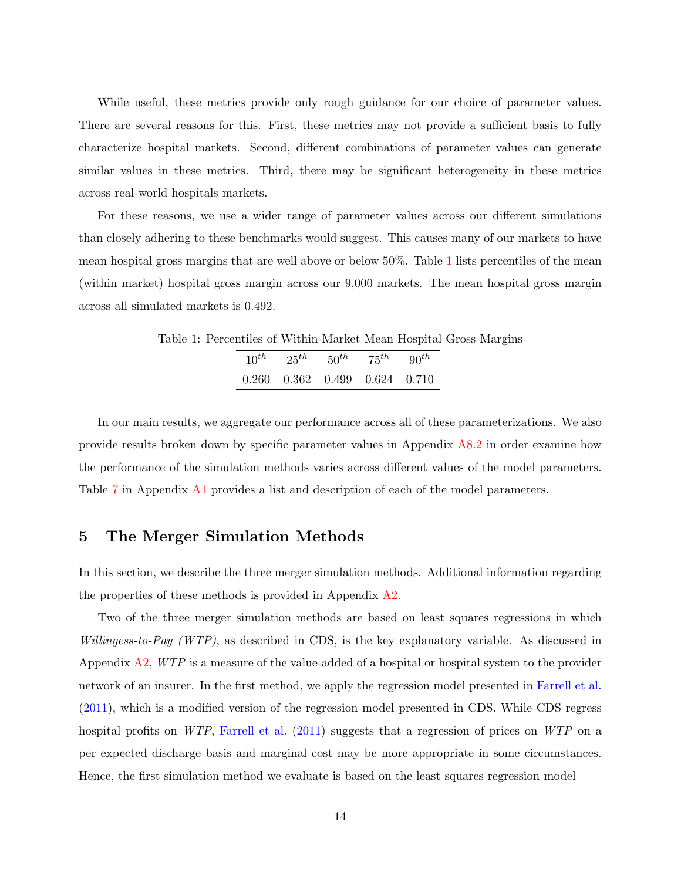While useful, these metrics provide only rough guidance for our choice of parameter values. There are several reasons for this. First, these metrics may not provide a sufficient basis to fully characterize hospital markets. Second, different combinations of parameter values can generate similar values in these metrics. Third, there may be significant heterogeneity in these metrics across real-world hospitals markets.

For these reasons, we use a wider range of parameter values across our different simulations than closely adhering to these benchmarks would suggest. This causes many of our markets to have mean hospital gross margins that are well above or below 50%. Table [1](#page-15-1) lists percentiles of the mean (within market) hospital gross margin across our 9,000 markets. The mean hospital gross margin across all simulated markets is 0.492.

Table 1: Percentiles of Within-Market Mean Hospital Gross Margins  $10^{th}$   $25^{th}$   $50^{th}$   $75^{th}$   $90^{th}$ 

<span id="page-15-1"></span>

| $0.260$ $0.362$ $0.499$ $0.624$ $0.710$ |  |
|-----------------------------------------|--|

In our main results, we aggregate our performance across all of these parameterizations. We also provide results broken down by specific parameter values in Appendix [A8.2](#page-73-0) in order examine how the performance of the simulation methods varies across different values of the model parameters. Table [7](#page-42-0) in Appendix [A1](#page-36-0) provides a list and description of each of the model parameters.

## <span id="page-15-0"></span>5 The Merger Simulation Methods

In this section, we describe the three merger simulation methods. Additional information regarding the properties of these methods is provided in Appendix [A2.](#page-45-0)

Two of the three merger simulation methods are based on least squares regressions in which Willingess-to-Pay (WTP), as described in CDS, is the key explanatory variable. As discussed in Appendix  $A2$ ,  $WTP$  is a measure of the value-added of a hospital or hospital system to the provider network of an insurer. In the first method, we apply the regression model presented in [Farrell et al.](#page-98-0) [\(2011\)](#page-98-0), which is a modified version of the regression model presented in CDS. While CDS regress hospital profits on WTP, [Farrell et al.](#page-98-0) [\(2011\)](#page-98-0) suggests that a regression of prices on WTP on a per expected discharge basis and marginal cost may be more appropriate in some circumstances. Hence, the first simulation method we evaluate is based on the least squares regression model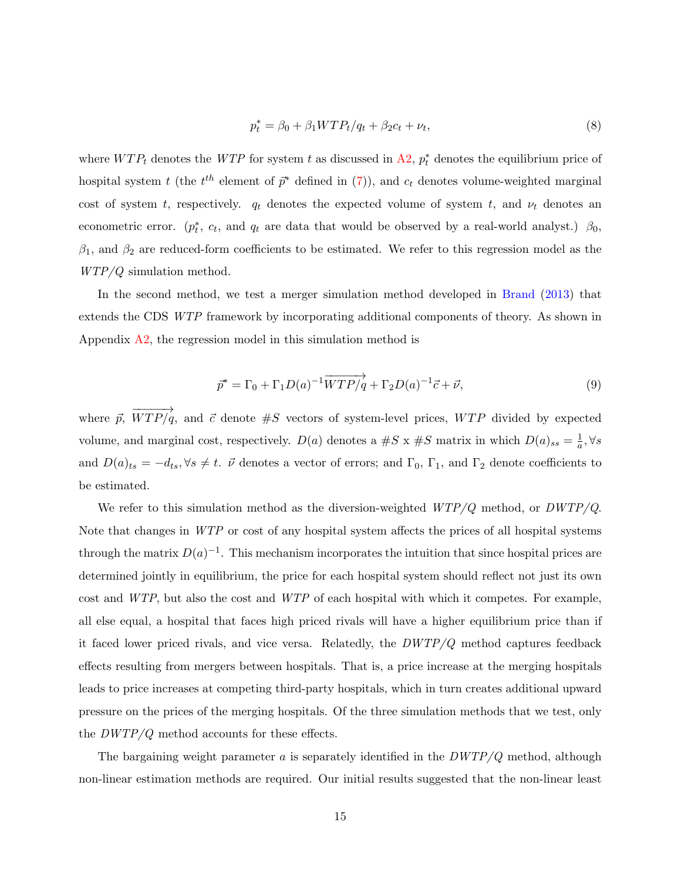$$
p_t^* = \beta_0 + \beta_1 W T P_t / q_t + \beta_2 c_t + \nu_t,
$$
\n(8)

where  $WTP_t$  denotes the WTP for system t as discussed in [A2,](#page-45-0)  $p_t^*$  denotes the equilibrium price of hospital system t (the  $t^{th}$  element of  $\bar{p}^*$  defined in [\(7\)](#page-13-0)), and  $c_t$  denotes volume-weighted marginal cost of system t, respectively.  $q_t$  denotes the expected volume of system t, and  $\nu_t$  denotes an econometric error.  $(p_t^*, c_t, \text{ and } q_t \text{ are data that would be observed by a real-world analyst.)$   $\beta_0$ ,  $\beta_1$ , and  $\beta_2$  are reduced-form coefficients to be estimated. We refer to this regression model as the WTP/Q simulation method.

In the second method, we test a merger simulation method developed in [Brand](#page-98-2) [\(2013\)](#page-98-2) that extends the CDS WTP framework by incorporating additional components of theory. As shown in Appendix [A2,](#page-45-0) the regression model in this simulation method is

$$
\overrightarrow{p}^* = \Gamma_0 + \Gamma_1 D(a)^{-1} \overrightarrow{WTP/q} + \Gamma_2 D(a)^{-1} \overrightarrow{c} + \overrightarrow{\nu}, \tag{9}
$$

where  $\vec{p}$ ,  $\overrightarrow{v}$  $WTP/q$ , and  $\vec{c}$  denote  $\#S$  vectors of system-level prices,  $WTP$  divided by expected volume, and marginal cost, respectively.  $D(a)$  denotes a #S x #S matrix in which  $D(a)_{ss} = \frac{1}{a}$  $\frac{1}{a}, \forall s$ and  $D(a)_{ts} = -d_{ts}$ ,  $\forall s \neq t$ .  $\vec{\nu}$  denotes a vector of errors; and  $\Gamma_0$ ,  $\Gamma_1$ , and  $\Gamma_2$  denote coefficients to be estimated.

We refer to this simulation method as the diversion-weighted  $WTP/Q$  method, or  $DWTP/Q$ . Note that changes in WTP or cost of any hospital system affects the prices of all hospital systems through the matrix  $D(a)^{-1}$ . This mechanism incorporates the intuition that since hospital prices are determined jointly in equilibrium, the price for each hospital system should reflect not just its own cost and WTP, but also the cost and WTP of each hospital with which it competes. For example, all else equal, a hospital that faces high priced rivals will have a higher equilibrium price than if it faced lower priced rivals, and vice versa. Relatedly, the  $DWTP/Q$  method captures feedback effects resulting from mergers between hospitals. That is, a price increase at the merging hospitals leads to price increases at competing third-party hospitals, which in turn creates additional upward pressure on the prices of the merging hospitals. Of the three simulation methods that we test, only the  $DWTP/Q$  method accounts for these effects.

The bargaining weight parameter  $a$  is separately identified in the  $DWTP/Q$  method, although non-linear estimation methods are required. Our initial results suggested that the non-linear least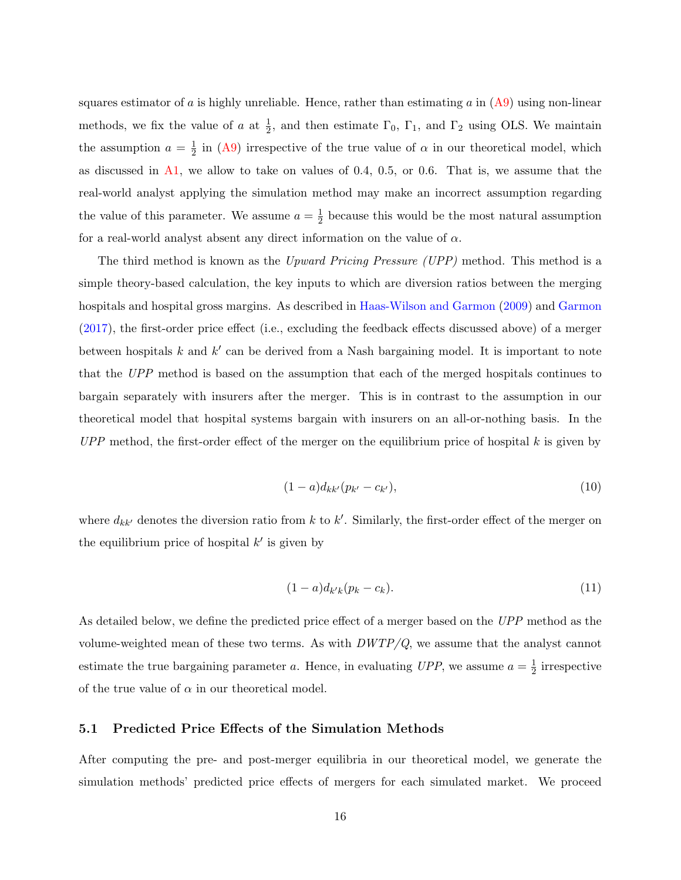squares estimator of a is highly unreliable. Hence, rather than estimating a in  $(A9)$  using non-linear methods, we fix the value of a at  $\frac{1}{2}$ , and then estimate  $\Gamma_0$ ,  $\Gamma_1$ , and  $\Gamma_2$  using OLS. We maintain the assumption  $a = \frac{1}{2}$  $\frac{1}{2}$  in [\(A9\)](#page-49-0) irrespective of the true value of  $\alpha$  in our theoretical model, which as discussed in  $\mathbf{A}1$ , we allow to take on values of 0.4, 0.5, or 0.6. That is, we assume that the real-world analyst applying the simulation method may make an incorrect assumption regarding the value of this parameter. We assume  $a=\frac{1}{2}$  $\frac{1}{2}$  because this would be the most natural assumption for a real-world analyst absent any direct information on the value of  $\alpha$ .

The third method is known as the Upward Pricing Pressure (UPP) method. This method is a simple theory-based calculation, the key inputs to which are diversion ratios between the merging hospitals and hospital gross margins. As described in [Haas-Wilson and Garmon](#page-98-6) [\(2009\)](#page-98-6) and [Garmon](#page-98-7) [\(2017\)](#page-98-7), the first-order price effect (i.e., excluding the feedback effects discussed above) of a merger between hospitals  $k$  and  $k'$  can be derived from a Nash bargaining model. It is important to note that the UPP method is based on the assumption that each of the merged hospitals continues to bargain separately with insurers after the merger. This is in contrast to the assumption in our theoretical model that hospital systems bargain with insurers on an all-or-nothing basis. In the  $UPP$  method, the first-order effect of the merger on the equilibrium price of hospital  $k$  is given by

$$
(1-a)d_{kk'}(p_{k'}-c_{k'}), \t\t(10)
$$

where  $d_{kk'}$  denotes the diversion ratio from k to k'. Similarly, the first-order effect of the merger on the equilibrium price of hospital  $k'$  is given by

$$
(1-a)d_{k'k}(p_k-c_k). \t\t(11)
$$

As detailed below, we define the predicted price effect of a merger based on the UPP method as the volume-weighted mean of these two terms. As with  $DWTP/Q$ , we assume that the analyst cannot estimate the true bargaining parameter a. Hence, in evaluating UPP, we assume  $a = \frac{1}{2}$  $\frac{1}{2}$  irrespective of the true value of  $\alpha$  in our theoretical model.

#### 5.1 Predicted Price Effects of the Simulation Methods

After computing the pre- and post-merger equilibria in our theoretical model, we generate the simulation methods' predicted price effects of mergers for each simulated market. We proceed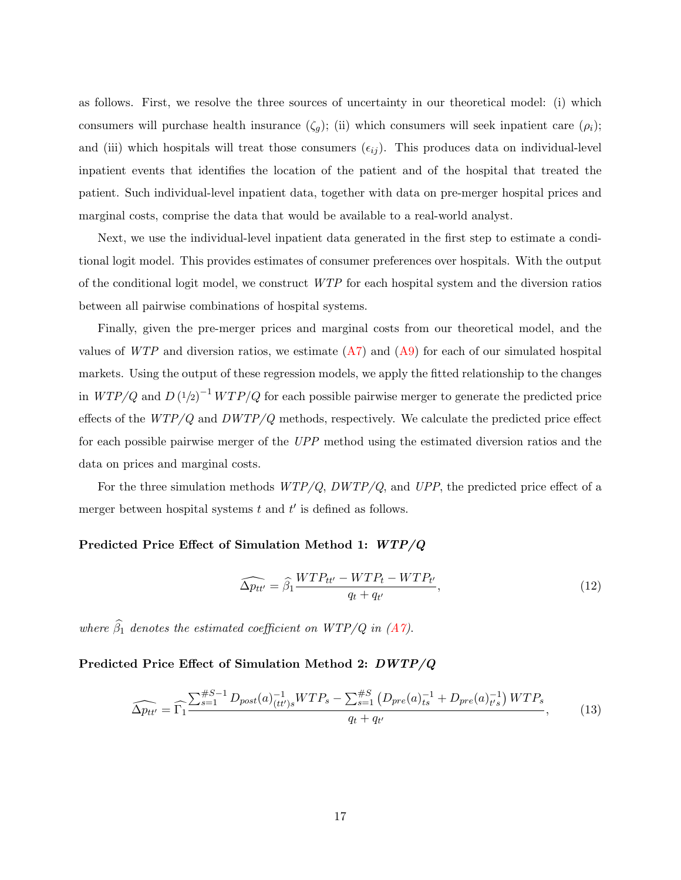as follows. First, we resolve the three sources of uncertainty in our theoretical model: (i) which consumers will purchase health insurance  $(\zeta_g)$ ; (ii) which consumers will seek inpatient care  $(\rho_i)$ ; and (iii) which hospitals will treat those consumers  $(\epsilon_{ij})$ . This produces data on individual-level inpatient events that identifies the location of the patient and of the hospital that treated the patient. Such individual-level inpatient data, together with data on pre-merger hospital prices and marginal costs, comprise the data that would be available to a real-world analyst.

Next, we use the individual-level inpatient data generated in the first step to estimate a conditional logit model. This provides estimates of consumer preferences over hospitals. With the output of the conditional logit model, we construct WTP for each hospital system and the diversion ratios between all pairwise combinations of hospital systems.

Finally, given the pre-merger prices and marginal costs from our theoretical model, and the values of  $WTP$  and diversion ratios, we estimate  $(A7)$  and  $(A9)$  for each of our simulated hospital markets. Using the output of these regression models, we apply the fitted relationship to the changes in  $WTP/Q$  and  $D(1/2)^{-1} WTP/Q$  for each possible pairwise merger to generate the predicted price effects of the  $WTP/Q$  and  $DWTP/Q$  methods, respectively. We calculate the predicted price effect for each possible pairwise merger of the UPP method using the estimated diversion ratios and the data on prices and marginal costs.

For the three simulation methods  $WTP/Q$ ,  $DWTP/Q$ , and  $UPP$ , the predicted price effect of a merger between hospital systems  $t$  and  $t'$  is defined as follows.

#### Predicted Price Effect of Simulation Method 1: WTP/Q

<span id="page-18-0"></span>
$$
\widehat{\Delta p_{tt'}} = \widehat{\beta_1} \frac{WTP_{tt'} - WTP_t - WTP_{t'}}{q_t + q_{t'}},\tag{12}
$$

where  $\widehat{\beta}_1$  denotes the estimated coefficient on WTP/Q in [\(A7\)](#page-47-0).

#### Predicted Price Effect of Simulation Method 2: DWTP/Q

<span id="page-18-1"></span>
$$
\widehat{\Delta p_{tt'}} = \widehat{\Gamma_1} \frac{\sum_{s=1}^{\#S-1} D_{post}(a)_{(tt')s}^{-1} WTP_s - \sum_{s=1}^{\#S} \left( D_{pre}(a)_{ts}^{-1} + D_{pre}(a)_{t's}^{-1} \right) WTP_s}{q_t + q_{t'}} , \tag{13}
$$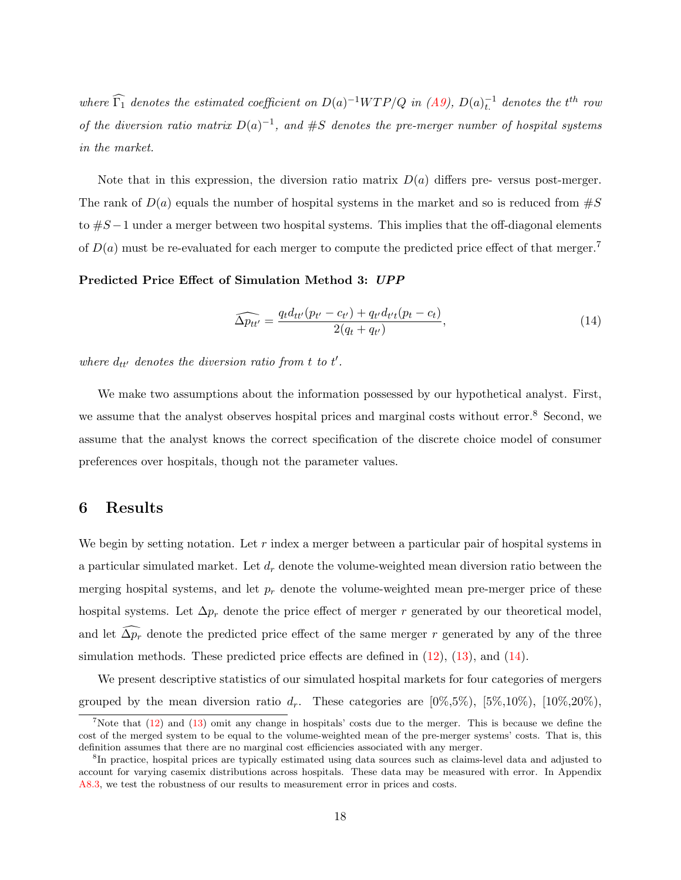where  $\widehat{\Gamma_1}$  denotes the estimated coefficient on  $D(a)^{-1}WTP/Q$  in  $(A9)$ ,  $D(a)^{-1}_{t}$  denotes the t<sup>th</sup> row of the diversion ratio matrix  $D(a)^{-1}$ , and #S denotes the pre-merger number of hospital systems in the market.

Note that in this expression, the diversion ratio matrix  $D(a)$  differs pre- versus post-merger. The rank of  $D(a)$  equals the number of hospital systems in the market and so is reduced from  $\#S$ to  $#S-1$  under a merger between two hospital systems. This implies that the off-diagonal elements of  $D(a)$  must be re-evaluated for each merger to compute the predicted price effect of that merger.<sup>7</sup>

#### Predicted Price Effect of Simulation Method 3: UPP

<span id="page-19-0"></span>
$$
\widehat{\Delta p_{tt'}} = \frac{q_t d_{tt'} (p_{t'} - c_{t'}) + q_{t'} d_{t't} (p_t - c_t)}{2(q_t + q_{t'})},\tag{14}
$$

where  $d_{tt'}$  denotes the diversion ratio from t to t'.

We make two assumptions about the information possessed by our hypothetical analyst. First, we assume that the analyst observes hospital prices and marginal costs without error.<sup>8</sup> Second, we assume that the analyst knows the correct specification of the discrete choice model of consumer preferences over hospitals, though not the parameter values.

## 6 Results

We begin by setting notation. Let  $r$  index a merger between a particular pair of hospital systems in a particular simulated market. Let  $d_r$  denote the volume-weighted mean diversion ratio between the merging hospital systems, and let  $p_r$  denote the volume-weighted mean pre-merger price of these hospital systems. Let  $\Delta p_r$  denote the price effect of merger r generated by our theoretical model, and let  $\widehat{\Delta p_r}$  denote the predicted price effect of the same merger r generated by any of the three simulation methods. These predicted price effects are defined in [\(12\)](#page-18-0), [\(13\)](#page-18-1), and [\(14\)](#page-19-0).

We present descriptive statistics of our simulated hospital markets for four categories of mergers grouped by the mean diversion ratio  $d_r$ . These categories are  $[0\%, 5\%, 10\%, 10\%, 10\%, 20\%]$ ,

<sup>&</sup>lt;sup>7</sup>Note that [\(12\)](#page-18-0) and [\(13\)](#page-18-1) omit any change in hospitals' costs due to the merger. This is because we define the cost of the merged system to be equal to the volume-weighted mean of the pre-merger systems' costs. That is, this definition assumes that there are no marginal cost efficiencies associated with any merger.

<sup>8</sup> In practice, hospital prices are typically estimated using data sources such as claims-level data and adjusted to account for varying casemix distributions across hospitals. These data may be measured with error. In Appendix [A8.3,](#page-80-0) we test the robustness of our results to measurement error in prices and costs.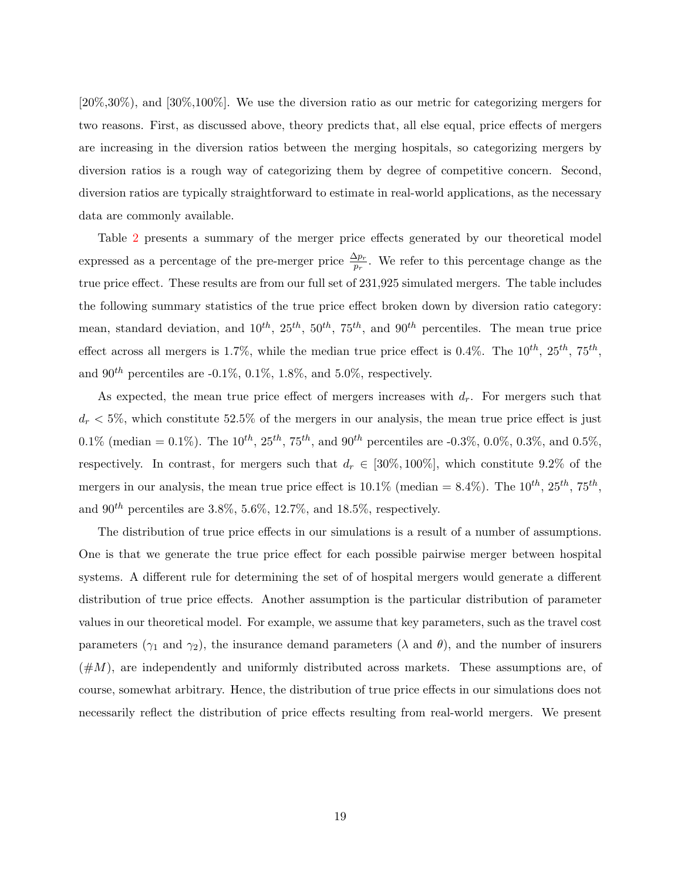[20%,30%), and [30%,100%]. We use the diversion ratio as our metric for categorizing mergers for two reasons. First, as discussed above, theory predicts that, all else equal, price effects of mergers are increasing in the diversion ratios between the merging hospitals, so categorizing mergers by diversion ratios is a rough way of categorizing them by degree of competitive concern. Second, diversion ratios are typically straightforward to estimate in real-world applications, as the necessary data are commonly available.

Table [2](#page-21-0) presents a summary of the merger price effects generated by our theoretical model expressed as a percentage of the pre-merger price  $\frac{\Delta p_r}{p_r}$ . We refer to this percentage change as the true price effect. These results are from our full set of 231,925 simulated mergers. The table includes the following summary statistics of the true price effect broken down by diversion ratio category: mean, standard deviation, and  $10^{th}$ ,  $25^{th}$ ,  $50^{th}$ ,  $75^{th}$ , and  $90^{th}$  percentiles. The mean true price effect across all mergers is 1.7%, while the median true price effect is 0.4%. The  $10^{th}$ ,  $25^{th}$ ,  $75^{th}$ , and 90<sup>th</sup> percentiles are -0.1%, 0.1%, 1.8%, and 5.0%, respectively.

As expected, the mean true price effect of mergers increases with  $d_r$ . For mergers such that  $d_r < 5\%$ , which constitute 52.5% of the mergers in our analysis, the mean true price effect is just 0.1% (median = 0.1%). The  $10^{th}$ ,  $25^{th}$ ,  $75^{th}$ , and  $90^{th}$  percentiles are -0.3%, 0.0%, 0.3%, and 0.5%, respectively. In contrast, for mergers such that  $d_r \in [30\%, 100\%]$ , which constitute 9.2% of the mergers in our analysis, the mean true price effect is  $10.1\%$  (median =  $8.4\%$ ). The  $10^{th}$ ,  $25^{th}$ ,  $75^{th}$ , and  $90^{th}$  percentiles are 3.8%, 5.6%, 12.7%, and 18.5%, respectively.

The distribution of true price effects in our simulations is a result of a number of assumptions. One is that we generate the true price effect for each possible pairwise merger between hospital systems. A different rule for determining the set of of hospital mergers would generate a different distribution of true price effects. Another assumption is the particular distribution of parameter values in our theoretical model. For example, we assume that key parameters, such as the travel cost parameters ( $\gamma_1$  and  $\gamma_2$ ), the insurance demand parameters ( $\lambda$  and  $\theta$ ), and the number of insurers  $(\#M)$ , are independently and uniformly distributed across markets. These assumptions are, of course, somewhat arbitrary. Hence, the distribution of true price effects in our simulations does not necessarily reflect the distribution of price effects resulting from real-world mergers. We present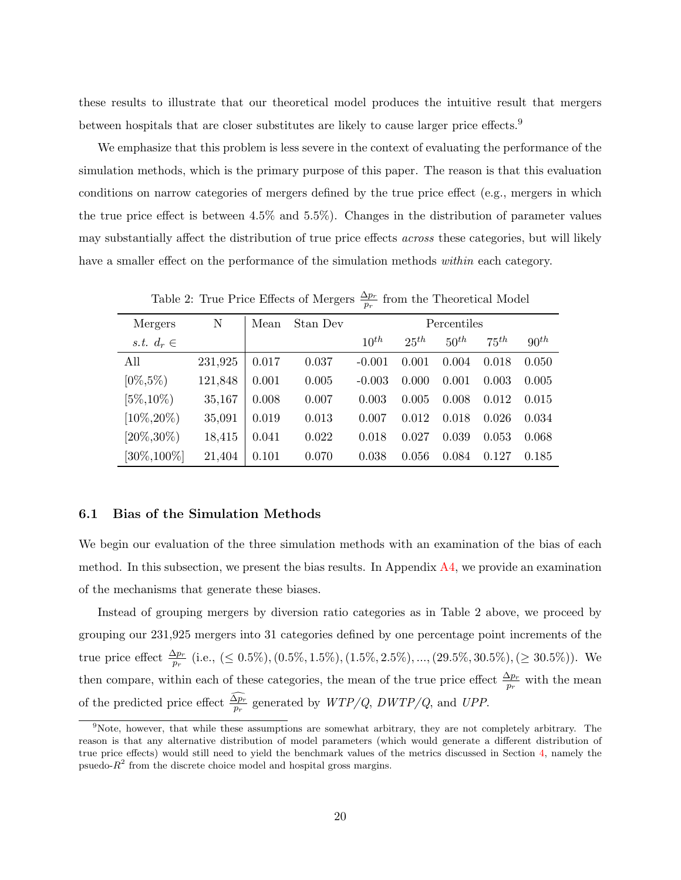these results to illustrate that our theoretical model produces the intuitive result that mergers between hospitals that are closer substitutes are likely to cause larger price effects.<sup>9</sup>

We emphasize that this problem is less severe in the context of evaluating the performance of the simulation methods, which is the primary purpose of this paper. The reason is that this evaluation conditions on narrow categories of mergers defined by the true price effect (e.g., mergers in which the true price effect is between 4.5% and 5.5%). Changes in the distribution of parameter values may substantially affect the distribution of true price effects across these categories, but will likely have a smaller effect on the performance of the simulation methods within each category.

| Mergers         | N       | Mean  | Stan Dev | Percentiles |           |           |           |           |  |
|-----------------|---------|-------|----------|-------------|-----------|-----------|-----------|-----------|--|
|                 |         |       |          |             |           |           |           |           |  |
| s.t. $d_r \in$  |         |       |          | $10^{th}$   | $25^{th}$ | $50^{th}$ | $75^{th}$ | $90^{th}$ |  |
| All             | 231,925 | 0.017 | 0.037    | $-0.001$    | 0.001     | 0.004     | 0.018     | 0.050     |  |
| $[0\%, 5\%)$    | 121,848 | 0.001 | 0.005    | $-0.003$    | 0.000     | 0.001     | 0.003     | 0.005     |  |
| $[5\%, 10\%]$   | 35,167  | 0.008 | 0.007    | 0.003       | 0.005     | 0.008     | 0.012     | 0.015     |  |
| $[10\%, 20\%]$  | 35,091  | 0.019 | 0.013    | 0.007       | 0.012     | 0.018     | 0.026     | 0.034     |  |
| $[20\%, 30\%]$  | 18,415  | 0.041 | 0.022    | 0.018       | 0.027     | 0.039     | 0.053     | 0.068     |  |
| $[30\%, 100\%]$ | 21,404  | 0.101 | 0.070    | 0.038       | 0.056     | 0.084     | 0.127     | 0.185     |  |

<span id="page-21-0"></span>Table 2: True Price Effects of Mergers  $\frac{\Delta p_r}{p_r}$  from the Theoretical Model

#### 6.1 Bias of the Simulation Methods

We begin our evaluation of the three simulation methods with an examination of the bias of each method. In this subsection, we present the bias results. In Appendix  $\overline{A4}$ , we provide an examination of the mechanisms that generate these biases.

Instead of grouping mergers by diversion ratio categories as in Table 2 above, we proceed by grouping our 231,925 mergers into 31 categories defined by one percentage point increments of the true price effect  $\frac{\Delta p_r}{p_r}$  (i.e., (≤ 0.5%), (0.5%, 1.5%), (1.5%, 2.5%), ..., (29.5%, 30.5%), (≥ 30.5%)). We then compare, within each of these categories, the mean of the true price effect  $\frac{\Delta p_r}{p_r}$  with the mean of the predicted price effect  $\frac{\Delta p_r}{p_r}$  generated by  $WTP/Q$ ,  $DWTP/Q$ , and UPP.

<sup>&</sup>lt;sup>9</sup>Note, however, that while these assumptions are somewhat arbitrary, they are not completely arbitrary. The reason is that any alternative distribution of model parameters (which would generate a different distribution of true price effects) would still need to yield the benchmark values of the metrics discussed in Section [4,](#page-13-1) namely the psuedo- $R<sup>2</sup>$  from the discrete choice model and hospital gross margins.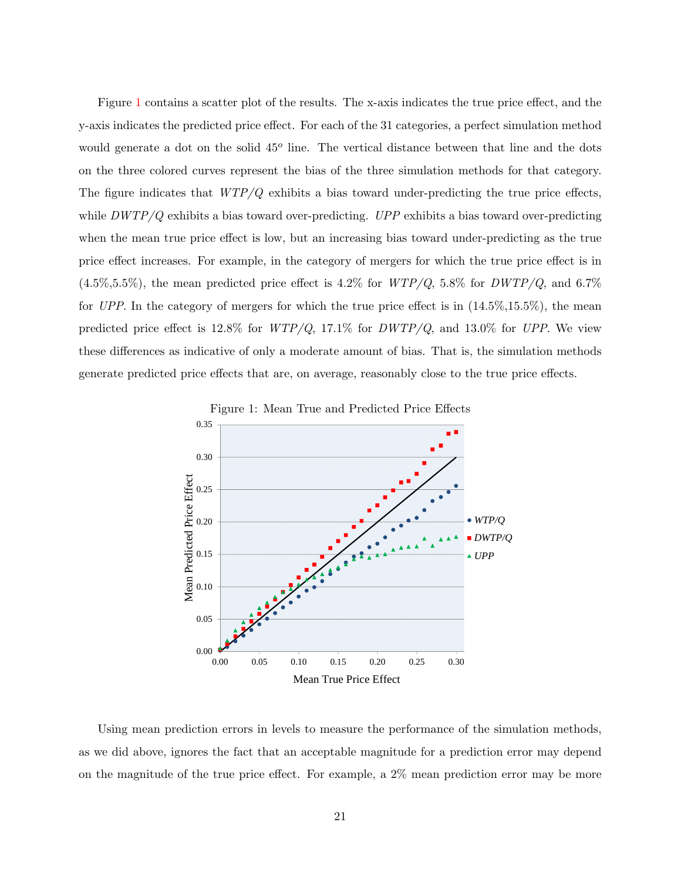Figure [1](#page-22-0) contains a scatter plot of the results. The x-axis indicates the true price effect, and the y-axis indicates the predicted price effect. For each of the 31 categories, a perfect simulation method would generate a dot on the solid 45<sup>o</sup> line. The vertical distance between that line and the dots on the three colored curves represent the bias of the three simulation methods for that category. The figure indicates that  $WTP/Q$  exhibits a bias toward under-predicting the true price effects, while  $DWTP/Q$  exhibits a bias toward over-predicting.  $UPP$  exhibits a bias toward over-predicting when the mean true price effect is low, but an increasing bias toward under-predicting as the true price effect increases. For example, in the category of mergers for which the true price effect is in  $(4.5\%,5.5\%)$ , the mean predicted price effect is  $4.2\%$  for  $WTP/Q$ ,  $5.8\%$  for  $DWTP/Q$ , and  $6.7\%$ for UPP. In the category of mergers for which the true price effect is in  $(14.5\%,15.5\%)$ , the mean predicted price effect is 12.8% for  $WTP/Q$ , 17.1% for  $DWTP/Q$ , and 13.0% for UPP. We view these differences as indicative of only a moderate amount of bias. That is, the simulation methods generate predicted price effects that are, on average, reasonably close to the true price effects.

<span id="page-22-0"></span>



Using mean prediction errors in levels to measure the performance of the simulation methods, as we did above, ignores the fact that an acceptable magnitude for a prediction error may depend on the magnitude of the true price effect. For example, a 2% mean prediction error may be more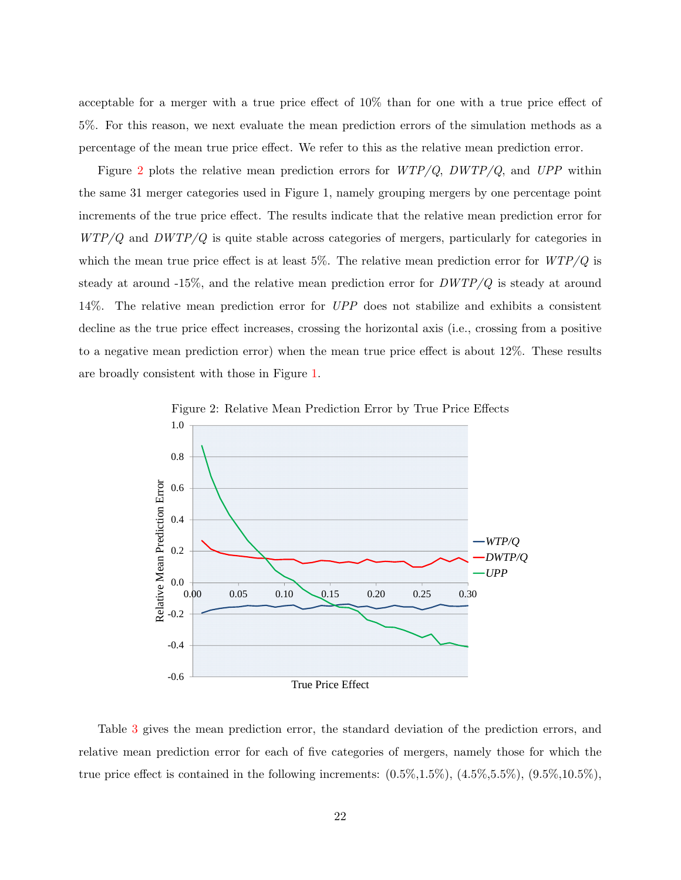acceptable for a merger with a true price effect of 10% than for one with a true price effect of 5%. For this reason, we next evaluate the mean prediction errors of the simulation methods as a percentage of the mean true price effect. We refer to this as the relative mean prediction error.

Figure [2](#page-23-0) plots the relative mean prediction errors for  $WTP/Q$ ,  $DWTP/Q$ , and  $UPP$  within the same 31 merger categories used in Figure 1, namely grouping mergers by one percentage point increments of the true price effect. The results indicate that the relative mean prediction error for  $WTP/Q$  and  $DWTP/Q$  is quite stable across categories of mergers, particularly for categories in which the mean true price effect is at least 5%. The relative mean prediction error for  $WTP/Q$  is steady at around  $-15\%$ , and the relative mean prediction error for  $DWTP/Q$  is steady at around 14%. The relative mean prediction error for UPP does not stabilize and exhibits a consistent decline as the true price effect increases, crossing the horizontal axis (i.e., crossing from a positive to a negative mean prediction error) when the mean true price effect is about 12%. These results are broadly consistent with those in Figure [1.](#page-22-0)



<span id="page-23-0"></span>Figure 2: Relative Mean Prediction Error by True Price Effects

Table [3](#page-24-0) gives the mean prediction error, the standard deviation of the prediction errors, and relative mean prediction error for each of five categories of mergers, namely those for which the true price effect is contained in the following increments:  $(0.5\%, 1.5\%)$ ,  $(4.5\%, 5.5\%)$ ,  $(9.5\%, 10.5\%)$ ,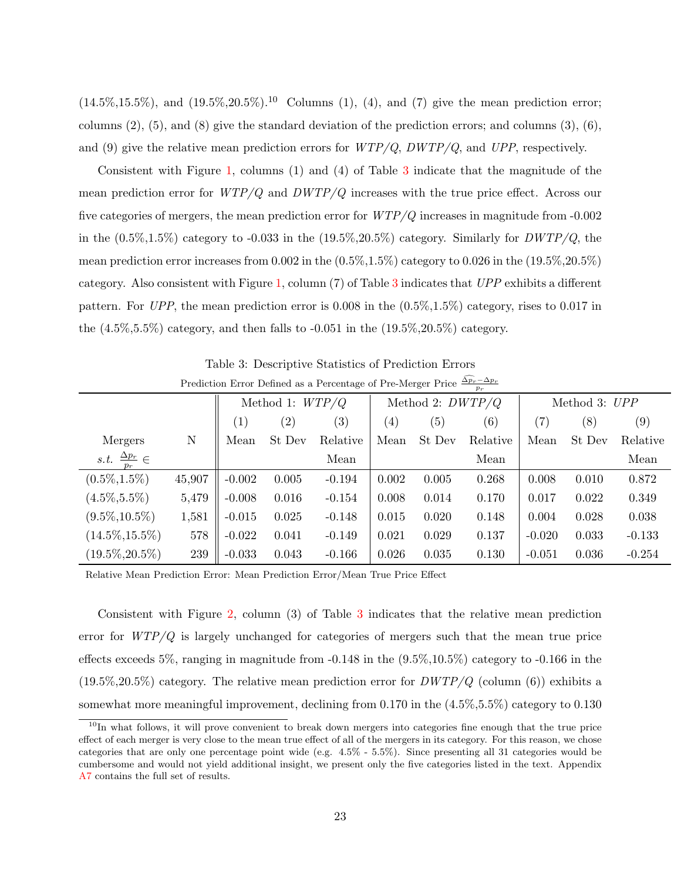$(14.5\%,15.5\%)$ , and  $(19.5\%,20.5\%)$ .<sup>10</sup> Columns (1), (4), and (7) give the mean prediction error; columns  $(2)$ ,  $(5)$ , and  $(8)$  give the standard deviation of the prediction errors; and columns  $(3)$ ,  $(6)$ , and (9) give the relative mean prediction errors for  $WTP/Q$ ,  $DWTP/Q$ , and  $UPP$ , respectively.

Consistent with Figure [1,](#page-22-0) columns (1) and (4) of Table [3](#page-24-0) indicate that the magnitude of the mean prediction error for  $WTP/Q$  and  $DWTP/Q$  increases with the true price effect. Across our five categories of mergers, the mean prediction error for  $WTP/Q$  increases in magnitude from -0.002 in the  $(0.5\%,1.5\%)$  category to -0.033 in the  $(19.5\%,20.5\%)$  category. Similarly for  $DWTP/Q$ , the mean prediction error increases from  $0.002$  in the  $(0.5\%, 1.5\%)$  category to  $0.026$  in the  $(19.5\%, 20.5\%)$ category. Also consistent with Figure [1,](#page-22-0) column (7) of Table [3](#page-24-0) indicates that UPP exhibits a different pattern. For UPP, the mean prediction error is  $0.008$  in the  $(0.5\%,1.5\%)$  category, rises to 0.017 in the  $(4.5\%, 5.5\%)$  category, and then falls to  $-0.051$  in the  $(19.5\%, 20.5\%)$  category.

|                                                  |             | $p_r$             |                   |                   |                    |        |          |               |        |          |
|--------------------------------------------------|-------------|-------------------|-------------------|-------------------|--------------------|--------|----------|---------------|--------|----------|
|                                                  |             | Method 1: $WTP/Q$ |                   |                   | Method 2: $DWTP/Q$ |        |          | Method 3: UPP |        |          |
|                                                  |             | (1)               | $\left( 2\right)$ | $\left( 3\right)$ | $\left( 4\right)$  | (5)    | (6)      | (7)           | (8)    | (9)      |
| Mergers                                          | $\mathbf N$ | Mean              | St Dev            | Relative          | Mean               | St Dev | Relative | Mean          | St Dev | Relative |
| $\frac{\Delta p_r}{\Delta} \in$<br>s.t.<br>$p_r$ |             |                   |                   | Mean              |                    |        | Mean     |               |        | Mean     |
| $(0.5\%, 1.5\%)$                                 | 45,907      | $-0.002$          | 0.005             | $-0.194$          | 0.002              | 0.005  | 0.268    | 0.008         | 0.010  | 0.872    |
| $(4.5\%, 5.5\%)$                                 | 5,479       | $-0.008$          | 0.016             | $-0.154$          | 0.008              | 0.014  | 0.170    | 0.017         | 0.022  | 0.349    |
| $(9.5\%, 10.5\%)$                                | 1,581       | $-0.015$          | 0.025             | $-0.148$          | 0.015              | 0.020  | 0.148    | 0.004         | 0.028  | 0.038    |
| $(14.5\%, 15.5\%)$                               | 578         | $-0.022$          | 0.041             | $-0.149$          | 0.021              | 0.029  | 0.137    | $-0.020$      | 0.033  | $-0.133$ |
| $(19.5\%, 20.5\%)$                               | 239         | $-0.033$          | 0.043             | $-0.166$          | 0.026              | 0.035  | 0.130    | $-0.051$      | 0.036  | $-0.254$ |

<span id="page-24-0"></span>Table 3: Descriptive Statistics of Prediction Errors Prediction Error Defined as a Percentage of Pre-Merger Price  $\frac{\Delta p_r - \Delta p_r}{p_r}$ 

Relative Mean Prediction Error: Mean Prediction Error/Mean True Price Effect

Consistent with Figure [2,](#page-23-0) column (3) of Table [3](#page-24-0) indicates that the relative mean prediction error for  $WTP/Q$  is largely unchanged for categories of mergers such that the mean true price effects exceeds 5%, ranging in magnitude from  $-0.148$  in the  $(9.5\%,10.5\%)$  category to  $-0.166$  in the  $(19.5\%,20.5\%)$  category. The relative mean prediction error for  $DWTP/Q$  (column (6)) exhibits a somewhat more meaningful improvement, declining from 0.170 in the (4.5%,5.5%) category to 0.130

<sup>&</sup>lt;sup>10</sup>In what follows, it will prove convenient to break down mergers into categories fine enough that the true price effect of each merger is very close to the mean true effect of all of the mergers in its category. For this reason, we chose categories that are only one percentage point wide (e.g. 4.5% - 5.5%). Since presenting all 31 categories would be cumbersome and would not yield additional insight, we present only the five categories listed in the text. Appendix [A7](#page-64-0) contains the full set of results.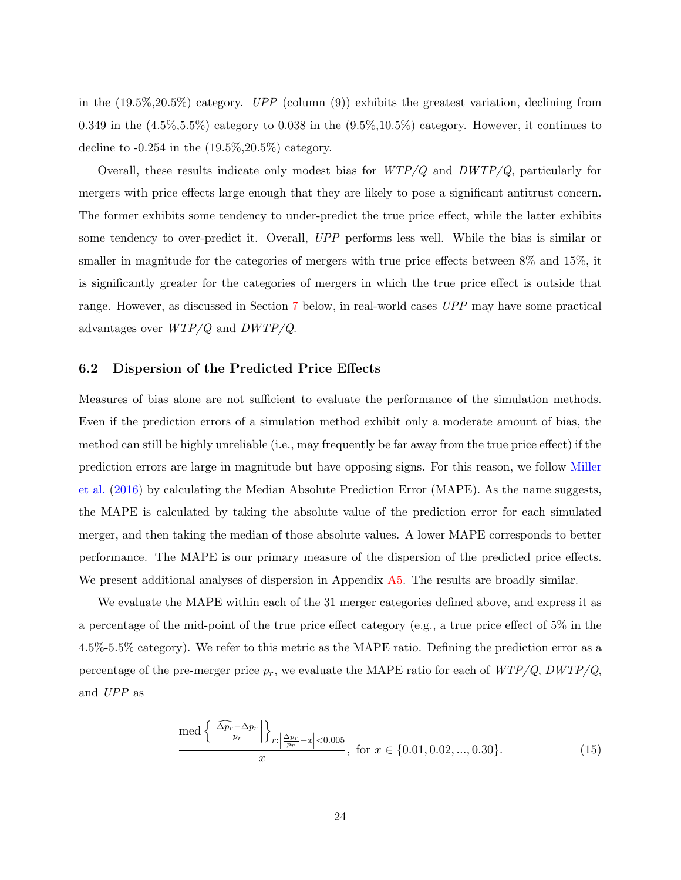in the  $(19.5\%, 20.5\%)$  category. UPP (column  $(9)$ ) exhibits the greatest variation, declining from 0.349 in the  $(4.5\%, 5.5\%)$  category to 0.038 in the  $(9.5\%, 10.5\%)$  category. However, it continues to decline to  $-0.254$  in the  $(19.5\%, 20.5\%)$  category.

Overall, these results indicate only modest bias for  $WTP/Q$  and  $DWTP/Q$ , particularly for mergers with price effects large enough that they are likely to pose a significant antitrust concern. The former exhibits some tendency to under-predict the true price effect, while the latter exhibits some tendency to over-predict it. Overall, UPP performs less well. While the bias is similar or smaller in magnitude for the categories of mergers with true price effects between 8% and 15%, it is significantly greater for the categories of mergers in which the true price effect is outside that range. However, as discussed in Section [7](#page-31-0) below, in real-world cases UPP may have some practical advantages over WTP/Q and DWTP/Q.

#### 6.2 Dispersion of the Predicted Price Effects

Measures of bias alone are not sufficient to evaluate the performance of the simulation methods. Even if the prediction errors of a simulation method exhibit only a moderate amount of bias, the method can still be highly unreliable (i.e., may frequently be far away from the true price effect) if the prediction errors are large in magnitude but have opposing signs. For this reason, we follow [Miller](#page-99-0) [et al.](#page-99-0) [\(2016\)](#page-99-0) by calculating the Median Absolute Prediction Error (MAPE). As the name suggests, the MAPE is calculated by taking the absolute value of the prediction error for each simulated merger, and then taking the median of those absolute values. A lower MAPE corresponds to better performance. The MAPE is our primary measure of the dispersion of the predicted price effects. We present additional analyses of dispersion in Appendix [A5.](#page-58-0) The results are broadly similar.

We evaluate the MAPE within each of the 31 merger categories defined above, and express it as a percentage of the mid-point of the true price effect category (e.g., a true price effect of 5% in the 4.5%-5.5% category). We refer to this metric as the MAPE ratio. Defining the prediction error as a percentage of the pre-merger price  $p_r$ , we evaluate the MAPE ratio for each of  $WTP/Q$ ,  $DWTP/Q$ , and UPP as

$$
\frac{\text{med}\left\{ \left| \frac{\widehat{\Delta p}_r - \Delta p_r}{p_r} \right| \right\}_{r:\left| \frac{\Delta p_r}{p_r} - x \right| < 0.005}}{x}, \text{ for } x \in \{0.01, 0.02, ..., 0.30\}. \tag{15}
$$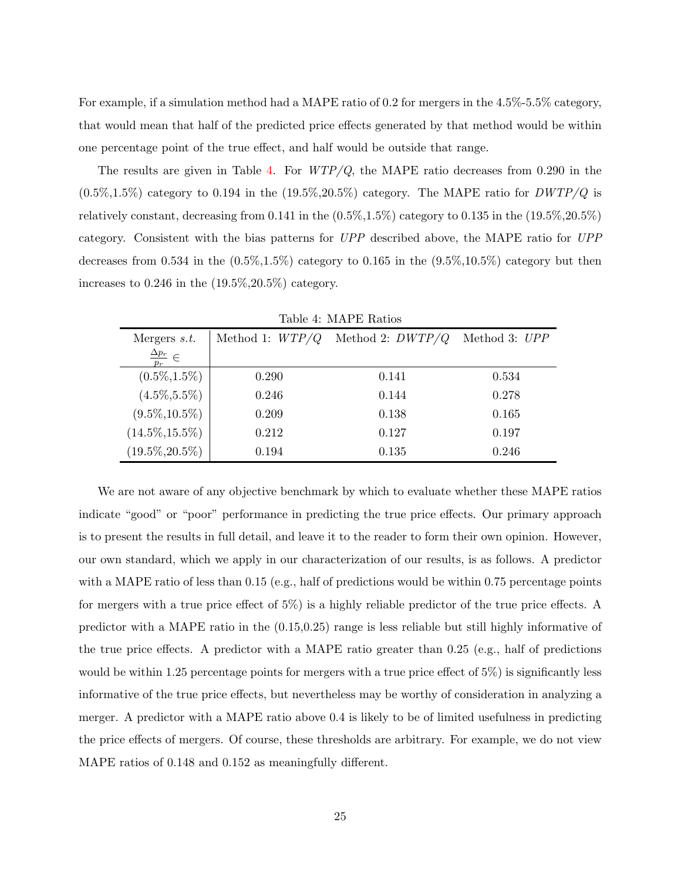For example, if a simulation method had a MAPE ratio of 0.2 for mergers in the 4.5%-5.5% category, that would mean that half of the predicted price effects generated by that method would be within one percentage point of the true effect, and half would be outside that range.

The results are given in Table [4.](#page-26-0) For  $WTP/Q$ , the MAPE ratio decreases from 0.290 in the  $(0.5\%,1.5\%)$  category to 0.194 in the  $(19.5\%,20.5\%)$  category. The MAPE ratio for  $DWTP/Q$  is relatively constant, decreasing from 0.141 in the  $(0.5\%,1.5\%)$  category to 0.135 in the  $(19.5\%,20.5\%)$ category. Consistent with the bias patterns for UPP described above, the MAPE ratio for UPP decreases from  $0.534$  in the  $(0.5\%,1.5\%)$  category to  $0.165$  in the  $(9.5\%,10.5\%)$  category but then increases to  $0.246$  in the  $(19.5\%, 20.5\%)$  category.

| Mergers $s.t.$                                   | Method 1: $WTP/Q$ | Method 2: $DWTP/Q$ | Method 3: UPP |  |  |  |  |  |  |
|--------------------------------------------------|-------------------|--------------------|---------------|--|--|--|--|--|--|
| $\frac{\Delta p_r}{\Delta p} \in$<br>$n_{\rm r}$ |                   |                    |               |  |  |  |  |  |  |
| $(0.5\%, 1.5\%)$                                 | 0.290             | 0.141              | 0.534         |  |  |  |  |  |  |
| $(4.5\%, 5.5\%)$                                 | 0.246             | 0.144              | 0.278         |  |  |  |  |  |  |
| $(9.5\%, 10.5\%)$                                | 0.209             | 0.138              | 0.165         |  |  |  |  |  |  |
| $(14.5\%, 15.5\%)$                               | 0.212             | 0.127              | 0.197         |  |  |  |  |  |  |
| $(19.5\%, 20.5\%)$                               | 0.194             | 0.135              | 0.246         |  |  |  |  |  |  |

<span id="page-26-0"></span>Table 4: MAPE Ratios

We are not aware of any objective benchmark by which to evaluate whether these MAPE ratios indicate "good" or "poor" performance in predicting the true price effects. Our primary approach is to present the results in full detail, and leave it to the reader to form their own opinion. However, our own standard, which we apply in our characterization of our results, is as follows. A predictor with a MAPE ratio of less than 0.15 (e.g., half of predictions would be within 0.75 percentage points for mergers with a true price effect of 5%) is a highly reliable predictor of the true price effects. A predictor with a MAPE ratio in the (0.15,0.25) range is less reliable but still highly informative of the true price effects. A predictor with a MAPE ratio greater than 0.25 (e.g., half of predictions would be within 1.25 percentage points for mergers with a true price effect of 5%) is significantly less informative of the true price effects, but nevertheless may be worthy of consideration in analyzing a merger. A predictor with a MAPE ratio above 0.4 is likely to be of limited usefulness in predicting the price effects of mergers. Of course, these thresholds are arbitrary. For example, we do not view MAPE ratios of 0.148 and 0.152 as meaningfully different.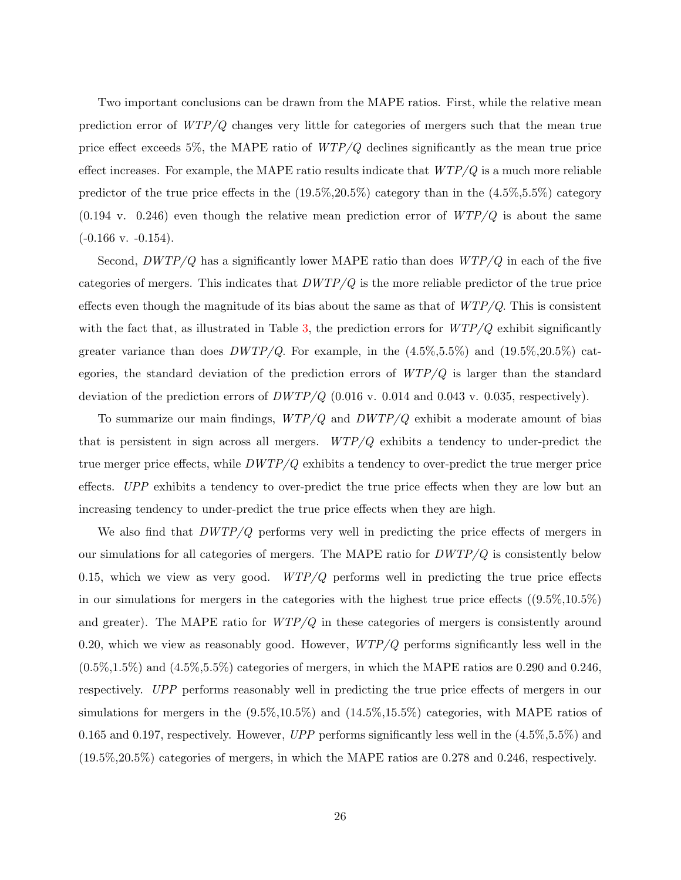Two important conclusions can be drawn from the MAPE ratios. First, while the relative mean prediction error of WTP/Q changes very little for categories of mergers such that the mean true price effect exceeds 5%, the MAPE ratio of  $WTP/Q$  declines significantly as the mean true price effect increases. For example, the MAPE ratio results indicate that  $WTP/Q$  is a much more reliable predictor of the true price effects in the  $(19.5\%, 20.5\%)$  category than in the  $(4.5\%, 5.5\%)$  category  $(0.194 \text{ v. } 0.246)$  even though the relative mean prediction error of  $WTP/Q$  is about the same  $(-0.166 \text{ v. } -0.154).$ 

Second,  $DWTP/Q$  has a significantly lower MAPE ratio than does  $WTP/Q$  in each of the five categories of mergers. This indicates that  $DWTP/Q$  is the more reliable predictor of the true price effects even though the magnitude of its bias about the same as that of  $WTP/Q$ . This is consistent with the fact that, as illustrated in Table [3,](#page-24-0) the prediction errors for  $WTP/Q$  exhibit significantly greater variance than does  $DWTP/Q$ . For example, in the  $(4.5\%, 5.5\%)$  and  $(19.5\%, 20.5\%)$  categories, the standard deviation of the prediction errors of  $WTP/Q$  is larger than the standard deviation of the prediction errors of  $DWTP/Q$  (0.016 v. 0.014 and 0.043 v. 0.035, respectively).

To summarize our main findings,  $WTP/Q$  and  $DWTP/Q$  exhibit a moderate amount of bias that is persistent in sign across all mergers.  $WTP/Q$  exhibits a tendency to under-predict the true merger price effects, while  $DWTP/Q$  exhibits a tendency to over-predict the true merger price effects. UPP exhibits a tendency to over-predict the true price effects when they are low but an increasing tendency to under-predict the true price effects when they are high.

We also find that  $DWTP/Q$  performs very well in predicting the price effects of mergers in our simulations for all categories of mergers. The MAPE ratio for  $DWTP/Q$  is consistently below 0.15, which we view as very good.  $WTP/Q$  performs well in predicting the true price effects in our simulations for mergers in the categories with the highest true price effects  $((9.5\%,10.5\%)$ and greater). The MAPE ratio for  $WTP/Q$  in these categories of mergers is consistently around 0.20, which we view as reasonably good. However,  $WTP/Q$  performs significantly less well in the  $(0.5\%,1.5\%)$  and  $(4.5\%,5.5\%)$  categories of mergers, in which the MAPE ratios are 0.290 and 0.246, respectively. UPP performs reasonably well in predicting the true price effects of mergers in our simulations for mergers in the (9.5%,10.5%) and (14.5%,15.5%) categories, with MAPE ratios of 0.165 and 0.197, respectively. However,  $UPP$  performs significantly less well in the  $(4.5\%, 5.5\%)$  and (19.5%,20.5%) categories of mergers, in which the MAPE ratios are 0.278 and 0.246, respectively.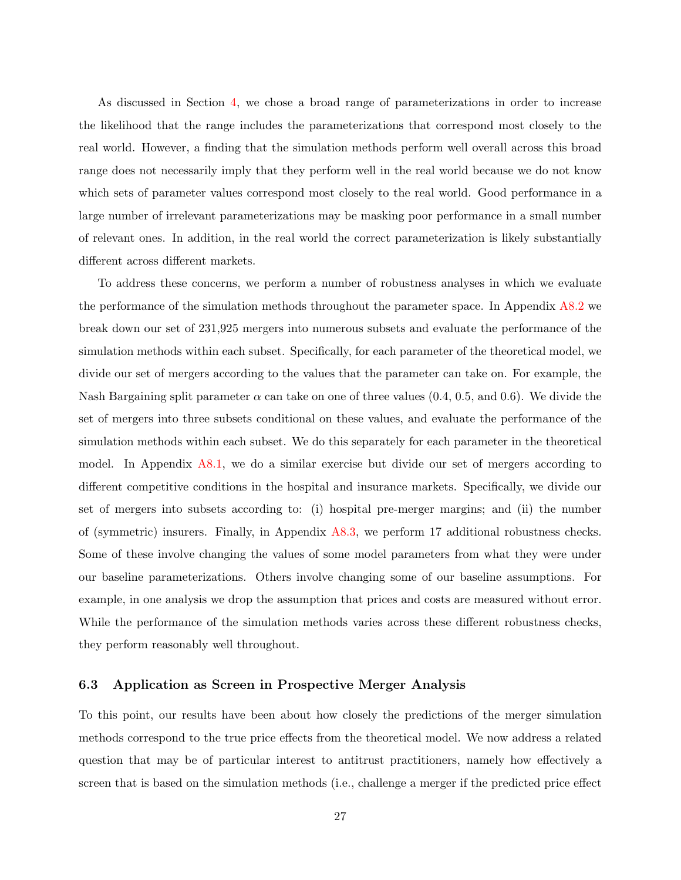As discussed in Section [4,](#page-13-1) we chose a broad range of parameterizations in order to increase the likelihood that the range includes the parameterizations that correspond most closely to the real world. However, a finding that the simulation methods perform well overall across this broad range does not necessarily imply that they perform well in the real world because we do not know which sets of parameter values correspond most closely to the real world. Good performance in a large number of irrelevant parameterizations may be masking poor performance in a small number of relevant ones. In addition, in the real world the correct parameterization is likely substantially different across different markets.

To address these concerns, we perform a number of robustness analyses in which we evaluate the performance of the simulation methods throughout the parameter space. In Appendix [A8.2](#page-73-0) we break down our set of 231,925 mergers into numerous subsets and evaluate the performance of the simulation methods within each subset. Specifically, for each parameter of the theoretical model, we divide our set of mergers according to the values that the parameter can take on. For example, the Nash Bargaining split parameter  $\alpha$  can take on one of three values (0.4, 0.5, and 0.6). We divide the set of mergers into three subsets conditional on these values, and evaluate the performance of the simulation methods within each subset. We do this separately for each parameter in the theoretical model. In Appendix [A8.1,](#page-68-0) we do a similar exercise but divide our set of mergers according to different competitive conditions in the hospital and insurance markets. Specifically, we divide our set of mergers into subsets according to: (i) hospital pre-merger margins; and (ii) the number of (symmetric) insurers. Finally, in Appendix [A8.3,](#page-80-0) we perform 17 additional robustness checks. Some of these involve changing the values of some model parameters from what they were under our baseline parameterizations. Others involve changing some of our baseline assumptions. For example, in one analysis we drop the assumption that prices and costs are measured without error. While the performance of the simulation methods varies across these different robustness checks, they perform reasonably well throughout.

#### 6.3 Application as Screen in Prospective Merger Analysis

To this point, our results have been about how closely the predictions of the merger simulation methods correspond to the true price effects from the theoretical model. We now address a related question that may be of particular interest to antitrust practitioners, namely how effectively a screen that is based on the simulation methods (i.e., challenge a merger if the predicted price effect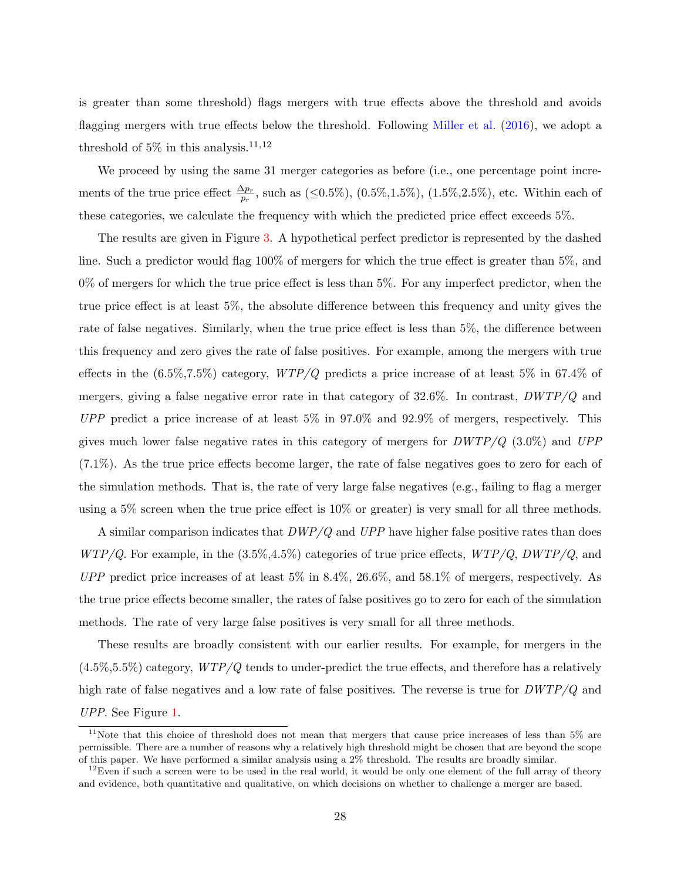is greater than some threshold) flags mergers with true effects above the threshold and avoids flagging mergers with true effects below the threshold. Following [Miller et al.](#page-99-0) [\(2016\)](#page-99-0), we adopt a threshold of 5% in this analysis.<sup>11,12</sup>

We proceed by using the same 31 merger categories as before (i.e., one percentage point increments of the true price effect  $\frac{\Delta p_r}{p_r}$ , such as (≤0.5%), (0.5%,1.5%), (1.5%,2.5%), etc. Within each of these categories, we calculate the frequency with which the predicted price effect exceeds 5%.

The results are given in Figure [3.](#page-30-0) A hypothetical perfect predictor is represented by the dashed line. Such a predictor would flag 100% of mergers for which the true effect is greater than 5%, and  $0\%$  of mergers for which the true price effect is less than  $5\%$ . For any imperfect predictor, when the true price effect is at least 5%, the absolute difference between this frequency and unity gives the rate of false negatives. Similarly, when the true price effect is less than 5%, the difference between this frequency and zero gives the rate of false positives. For example, among the mergers with true effects in the  $(6.5\%, 7.5\%)$  category,  $WTP/Q$  predicts a price increase of at least 5% in 67.4% of mergers, giving a false negative error rate in that category of  $32.6\%$ . In contrast,  $DWTP/Q$  and  $UPP$  predict a price increase of at least 5% in 97.0% and 92.9% of mergers, respectively. This gives much lower false negative rates in this category of mergers for  $DWTP/Q$  (3.0%) and  $UPP$ (7.1%). As the true price effects become larger, the rate of false negatives goes to zero for each of the simulation methods. That is, the rate of very large false negatives (e.g., failing to flag a merger using a 5% screen when the true price effect is 10% or greater) is very small for all three methods.

A similar comparison indicates that  $DWP/Q$  and  $UPP$  have higher false positive rates than does  $WTP/Q$ . For example, in the  $(3.5\%, 4.5\%)$  categories of true price effects,  $WTP/Q$ ,  $DWTP/Q$ , and  $UPP$  predict price increases of at least 5% in 8.4%, 26.6%, and 58.1% of mergers, respectively. As the true price effects become smaller, the rates of false positives go to zero for each of the simulation methods. The rate of very large false positives is very small for all three methods.

These results are broadly consistent with our earlier results. For example, for mergers in the  $(4.5\%,5.5\%)$  category,  $WTP/Q$  tends to under-predict the true effects, and therefore has a relatively high rate of false negatives and a low rate of false positives. The reverse is true for  $DWTP/Q$  and UPP. See Figure [1.](#page-22-0)

 $11$ Note that this choice of threshold does not mean that mergers that cause price increases of less than 5% are permissible. There are a number of reasons why a relatively high threshold might be chosen that are beyond the scope of this paper. We have performed a similar analysis using a 2% threshold. The results are broadly similar.

 $12$ Even if such a screen were to be used in the real world, it would be only one element of the full array of theory and evidence, both quantitative and qualitative, on which decisions on whether to challenge a merger are based.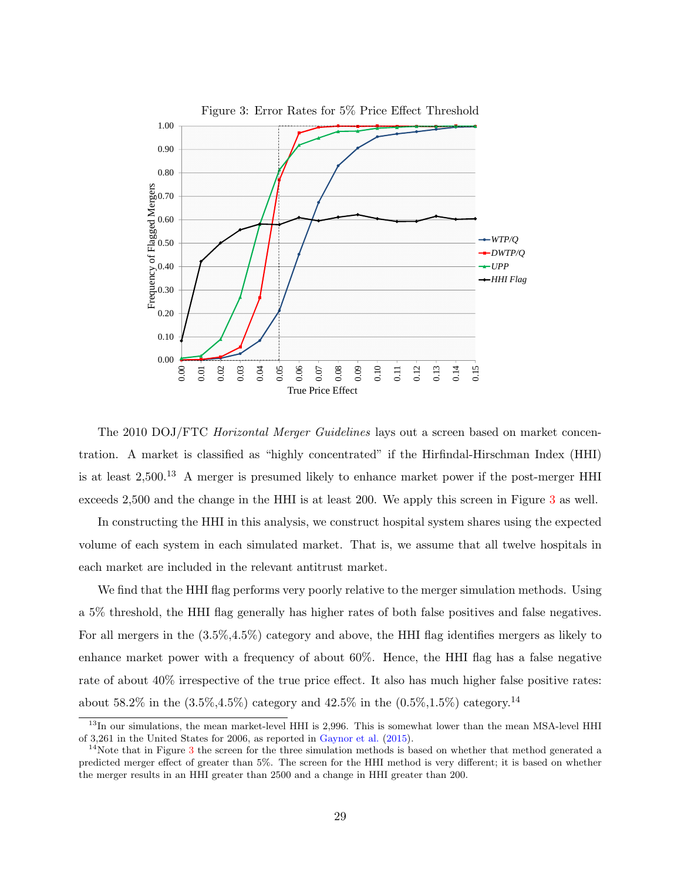<span id="page-30-0"></span>

The 2010 DOJ/FTC *Horizontal Merger Guidelines* lays out a screen based on market concentration. A market is classified as "highly concentrated" if the Hirfindal-Hirschman Index (HHI) is at least  $2,500$ .<sup>13</sup> A merger is presumed likely to enhance market power if the post-merger HHI exceeds 2,500 and the change in the HHI is at least 200. We apply this screen in Figure [3](#page-30-0) as well.

In constructing the HHI in this analysis, we construct hospital system shares using the expected volume of each system in each simulated market. That is, we assume that all twelve hospitals in each market are included in the relevant antitrust market.

We find that the HHI flag performs very poorly relative to the merger simulation methods. Using a 5% threshold, the HHI flag generally has higher rates of both false positives and false negatives. For all mergers in the (3.5%,4.5%) category and above, the HHI flag identifies mergers as likely to enhance market power with a frequency of about 60%. Hence, the HHI flag has a false negative rate of about 40% irrespective of the true price effect. It also has much higher false positive rates: about 58.2% in the  $(3.5\%, 4.5\%)$  category and  $42.5\%$  in the  $(0.5\%, 1.5\%)$  category.<sup>14</sup>

<sup>&</sup>lt;sup>13</sup>In our simulations, the mean market-level HHI is 2,996. This is somewhat lower than the mean MSA-level HHI of 3,261 in the United States for 2006, as reported in [Gaynor et al.](#page-98-5) [\(2015\)](#page-98-5).

 $14$ Note that in Figure [3](#page-30-0) the screen for the three simulation methods is based on whether that method generated a predicted merger effect of greater than 5%. The screen for the HHI method is very different; it is based on whether the merger results in an HHI greater than 2500 and a change in HHI greater than 200.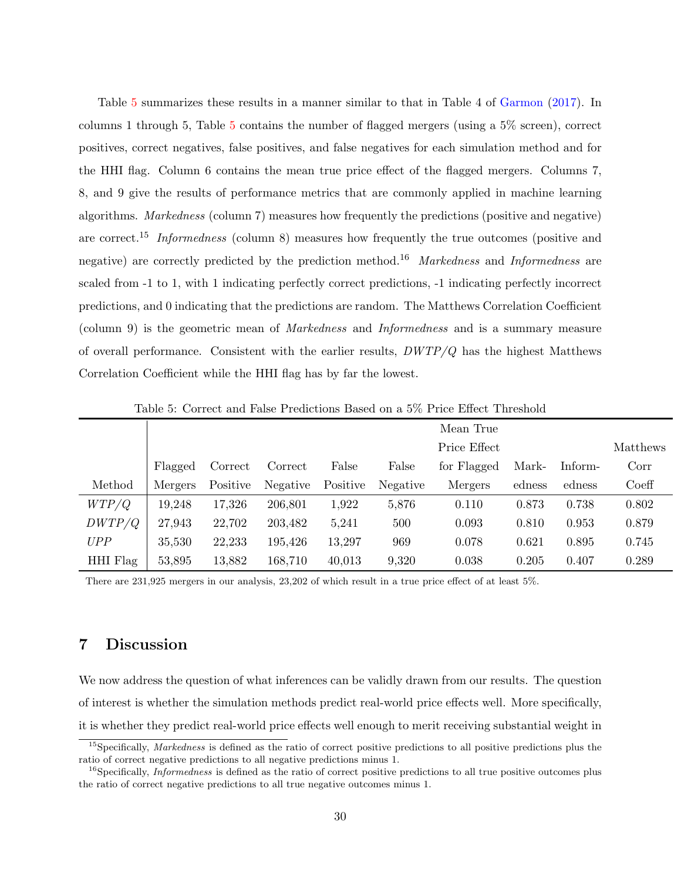Table [5](#page-31-1) summarizes these results in a manner similar to that in Table 4 of [Garmon](#page-98-7) [\(2017\)](#page-98-7). In columns 1 through 5, Table [5](#page-31-1) contains the number of flagged mergers (using a 5% screen), correct positives, correct negatives, false positives, and false negatives for each simulation method and for the HHI flag. Column 6 contains the mean true price effect of the flagged mergers. Columns 7, 8, and 9 give the results of performance metrics that are commonly applied in machine learning algorithms. Markedness (column 7) measures how frequently the predictions (positive and negative) are correct.<sup>15</sup> Informedness (column 8) measures how frequently the true outcomes (positive and negative) are correctly predicted by the prediction method.<sup>16</sup> Markedness and Informedness are scaled from -1 to 1, with 1 indicating perfectly correct predictions, -1 indicating perfectly incorrect predictions, and 0 indicating that the predictions are random. The Matthews Correlation Coefficient (column 9) is the geometric mean of Markedness and Informedness and is a summary measure of overall performance. Consistent with the earlier results, DWTP/Q has the highest Matthews Correlation Coefficient while the HHI flag has by far the lowest.

|          |         |          | Mean True |          |          |              |        |          |       |
|----------|---------|----------|-----------|----------|----------|--------------|--------|----------|-------|
|          |         |          |           |          |          | Price Effect |        | Matthews |       |
|          | Flagged | Correct  | Correct   | False    | False    | for Flagged  | Mark-  | Inform-  | Corr  |
| Method   | Mergers | Positive | Negative  | Positive | Negative | Mergers      | edness | edness   | Coeff |
| WTP/Q    | 19,248  | 17,326   | 206,801   | 1,922    | 5,876    | 0.110        | 0.873  | 0.738    | 0.802 |
| DWTP/Q   | 27,943  | 22,702   | 203,482   | 5,241    | 500      | 0.093        | 0.810  | 0.953    | 0.879 |
| UPP      | 35,530  | 22,233   | 195,426   | 13,297   | 969      | 0.078        | 0.621  | 0.895    | 0.745 |
| HHI Flag | 53,895  | 13,882   | 168,710   | 40,013   | 9,320    | 0.038        | 0.205  | 0.407    | 0.289 |

<span id="page-31-1"></span>Table 5: Correct and False Predictions Based on a 5% Price Effect Threshold

There are 231,925 mergers in our analysis, 23,202 of which result in a true price effect of at least 5%.

## <span id="page-31-0"></span>7 Discussion

We now address the question of what inferences can be validly drawn from our results. The question of interest is whether the simulation methods predict real-world price effects well. More specifically, it is whether they predict real-world price effects well enough to merit receiving substantial weight in

<sup>&</sup>lt;sup>15</sup>Specifically, Markedness is defined as the ratio of correct positive predictions to all positive predictions plus the ratio of correct negative predictions to all negative predictions minus 1.

<sup>&</sup>lt;sup>16</sup>Specifically, *Informedness* is defined as the ratio of correct positive predictions to all true positive outcomes plus the ratio of correct negative predictions to all true negative outcomes minus 1.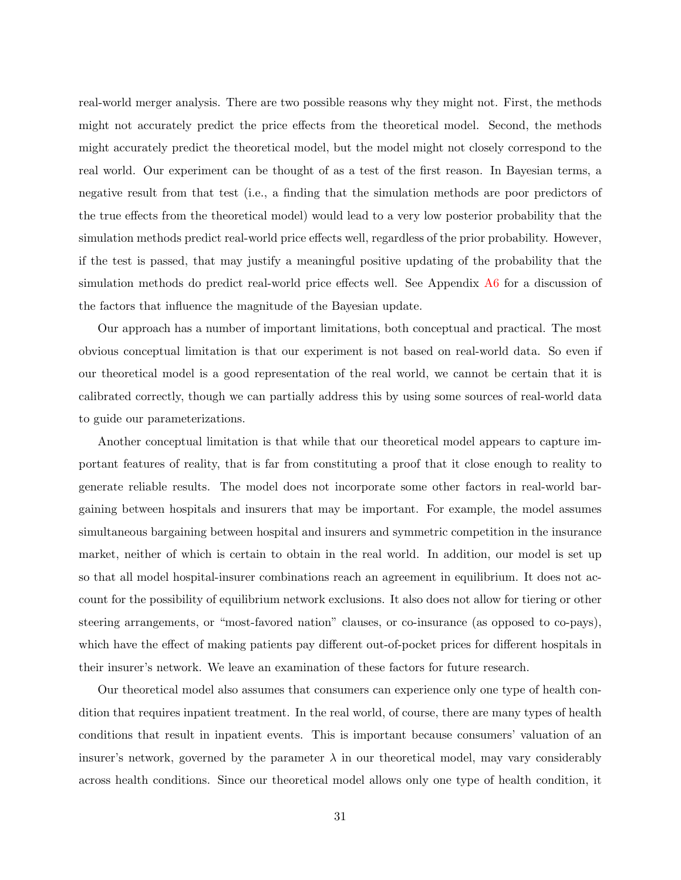real-world merger analysis. There are two possible reasons why they might not. First, the methods might not accurately predict the price effects from the theoretical model. Second, the methods might accurately predict the theoretical model, but the model might not closely correspond to the real world. Our experiment can be thought of as a test of the first reason. In Bayesian terms, a negative result from that test (i.e., a finding that the simulation methods are poor predictors of the true effects from the theoretical model) would lead to a very low posterior probability that the simulation methods predict real-world price effects well, regardless of the prior probability. However, if the test is passed, that may justify a meaningful positive updating of the probability that the simulation methods do predict real-world price effects well. See Appendix [A6](#page-60-0) for a discussion of the factors that influence the magnitude of the Bayesian update.

Our approach has a number of important limitations, both conceptual and practical. The most obvious conceptual limitation is that our experiment is not based on real-world data. So even if our theoretical model is a good representation of the real world, we cannot be certain that it is calibrated correctly, though we can partially address this by using some sources of real-world data to guide our parameterizations.

Another conceptual limitation is that while that our theoretical model appears to capture important features of reality, that is far from constituting a proof that it close enough to reality to generate reliable results. The model does not incorporate some other factors in real-world bargaining between hospitals and insurers that may be important. For example, the model assumes simultaneous bargaining between hospital and insurers and symmetric competition in the insurance market, neither of which is certain to obtain in the real world. In addition, our model is set up so that all model hospital-insurer combinations reach an agreement in equilibrium. It does not account for the possibility of equilibrium network exclusions. It also does not allow for tiering or other steering arrangements, or "most-favored nation" clauses, or co-insurance (as opposed to co-pays), which have the effect of making patients pay different out-of-pocket prices for different hospitals in their insurer's network. We leave an examination of these factors for future research.

Our theoretical model also assumes that consumers can experience only one type of health condition that requires inpatient treatment. In the real world, of course, there are many types of health conditions that result in inpatient events. This is important because consumers' valuation of an insurer's network, governed by the parameter  $\lambda$  in our theoretical model, may vary considerably across health conditions. Since our theoretical model allows only one type of health condition, it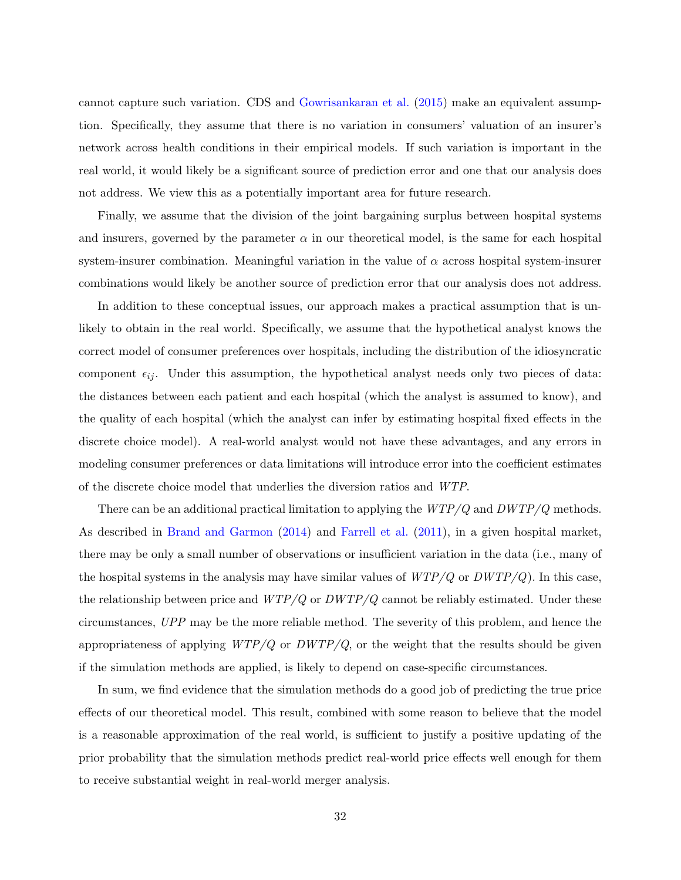cannot capture such variation. CDS and [Gowrisankaran et al.](#page-98-4) [\(2015\)](#page-98-4) make an equivalent assumption. Specifically, they assume that there is no variation in consumers' valuation of an insurer's network across health conditions in their empirical models. If such variation is important in the real world, it would likely be a significant source of prediction error and one that our analysis does not address. We view this as a potentially important area for future research.

Finally, we assume that the division of the joint bargaining surplus between hospital systems and insurers, governed by the parameter  $\alpha$  in our theoretical model, is the same for each hospital system-insurer combination. Meaningful variation in the value of  $\alpha$  across hospital system-insurer combinations would likely be another source of prediction error that our analysis does not address.

In addition to these conceptual issues, our approach makes a practical assumption that is unlikely to obtain in the real world. Specifically, we assume that the hypothetical analyst knows the correct model of consumer preferences over hospitals, including the distribution of the idiosyncratic component  $\epsilon_{ij}$ . Under this assumption, the hypothetical analyst needs only two pieces of data: the distances between each patient and each hospital (which the analyst is assumed to know), and the quality of each hospital (which the analyst can infer by estimating hospital fixed effects in the discrete choice model). A real-world analyst would not have these advantages, and any errors in modeling consumer preferences or data limitations will introduce error into the coefficient estimates of the discrete choice model that underlies the diversion ratios and WTP.

There can be an additional practical limitation to applying the  $WTP/Q$  and  $DWTP/Q$  methods. As described in [Brand and Garmon](#page-98-11) [\(2014\)](#page-98-11) and [Farrell et al.](#page-98-0) [\(2011\)](#page-98-0), in a given hospital market, there may be only a small number of observations or insufficient variation in the data (i.e., many of the hospital systems in the analysis may have similar values of  $WTP/Q$  or  $DWTP/Q$ ). In this case, the relationship between price and  $WTP/Q$  or  $DWTP/Q$  cannot be reliably estimated. Under these circumstances, UPP may be the more reliable method. The severity of this problem, and hence the appropriateness of applying  $WTP/Q$  or  $DWTP/Q$ , or the weight that the results should be given if the simulation methods are applied, is likely to depend on case-specific circumstances.

In sum, we find evidence that the simulation methods do a good job of predicting the true price effects of our theoretical model. This result, combined with some reason to believe that the model is a reasonable approximation of the real world, is sufficient to justify a positive updating of the prior probability that the simulation methods predict real-world price effects well enough for them to receive substantial weight in real-world merger analysis.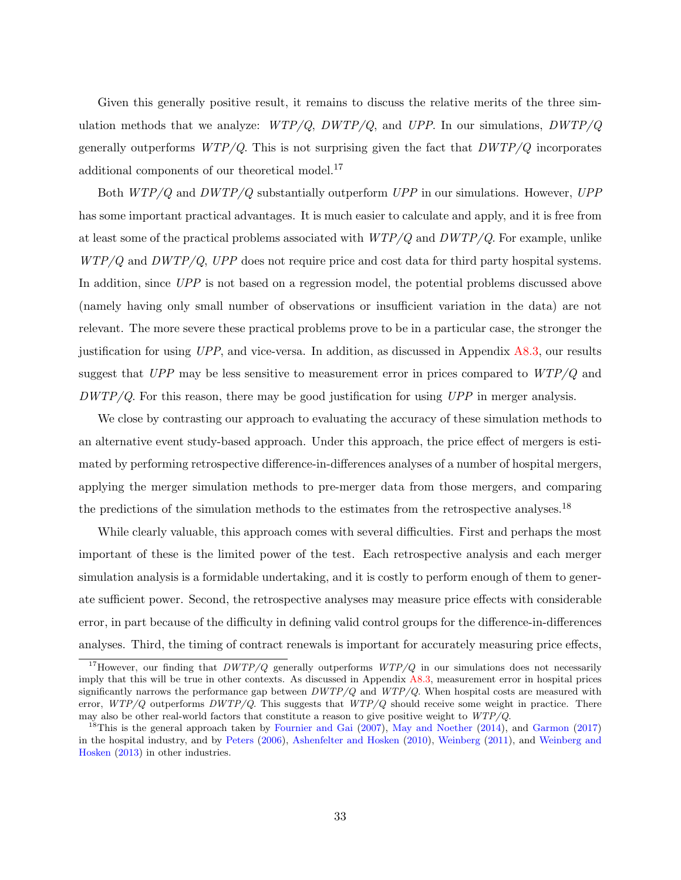Given this generally positive result, it remains to discuss the relative merits of the three simulation methods that we analyze:  $WTP/Q$ ,  $DWTP/Q$ , and  $UPP$ . In our simulations,  $DWTP/Q$ generally outperforms  $WTP/Q$ . This is not surprising given the fact that  $DWTP/Q$  incorporates additional components of our theoretical model.<sup>17</sup>

Both  $WTP/Q$  and  $DWTP/Q$  substantially outperform  $UPP$  in our simulations. However,  $UPP$ has some important practical advantages. It is much easier to calculate and apply, and it is free from at least some of the practical problems associated with  $WTP/Q$  and  $DWTP/Q$ . For example, unlike  $WTP/Q$  and  $DWTP/Q$ , UPP does not require price and cost data for third party hospital systems. In addition, since UPP is not based on a regression model, the potential problems discussed above (namely having only small number of observations or insufficient variation in the data) are not relevant. The more severe these practical problems prove to be in a particular case, the stronger the justification for using UPP, and vice-versa. In addition, as discussed in Appendix [A8.3,](#page-80-0) our results suggest that  $UPP$  may be less sensitive to measurement error in prices compared to  $WTP/Q$  and  $DWTP/Q$ . For this reason, there may be good justification for using  $UPP$  in merger analysis.

We close by contrasting our approach to evaluating the accuracy of these simulation methods to an alternative event study-based approach. Under this approach, the price effect of mergers is estimated by performing retrospective difference-in-differences analyses of a number of hospital mergers, applying the merger simulation methods to pre-merger data from those mergers, and comparing the predictions of the simulation methods to the estimates from the retrospective analyses.<sup>18</sup>

While clearly valuable, this approach comes with several difficulties. First and perhaps the most important of these is the limited power of the test. Each retrospective analysis and each merger simulation analysis is a formidable undertaking, and it is costly to perform enough of them to generate sufficient power. Second, the retrospective analyses may measure price effects with considerable error, in part because of the difficulty in defining valid control groups for the difference-in-differences analyses. Third, the timing of contract renewals is important for accurately measuring price effects,

<sup>&</sup>lt;sup>17</sup>However, our finding that  $DWTP/Q$  generally outperforms  $WTP/Q$  in our simulations does not necessarily imply that this will be true in other contexts. As discussed in Appendix [A8.3,](#page-80-0) measurement error in hospital prices significantly narrows the performance gap between  $DWTP/Q$  and  $WTP/Q$ . When hospital costs are measured with error,  $WTP/Q$  outperforms  $DWTP/Q$ . This suggests that  $WTP/Q$  should receive some weight in practice. There may also be other real-world factors that constitute a reason to give positive weight to WTP/Q.

<sup>&</sup>lt;sup>18</sup>This is the general approach taken by [Fournier and Gai](#page-98-8) [\(2007\)](#page-98-8), [May and Noether](#page-99-4) [\(2014\)](#page-99-4), and [Garmon](#page-98-7) [\(2017\)](#page-98-7) in the hospital industry, and by [Peters](#page-99-8) [\(2006\)](#page-99-8), [Ashenfelter and Hosken](#page-98-12) [\(2010\)](#page-98-12), [Weinberg](#page-99-9) [\(2011\)](#page-99-9), and [Weinberg and](#page-100-0) [Hosken](#page-100-0) [\(2013\)](#page-100-0) in other industries.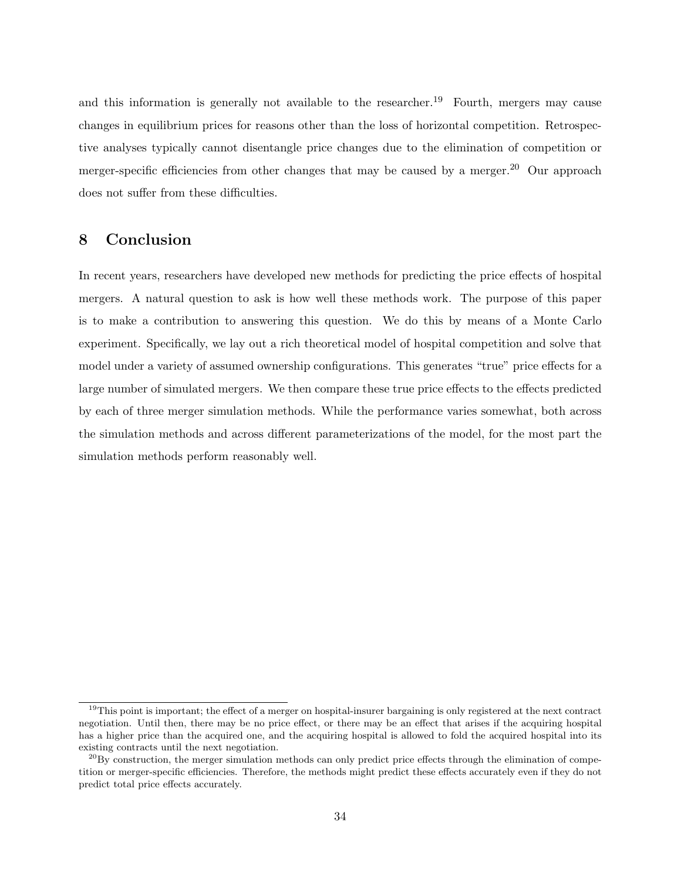and this information is generally not available to the researcher.<sup>19</sup> Fourth, mergers may cause changes in equilibrium prices for reasons other than the loss of horizontal competition. Retrospective analyses typically cannot disentangle price changes due to the elimination of competition or merger-specific efficiencies from other changes that may be caused by a merger.<sup>20</sup> Our approach does not suffer from these difficulties.

## 8 Conclusion

In recent years, researchers have developed new methods for predicting the price effects of hospital mergers. A natural question to ask is how well these methods work. The purpose of this paper is to make a contribution to answering this question. We do this by means of a Monte Carlo experiment. Specifically, we lay out a rich theoretical model of hospital competition and solve that model under a variety of assumed ownership configurations. This generates "true" price effects for a large number of simulated mergers. We then compare these true price effects to the effects predicted by each of three merger simulation methods. While the performance varies somewhat, both across the simulation methods and across different parameterizations of the model, for the most part the simulation methods perform reasonably well.

<sup>&</sup>lt;sup>19</sup>This point is important; the effect of a merger on hospital-insurer bargaining is only registered at the next contract negotiation. Until then, there may be no price effect, or there may be an effect that arises if the acquiring hospital has a higher price than the acquired one, and the acquiring hospital is allowed to fold the acquired hospital into its existing contracts until the next negotiation.

 $^{20}$ By construction, the merger simulation methods can only predict price effects through the elimination of competition or merger-specific efficiencies. Therefore, the methods might predict these effects accurately even if they do not predict total price effects accurately.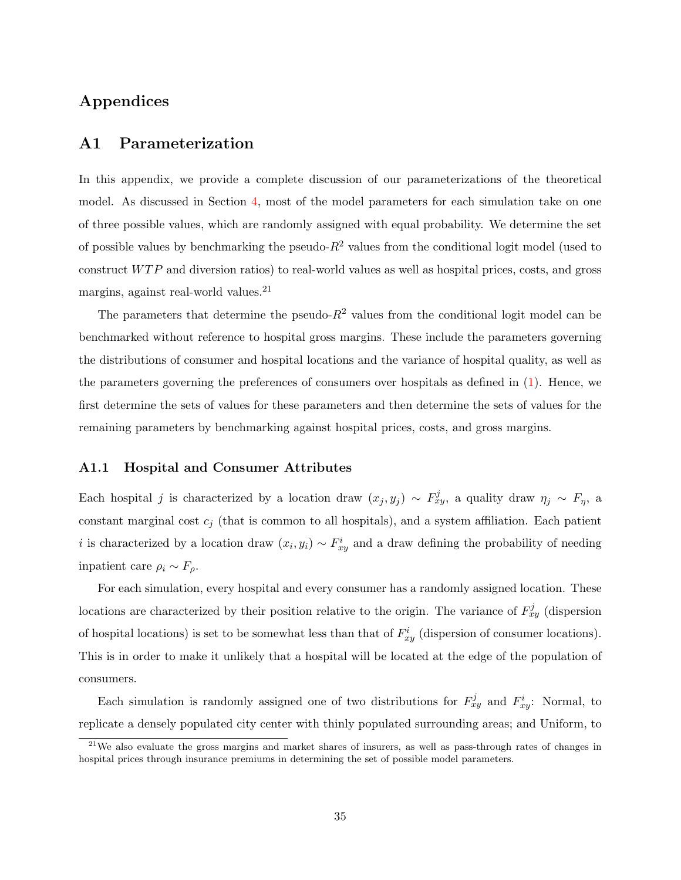# Appendices

## <span id="page-36-0"></span>A1 Parameterization

In this appendix, we provide a complete discussion of our parameterizations of the theoretical model. As discussed in Section [4,](#page-13-0) most of the model parameters for each simulation take on one of three possible values, which are randomly assigned with equal probability. We determine the set of possible values by benchmarking the pseudo- $R^2$  values from the conditional logit model (used to construct  $WTP$  and diversion ratios) to real-world values as well as hospital prices, costs, and gross margins, against real-world values.<sup>21</sup>

The parameters that determine the pseudo- $R^2$  values from the conditional logit model can be benchmarked without reference to hospital gross margins. These include the parameters governing the distributions of consumer and hospital locations and the variance of hospital quality, as well as the parameters governing the preferences of consumers over hospitals as defined in [\(1\)](#page-8-0). Hence, we first determine the sets of values for these parameters and then determine the sets of values for the remaining parameters by benchmarking against hospital prices, costs, and gross margins.

#### A1.1 Hospital and Consumer Attributes

Each hospital j is characterized by a location draw  $(x_j, y_j) \sim F_{xy}^j$ , a quality draw  $\eta_j \sim F_{\eta}$ , a constant marginal cost  $c_j$  (that is common to all hospitals), and a system affiliation. Each patient i is characterized by a location draw  $(x_i, y_i) \sim F_{xy}^i$  and a draw defining the probability of needing inpatient care  $\rho_i \sim F_\rho$ .

For each simulation, every hospital and every consumer has a randomly assigned location. These locations are characterized by their position relative to the origin. The variance of  $F_{xy}^{j}$  (dispersion of hospital locations) is set to be somewhat less than that of  $F_{xy}^i$  (dispersion of consumer locations). This is in order to make it unlikely that a hospital will be located at the edge of the population of consumers.

Each simulation is randomly assigned one of two distributions for  $F_{xy}^j$  and  $F_{xy}^i$ . Normal, to replicate a densely populated city center with thinly populated surrounding areas; and Uniform, to

<sup>&</sup>lt;sup>21</sup>We also evaluate the gross margins and market shares of insurers, as well as pass-through rates of changes in hospital prices through insurance premiums in determining the set of possible model parameters.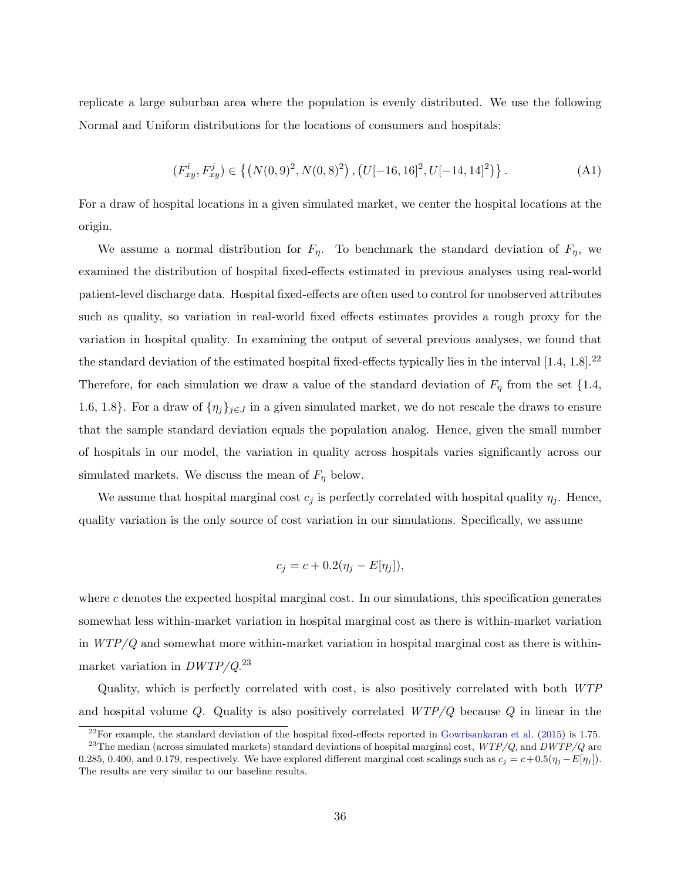replicate a large suburban area where the population is evenly distributed. We use the following Normal and Uniform distributions for the locations of consumers and hospitals:

$$
(F_{xy}^i, F_{xy}^j) \in \left\{ \left( N(0,9)^2, N(0,8)^2 \right), \left( U[-16,16]^2, U[-14,14]^2 \right) \right\}.
$$
 (A1)

For a draw of hospital locations in a given simulated market, we center the hospital locations at the origin.

We assume a normal distribution for  $F_{\eta}$ . To benchmark the standard deviation of  $F_{\eta}$ , we examined the distribution of hospital fixed-effects estimated in previous analyses using real-world patient-level discharge data. Hospital fixed-effects are often used to control for unobserved attributes such as quality, so variation in real-world fixed effects estimates provides a rough proxy for the variation in hospital quality. In examining the output of several previous analyses, we found that the standard deviation of the estimated hospital fixed-effects typically lies in the interval  $[1.4, 1.8]$ .<sup>22</sup> Therefore, for each simulation we draw a value of the standard deviation of  $F_{\eta}$  from the set  $\{1.4,$ 1.6, 1.8}. For a draw of  $\{\eta_j\}_{j\in J}$  in a given simulated market, we do not rescale the draws to ensure that the sample standard deviation equals the population analog. Hence, given the small number of hospitals in our model, the variation in quality across hospitals varies significantly across our simulated markets. We discuss the mean of  $F_{\eta}$  below.

We assume that hospital marginal cost  $c_j$  is perfectly correlated with hospital quality  $\eta_j$ . Hence, quality variation is the only source of cost variation in our simulations. Specifically, we assume

$$
c_j = c + 0.2(\eta_j - E[\eta_j]),
$$

where  $c$  denotes the expected hospital marginal cost. In our simulations, this specification generates somewhat less within-market variation in hospital marginal cost as there is within-market variation in  $WTP/Q$  and somewhat more within-market variation in hospital marginal cost as there is withinmarket variation in  $DWTP/Q.<sup>23</sup>$ 

Quality, which is perfectly correlated with cost, is also positively correlated with both WTP and hospital volume Q. Quality is also positively correlated  $WTP/Q$  because Q in linear in the

 $^{22}$ For example, the standard deviation of the hospital fixed-effects reported in [Gowrisankaran et al.](#page-98-0) [\(2015\)](#page-98-0) is 1.75.

<sup>&</sup>lt;sup>23</sup>The median (across simulated markets) standard deviations of hospital marginal cost,  $WTP/Q$ , and  $DWTP/Q$  are 0.285, 0.400, and 0.179, respectively. We have explored different marginal cost scalings such as  $c_j = c + 0.5(\eta_j - E[\eta_j])$ . The results are very similar to our baseline results.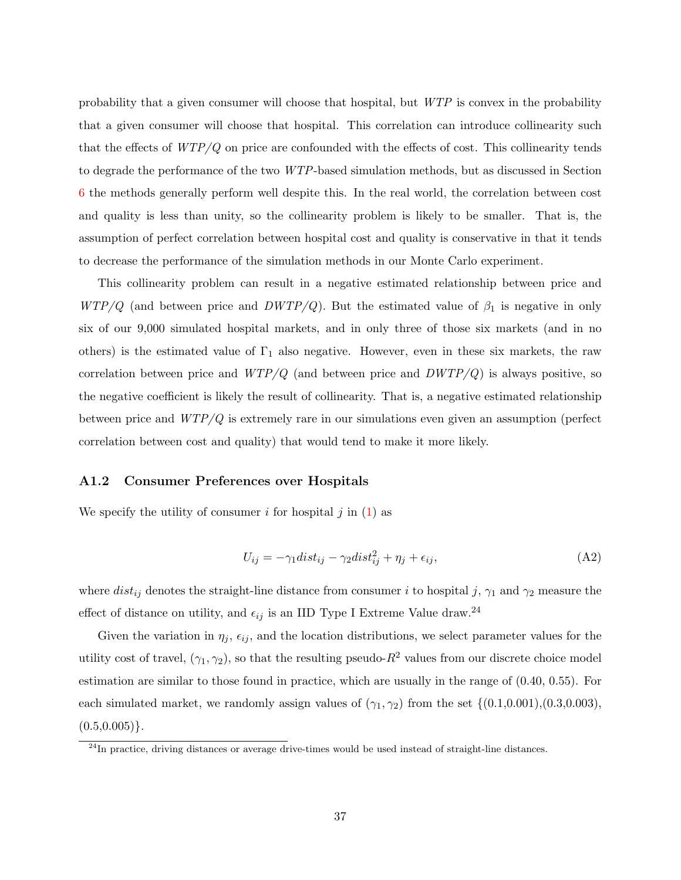probability that a given consumer will choose that hospital, but WTP is convex in the probability that a given consumer will choose that hospital. This correlation can introduce collinearity such that the effects of  $WTP/Q$  on price are confounded with the effects of cost. This collinearity tends to degrade the performance of the two WTP-based simulation methods, but as discussed in Section [6](#page-19-0) the methods generally perform well despite this. In the real world, the correlation between cost and quality is less than unity, so the collinearity problem is likely to be smaller. That is, the assumption of perfect correlation between hospital cost and quality is conservative in that it tends to decrease the performance of the simulation methods in our Monte Carlo experiment.

This collinearity problem can result in a negative estimated relationship between price and  $WTP/Q$  (and between price and  $DWTP/Q$ ). But the estimated value of  $\beta_1$  is negative in only six of our 9,000 simulated hospital markets, and in only three of those six markets (and in no others) is the estimated value of  $\Gamma_1$  also negative. However, even in these six markets, the raw correlation between price and  $WTP/Q$  (and between price and  $DWTP/Q$ ) is always positive, so the negative coefficient is likely the result of collinearity. That is, a negative estimated relationship between price and WTP/Q is extremely rare in our simulations even given an assumption (perfect correlation between cost and quality) that would tend to make it more likely.

#### A1.2 Consumer Preferences over Hospitals

We specify the utility of consumer i for hospital j in  $(1)$  as

$$
U_{ij} = -\gamma_1 dist_{ij} - \gamma_2 dist_{ij}^2 + \eta_j + \epsilon_{ij}, \tag{A2}
$$

where  $dist_{ij}$  denotes the straight-line distance from consumer i to hospital j,  $\gamma_1$  and  $\gamma_2$  measure the effect of distance on utility, and  $\epsilon_{ij}$  is an IID Type I Extreme Value draw.<sup>24</sup>

Given the variation in  $\eta_i$ ,  $\epsilon_{ij}$ , and the location distributions, we select parameter values for the utility cost of travel,  $(\gamma_1, \gamma_2)$ , so that the resulting pseudo- $R^2$  values from our discrete choice model estimation are similar to those found in practice, which are usually in the range of (0.40, 0.55). For each simulated market, we randomly assign values of  $(\gamma_1, \gamma_2)$  from the set  $\{(0.1, 0.001), (0.3, 0.003),$  $(0.5, 0.005)$ .

<sup>&</sup>lt;sup>24</sup>In practice, driving distances or average drive-times would be used instead of straight-line distances.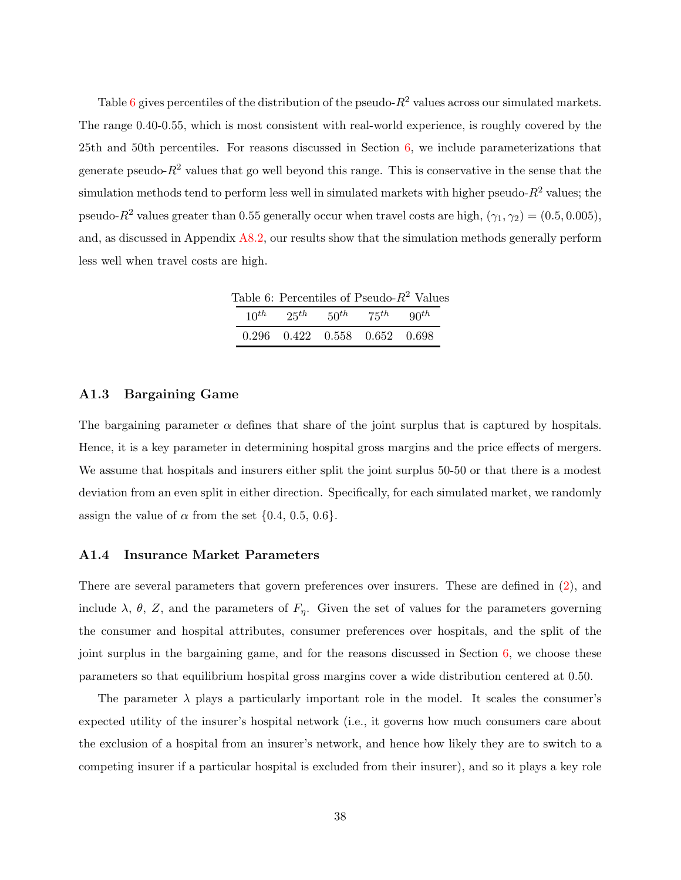Table [6](#page-39-0) gives percentiles of the distribution of the pseudo- $R^2$  values across our simulated markets. The range 0.40-0.55, which is most consistent with real-world experience, is roughly covered by the 25th and 50th percentiles. For reasons discussed in Section [6,](#page-19-0) we include parameterizations that generate pseudo- $R^2$  values that go well beyond this range. This is conservative in the sense that the simulation methods tend to perform less well in simulated markets with higher pseudo- $R^2$  values; the pseudo- $R^2$  values greater than 0.55 generally occur when travel costs are high,  $(\gamma_1, \gamma_2) = (0.5, 0.005)$ , and, as discussed in Appendix [A8.2,](#page-73-0) our results show that the simulation methods generally perform less well when travel costs are high.

<span id="page-39-0"></span>Table 6: Percentiles of Pseudo- $R^2$  Values  $10^{th}$   $25^{th}$   $50^{th}$   $75^{th}$   $90^{th}$ 

0.296 0.422 0.558 0.652 0.698

#### A1.3 Bargaining Game

The bargaining parameter  $\alpha$  defines that share of the joint surplus that is captured by hospitals. Hence, it is a key parameter in determining hospital gross margins and the price effects of mergers. We assume that hospitals and insurers either split the joint surplus 50-50 or that there is a modest deviation from an even split in either direction. Specifically, for each simulated market, we randomly assign the value of  $\alpha$  from the set  $\{0.4, 0.5, 0.6\}.$ 

#### A1.4 Insurance Market Parameters

There are several parameters that govern preferences over insurers. These are defined in [\(2\)](#page-8-1), and include  $\lambda$ ,  $\theta$ , Z, and the parameters of  $F_{\eta}$ . Given the set of values for the parameters governing the consumer and hospital attributes, consumer preferences over hospitals, and the split of the joint surplus in the bargaining game, and for the reasons discussed in Section [6,](#page-19-0) we choose these parameters so that equilibrium hospital gross margins cover a wide distribution centered at 0.50.

The parameter  $\lambda$  plays a particularly important role in the model. It scales the consumer's expected utility of the insurer's hospital network (i.e., it governs how much consumers care about the exclusion of a hospital from an insurer's network, and hence how likely they are to switch to a competing insurer if a particular hospital is excluded from their insurer), and so it plays a key role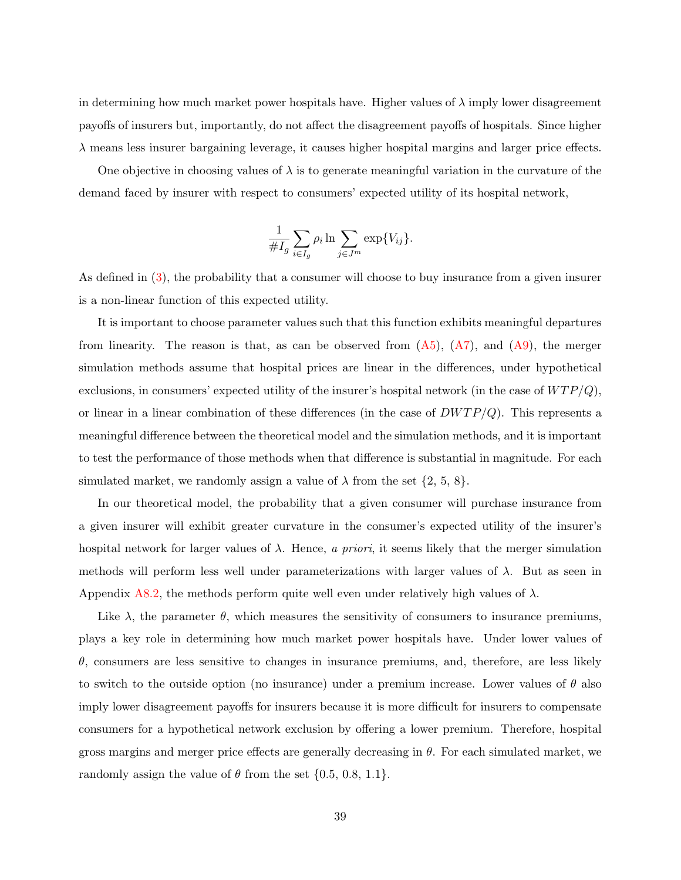in determining how much market power hospitals have. Higher values of  $\lambda$  imply lower disagreement payoffs of insurers but, importantly, do not affect the disagreement payoffs of hospitals. Since higher  $\lambda$  means less insurer bargaining leverage, it causes higher hospital margins and larger price effects.

One objective in choosing values of  $\lambda$  is to generate meaningful variation in the curvature of the demand faced by insurer with respect to consumers' expected utility of its hospital network,

$$
\frac{1}{\#I_g} \sum_{i \in I_g} \rho_i \ln \sum_{j \in J^m} \exp\{V_{ij}\}.
$$

As defined in [\(3\)](#page-9-0), the probability that a consumer will choose to buy insurance from a given insurer is a non-linear function of this expected utility.

It is important to choose parameter values such that this function exhibits meaningful departures from linearity. The reason is that, as can be observed from  $(A5)$ ,  $(A7)$ , and  $(A9)$ , the merger simulation methods assume that hospital prices are linear in the differences, under hypothetical exclusions, in consumers' expected utility of the insurer's hospital network (in the case of  $WTP/Q$ ), or linear in a linear combination of these differences (in the case of  $DWTP/Q$ ). This represents a meaningful difference between the theoretical model and the simulation methods, and it is important to test the performance of those methods when that difference is substantial in magnitude. For each simulated market, we randomly assign a value of  $\lambda$  from the set  $\{2, 5, 8\}$ .

In our theoretical model, the probability that a given consumer will purchase insurance from a given insurer will exhibit greater curvature in the consumer's expected utility of the insurer's hospital network for larger values of  $\lambda$ . Hence, a priori, it seems likely that the merger simulation methods will perform less well under parameterizations with larger values of  $\lambda$ . But as seen in Appendix [A8.2,](#page-73-0) the methods perform quite well even under relatively high values of  $\lambda$ .

Like  $\lambda$ , the parameter  $\theta$ , which measures the sensitivity of consumers to insurance premiums, plays a key role in determining how much market power hospitals have. Under lower values of  $\theta$ , consumers are less sensitive to changes in insurance premiums, and, therefore, are less likely to switch to the outside option (no insurance) under a premium increase. Lower values of  $\theta$  also imply lower disagreement payoffs for insurers because it is more difficult for insurers to compensate consumers for a hypothetical network exclusion by offering a lower premium. Therefore, hospital gross margins and merger price effects are generally decreasing in  $\theta$ . For each simulated market, we randomly assign the value of  $\theta$  from the set  $\{0.5, 0.8, 1.1\}$ .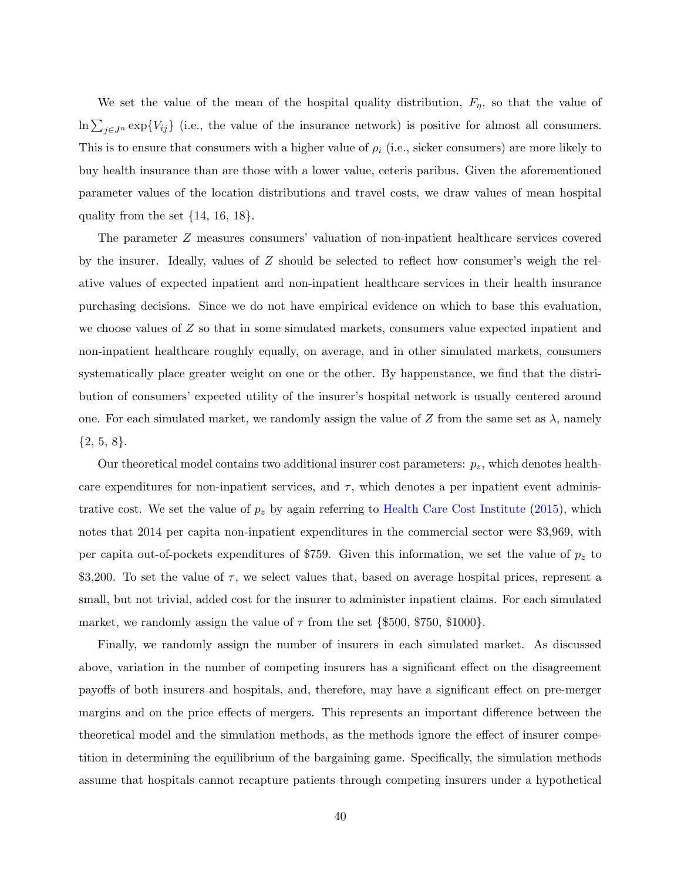We set the value of the mean of the hospital quality distribution,  $F_{\eta}$ , so that the value of  $\ln \sum_{j\in J^n} \exp\{V_{ij}\}\$  (i.e., the value of the insurance network) is positive for almost all consumers. This is to ensure that consumers with a higher value of  $\rho_i$  (i.e., sicker consumers) are more likely to buy health insurance than are those with a lower value, ceteris paribus. Given the aforementioned parameter values of the location distributions and travel costs, we draw values of mean hospital quality from the set  $\{14, 16, 18\}$ .

The parameter Z measures consumers' valuation of non-inpatient healthcare services covered by the insurer. Ideally, values of Z should be selected to reflect how consumer's weigh the relative values of expected inpatient and non-inpatient healthcare services in their health insurance purchasing decisions. Since we do not have empirical evidence on which to base this evaluation, we choose values of Z so that in some simulated markets, consumers value expected inpatient and non-inpatient healthcare roughly equally, on average, and in other simulated markets, consumers systematically place greater weight on one or the other. By happenstance, we find that the distribution of consumers' expected utility of the insurer's hospital network is usually centered around one. For each simulated market, we randomly assign the value of Z from the same set as  $\lambda$ , namely  $\{2, 5, 8\}.$ 

Our theoretical model contains two additional insurer cost parameters:  $p_z$ , which denotes healthcare expenditures for non-inpatient services, and  $\tau$ , which denotes a per inpatient event administrative cost. We set the value of  $p_z$  by again referring to [Health Care Cost Institute](#page-99-0) [\(2015\)](#page-99-0), which notes that 2014 per capita non-inpatient expenditures in the commercial sector were \$3,969, with per capita out-of-pockets expenditures of \$759. Given this information, we set the value of  $p_z$  to  $\$3,200$ . To set the value of  $\tau$ , we select values that, based on average hospital prices, represent a small, but not trivial, added cost for the insurer to administer inpatient claims. For each simulated market, we randomly assign the value of  $\tau$  from the set {\$500, \$750, \$1000}.

Finally, we randomly assign the number of insurers in each simulated market. As discussed above, variation in the number of competing insurers has a significant effect on the disagreement payoffs of both insurers and hospitals, and, therefore, may have a significant effect on pre-merger margins and on the price effects of mergers. This represents an important difference between the theoretical model and the simulation methods, as the methods ignore the effect of insurer competition in determining the equilibrium of the bargaining game. Specifically, the simulation methods assume that hospitals cannot recapture patients through competing insurers under a hypothetical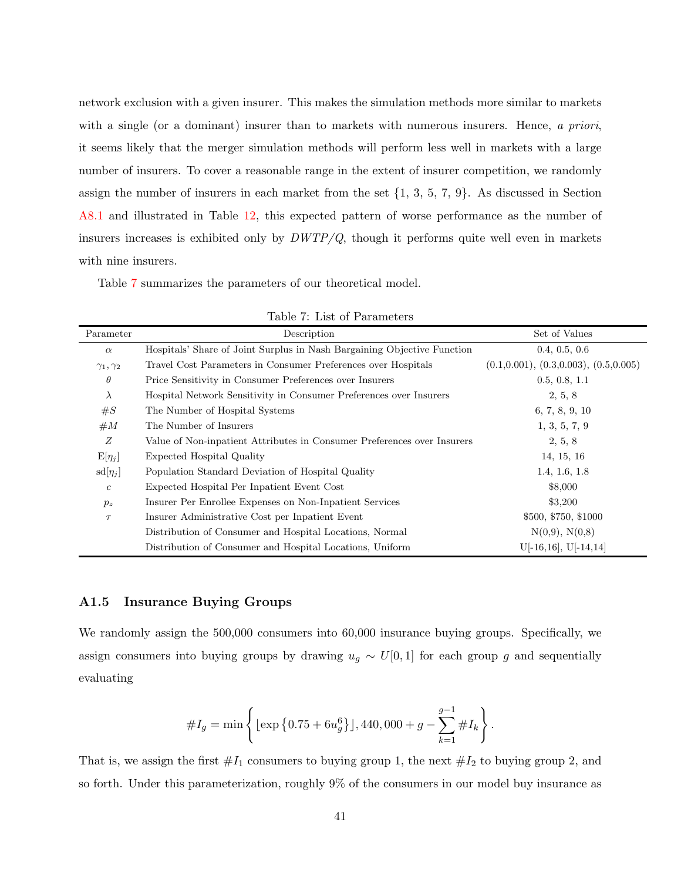network exclusion with a given insurer. This makes the simulation methods more similar to markets with a single (or a dominant) insurer than to markets with numerous insurers. Hence, a priori, it seems likely that the merger simulation methods will perform less well in markets with a large number of insurers. To cover a reasonable range in the extent of insurer competition, we randomly assign the number of insurers in each market from the set  $\{1, 3, 5, 7, 9\}$ . As discussed in Section [A8.1](#page-68-0) and illustrated in Table [12,](#page-72-0) this expected pattern of worse performance as the number of insurers increases is exhibited only by  $DWTP/Q$ , though it performs quite well even in markets with nine insurers.

Table [7](#page-42-0) summarizes the parameters of our theoretical model.

| Parameter            | Description                                                             | Set of Values                              |
|----------------------|-------------------------------------------------------------------------|--------------------------------------------|
| $\alpha$             | Hospitals' Share of Joint Surplus in Nash Bargaining Objective Function | 0.4, 0.5, 0.6                              |
| $\gamma_1, \gamma_2$ | Travel Cost Parameters in Consumer Preferences over Hospitals           | $(0.1, 0.001), (0.3, 0.003), (0.5, 0.005)$ |
| $\theta$             | Price Sensitivity in Consumer Preferences over Insurers                 | 0.5, 0.8, 1.1                              |
| $\lambda$            | Hospital Network Sensitivity in Consumer Preferences over Insurers      | 2, 5, 8                                    |
| #S                   | The Number of Hospital Systems                                          | 6, 7, 8, 9, 10                             |
| #M                   | The Number of Insurers                                                  | 1, 3, 5, 7, 9                              |
| Ζ                    | Value of Non-inpatient Attributes in Consumer Preferences over Insurers | 2, 5, 8                                    |
| $E[\eta_j]$          | <b>Expected Hospital Quality</b>                                        | 14, 15, 16                                 |
| $sd[\eta_j]$         | Population Standard Deviation of Hospital Quality                       | 1.4, 1.6, 1.8                              |
| $\boldsymbol{c}$     | Expected Hospital Per Inpatient Event Cost                              | \$8,000                                    |
| $p_z$                | Insurer Per Enrollee Expenses on Non-Inpatient Services                 | \$3,200                                    |
| $\tau$               | Insurer Administrative Cost per Inpatient Event                         | \$500, \$750, \$1000                       |
|                      | Distribution of Consumer and Hospital Locations, Normal                 | N(0,9), N(0,8)                             |
|                      | Distribution of Consumer and Hospital Locations, Uniform                | $U[-16,16], U[-14,14]$                     |

<span id="page-42-0"></span>Table 7: List of Parameters

#### A1.5 Insurance Buying Groups

We randomly assign the 500,000 consumers into 60,000 insurance buying groups. Specifically, we assign consumers into buying groups by drawing  $u_g \sim U[0, 1]$  for each group g and sequentially evaluating

$$
\#I_g = \min\left\{ \left[ \exp\left\{0.75 + 6u_g^6 \right\} \right], 440,000 + g - \sum_{k=1}^{g-1} \#I_k \right\}.
$$

That is, we assign the first  $#I_1$  consumers to buying group 1, the next  $#I_2$  to buying group 2, and so forth. Under this parameterization, roughly 9% of the consumers in our model buy insurance as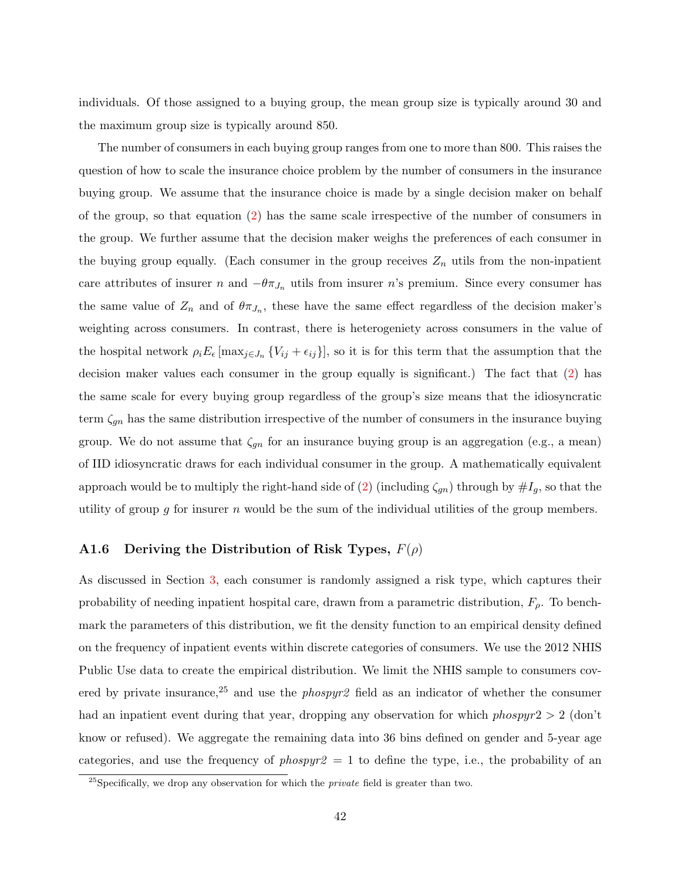individuals. Of those assigned to a buying group, the mean group size is typically around 30 and the maximum group size is typically around 850.

The number of consumers in each buying group ranges from one to more than 800. This raises the question of how to scale the insurance choice problem by the number of consumers in the insurance buying group. We assume that the insurance choice is made by a single decision maker on behalf of the group, so that equation [\(2\)](#page-8-1) has the same scale irrespective of the number of consumers in the group. We further assume that the decision maker weighs the preferences of each consumer in the buying group equally. (Each consumer in the group receives  $Z_n$  utils from the non-inpatient care attributes of insurer n and  $-\theta \pi_{J_n}$  utils from insurer n's premium. Since every consumer has the same value of  $Z_n$  and of  $\theta \pi_{J_n}$ , these have the same effect regardless of the decision maker's weighting across consumers. In contrast, there is heterogeniety across consumers in the value of the hospital network  $\rho_i E_{\epsilon}$  [max<sub>j∈Jn</sub> {V<sub>ij</sub> +  $\epsilon_{ij}$ }], so it is for this term that the assumption that the decision maker values each consumer in the group equally is significant.) The fact that  $(2)$  has the same scale for every buying group regardless of the group's size means that the idiosyncratic term  $\zeta_{gn}$  has the same distribution irrespective of the number of consumers in the insurance buying group. We do not assume that  $\zeta_{gn}$  for an insurance buying group is an aggregation (e.g., a mean) of IID idiosyncratic draws for each individual consumer in the group. A mathematically equivalent approach would be to multiply the right-hand side of [\(2\)](#page-8-1) (including  $\zeta_{gn}$ ) through by  $\#I_g$ , so that the utility of group g for insurer n would be the sum of the individual utilities of the group members.

### A1.6 Deriving the Distribution of Risk Types,  $F(\rho)$

As discussed in Section [3,](#page-7-0) each consumer is randomly assigned a risk type, which captures their probability of needing inpatient hospital care, drawn from a parametric distribution,  $F_{\rho}$ . To benchmark the parameters of this distribution, we fit the density function to an empirical density defined on the frequency of inpatient events within discrete categories of consumers. We use the 2012 NHIS Public Use data to create the empirical distribution. We limit the NHIS sample to consumers covered by private insurance,<sup>25</sup> and use the *phospyr*<sup>2</sup> field as an indicator of whether the consumer had an inpatient event during that year, dropping any observation for which *phospyr*2  $> 2$  (don't know or refused). We aggregate the remaining data into 36 bins defined on gender and 5-year age categories, and use the frequency of *phospyr* $2 = 1$  to define the type, i.e., the probability of an

 $^{25}$ Specifically, we drop any observation for which the *private* field is greater than two.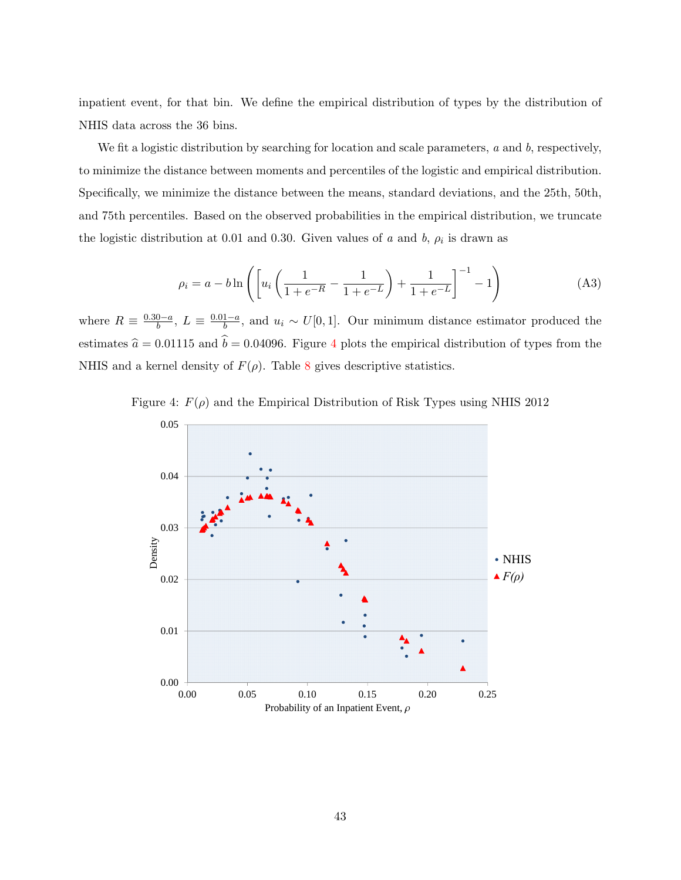inpatient event, for that bin. We define the empirical distribution of types by the distribution of NHIS data across the 36 bins.

We fit a logistic distribution by searching for location and scale parameters,  $a$  and  $b$ , respectively, to minimize the distance between moments and percentiles of the logistic and empirical distribution. Specifically, we minimize the distance between the means, standard deviations, and the 25th, 50th, and 75th percentiles. Based on the observed probabilities in the empirical distribution, we truncate the logistic distribution at 0.01 and 0.30. Given values of a and b,  $\rho_i$  is drawn as

$$
\rho_i = a - b \ln \left( \left[ u_i \left( \frac{1}{1 + e^{-R}} - \frac{1}{1 + e^{-L}} \right) + \frac{1}{1 + e^{-L}} \right]^{-1} - 1 \right) \tag{A3}
$$

where  $R \equiv \frac{0.30-a}{h}$  $\frac{0-a}{b}, L \equiv \frac{0.01-a}{b}$  $\frac{1-a}{b}$ , and  $u_i \sim U[0,1]$ . Our minimum distance estimator produced the estimates  $\hat{a} = 0.01115$  and  $\hat{b} = 0.04096$  $\hat{b} = 0.04096$  $\hat{b} = 0.04096$ . Figure 4 plots the empirical distribution of types from the NHIS and a kernel density of  $F(\rho)$ . Table [8](#page-45-0) gives descriptive statistics.



<span id="page-44-0"></span>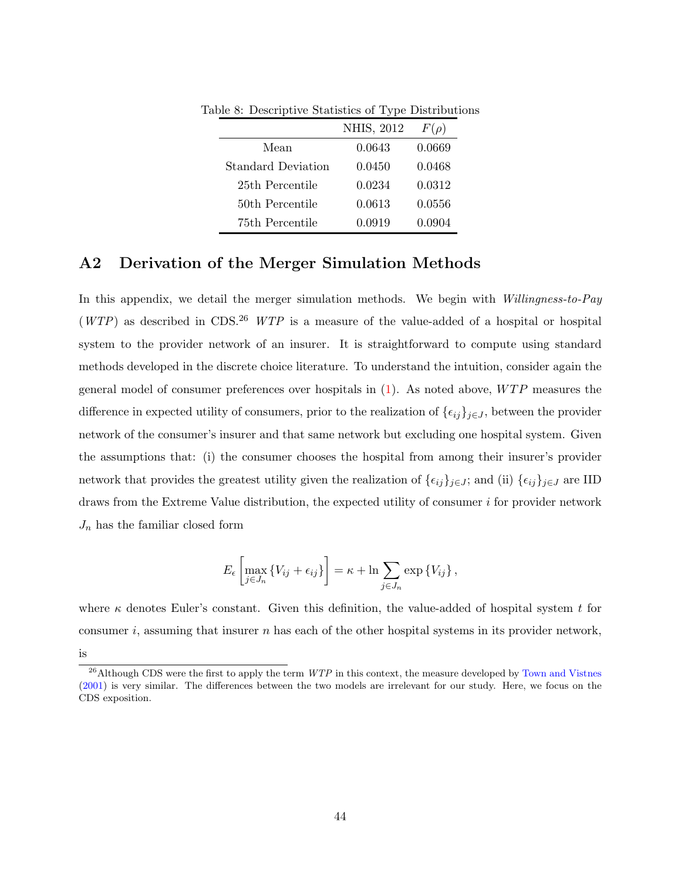<span id="page-45-0"></span>

|                    | NHIS, 2012 | $F(\rho)$ |
|--------------------|------------|-----------|
| Mean               | 0.0643     | 0.0669    |
| Standard Deviation | 0.0450     | 0.0468    |
| 25th Percentile    | 0.0234     | 0.0312    |
| 50th Percentile    | 0.0613     | 0.0556    |
| 75th Percentile    | 0.0919     | 0.0904    |

Table 8: Descriptive Statistics of Type Distributions

## A2 Derivation of the Merger Simulation Methods

In this appendix, we detail the merger simulation methods. We begin with Willingness-to-Pay  $(WTP)$  as described in CDS.<sup>26</sup> WTP is a measure of the value-added of a hospital or hospital system to the provider network of an insurer. It is straightforward to compute using standard methods developed in the discrete choice literature. To understand the intuition, consider again the general model of consumer preferences over hospitals in  $(1)$ . As noted above,  $WTP$  measures the difference in expected utility of consumers, prior to the realization of  $\{\epsilon_{ij}\}_{j\in J}$ , between the provider network of the consumer's insurer and that same network but excluding one hospital system. Given the assumptions that: (i) the consumer chooses the hospital from among their insurer's provider network that provides the greatest utility given the realization of  $\{\epsilon_{ij}\}_{j\in J}$ ; and (ii)  $\{\epsilon_{ij}\}_{j\in J}$  are IID draws from the Extreme Value distribution, the expected utility of consumer  $i$  for provider network  $J_n$  has the familiar closed form

$$
E_{\epsilon}\left[\max_{j\in J_n}\left\{V_{ij}+\epsilon_{ij}\right\}\right]=\kappa+\ln\sum_{j\in J_n}\exp\left\{V_{ij}\right\},\,
$$

where  $\kappa$  denotes Euler's constant. Given this definition, the value-added of hospital system t for consumer i, assuming that insurer n has each of the other hospital systems in its provider network, is

 $^{26}$ Although CDS were the first to apply the term  $WTP$  in this context, the measure developed by [Town and Vistnes](#page-99-1) [\(2001\)](#page-99-1) is very similar. The differences between the two models are irrelevant for our study. Here, we focus on the CDS exposition.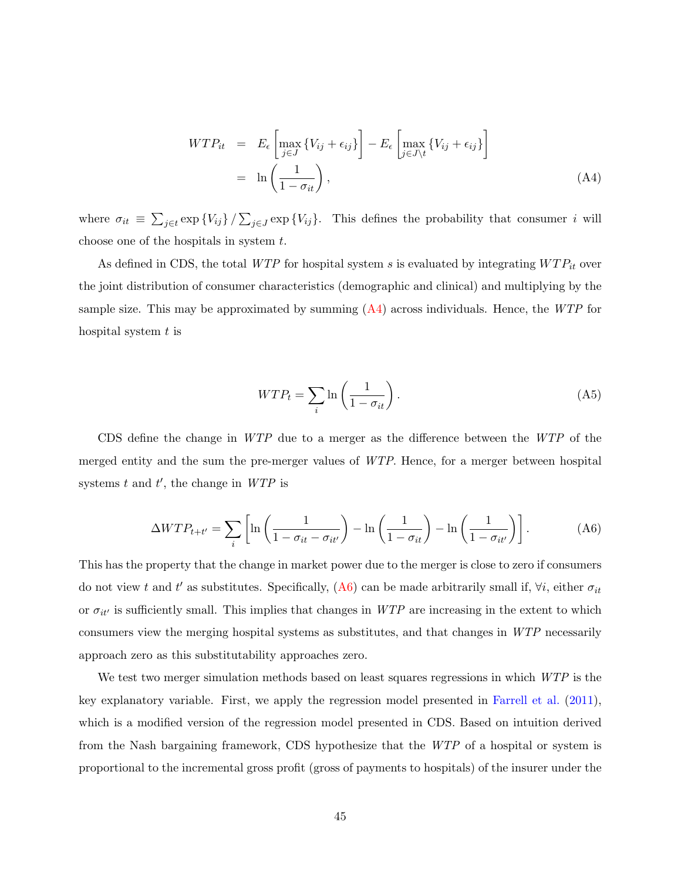<span id="page-46-1"></span>
$$
WTP_{it} = E_{\epsilon} \left[ \max_{j \in J} \{ V_{ij} + \epsilon_{ij} \} \right] - E_{\epsilon} \left[ \max_{j \in J \setminus t} \{ V_{ij} + \epsilon_{ij} \} \right]
$$
  
=  $\ln \left( \frac{1}{1 - \sigma_{it}} \right),$  (A4)

where  $\sigma_{it} \equiv \sum_{j \in t} \exp \{V_{ij}\} / \sum_{j \in J} \exp \{V_{ij}\}.$  This defines the probability that consumer i will choose one of the hospitals in system  $t$ .

As defined in CDS, the total WTP for hospital system s is evaluated by integrating  $WTP_{it}$  over the joint distribution of consumer characteristics (demographic and clinical) and multiplying by the sample size. This may be approximated by summing  $(A4)$  across individuals. Hence, the WTP for hospital system  $t$  is

<span id="page-46-0"></span>
$$
WTP_t = \sum_i \ln\left(\frac{1}{1 - \sigma_{it}}\right). \tag{A5}
$$

CDS define the change in WTP due to a merger as the difference between the WTP of the merged entity and the sum the pre-merger values of WTP. Hence, for a merger between hospital systems  $t$  and  $t'$ , the change in  $WTP$  is

<span id="page-46-2"></span>
$$
\Delta WTP_{t+t'} = \sum_{i} \left[ \ln \left( \frac{1}{1 - \sigma_{it} - \sigma_{it'}} \right) - \ln \left( \frac{1}{1 - \sigma_{it}} \right) - \ln \left( \frac{1}{1 - \sigma_{it'}} \right) \right]. \tag{A6}
$$

This has the property that the change in market power due to the merger is close to zero if consumers do not view t and t' as substitutes. Specifically, [\(A6\)](#page-46-2) can be made arbitrarily small if,  $\forall i$ , either  $\sigma_{it}$ or  $\sigma_{it'}$  is sufficiently small. This implies that changes in WTP are increasing in the extent to which consumers view the merging hospital systems as substitutes, and that changes in WTP necessarily approach zero as this substitutability approaches zero.

We test two merger simulation methods based on least squares regressions in which  $WTP$  is the key explanatory variable. First, we apply the regression model presented in [Farrell et al.](#page-98-1) [\(2011\)](#page-98-1), which is a modified version of the regression model presented in CDS. Based on intuition derived from the Nash bargaining framework, CDS hypothesize that the WTP of a hospital or system is proportional to the incremental gross profit (gross of payments to hospitals) of the insurer under the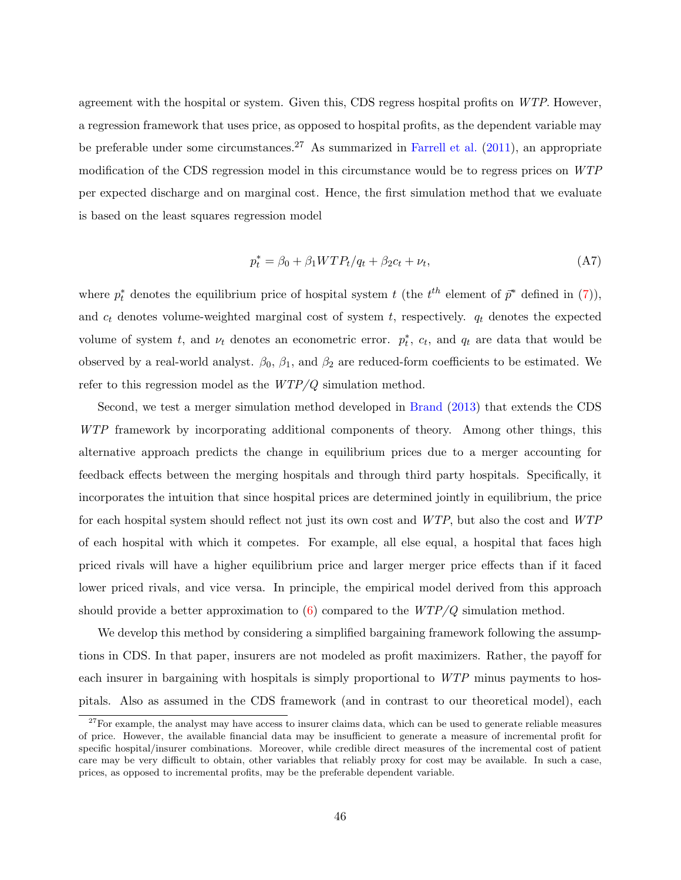agreement with the hospital or system. Given this, CDS regress hospital profits on WTP. However, a regression framework that uses price, as opposed to hospital profits, as the dependent variable may be preferable under some circumstances.<sup>27</sup> As summarized in [Farrell et al.](#page-98-1)  $(2011)$ , an appropriate modification of the CDS regression model in this circumstance would be to regress prices on WTP per expected discharge and on marginal cost. Hence, the first simulation method that we evaluate is based on the least squares regression model

<span id="page-47-0"></span>
$$
p_t^* = \beta_0 + \beta_1 W T P_t / q_t + \beta_2 c_t + \nu_t,
$$
\n(A7)

where  $p_t^*$  denotes the equilibrium price of hospital system t (the  $t^{th}$  element of  $\bar{p}^*$  defined in [\(7\)](#page-13-1)), and  $c_t$  denotes volume-weighted marginal cost of system  $t$ , respectively.  $q_t$  denotes the expected volume of system t, and  $\nu_t$  denotes an econometric error.  $p_t^*$ ,  $c_t$ , and  $q_t$  are data that would be observed by a real-world analyst.  $\beta_0$ ,  $\beta_1$ , and  $\beta_2$  are reduced-form coefficients to be estimated. We refer to this regression model as the  $WTP/Q$  simulation method.

Second, we test a merger simulation method developed in [Brand](#page-98-2) [\(2013\)](#page-98-2) that extends the CDS WTP framework by incorporating additional components of theory. Among other things, this alternative approach predicts the change in equilibrium prices due to a merger accounting for feedback effects between the merging hospitals and through third party hospitals. Specifically, it incorporates the intuition that since hospital prices are determined jointly in equilibrium, the price for each hospital system should reflect not just its own cost and WTP, but also the cost and WTP of each hospital with which it competes. For example, all else equal, a hospital that faces high priced rivals will have a higher equilibrium price and larger merger price effects than if it faced lower priced rivals, and vice versa. In principle, the empirical model derived from this approach should provide a better approximation to  $(6)$  compared to the  $WTP/Q$  simulation method.

We develop this method by considering a simplified bargaining framework following the assumptions in CDS. In that paper, insurers are not modeled as profit maximizers. Rather, the payoff for each insurer in bargaining with hospitals is simply proportional to WTP minus payments to hospitals. Also as assumed in the CDS framework (and in contrast to our theoretical model), each

 $27$  For example, the analyst may have access to insurer claims data, which can be used to generate reliable measures of price. However, the available financial data may be insufficient to generate a measure of incremental profit for specific hospital/insurer combinations. Moreover, while credible direct measures of the incremental cost of patient care may be very difficult to obtain, other variables that reliably proxy for cost may be available. In such a case, prices, as opposed to incremental profits, may be the preferable dependent variable.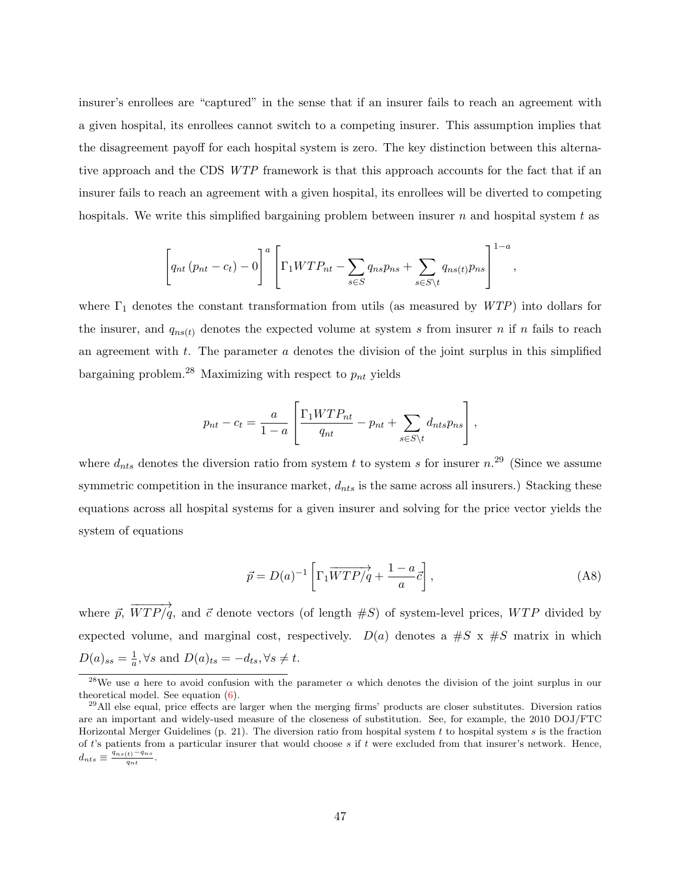insurer's enrollees are "captured" in the sense that if an insurer fails to reach an agreement with a given hospital, its enrollees cannot switch to a competing insurer. This assumption implies that the disagreement payoff for each hospital system is zero. The key distinction between this alternative approach and the CDS WTP framework is that this approach accounts for the fact that if an insurer fails to reach an agreement with a given hospital, its enrollees will be diverted to competing hospitals. We write this simplified bargaining problem between insurer  $n$  and hospital system  $t$  as

$$
\left[q_{nt}(p_{nt}-c_t)-0\right]^a \left[\Gamma_1 W T P_{nt}-\sum_{s\in S}q_{ns}p_{ns}+\sum_{s\in S\setminus t}q_{ns(t)}p_{ns}\right]^{1-a},\,
$$

where  $\Gamma_1$  denotes the constant transformation from utils (as measured by WTP) into dollars for the insurer, and  $q_{ns(t)}$  denotes the expected volume at system s from insurer n if n fails to reach an agreement with  $t$ . The parameter  $a$  denotes the division of the joint surplus in this simplified bargaining problem.<sup>28</sup> Maximizing with respect to  $p_{nt}$  yields

$$
p_{nt} - c_t = \frac{a}{1-a} \left[ \frac{\Gamma_1 W T P_{nt}}{q_{nt}} - p_{nt} + \sum_{s \in S \setminus t} d_{nts} p_{ns} \right],
$$

where  $d_{nts}$  denotes the diversion ratio from system t to system s for insurer  $n^{29}$  (Since we assume symmetric competition in the insurance market,  $d_{nts}$  is the same across all insurers.) Stacking these equations across all hospital systems for a given insurer and solving for the price vector yields the system of equations

<span id="page-48-0"></span>
$$
\vec{p} = D(a)^{-1} \left[ \Gamma_1 \overrightarrow{WTP/q} + \frac{1-a}{a} \vec{c} \right],\tag{A8}
$$

where  $\vec{p}$ ,  $\overrightarrow{v}$  $WTP/q$ , and  $\vec{c}$  denote vectors (of length  $\#S$ ) of system-level prices,  $WTP$  divided by expected volume, and marginal cost, respectively.  $D(a)$  denotes a #S x #S matrix in which  $D(a)_{ss}=\frac{1}{a}$  $\frac{1}{a}, \forall s \text{ and } D(a)_{ts} = -d_{ts}, \forall s \neq t.$ 

<sup>&</sup>lt;sup>28</sup>We use a here to avoid confusion with the parameter  $\alpha$  which denotes the division of the joint surplus in our theoretical model. See equation [\(6\)](#page-11-0).

 $^{29}$ All else equal, price effects are larger when the merging firms' products are closer substitutes. Diversion ratios are an important and widely-used measure of the closeness of substitution. See, for example, the 2010 DOJ/FTC Horizontal Merger Guidelines (p. 21). The diversion ratio from hospital system  $t$  to hospital system  $s$  is the fraction of  $t$ 's patients from a particular insurer that would choose  $s$  if  $t$  were excluded from that insurer's network. Hence,  $d_{nts} \equiv \frac{q_{ns(t)}-q_{ns}}{q_{nt}}.$  $q_{nt}$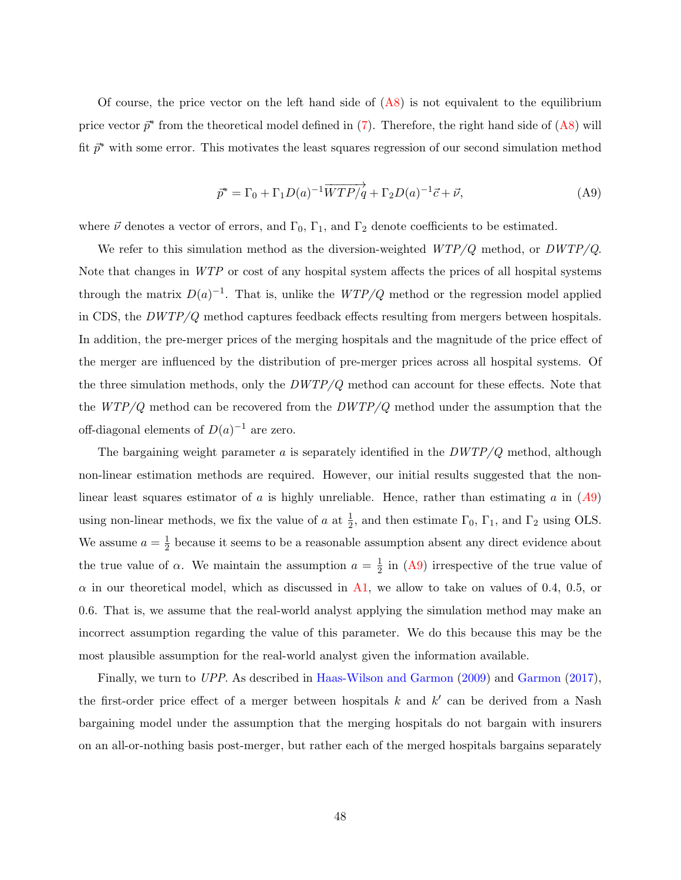Of course, the price vector on the left hand side of  $(A8)$  is not equivalent to the equilibrium price vector  $\vec{p}^*$  from the theoretical model defined in [\(7\)](#page-13-1). Therefore, the right hand side of [\(A8\)](#page-48-0) will fit  $\bar{p}^*$  with some error. This motivates the least squares regression of our second simulation method

<span id="page-49-0"></span>
$$
\overrightarrow{p}^* = \Gamma_0 + \Gamma_1 D(a)^{-1} \overrightarrow{WTP/q} + \Gamma_2 D(a)^{-1} \overrightarrow{c} + \overrightarrow{\nu}, \tag{A9}
$$

where  $\vec{\nu}$  denotes a vector of errors, and  $\Gamma_0$ ,  $\Gamma_1$ , and  $\Gamma_2$  denote coefficients to be estimated.

We refer to this simulation method as the diversion-weighted  $WTP/Q$  method, or  $DWTP/Q$ . Note that changes in WTP or cost of any hospital system affects the prices of all hospital systems through the matrix  $D(a)^{-1}$ . That is, unlike the  $WTP/Q$  method or the regression model applied in CDS, the  $DWTP/Q$  method captures feedback effects resulting from mergers between hospitals. In addition, the pre-merger prices of the merging hospitals and the magnitude of the price effect of the merger are influenced by the distribution of pre-merger prices across all hospital systems. Of the three simulation methods, only the  $DWTP/Q$  method can account for these effects. Note that the  $WTP/Q$  method can be recovered from the  $DWTP/Q$  method under the assumption that the off-diagonal elements of  $D(a)^{-1}$  are zero.

The bargaining weight parameter  $a$  is separately identified in the  $DWTP/Q$  method, although non-linear estimation methods are required. However, our initial results suggested that the nonlinear least squares estimator of a is highly unreliable. Hence, rather than estimating a in  $(A9)$  $(A9)$  $(A9)$ using non-linear methods, we fix the value of a at  $\frac{1}{2}$ , and then estimate  $\Gamma_0$ ,  $\Gamma_1$ , and  $\Gamma_2$  using OLS. We assume  $a=\frac{1}{2}$  $\frac{1}{2}$  because it seems to be a reasonable assumption absent any direct evidence about the true value of  $\alpha$ . We maintain the assumption  $a = \frac{1}{2}$  $\frac{1}{2}$  in [\(A9\)](#page-49-0) irrespective of the true value of  $\alpha$  in our theoretical model, which as discussed in [A1,](#page-36-0) we allow to take on values of 0.4, 0.5, or 0.6. That is, we assume that the real-world analyst applying the simulation method may make an incorrect assumption regarding the value of this parameter. We do this because this may be the most plausible assumption for the real-world analyst given the information available.

Finally, we turn to UPP. As described in [Haas-Wilson and Garmon](#page-98-3) [\(2009\)](#page-98-3) and [Garmon](#page-98-4) [\(2017\)](#page-98-4), the first-order price effect of a merger between hospitals  $k$  and  $k'$  can be derived from a Nash bargaining model under the assumption that the merging hospitals do not bargain with insurers on an all-or-nothing basis post-merger, but rather each of the merged hospitals bargains separately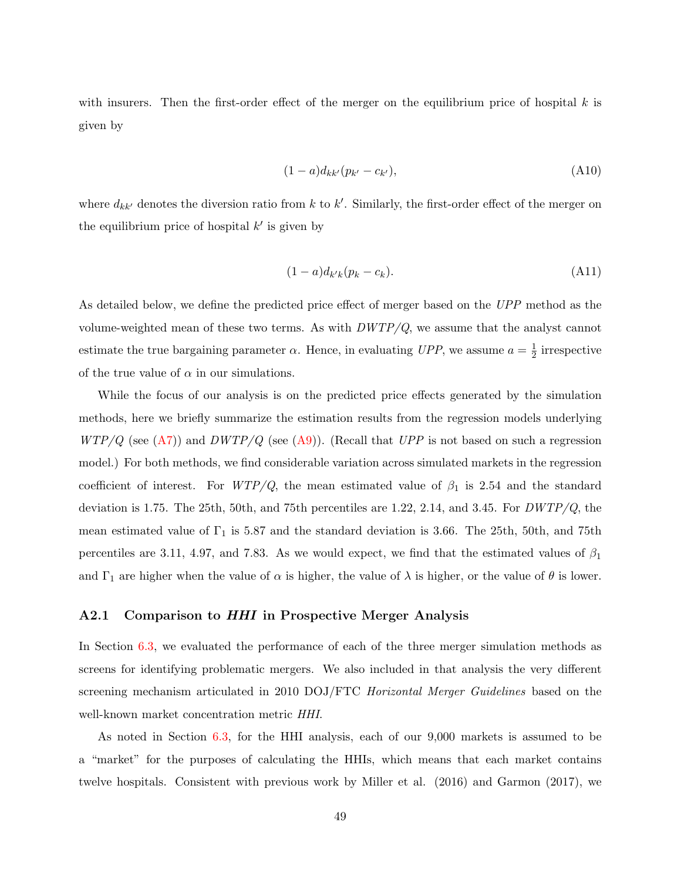with insurers. Then the first-order effect of the merger on the equilibrium price of hospital  $k$  is given by

$$
(1-a)d_{kk'}(p_{k'}-c_{k'}), \t\t (A10)
$$

where  $d_{kk'}$  denotes the diversion ratio from k to k'. Similarly, the first-order effect of the merger on the equilibrium price of hospital  $k'$  is given by

$$
(1-a)d_{k'k}(p_k-c_k). \tag{A11}
$$

As detailed below, we define the predicted price effect of merger based on the UPP method as the volume-weighted mean of these two terms. As with  $DWTP/Q$ , we assume that the analyst cannot estimate the true bargaining parameter  $\alpha$ . Hence, in evaluating UPP, we assume  $a = \frac{1}{2}$  $\frac{1}{2}$  irrespective of the true value of  $\alpha$  in our simulations.

While the focus of our analysis is on the predicted price effects generated by the simulation methods, here we briefly summarize the estimation results from the regression models underlying  $WTP/Q$  (see [\(A7\)](#page-47-0)) and  $DWTP/Q$  (see [\(A9\)](#page-49-0)). (Recall that UPP is not based on such a regression model.) For both methods, we find considerable variation across simulated markets in the regression coefficient of interest. For  $WTP/Q$ , the mean estimated value of  $\beta_1$  is 2.54 and the standard deviation is 1.75. The 25th, 50th, and 75th percentiles are 1.22, 2.14, and 3.45. For  $DWTP/Q$ , the mean estimated value of  $\Gamma_1$  is 5.87 and the standard deviation is 3.66. The 25th, 50th, and 75th percentiles are 3.11, 4.97, and 7.83. As we would expect, we find that the estimated values of  $\beta_1$ and  $\Gamma_1$  are higher when the value of  $\alpha$  is higher, the value of  $\lambda$  is higher, or the value of  $\theta$  is lower.

#### A2.1 Comparison to HHI in Prospective Merger Analysis

In Section [6.3,](#page-28-0) we evaluated the performance of each of the three merger simulation methods as screens for identifying problematic mergers. We also included in that analysis the very different screening mechanism articulated in 2010 DOJ/FTC *Horizontal Merger Guidelines* based on the well-known market concentration metric HHI.

As noted in Section [6.3,](#page-28-0) for the HHI analysis, each of our 9,000 markets is assumed to be a "market" for the purposes of calculating the HHIs, which means that each market contains twelve hospitals. Consistent with previous work by Miller et al. (2016) and Garmon (2017), we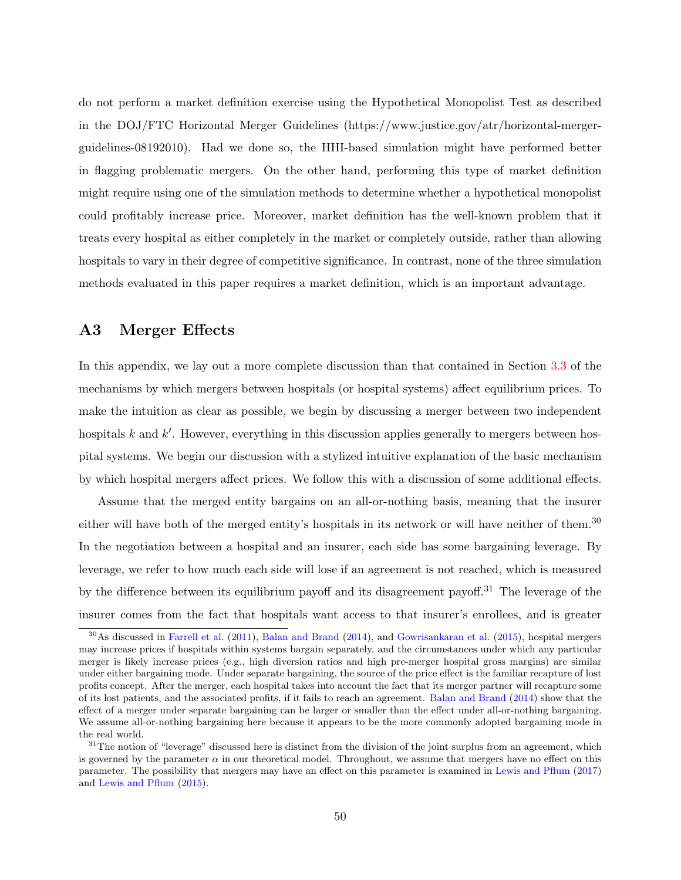do not perform a market definition exercise using the Hypothetical Monopolist Test as described in the DOJ/FTC Horizontal Merger Guidelines (https://www.justice.gov/atr/horizontal-mergerguidelines-08192010). Had we done so, the HHI-based simulation might have performed better in flagging problematic mergers. On the other hand, performing this type of market definition might require using one of the simulation methods to determine whether a hypothetical monopolist could profitably increase price. Moreover, market definition has the well-known problem that it treats every hospital as either completely in the market or completely outside, rather than allowing hospitals to vary in their degree of competitive significance. In contrast, none of the three simulation methods evaluated in this paper requires a market definition, which is an important advantage.

## A3 Merger Effects

In this appendix, we lay out a more complete discussion than that contained in Section [3.3](#page-11-1) of the mechanisms by which mergers between hospitals (or hospital systems) affect equilibrium prices. To make the intuition as clear as possible, we begin by discussing a merger between two independent hospitals  $k$  and  $k'$ . However, everything in this discussion applies generally to mergers between hospital systems. We begin our discussion with a stylized intuitive explanation of the basic mechanism by which hospital mergers affect prices. We follow this with a discussion of some additional effects.

Assume that the merged entity bargains on an all-or-nothing basis, meaning that the insurer either will have both of the merged entity's hospitals in its network or will have neither of them.<sup>30</sup> In the negotiation between a hospital and an insurer, each side has some bargaining leverage. By leverage, we refer to how much each side will lose if an agreement is not reached, which is measured by the difference between its equilibrium payoff and its disagreement payoff.<sup>31</sup> The leverage of the insurer comes from the fact that hospitals want access to that insurer's enrollees, and is greater

<sup>30</sup>As discussed in [Farrell et al.](#page-98-1) [\(2011\)](#page-98-1), [Balan and Brand](#page-98-5) [\(2014\)](#page-98-5), and [Gowrisankaran et al.](#page-98-0) [\(2015\)](#page-98-0), hospital mergers may increase prices if hospitals within systems bargain separately, and the circumstances under which any particular merger is likely increase prices (e.g., high diversion ratios and high pre-merger hospital gross margins) are similar under either bargaining mode. Under separate bargaining, the source of the price effect is the familiar recapture of lost profits concept. After the merger, each hospital takes into account the fact that its merger partner will recapture some of its lost patients, and the associated profits, if it fails to reach an agreement. [Balan and Brand](#page-98-5) [\(2014\)](#page-98-5) show that the effect of a merger under separate bargaining can be larger or smaller than the effect under all-or-nothing bargaining. We assume all-or-nothing bargaining here because it appears to be the more commonly adopted bargaining mode in the real world.

 $31$ The notion of "leverage" discussed here is distinct from the division of the joint surplus from an agreement, which is governed by the parameter  $\alpha$  in our theoretical model. Throughout, we assume that mergers have no effect on this parameter. The possibility that mergers may have an effect on this parameter is examined in [Lewis and Pflum](#page-99-2) [\(2017\)](#page-99-2) and [Lewis and Pflum](#page-99-3) [\(2015\)](#page-99-3).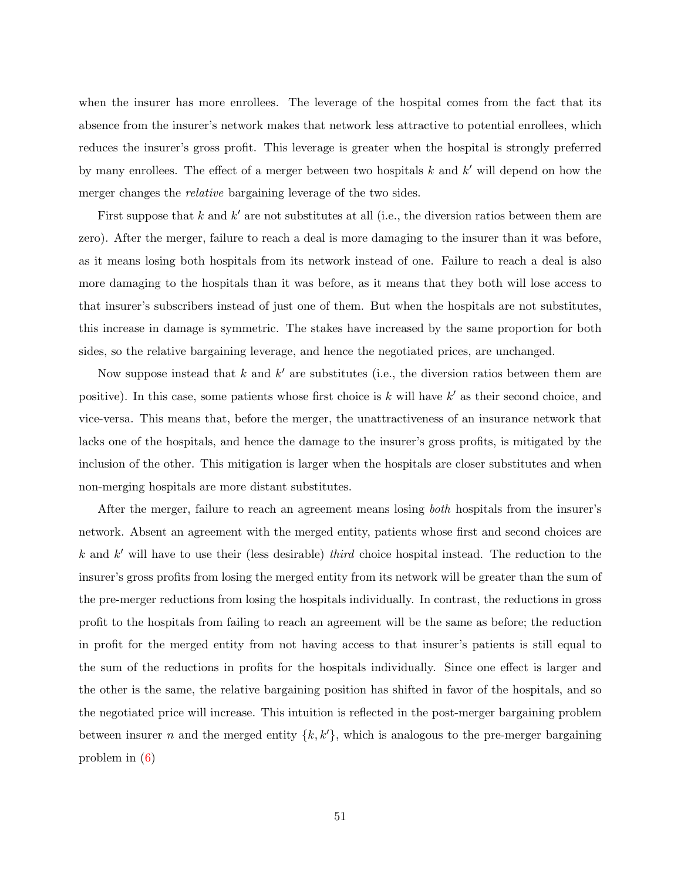when the insurer has more enrollees. The leverage of the hospital comes from the fact that its absence from the insurer's network makes that network less attractive to potential enrollees, which reduces the insurer's gross profit. This leverage is greater when the hospital is strongly preferred by many enrollees. The effect of a merger between two hospitals  $k$  and  $k'$  will depend on how the merger changes the *relative* bargaining leverage of the two sides.

First suppose that  $k$  and  $k'$  are not substitutes at all (i.e., the diversion ratios between them are zero). After the merger, failure to reach a deal is more damaging to the insurer than it was before, as it means losing both hospitals from its network instead of one. Failure to reach a deal is also more damaging to the hospitals than it was before, as it means that they both will lose access to that insurer's subscribers instead of just one of them. But when the hospitals are not substitutes, this increase in damage is symmetric. The stakes have increased by the same proportion for both sides, so the relative bargaining leverage, and hence the negotiated prices, are unchanged.

Now suppose instead that  $k$  and  $k'$  are substitutes (i.e., the diversion ratios between them are positive). In this case, some patients whose first choice is  $k$  will have  $k'$  as their second choice, and vice-versa. This means that, before the merger, the unattractiveness of an insurance network that lacks one of the hospitals, and hence the damage to the insurer's gross profits, is mitigated by the inclusion of the other. This mitigation is larger when the hospitals are closer substitutes and when non-merging hospitals are more distant substitutes.

After the merger, failure to reach an agreement means losing both hospitals from the insurer's network. Absent an agreement with the merged entity, patients whose first and second choices are  $k$  and  $k'$  will have to use their (less desirable) third choice hospital instead. The reduction to the insurer's gross profits from losing the merged entity from its network will be greater than the sum of the pre-merger reductions from losing the hospitals individually. In contrast, the reductions in gross profit to the hospitals from failing to reach an agreement will be the same as before; the reduction in profit for the merged entity from not having access to that insurer's patients is still equal to the sum of the reductions in profits for the hospitals individually. Since one effect is larger and the other is the same, the relative bargaining position has shifted in favor of the hospitals, and so the negotiated price will increase. This intuition is reflected in the post-merger bargaining problem between insurer n and the merged entity  $\{k, k'\}$ , which is analogous to the pre-merger bargaining problem in [\(6\)](#page-11-0)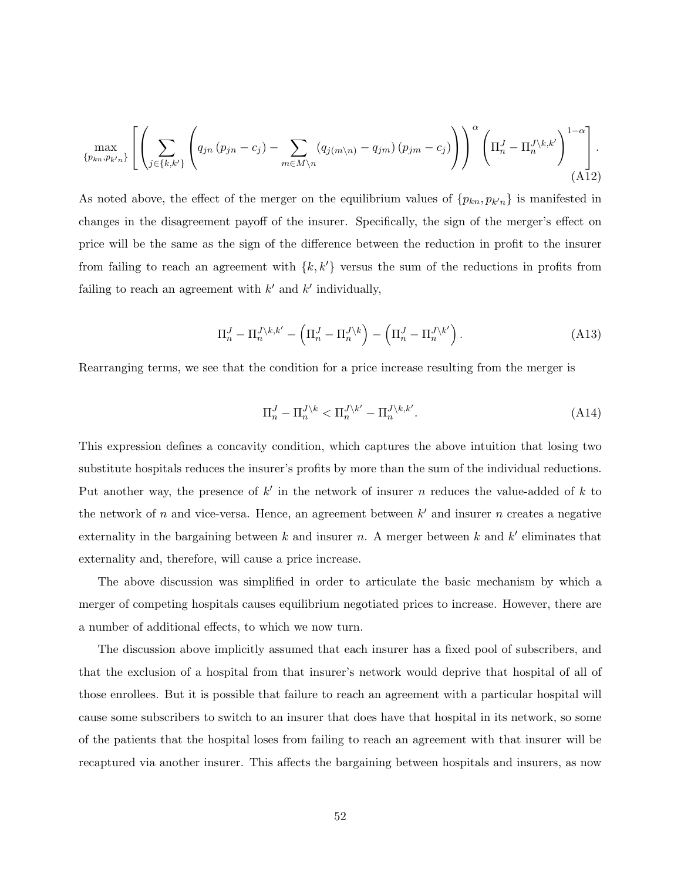$$
\max_{\{p_{kn},p_{k'n}\}} \left[ \left( \sum_{j \in \{k,k'\}} \left( q_{jn} \left( p_{jn} - c_j \right) - \sum_{m \in M \setminus n} \left( q_{j(m \setminus n)} - q_{jm} \right) \left( p_{jm} - c_j \right) \right) \right)^\alpha \left( \Pi_n^J - \Pi_n^{J \setminus k,k'} \right)^{1-\alpha} \right].
$$
\n(A12)

As noted above, the effect of the merger on the equilibrium values of  ${p_{kn}, p_{k'n}}$  is manifested in changes in the disagreement payoff of the insurer. Specifically, the sign of the merger's effect on price will be the same as the sign of the difference between the reduction in profit to the insurer from failing to reach an agreement with  $\{k, k'\}$  versus the sum of the reductions in profits from failing to reach an agreement with  $k'$  and  $k'$  individually,

$$
\Pi_n^J - \Pi_n^{J \setminus k, k'} - \left( \Pi_n^J - \Pi_n^{J \setminus k} \right) - \left( \Pi_n^J - \Pi_n^{J \setminus k'} \right). \tag{A13}
$$

Rearranging terms, we see that the condition for a price increase resulting from the merger is

<span id="page-53-0"></span>
$$
\Pi_n^J - \Pi_n^{J \backslash k} < \Pi_n^{J \backslash k'} - \Pi_n^{J \backslash k, k'}.\tag{A14}
$$

This expression defines a concavity condition, which captures the above intuition that losing two substitute hospitals reduces the insurer's profits by more than the sum of the individual reductions. Put another way, the presence of  $k'$  in the network of insurer n reduces the value-added of k to the network of n and vice-versa. Hence, an agreement between  $k'$  and insurer n creates a negative externality in the bargaining between  $k$  and insurer  $n$ . A merger between  $k$  and  $k'$  eliminates that externality and, therefore, will cause a price increase.

The above discussion was simplified in order to articulate the basic mechanism by which a merger of competing hospitals causes equilibrium negotiated prices to increase. However, there are a number of additional effects, to which we now turn.

The discussion above implicitly assumed that each insurer has a fixed pool of subscribers, and that the exclusion of a hospital from that insurer's network would deprive that hospital of all of those enrollees. But it is possible that failure to reach an agreement with a particular hospital will cause some subscribers to switch to an insurer that does have that hospital in its network, so some of the patients that the hospital loses from failing to reach an agreement with that insurer will be recaptured via another insurer. This affects the bargaining between hospitals and insurers, as now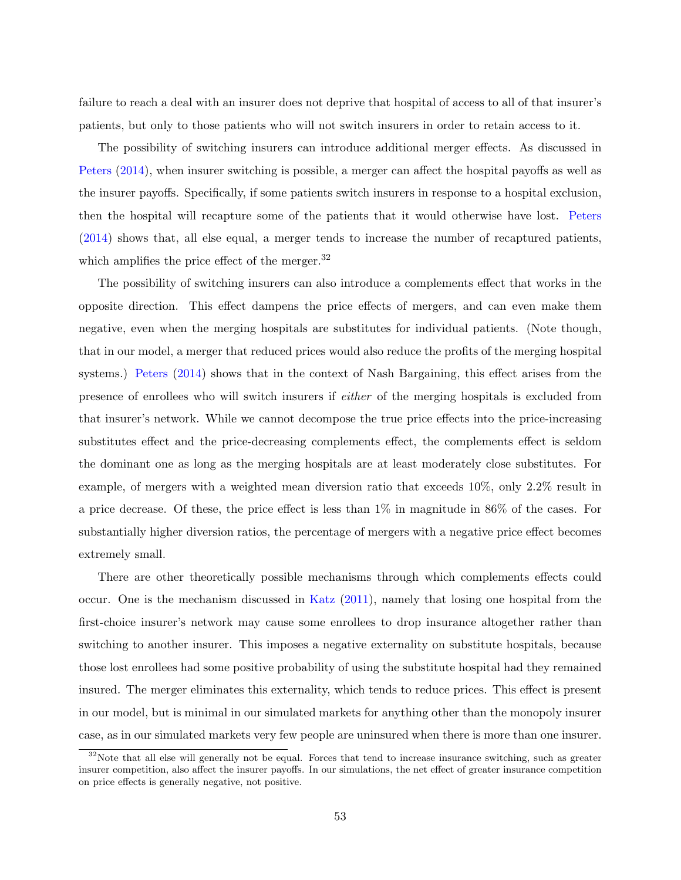failure to reach a deal with an insurer does not deprive that hospital of access to all of that insurer's patients, but only to those patients who will not switch insurers in order to retain access to it.

The possibility of switching insurers can introduce additional merger effects. As discussed in [Peters](#page-99-4) [\(2014\)](#page-99-4), when insurer switching is possible, a merger can affect the hospital payoffs as well as the insurer payoffs. Specifically, if some patients switch insurers in response to a hospital exclusion, then the hospital will recapture some of the patients that it would otherwise have lost. [Peters](#page-99-4) [\(2014\)](#page-99-4) shows that, all else equal, a merger tends to increase the number of recaptured patients, which amplifies the price effect of the merger.<sup>32</sup>

The possibility of switching insurers can also introduce a complements effect that works in the opposite direction. This effect dampens the price effects of mergers, and can even make them negative, even when the merging hospitals are substitutes for individual patients. (Note though, that in our model, a merger that reduced prices would also reduce the profits of the merging hospital systems.) [Peters](#page-99-4) [\(2014\)](#page-99-4) shows that in the context of Nash Bargaining, this effect arises from the presence of enrollees who will switch insurers if either of the merging hospitals is excluded from that insurer's network. While we cannot decompose the true price effects into the price-increasing substitutes effect and the price-decreasing complements effect, the complements effect is seldom the dominant one as long as the merging hospitals are at least moderately close substitutes. For example, of mergers with a weighted mean diversion ratio that exceeds 10%, only 2.2% result in a price decrease. Of these, the price effect is less than 1% in magnitude in 86% of the cases. For substantially higher diversion ratios, the percentage of mergers with a negative price effect becomes extremely small.

There are other theoretically possible mechanisms through which complements effects could occur. One is the mechanism discussed in [Katz](#page-99-5) [\(2011\)](#page-99-5), namely that losing one hospital from the first-choice insurer's network may cause some enrollees to drop insurance altogether rather than switching to another insurer. This imposes a negative externality on substitute hospitals, because those lost enrollees had some positive probability of using the substitute hospital had they remained insured. The merger eliminates this externality, which tends to reduce prices. This effect is present in our model, but is minimal in our simulated markets for anything other than the monopoly insurer case, as in our simulated markets very few people are uninsured when there is more than one insurer.

<sup>&</sup>lt;sup>32</sup>Note that all else will generally not be equal. Forces that tend to increase insurance switching, such as greater insurer competition, also affect the insurer payoffs. In our simulations, the net effect of greater insurance competition on price effects is generally negative, not positive.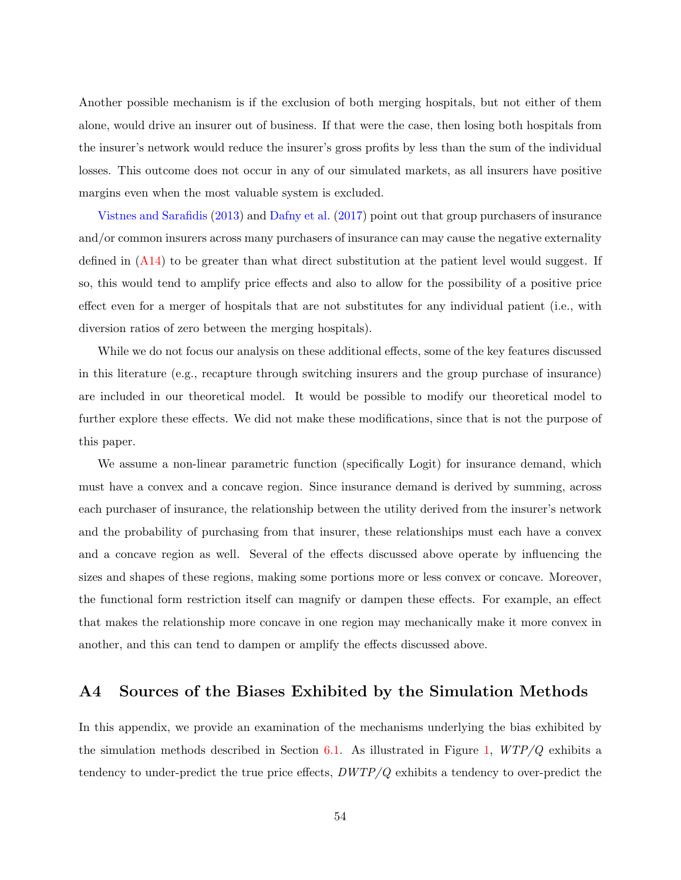Another possible mechanism is if the exclusion of both merging hospitals, but not either of them alone, would drive an insurer out of business. If that were the case, then losing both hospitals from the insurer's network would reduce the insurer's gross profits by less than the sum of the individual losses. This outcome does not occur in any of our simulated markets, as all insurers have positive margins even when the most valuable system is excluded.

[Vistnes and Sarafidis](#page-99-6) [\(2013\)](#page-99-6) and [Dafny et al.](#page-98-6) [\(2017\)](#page-98-6) point out that group purchasers of insurance and/or common insurers across many purchasers of insurance can may cause the negative externality defined in [\(A14\)](#page-53-0) to be greater than what direct substitution at the patient level would suggest. If so, this would tend to amplify price effects and also to allow for the possibility of a positive price effect even for a merger of hospitals that are not substitutes for any individual patient (i.e., with diversion ratios of zero between the merging hospitals).

While we do not focus our analysis on these additional effects, some of the key features discussed in this literature (e.g., recapture through switching insurers and the group purchase of insurance) are included in our theoretical model. It would be possible to modify our theoretical model to further explore these effects. We did not make these modifications, since that is not the purpose of this paper.

We assume a non-linear parametric function (specifically Logit) for insurance demand, which must have a convex and a concave region. Since insurance demand is derived by summing, across each purchaser of insurance, the relationship between the utility derived from the insurer's network and the probability of purchasing from that insurer, these relationships must each have a convex and a concave region as well. Several of the effects discussed above operate by influencing the sizes and shapes of these regions, making some portions more or less convex or concave. Moreover, the functional form restriction itself can magnify or dampen these effects. For example, an effect that makes the relationship more concave in one region may mechanically make it more convex in another, and this can tend to dampen or amplify the effects discussed above.

### <span id="page-55-0"></span>A4 Sources of the Biases Exhibited by the Simulation Methods

In this appendix, we provide an examination of the mechanisms underlying the bias exhibited by the simulation methods described in Section [6.1.](#page-21-0) As illustrated in Figure [1,](#page-22-0)  $WTP/Q$  exhibits a tendency to under-predict the true price effects,  $DWTP/Q$  exhibits a tendency to over-predict the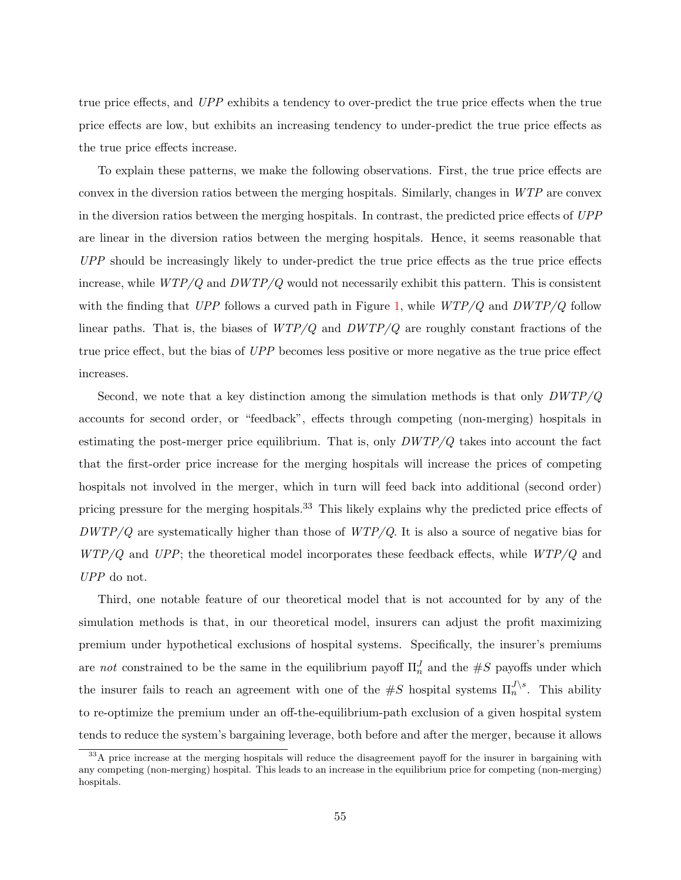true price effects, and UPP exhibits a tendency to over-predict the true price effects when the true price effects are low, but exhibits an increasing tendency to under-predict the true price effects as the true price effects increase.

To explain these patterns, we make the following observations. First, the true price effects are convex in the diversion ratios between the merging hospitals. Similarly, changes in WTP are convex in the diversion ratios between the merging hospitals. In contrast, the predicted price effects of UPP are linear in the diversion ratios between the merging hospitals. Hence, it seems reasonable that UPP should be increasingly likely to under-predict the true price effects as the true price effects increase, while  $WTP/Q$  and  $DWTP/Q$  would not necessarily exhibit this pattern. This is consistent with the finding that UPP follows a curved path in Figure [1,](#page-22-0) while  $WTP/Q$  and  $DWTP/Q$  follow linear paths. That is, the biases of  $WTP/Q$  and  $DWTP/Q$  are roughly constant fractions of the true price effect, but the bias of UPP becomes less positive or more negative as the true price effect increases.

Second, we note that a key distinction among the simulation methods is that only  $DWTP/Q$ accounts for second order, or "feedback", effects through competing (non-merging) hospitals in estimating the post-merger price equilibrium. That is, only  $DWTP/Q$  takes into account the fact that the first-order price increase for the merging hospitals will increase the prices of competing hospitals not involved in the merger, which in turn will feed back into additional (second order) pricing pressure for the merging hospitals.<sup>33</sup> This likely explains why the predicted price effects of  $DWTP/Q$  are systematically higher than those of  $WTP/Q$ . It is also a source of negative bias for  $WTP/Q$  and UPP; the theoretical model incorporates these feedback effects, while  $WTP/Q$  and UPP do not.

Third, one notable feature of our theoretical model that is not accounted for by any of the simulation methods is that, in our theoretical model, insurers can adjust the profit maximizing premium under hypothetical exclusions of hospital systems. Specifically, the insurer's premiums are not constrained to be the same in the equilibrium payoff  $\Pi_n^J$  and the  $\#S$  payoffs under which the insurer fails to reach an agreement with one of the  $\#S$  hospital systems  $\Pi_n^{J \setminus s}$ . This ability to re-optimize the premium under an off-the-equilibrium-path exclusion of a given hospital system tends to reduce the system's bargaining leverage, both before and after the merger, because it allows

<sup>&</sup>lt;sup>33</sup>A price increase at the merging hospitals will reduce the disagreement payoff for the insurer in bargaining with any competing (non-merging) hospital. This leads to an increase in the equilibrium price for competing (non-merging) hospitals.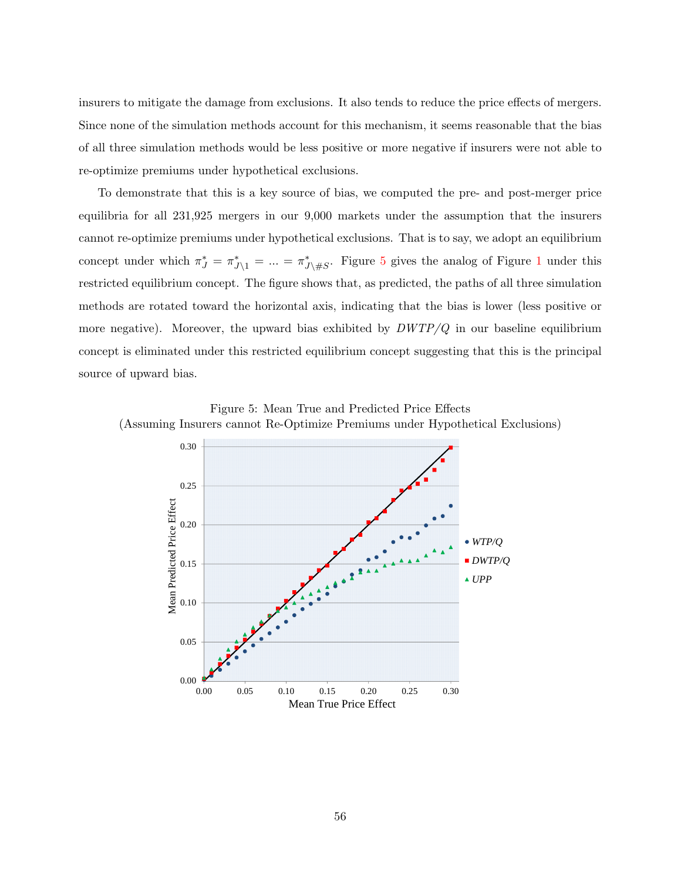insurers to mitigate the damage from exclusions. It also tends to reduce the price effects of mergers. Since none of the simulation methods account for this mechanism, it seems reasonable that the bias of all three simulation methods would be less positive or more negative if insurers were not able to re-optimize premiums under hypothetical exclusions.

To demonstrate that this is a key source of bias, we computed the pre- and post-merger price equilibria for all 231,925 mergers in our 9,000 markets under the assumption that the insurers cannot re-optimize premiums under hypothetical exclusions. That is to say, we adopt an equilibrium concept under which  $\pi^*_{J} = \pi^*_{J \setminus 1} = ... = \pi^*_{J \setminus \#S}$  $\pi^*_{J} = \pi^*_{J \setminus 1} = ... = \pi^*_{J \setminus \#S}$  $\pi^*_{J} = \pi^*_{J \setminus 1} = ... = \pi^*_{J \setminus \#S}$ . Figure [5](#page-57-0) gives the analog of Figure 1 under this restricted equilibrium concept. The figure shows that, as predicted, the paths of all three simulation methods are rotated toward the horizontal axis, indicating that the bias is lower (less positive or more negative). Moreover, the upward bias exhibited by  $DWTP/Q$  in our baseline equilibrium concept is eliminated under this restricted equilibrium concept suggesting that this is the principal source of upward bias.

Figure 5: Mean True and Predicted Price Effects (Assuming Insurers cannot Re-Optimize Premiums under Hypothetical Exclusions)

<span id="page-57-0"></span>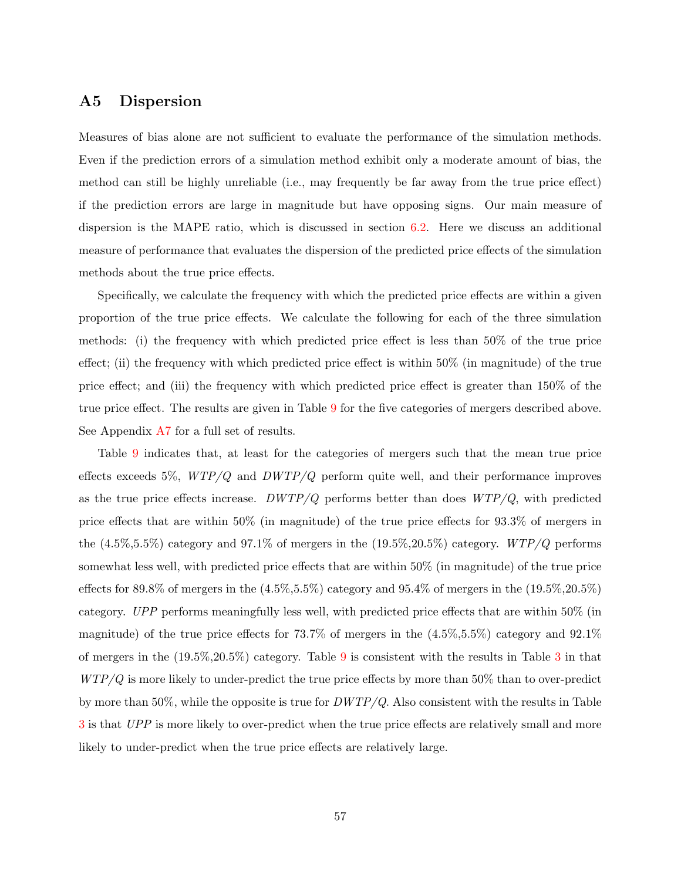## A5 Dispersion

Measures of bias alone are not sufficient to evaluate the performance of the simulation methods. Even if the prediction errors of a simulation method exhibit only a moderate amount of bias, the method can still be highly unreliable (i.e., may frequently be far away from the true price effect) if the prediction errors are large in magnitude but have opposing signs. Our main measure of dispersion is the MAPE ratio, which is discussed in section [6.2.](#page-25-0) Here we discuss an additional measure of performance that evaluates the dispersion of the predicted price effects of the simulation methods about the true price effects.

Specifically, we calculate the frequency with which the predicted price effects are within a given proportion of the true price effects. We calculate the following for each of the three simulation methods: (i) the frequency with which predicted price effect is less than 50% of the true price effect; (ii) the frequency with which predicted price effect is within  $50\%$  (in magnitude) of the true price effect; and (iii) the frequency with which predicted price effect is greater than 150% of the true price effect. The results are given in Table [9](#page-59-0) for the five categories of mergers described above. See Appendix [A7](#page-64-0) for a full set of results.

Table [9](#page-59-0) indicates that, at least for the categories of mergers such that the mean true price effects exceeds 5%,  $WTP/Q$  and  $DWTP/Q$  perform quite well, and their performance improves as the true price effects increase.  $DWTP/Q$  performs better than does  $WTP/Q$ , with predicted price effects that are within 50% (in magnitude) of the true price effects for 93.3% of mergers in the  $(4.5\%, 5.5\%)$  category and 97.1% of mergers in the  $(19.5\%, 20.5\%)$  category.  $WTP/Q$  performs somewhat less well, with predicted price effects that are within 50% (in magnitude) of the true price effects for 89.8% of mergers in the  $(4.5\%, 5.5\%)$  category and 95.4% of mergers in the  $(19.5\%, 20.5\%)$ category. UPP performs meaningfully less well, with predicted price effects that are within 50% (in magnitude) of the true price effects for 73.7% of mergers in the  $(4.5\%, 5.5\%)$  category and  $92.1\%$ of mergers in the (19.5%,20.5%) category. Table [9](#page-59-0) is consistent with the results in Table [3](#page-24-0) in that  $WTP/Q$  is more likely to under-predict the true price effects by more than 50% than to over-predict by more than 50%, while the opposite is true for  $DWTP/Q$ . Also consistent with the results in Table [3](#page-24-0) is that UPP is more likely to over-predict when the true price effects are relatively small and more likely to under-predict when the true price effects are relatively large.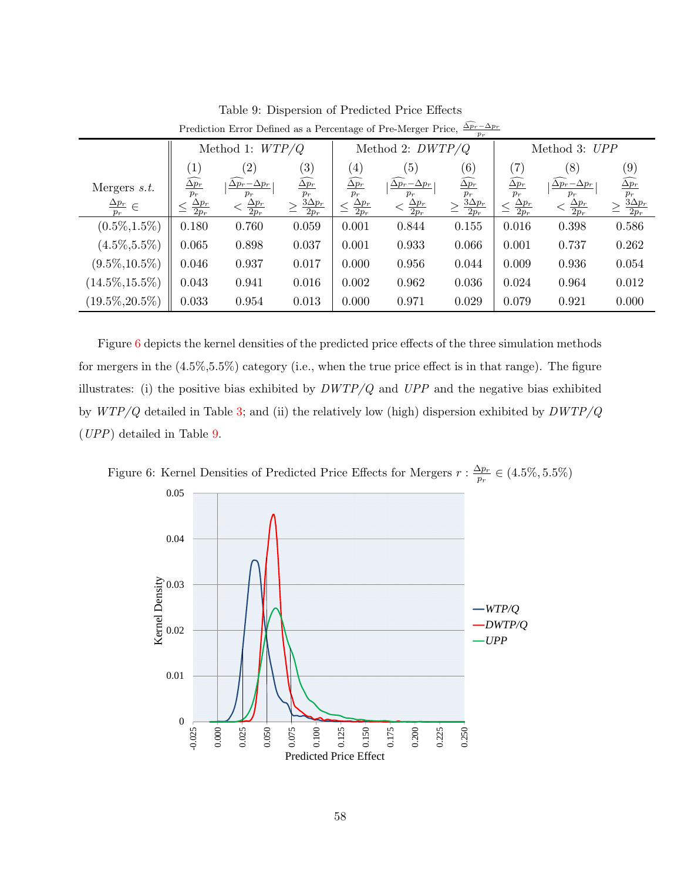|                                   | $p_r$                              |                                      |                                     |                                                |                                      |                                                |                                    |                                      |                                        |
|-----------------------------------|------------------------------------|--------------------------------------|-------------------------------------|------------------------------------------------|--------------------------------------|------------------------------------------------|------------------------------------|--------------------------------------|----------------------------------------|
|                                   | Method 1: $WTP/Q$                  |                                      |                                     | Method 2: $DWTP/Q$                             |                                      |                                                | Method 3: UPP                      |                                      |                                        |
|                                   | $\left[1\right]$                   | $\left( 2\right)$                    | $\left( 3\right)$                   | $\left( 4\right)$                              | (5)                                  | (6)                                            | $^{\prime}7$                       | (8)                                  | (9)                                    |
| Mergers $s.t.$                    | $\overline{\Delta p_r}$            | $\overline{\Delta p_r} - \Delta p_r$ | $\widehat{\Delta p_{r}}$            | $\widehat{\Delta p_{r}}$                       | $\overline{\Delta p_r} - \Delta p_r$ | $\overline{\Delta p_{r}}$                      | $\overline{\Delta p_r}$            | $\overline{\Delta p_r} - \Delta p_r$ | $\widehat{\Delta p_{r}}$               |
| $\frac{\Delta p_r}{\Delta p} \in$ | $p_r$<br>$\frac{\Delta p_r}{2p_r}$ | $p_r$<br>$\frac{\Delta p_r}{2p_r}$   | $p_r$<br>$\frac{3\Delta p_r}{2p_r}$ | $p_r$<br>$\frac{\Delta p_r}{\Delta}$<br>$2p_r$ | $p_r$<br>$\frac{\Delta p_r}{2p_r}$   | $p_r$<br>$\underline{3\Delta p_{r}}$<br>$2p_r$ | $p_r$<br>$\frac{\Delta p_r}{2p_r}$ | $p_r$<br>$\frac{\Delta p_r}{2p_r}$   | $\frac{p_r}{\frac{3\Delta p_r}{2p_r}}$ |
| $(0.5\%, 1.5\%)$                  | 0.180                              | 0.760                                | 0.059                               | 0.001                                          | 0.844                                | 0.155                                          | 0.016                              | 0.398                                | 0.586                                  |
| $(4.5\%, 5.5\%)$                  | 0.065                              | 0.898                                | 0.037                               | 0.001                                          | 0.933                                | 0.066                                          | 0.001                              | 0.737                                | 0.262                                  |
| $(9.5\%, 10.5\%)$                 | 0.046                              | 0.937                                | 0.017                               | 0.000                                          | 0.956                                | 0.044                                          | 0.009                              | 0.936                                | 0.054                                  |
| $(14.5\%, 15.5\%)$                | 0.043                              | 0.941                                | 0.016                               | 0.002                                          | 0.962                                | 0.036                                          | 0.024                              | 0.964                                | 0.012                                  |
| $(19.5\%, 20.5\%)$                | 0.033                              | 0.954                                | 0.013                               | 0.000                                          | 0.971                                | 0.029                                          | 0.079                              | 0.921                                | 0.000                                  |

<span id="page-59-0"></span>Table 9: Dispersion of Predicted Price Effects Prediction Error Defined as a Percentage of Pre-Merger Price,  $\frac{\Delta p_r - \Delta p_r}{p_r}$ 

Figure [6](#page-59-1) depicts the kernel densities of the predicted price effects of the three simulation methods for mergers in the (4.5%,5.5%) category (i.e., when the true price effect is in that range). The figure illustrates: (i) the positive bias exhibited by  $DWTP/Q$  and  $UPP$  and the negative bias exhibited by  $WTP/Q$  detailed in Table [3;](#page-24-0) and (ii) the relatively low (high) dispersion exhibited by  $DWTP/Q$ (UPP) detailed in Table [9.](#page-59-0)

<span id="page-59-1"></span>

Figure 6: Kernel Densities of Predicted Price Effects for Mergers  $r : \frac{\Delta p_r}{n_r}$  $\frac{\Delta p_{r}}{p_{r}}\in(4.5\%,5.5\%)$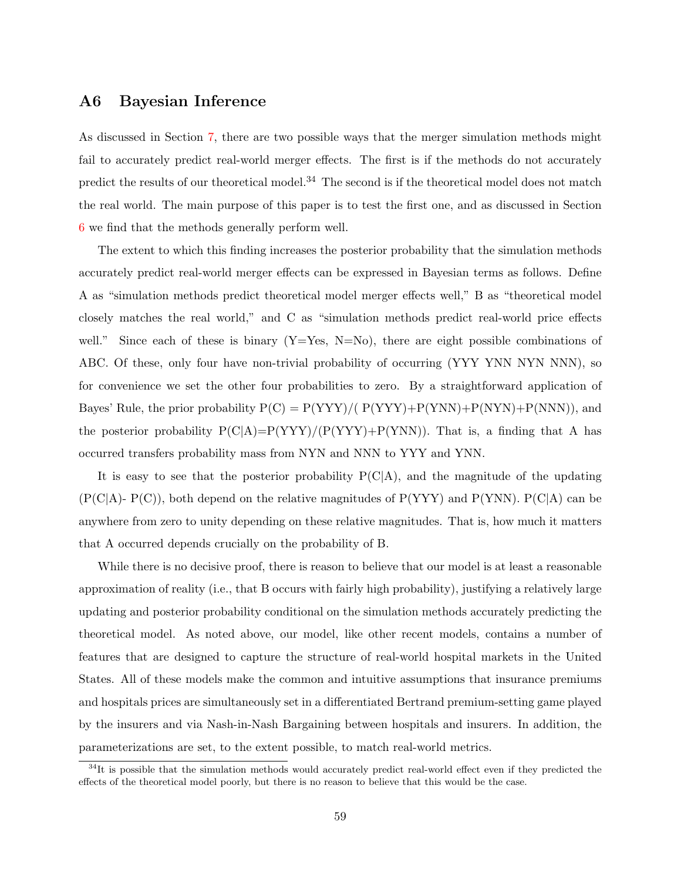## A6 Bayesian Inference

As discussed in Section [7,](#page-31-0) there are two possible ways that the merger simulation methods might fail to accurately predict real-world merger effects. The first is if the methods do not accurately predict the results of our theoretical model.<sup>34</sup> The second is if the theoretical model does not match the real world. The main purpose of this paper is to test the first one, and as discussed in Section [6](#page-19-0) we find that the methods generally perform well.

The extent to which this finding increases the posterior probability that the simulation methods accurately predict real-world merger effects can be expressed in Bayesian terms as follows. Define A as "simulation methods predict theoretical model merger effects well," B as "theoretical model closely matches the real world," and C as "simulation methods predict real-world price effects well." Since each of these is binary  $(Y=Yes, N=No)$ , there are eight possible combinations of ABC. Of these, only four have non-trivial probability of occurring (YYY YNN NYN NNN), so for convenience we set the other four probabilities to zero. By a straightforward application of Bayes' Rule, the prior probability  $P(C) = P(YYY)/(P(YYY)+P(YNN)+P(NYN)+P(NNN)),$  and the posterior probability  $P(C|A)=P(YYY)/(P(YYY)+P(YNN))$ . That is, a finding that A has occurred transfers probability mass from NYN and NNN to YYY and YNN.

It is easy to see that the posterior probability  $P(C|A)$ , and the magnitude of the updating  $(P(C|A)-P(C))$ , both depend on the relative magnitudes of  $P(YYY)$  and  $P(YNN)$ .  $P(C|A)$  can be anywhere from zero to unity depending on these relative magnitudes. That is, how much it matters that A occurred depends crucially on the probability of B.

While there is no decisive proof, there is reason to believe that our model is at least a reasonable approximation of reality (i.e., that B occurs with fairly high probability), justifying a relatively large updating and posterior probability conditional on the simulation methods accurately predicting the theoretical model. As noted above, our model, like other recent models, contains a number of features that are designed to capture the structure of real-world hospital markets in the United States. All of these models make the common and intuitive assumptions that insurance premiums and hospitals prices are simultaneously set in a differentiated Bertrand premium-setting game played by the insurers and via Nash-in-Nash Bargaining between hospitals and insurers. In addition, the parameterizations are set, to the extent possible, to match real-world metrics.

 $34$ It is possible that the simulation methods would accurately predict real-world effect even if they predicted the effects of the theoretical model poorly, but there is no reason to believe that this would be the case.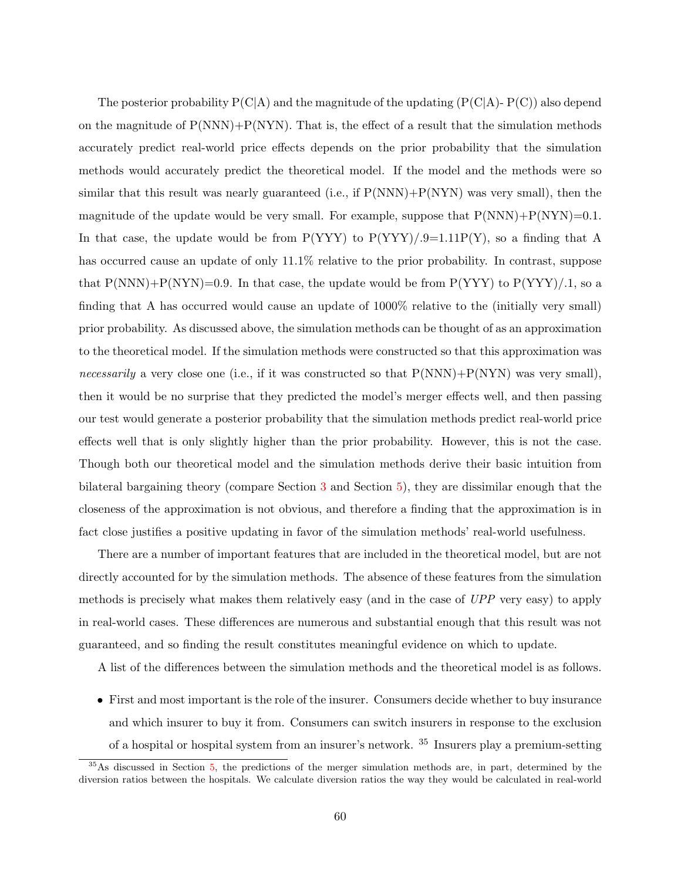The posterior probability  $P(C|A)$  and the magnitude of the updating  $(P(C|A)-P(C))$  also depend on the magnitude of  $P(NNN)$ + $P(NYN)$ . That is, the effect of a result that the simulation methods accurately predict real-world price effects depends on the prior probability that the simulation methods would accurately predict the theoretical model. If the model and the methods were so similar that this result was nearly guaranteed (i.e., if  $P(NNN)+P(NYN)$  was very small), then the magnitude of the update would be very small. For example, suppose that  $P(NNN)+P(NYN)=0.1$ . In that case, the update would be from  $P(YYY)$  to  $P(YYY)/.9=1.11P(Y)$ , so a finding that A has occurred cause an update of only 11.1% relative to the prior probability. In contrast, suppose that  $P(NNN)+P(NYN)=0.9$ . In that case, the update would be from  $P(YYY)$  to  $P(YYY)/1$ , so a finding that A has occurred would cause an update of 1000% relative to the (initially very small) prior probability. As discussed above, the simulation methods can be thought of as an approximation to the theoretical model. If the simulation methods were constructed so that this approximation was *necessarily* a very close one (i.e., if it was constructed so that  $P(NNN)+P(NYN)$  was very small), then it would be no surprise that they predicted the model's merger effects well, and then passing our test would generate a posterior probability that the simulation methods predict real-world price effects well that is only slightly higher than the prior probability. However, this is not the case. Though both our theoretical model and the simulation methods derive their basic intuition from bilateral bargaining theory (compare Section [3](#page-7-0) and Section [5\)](#page-15-0), they are dissimilar enough that the closeness of the approximation is not obvious, and therefore a finding that the approximation is in fact close justifies a positive updating in favor of the simulation methods' real-world usefulness.

There are a number of important features that are included in the theoretical model, but are not directly accounted for by the simulation methods. The absence of these features from the simulation methods is precisely what makes them relatively easy (and in the case of UPP very easy) to apply in real-world cases. These differences are numerous and substantial enough that this result was not guaranteed, and so finding the result constitutes meaningful evidence on which to update.

A list of the differences between the simulation methods and the theoretical model is as follows.

• First and most important is the role of the insurer. Consumers decide whether to buy insurance and which insurer to buy it from. Consumers can switch insurers in response to the exclusion of a hospital or hospital system from an insurer's network. <sup>35</sup> Insurers play a premium-setting

<sup>&</sup>lt;sup>35</sup>As discussed in Section [5,](#page-15-0) the predictions of the merger simulation methods are, in part, determined by the diversion ratios between the hospitals. We calculate diversion ratios the way they would be calculated in real-world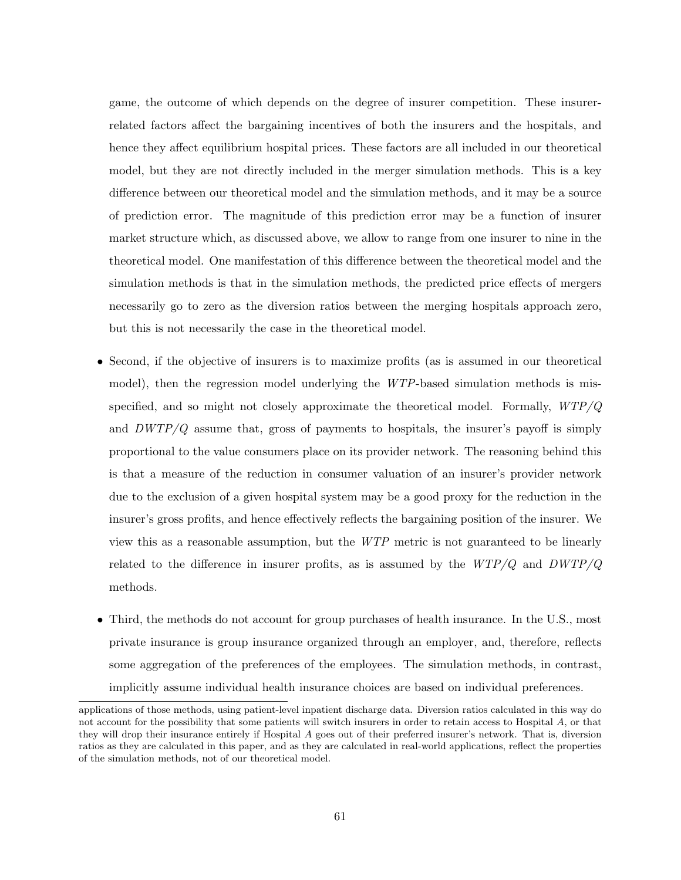game, the outcome of which depends on the degree of insurer competition. These insurerrelated factors affect the bargaining incentives of both the insurers and the hospitals, and hence they affect equilibrium hospital prices. These factors are all included in our theoretical model, but they are not directly included in the merger simulation methods. This is a key difference between our theoretical model and the simulation methods, and it may be a source of prediction error. The magnitude of this prediction error may be a function of insurer market structure which, as discussed above, we allow to range from one insurer to nine in the theoretical model. One manifestation of this difference between the theoretical model and the simulation methods is that in the simulation methods, the predicted price effects of mergers necessarily go to zero as the diversion ratios between the merging hospitals approach zero, but this is not necessarily the case in the theoretical model.

- Second, if the objective of insurers is to maximize profits (as is assumed in our theoretical model), then the regression model underlying the WTP-based simulation methods is misspecified, and so might not closely approximate the theoretical model. Formally,  $WTP/Q$ and  $DWTP/Q$  assume that, gross of payments to hospitals, the insurer's payoff is simply proportional to the value consumers place on its provider network. The reasoning behind this is that a measure of the reduction in consumer valuation of an insurer's provider network due to the exclusion of a given hospital system may be a good proxy for the reduction in the insurer's gross profits, and hence effectively reflects the bargaining position of the insurer. We view this as a reasonable assumption, but the WTP metric is not guaranteed to be linearly related to the difference in insurer profits, as is assumed by the  $WTP/Q$  and  $DWTP/Q$ methods.
- Third, the methods do not account for group purchases of health insurance. In the U.S., most private insurance is group insurance organized through an employer, and, therefore, reflects some aggregation of the preferences of the employees. The simulation methods, in contrast, implicitly assume individual health insurance choices are based on individual preferences.

applications of those methods, using patient-level inpatient discharge data. Diversion ratios calculated in this way do not account for the possibility that some patients will switch insurers in order to retain access to Hospital A, or that they will drop their insurance entirely if Hospital A goes out of their preferred insurer's network. That is, diversion ratios as they are calculated in this paper, and as they are calculated in real-world applications, reflect the properties of the simulation methods, not of our theoretical model.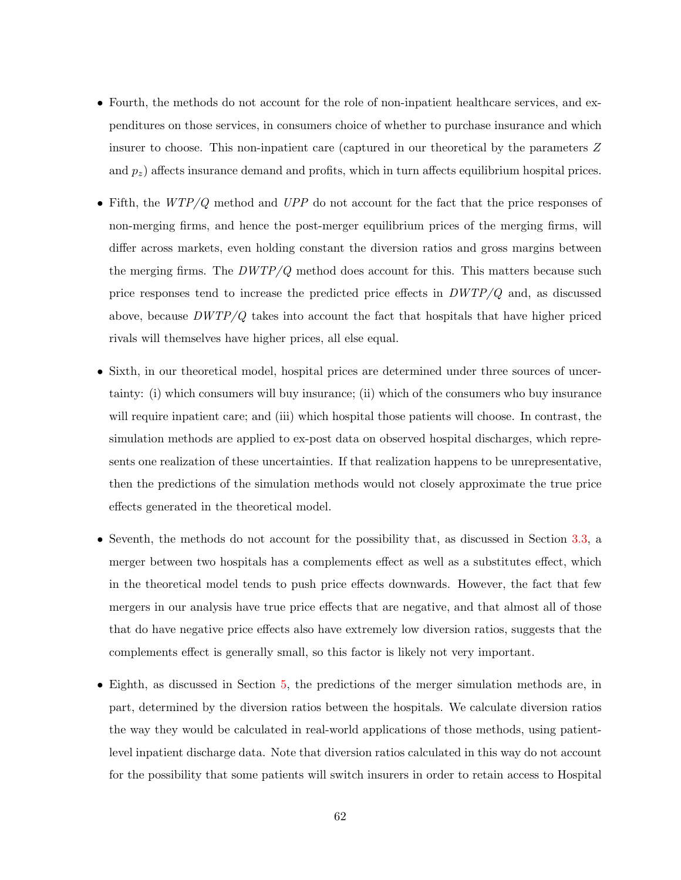- Fourth, the methods do not account for the role of non-inpatient healthcare services, and expenditures on those services, in consumers choice of whether to purchase insurance and which insurer to choose. This non-inpatient care (captured in our theoretical by the parameters Z and  $p_z$ ) affects insurance demand and profits, which in turn affects equilibrium hospital prices.
- Fifth, the  $WTP/Q$  method and UPP do not account for the fact that the price responses of non-merging firms, and hence the post-merger equilibrium prices of the merging firms, will differ across markets, even holding constant the diversion ratios and gross margins between the merging firms. The  $DWTP/Q$  method does account for this. This matters because such price responses tend to increase the predicted price effects in  $DWTP/Q$  and, as discussed above, because  $DWTP/Q$  takes into account the fact that hospitals that have higher priced rivals will themselves have higher prices, all else equal.
- Sixth, in our theoretical model, hospital prices are determined under three sources of uncertainty: (i) which consumers will buy insurance; (ii) which of the consumers who buy insurance will require inpatient care; and (iii) which hospital those patients will choose. In contrast, the simulation methods are applied to ex-post data on observed hospital discharges, which represents one realization of these uncertainties. If that realization happens to be unrepresentative, then the predictions of the simulation methods would not closely approximate the true price effects generated in the theoretical model.
- Seventh, the methods do not account for the possibility that, as discussed in Section [3.3,](#page-11-1) a merger between two hospitals has a complements effect as well as a substitutes effect, which in the theoretical model tends to push price effects downwards. However, the fact that few mergers in our analysis have true price effects that are negative, and that almost all of those that do have negative price effects also have extremely low diversion ratios, suggests that the complements effect is generally small, so this factor is likely not very important.
- Eighth, as discussed in Section [5,](#page-15-0) the predictions of the merger simulation methods are, in part, determined by the diversion ratios between the hospitals. We calculate diversion ratios the way they would be calculated in real-world applications of those methods, using patientlevel inpatient discharge data. Note that diversion ratios calculated in this way do not account for the possibility that some patients will switch insurers in order to retain access to Hospital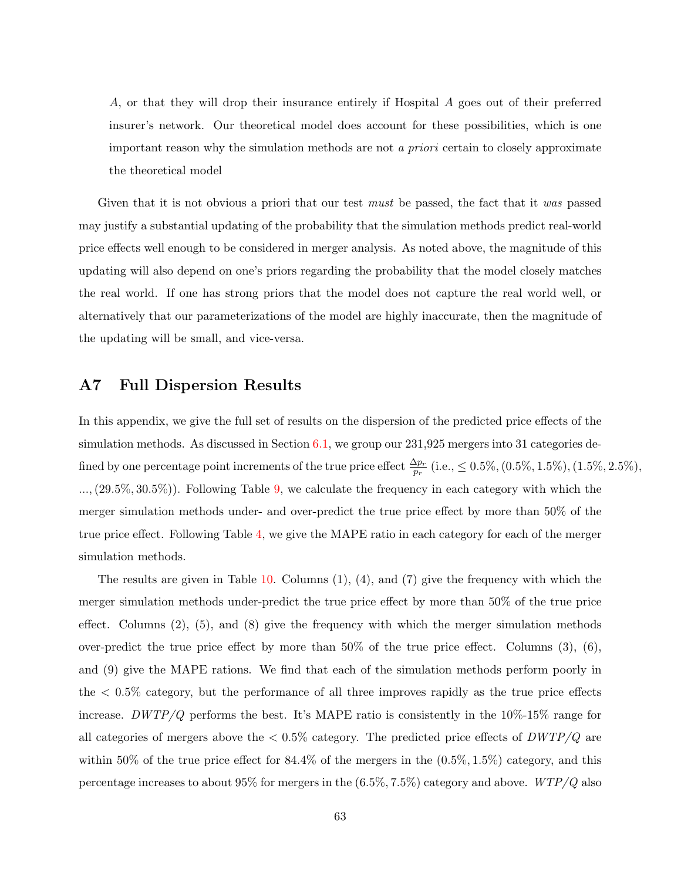A, or that they will drop their insurance entirely if Hospital A goes out of their preferred insurer's network. Our theoretical model does account for these possibilities, which is one important reason why the simulation methods are not a priori certain to closely approximate the theoretical model

Given that it is not obvious a priori that our test *must* be passed, the fact that it was passed may justify a substantial updating of the probability that the simulation methods predict real-world price effects well enough to be considered in merger analysis. As noted above, the magnitude of this updating will also depend on one's priors regarding the probability that the model closely matches the real world. If one has strong priors that the model does not capture the real world well, or alternatively that our parameterizations of the model are highly inaccurate, then the magnitude of the updating will be small, and vice-versa.

## <span id="page-64-0"></span>A7 Full Dispersion Results

In this appendix, we give the full set of results on the dispersion of the predicted price effects of the simulation methods. As discussed in Section [6.1,](#page-21-0) we group our 231,925 mergers into 31 categories defined by one percentage point increments of the true price effect  $\frac{\Delta p_r}{p_r}$  (i.e.,  $\leq 0.5\%, (0.5\%, 1.5\%, 1.5\%, 2.5\%),$ ...,(29.5%, 30.5%)). Following Table [9,](#page-59-0) we calculate the frequency in each category with which the merger simulation methods under- and over-predict the true price effect by more than 50% of the true price effect. Following Table [4,](#page-26-0) we give the MAPE ratio in each category for each of the merger simulation methods.

The results are given in Table  $10$ . Columns  $(1)$ ,  $(4)$ , and  $(7)$  give the frequency with which the merger simulation methods under-predict the true price effect by more than 50% of the true price effect. Columns  $(2)$ ,  $(5)$ , and  $(8)$  give the frequency with which the merger simulation methods over-predict the true price effect by more than 50% of the true price effect. Columns (3), (6), and (9) give the MAPE rations. We find that each of the simulation methods perform poorly in the < 0.5% category, but the performance of all three improves rapidly as the true price effects increase. DWTP/Q performs the best. It's MAPE ratio is consistently in the  $10\%$ -15% range for all categories of mergers above the  $< 0.5\%$  category. The predicted price effects of  $DWTP/Q$  are within 50% of the true price effect for  $84.4\%$  of the mergers in the  $(0.5\%, 1.5\%)$  category, and this percentage increases to about 95% for mergers in the  $(6.5\%, 7.5\%)$  category and above.  $WTP/Q$  also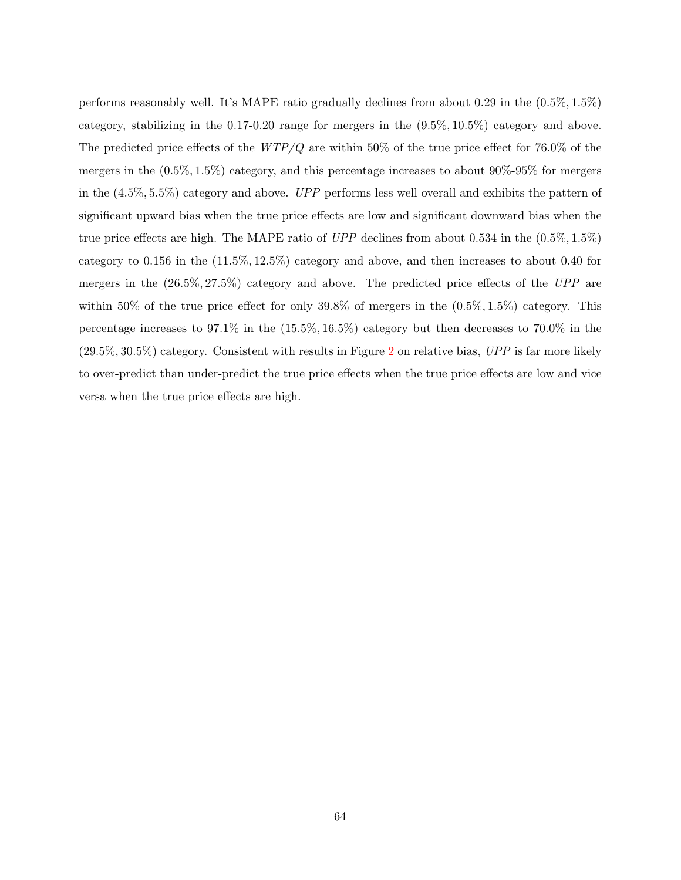performs reasonably well. It's MAPE ratio gradually declines from about 0.29 in the (0.5%, 1.5%) category, stabilizing in the 0.17-0.20 range for mergers in the (9.5%, 10.5%) category and above. The predicted price effects of the  $WTP/Q$  are within 50% of the true price effect for 76.0% of the mergers in the (0.5%, 1.5%) category, and this percentage increases to about 90%-95% for mergers in the  $(4.5\%, 5.5\%)$  category and above. UPP performs less well overall and exhibits the pattern of significant upward bias when the true price effects are low and significant downward bias when the true price effects are high. The MAPE ratio of  $UPP$  declines from about 0.534 in the  $(0.5\%, 1.5\%)$ category to 0.156 in the (11.5%, 12.5%) category and above, and then increases to about 0.40 for mergers in the (26.5%, 27.5%) category and above. The predicted price effects of the UPP are within 50% of the true price effect for only  $39.8\%$  of mergers in the  $(0.5\%, 1.5\%)$  category. This percentage increases to 97.1% in the (15.5%, 16.5%) category but then decreases to 70.0% in the  $(29.5\%, 30.5\%)$  $(29.5\%, 30.5\%)$  $(29.5\%, 30.5\%)$  category. Consistent with results in Figure 2 on relative bias, UPP is far more likely to over-predict than under-predict the true price effects when the true price effects are low and vice versa when the true price effects are high.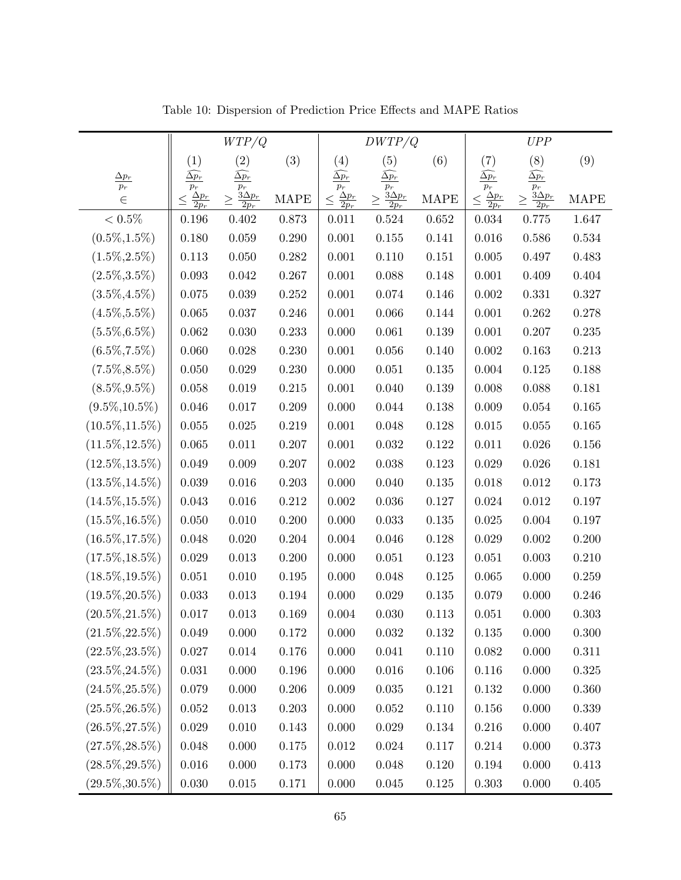|                          | WTP/Q                               |                                      |             | DWTP/Q                              |                                    |             | UPP                                 |                                      |             |
|--------------------------|-------------------------------------|--------------------------------------|-------------|-------------------------------------|------------------------------------|-------------|-------------------------------------|--------------------------------------|-------------|
|                          | (1)                                 | (2)                                  | (3)         | (4)                                 | (5)                                | (6)         | (7)                                 | (8)                                  | (9)         |
| $\frac{\Delta p_r}{p_r}$ | $\widehat{\Delta p_{r}}$<br>$p_r$   | $\widehat{\Delta p_{r}}$<br>$p_r$    |             | $\widehat{\Delta p_{r}}$<br>$p_r$   | $\widehat{\Delta p_{r}}$<br>$p_r$  |             | $\widehat{\Delta p_{r}}$<br>$p_r$   | $\widehat{\Delta p_{r}}$<br>$p_r$    |             |
| $\in$                    | $\frac{\Delta p_r}{2p_r}$<br>$\leq$ | $\frac{3\Delta p_r}{2p_r}$<br>$\geq$ | <b>MAPE</b> | $\frac{\Delta p_r}{2p_r}$<br>$\leq$ | $rac{3\Delta p_r}{2p_r}$<br>$\geq$ | <b>MAPE</b> | $\frac{\Delta p_r}{2p_r}$<br>$\leq$ | $\frac{3\Delta p_r}{2p_r}$<br>$\geq$ | <b>MAPE</b> |
| $<0.5\%$                 | $0.196\,$                           | 0.402                                | 0.873       | 0.011                               | 0.524                              | 0.652       | 0.034                               | 0.775                                | 1.647       |
| $(0.5\%, 1.5\%)$         | 0.180                               | 0.059                                | 0.290       | 0.001                               | 0.155                              | 0.141       | 0.016                               | 0.586                                | 0.534       |
| $(1.5\%, 2.5\%)$         | $0.113\,$                           | 0.050                                | 0.282       | 0.001                               | 0.110                              | 0.151       | 0.005                               | 0.497                                | 0.483       |
| $(2.5\%, 3.5\%)$         | 0.093                               | $\,0.042\,$                          | 0.267       | 0.001                               | 0.088                              | 0.148       | 0.001                               | 0.409                                | 0.404       |
| $(3.5\%, 4.5\%)$         | 0.075                               | 0.039                                | $0.252\,$   | 0.001                               | 0.074                              | 0.146       | 0.002                               | 0.331                                | 0.327       |
| $(4.5\%, 5.5\%)$         | 0.065                               | $0.037\,$                            | 0.246       | 0.001                               | 0.066                              | 0.144       | 0.001                               | 0.262                                | 0.278       |
| $(5.5\%, 6.5\%)$         | 0.062                               | 0.030                                | 0.233       | 0.000                               | 0.061                              | 0.139       | 0.001                               | 0.207                                | 0.235       |
| $(6.5\%, 7.5\%)$         | 0.060                               | 0.028                                | 0.230       | 0.001                               | 0.056                              | 0.140       | 0.002                               | 0.163                                | 0.213       |
| $(7.5\%, 8.5\%)$         | 0.050                               | $0.029\,$                            | $0.230\,$   | 0.000                               | 0.051                              | 0.135       | 0.004                               | $0.125\,$                            | 0.188       |
| $(8.5\%, 9.5\%)$         | 0.058                               | 0.019                                | 0.215       | 0.001                               | 0.040                              | 0.139       | 0.008                               | 0.088                                | 0.181       |
| $(9.5\%, 10.5\%)$        | $0.046\,$                           | $0.017\,$                            | 0.209       | 0.000                               | 0.044                              | 0.138       | 0.009                               | 0.054                                | $0.165\,$   |
| $(10.5\%, 11.5\%)$       | 0.055                               | 0.025                                | 0.219       | 0.001                               | 0.048                              | 0.128       | 0.015                               | 0.055                                | $0.165\,$   |
| $(11.5\%, 12.5\%)$       | 0.065                               | 0.011                                | 0.207       | 0.001                               | 0.032                              | 0.122       | 0.011                               | 0.026                                | 0.156       |
| $(12.5\%, 13.5\%)$       | 0.049                               | 0.009                                | 0.207       | 0.002                               | 0.038                              | 0.123       | 0.029                               | 0.026                                | 0.181       |
| $(13.5\%, 14.5\%)$       | 0.039                               | 0.016                                | 0.203       | 0.000                               | 0.040                              | 0.135       | 0.018                               | 0.012                                | 0.173       |
| $(14.5\%, 15.5\%)$       | 0.043                               | 0.016                                | $0.212\,$   | $0.002\,$                           | 0.036                              | 0.127       | 0.024                               | 0.012                                | $0.197\,$   |
| $(15.5\%, 16.5\%)$       | 0.050                               | 0.010                                | 0.200       | 0.000                               | 0.033                              | $0.135\,$   | 0.025                               | 0.004                                | 0.197       |
| $(16.5\%, 17.5\%)$       | 0.048                               | 0.020                                | 0.204       | 0.004                               | 0.046                              | 0.128       | 0.029                               | $0.002\,$                            | 0.200       |
| $(17.5\%, 18.5\%)$       | 0.029                               | 0.013                                | 0.200       | 0.000                               | 0.051                              | 0.123       | 0.051                               | 0.003                                | 0.210       |
| $(18.5\%, 19.5\%)$       | 0.051                               | 0.010                                | 0.195       | 0.000                               | 0.048                              | 0.125       | 0.065                               | 0.000                                | 0.259       |
| $(19.5\%, 20.5\%)$       | 0.033                               | 0.013                                | $\,0.194\,$ | 0.000                               | 0.029                              | 0.135       | 0.079                               | 0.000                                | 0.246       |
| $(20.5\%, 21.5\%)$       | 0.017                               | 0.013                                | 0.169       | 0.004                               | 0.030                              | 0.113       | 0.051                               | 0.000                                | 0.303       |
| $(21.5\%, 22.5\%)$       | 0.049                               | 0.000                                | 0.172       | 0.000                               | 0.032                              | 0.132       | 0.135                               | 0.000                                | 0.300       |
| $(22.5\%, 23.5\%)$       | 0.027                               | $0.014\,$                            | $0.176\,$   | 0.000                               | 0.041                              | 0.110       | 0.082                               | 0.000                                | $0.311\,$   |
| $(23.5\%, 24.5\%)$       | 0.031                               | 0.000                                | 0.196       | 0.000                               | 0.016                              | 0.106       | 0.116                               | 0.000                                | 0.325       |
| $(24.5\%, 25.5\%)$       | 0.079                               | 0.000                                | 0.206       | 0.009                               | 0.035                              | 0.121       | 0.132                               | 0.000                                | 0.360       |
| $(25.5\%, 26.5\%)$       | 0.052                               | 0.013                                | $0.203\,$   | $0.000\,$                           | 0.052                              | 0.110       | 0.156                               | 0.000                                | 0.339       |
| $(26.5\%, 27.5\%)$       | $\,0.029\,$                         | 0.010                                | $0.143\,$   | 0.000                               | 0.029                              | 0.134       | 0.216                               | 0.000                                | 0.407       |
| $(27.5\%, 28.5\%)$       | 0.048                               | 0.000                                | 0.175       | 0.012                               | 0.024                              | 0.117       | 0.214                               | 0.000                                | 0.373       |
| $(28.5\%, 29.5\%)$       | 0.016                               | 0.000                                | 0.173       | 0.000                               | 0.048                              | 0.120       | 0.194                               | 0.000                                | 0.413       |
| $(29.5\%, 30.5\%)$       | 0.030                               | $0.015\,$                            | 0.171       | 0.000                               | 0.045                              | 0.125       | 0.303                               | 0.000                                | 0.405       |

<span id="page-66-0"></span>Table 10: Dispersion of Prediction Price Effects and MAPE Ratios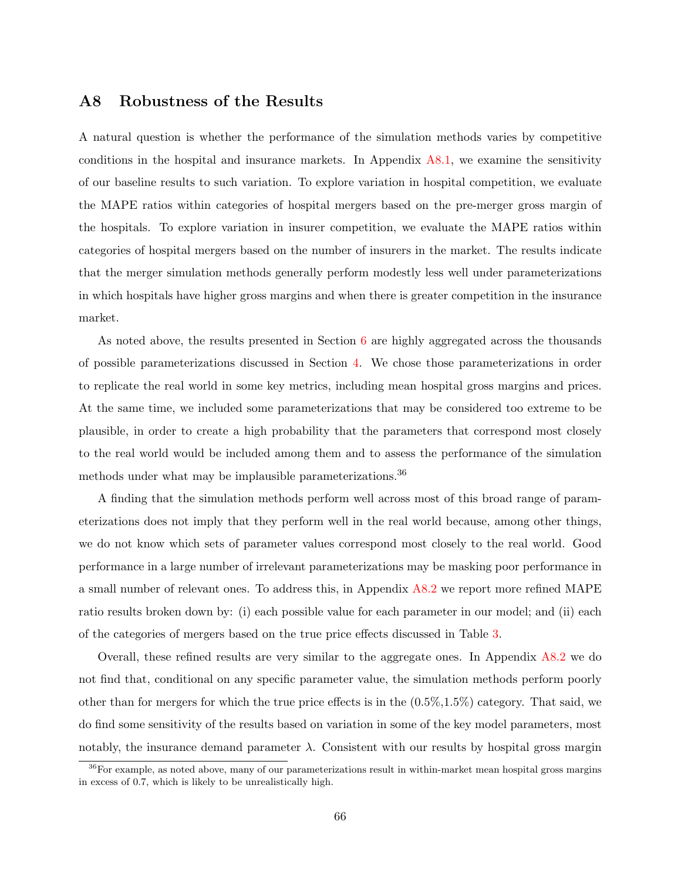## A8 Robustness of the Results

A natural question is whether the performance of the simulation methods varies by competitive conditions in the hospital and insurance markets. In Appendix  $A8.1$ , we examine the sensitivity of our baseline results to such variation. To explore variation in hospital competition, we evaluate the MAPE ratios within categories of hospital mergers based on the pre-merger gross margin of the hospitals. To explore variation in insurer competition, we evaluate the MAPE ratios within categories of hospital mergers based on the number of insurers in the market. The results indicate that the merger simulation methods generally perform modestly less well under parameterizations in which hospitals have higher gross margins and when there is greater competition in the insurance market.

As noted above, the results presented in Section [6](#page-19-0) are highly aggregated across the thousands of possible parameterizations discussed in Section [4.](#page-13-0) We chose those parameterizations in order to replicate the real world in some key metrics, including mean hospital gross margins and prices. At the same time, we included some parameterizations that may be considered too extreme to be plausible, in order to create a high probability that the parameters that correspond most closely to the real world would be included among them and to assess the performance of the simulation methods under what may be implausible parameterizations.<sup>36</sup>

A finding that the simulation methods perform well across most of this broad range of parameterizations does not imply that they perform well in the real world because, among other things, we do not know which sets of parameter values correspond most closely to the real world. Good performance in a large number of irrelevant parameterizations may be masking poor performance in a small number of relevant ones. To address this, in Appendix [A8.2](#page-73-0) we report more refined MAPE ratio results broken down by: (i) each possible value for each parameter in our model; and (ii) each of the categories of mergers based on the true price effects discussed in Table [3.](#page-24-0)

Overall, these refined results are very similar to the aggregate ones. In Appendix  $A8.2$  we do not find that, conditional on any specific parameter value, the simulation methods perform poorly other than for mergers for which the true price effects is in the  $(0.5\%,1.5\%)$  category. That said, we do find some sensitivity of the results based on variation in some of the key model parameters, most notably, the insurance demand parameter  $\lambda$ . Consistent with our results by hospital gross margin

 $36$ For example, as noted above, many of our parameterizations result in within-market mean hospital gross margins in excess of 0.7, which is likely to be unrealistically high.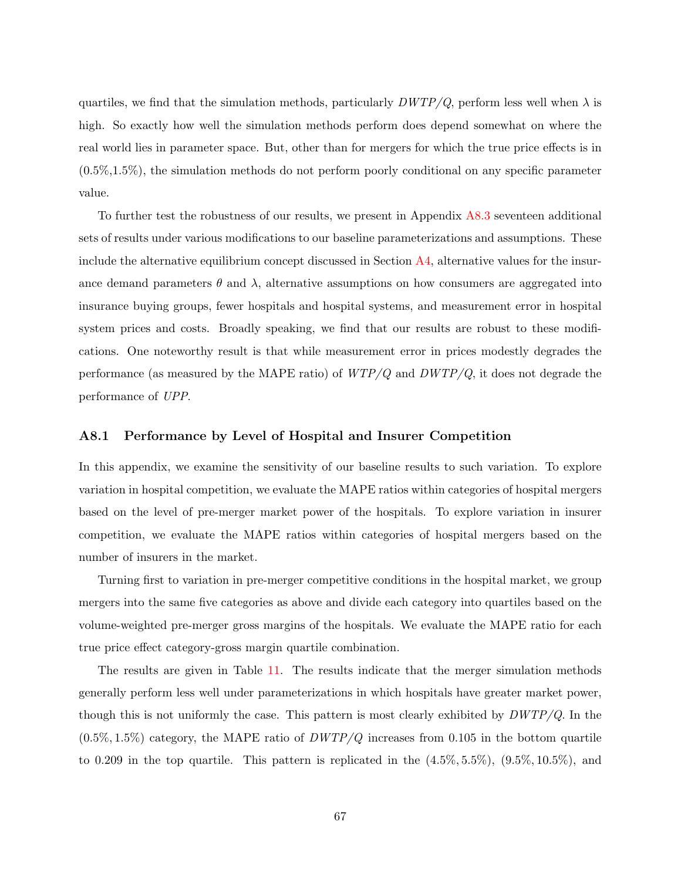quartiles, we find that the simulation methods, particularly  $DWTP/Q$ , perform less well when  $\lambda$  is high. So exactly how well the simulation methods perform does depend somewhat on where the real world lies in parameter space. But, other than for mergers for which the true price effects is in  $(0.5\%,1.5\%)$ , the simulation methods do not perform poorly conditional on any specific parameter value.

To further test the robustness of our results, we present in Appendix [A8.3](#page-80-0) seventeen additional sets of results under various modifications to our baseline parameterizations and assumptions. These include the alternative equilibrium concept discussed in Section  $\overline{A4}$ , alternative values for the insurance demand parameters  $\theta$  and  $\lambda$ , alternative assumptions on how consumers are aggregated into insurance buying groups, fewer hospitals and hospital systems, and measurement error in hospital system prices and costs. Broadly speaking, we find that our results are robust to these modifications. One noteworthy result is that while measurement error in prices modestly degrades the performance (as measured by the MAPE ratio) of  $WTP/Q$  and  $DWTP/Q$ , it does not degrade the performance of UPP.

#### <span id="page-68-0"></span>A8.1 Performance by Level of Hospital and Insurer Competition

In this appendix, we examine the sensitivity of our baseline results to such variation. To explore variation in hospital competition, we evaluate the MAPE ratios within categories of hospital mergers based on the level of pre-merger market power of the hospitals. To explore variation in insurer competition, we evaluate the MAPE ratios within categories of hospital mergers based on the number of insurers in the market.

Turning first to variation in pre-merger competitive conditions in the hospital market, we group mergers into the same five categories as above and divide each category into quartiles based on the volume-weighted pre-merger gross margins of the hospitals. We evaluate the MAPE ratio for each true price effect category-gross margin quartile combination.

The results are given in Table [11.](#page-70-0) The results indicate that the merger simulation methods generally perform less well under parameterizations in which hospitals have greater market power, though this is not uniformly the case. This pattern is most clearly exhibited by  $DWTP/Q$ . In the  $(0.5\%, 1.5\%)$  category, the MAPE ratio of  $DWTP/Q$  increases from 0.105 in the bottom quartile to 0.209 in the top quartile. This pattern is replicated in the  $(4.5\%, 5.5\%)$ ,  $(9.5\%, 10.5\%)$ , and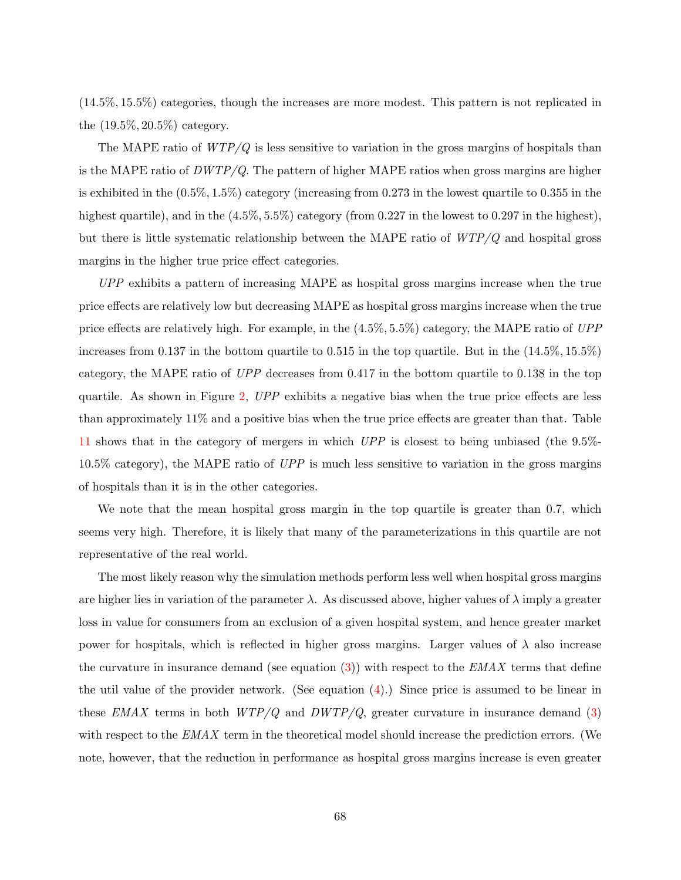(14.5%, 15.5%) categories, though the increases are more modest. This pattern is not replicated in the (19.5%, 20.5%) category.

The MAPE ratio of  $WTP/Q$  is less sensitive to variation in the gross margins of hospitals than is the MAPE ratio of  $DWTP/Q$ . The pattern of higher MAPE ratios when gross margins are higher is exhibited in the (0.5%, 1.5%) category (increasing from 0.273 in the lowest quartile to 0.355 in the highest quartile), and in the  $(4.5\%, 5.5\%)$  category (from 0.227 in the lowest to 0.297 in the highest), but there is little systematic relationship between the MAPE ratio of  $WTP/Q$  and hospital gross margins in the higher true price effect categories.

UPP exhibits a pattern of increasing MAPE as hospital gross margins increase when the true price effects are relatively low but decreasing MAPE as hospital gross margins increase when the true price effects are relatively high. For example, in the (4.5%, 5.5%) category, the MAPE ratio of UPP increases from 0.137 in the bottom quartile to 0.515 in the top quartile. But in the  $(14.5\%, 15.5\%)$ category, the MAPE ratio of UPP decreases from 0.417 in the bottom quartile to 0.138 in the top quartile. As shown in Figure [2,](#page-23-0)  $UPP$  exhibits a negative bias when the true price effects are less than approximately 11% and a positive bias when the true price effects are greater than that. Table [11](#page-70-0) shows that in the category of mergers in which UPP is closest to being unbiased (the 9.5%-  $10.5\%$  category), the MAPE ratio of UPP is much less sensitive to variation in the gross margins of hospitals than it is in the other categories.

We note that the mean hospital gross margin in the top quartile is greater than 0.7, which seems very high. Therefore, it is likely that many of the parameterizations in this quartile are not representative of the real world.

The most likely reason why the simulation methods perform less well when hospital gross margins are higher lies in variation of the parameter  $\lambda$ . As discussed above, higher values of  $\lambda$  imply a greater loss in value for consumers from an exclusion of a given hospital system, and hence greater market power for hospitals, which is reflected in higher gross margins. Larger values of  $\lambda$  also increase the curvature in insurance demand (see equation  $(3)$ ) with respect to the  $EMAX$  terms that define the util value of the provider network. (See equation  $(4)$ .) Since price is assumed to be linear in these EMAX terms in both  $WTP/Q$  and  $DWTP/Q$ , greater curvature in insurance demand [\(3\)](#page-9-0) with respect to the  $EMAX$  term in the theoretical model should increase the prediction errors. (We note, however, that the reduction in performance as hospital gross margins increase is even greater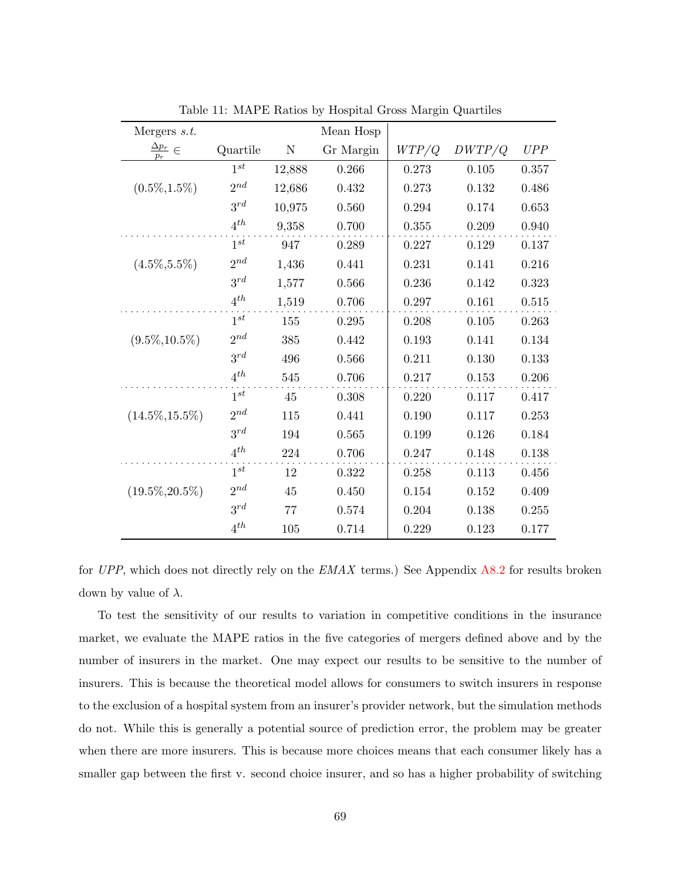| Mergers $s.t.$                             |          |           | Mean Hosp   |           |             |           |
|--------------------------------------------|----------|-----------|-------------|-----------|-------------|-----------|
| $\frac{\Delta p_r}{\Delta p} \in$<br>$p_r$ | Quartile | ${\rm N}$ | Gr Margin   | WTP/Q     | DWTP/Q      | UPP       |
|                                            | $1^{st}$ | 12,888    | 0.266       | 0.273     | 0.105       | 0.357     |
| $(0.5\%, 1.5\%)$                           | $2^{nd}$ | 12,686    | 0.432       | 0.273     | 0.132       | 0.486     |
|                                            | $3^{rd}$ | 10,975    | 0.560       | 0.294     | 0.174       | 0.653     |
|                                            | $4^{th}$ | 9,358     | 0.700       | 0.355     | 0.209       | 0.940     |
|                                            | $1^{st}$ | 947       | 0.289       | 0.227     | 0.129       | 0.137     |
| $(4.5\%, 5.5\%)$                           | $2^{nd}$ | 1,436     | 0.441       | 0.231     | 0.141       | 0.216     |
|                                            | $3^{rd}$ | 1,577     | 0.566       | 0.236     | 0.142       | 0.323     |
|                                            | $4^{th}$ | 1,519     | 0.706       | 0.297     | 0.161       | 0.515     |
|                                            | $1^{st}$ | 155       | 0.295       | 0.208     | 0.105       | 0.263     |
| $(9.5\%, 10.5\%)$                          | $2^{nd}$ | 385       | 0.442       | 0.193     | 0.141       | 0.134     |
|                                            | $3^{rd}$ | 496       | 0.566       | 0.211     | 0.130       | 0.133     |
|                                            | $4^{th}$ | 545       | 0.706       | 0.217     | 0.153       | $0.206\,$ |
|                                            | $1^{st}$ | 45        | 0.308       | 0.220     | 0.117       | 0.417     |
| $(14.5\%, 15.5\%)$                         | $2^{nd}$ | 115       | 0.441       | 0.190     | 0.117       | 0.253     |
|                                            | $3^{rd}$ | 194       | 0.565       | 0.199     | 0.126       | 0.184     |
|                                            | $4^{th}$ | 224       | $0.706\,$   | 0.247     | 0.148       | 0.138     |
|                                            | $1^{st}$ | 12        | 0.322       | 0.258     | 0.113       | 0.456     |
| $(19.5\%, 20.5\%)$                         | $2^{nd}$ | 45        | 0.450       | 0.154     | 0.152       | 0.409     |
|                                            | $3^{rd}$ | 77        | $\,0.574\,$ | $0.204\,$ | $0.138\,$   | 0.255     |
|                                            | $4^{th}$ | 105       | 0.714       | 0.229     | $\rm 0.123$ | 0.177     |

<span id="page-70-0"></span>Table 11: MAPE Ratios by Hospital Gross Margin Quartiles

for UPP, which does not directly rely on the  $EMAX$  terms.) See Appendix [A8.2](#page-73-0) for results broken down by value of  $\lambda$ .

To test the sensitivity of our results to variation in competitive conditions in the insurance market, we evaluate the MAPE ratios in the five categories of mergers defined above and by the number of insurers in the market. One may expect our results to be sensitive to the number of insurers. This is because the theoretical model allows for consumers to switch insurers in response to the exclusion of a hospital system from an insurer's provider network, but the simulation methods do not. While this is generally a potential source of prediction error, the problem may be greater when there are more insurers. This is because more choices means that each consumer likely has a smaller gap between the first v. second choice insurer, and so has a higher probability of switching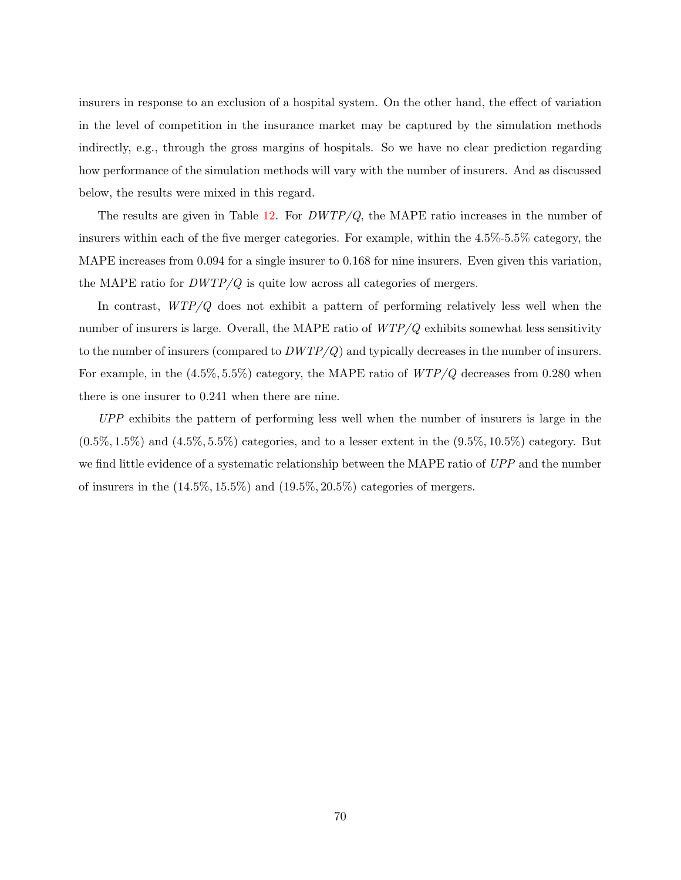insurers in response to an exclusion of a hospital system. On the other hand, the effect of variation in the level of competition in the insurance market may be captured by the simulation methods indirectly, e.g., through the gross margins of hospitals. So we have no clear prediction regarding how performance of the simulation methods will vary with the number of insurers. And as discussed below, the results were mixed in this regard.

The results are given in Table  $12$ . For  $DWTP/Q$ , the MAPE ratio increases in the number of insurers within each of the five merger categories. For example, within the 4.5%-5.5% category, the MAPE increases from 0.094 for a single insurer to 0.168 for nine insurers. Even given this variation, the MAPE ratio for  $DWTP/Q$  is quite low across all categories of mergers.

In contrast, WTP/Q does not exhibit a pattern of performing relatively less well when the number of insurers is large. Overall, the MAPE ratio of  $WTP/Q$  exhibits somewhat less sensitivity to the number of insurers (compared to  $DWTP/Q$ ) and typically decreases in the number of insurers. For example, in the  $(4.5\%, 5.5\%)$  category, the MAPE ratio of  $WTP/Q$  decreases from 0.280 when there is one insurer to 0.241 when there are nine.

UPP exhibits the pattern of performing less well when the number of insurers is large in the  $(0.5\%, 1.5\%)$  and  $(4.5\%, 5.5\%)$  categories, and to a lesser extent in the  $(9.5\%, 10.5\%)$  category. But we find little evidence of a systematic relationship between the MAPE ratio of UPP and the number of insurers in the  $(14.5\%, 15.5\%)$  and  $(19.5\%, 20.5\%)$  categories of mergers.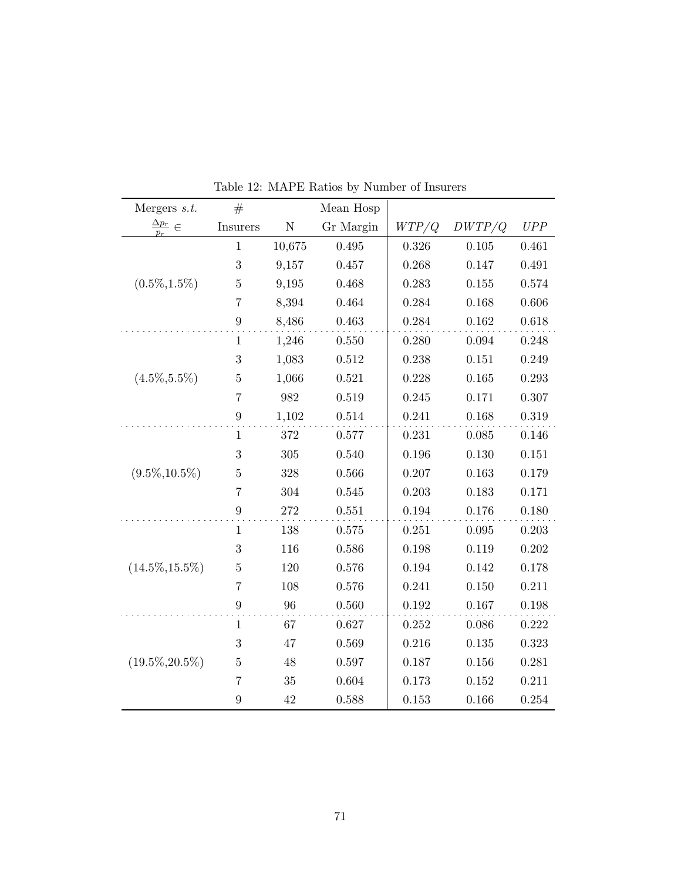| Mergers $s.t.$               | #                |           | Mean Hosp |       |           |           |
|------------------------------|------------------|-----------|-----------|-------|-----------|-----------|
| $\frac{\Delta p_r}{p_r} \in$ | <b>Insurers</b>  | ${\bf N}$ | Gr Margin | WTP/Q | DWTP/Q    | UPP       |
|                              | $\mathbf{1}$     | 10,675    | 0.495     | 0.326 | 0.105     | 0.461     |
|                              | 3                | 9,157     | 0.457     | 0.268 | 0.147     | 0.491     |
| $(0.5\%, 1.5\%)$             | $\bf 5$          | 9,195     | 0.468     | 0.283 | 0.155     | 0.574     |
|                              | $\overline{7}$   | 8,394     | 0.464     | 0.284 | 0.168     | $0.606\,$ |
|                              | $\boldsymbol{9}$ | 8,486     | 0.463     | 0.284 | 0.162     | $0.618\,$ |
|                              | $\mathbf{1}$     | 1,246     | 0.550     | 0.280 | 0.094     | 0.248     |
|                              | $\sqrt{3}$       | 1,083     | 0.512     | 0.238 | 0.151     | 0.249     |
| $(4.5\%, 5.5\%)$             | $\bf 5$          | 1,066     | 0.521     | 0.228 | 0.165     | 0.293     |
|                              | $\overline{7}$   | 982       | 0.519     | 0.245 | 0.171     | 0.307     |
|                              | $\boldsymbol{9}$ | 1,102     | 0.514     | 0.241 | 0.168     | 0.319     |
|                              | 1                | 372       | 0.577     | 0.231 | 0.085     | 0.146     |
|                              | $\boldsymbol{3}$ | 305       | 0.540     | 0.196 | 0.130     | 0.151     |
| $(9.5\%, 10.5\%)$            | $\bf 5$          | 328       | 0.566     | 0.207 | 0.163     | 0.179     |
|                              | $\overline{7}$   | 304       | 0.545     | 0.203 | 0.183     | 0.171     |
|                              | $\boldsymbol{9}$ | 272       | 0.551     | 0.194 | 0.176     | 0.180     |
|                              | $\mathbf{1}$     | 138       | 0.575     | 0.251 | 0.095     | 0.203     |
|                              | 3                | 116       | 0.586     | 0.198 | 0.119     | 0.202     |
| $(14.5\%, 15.5\%)$           | $\bf 5$          | 120       | 0.576     | 0.194 | 0.142     | 0.178     |
|                              | $\overline{7}$   | 108       | 0.576     | 0.241 | 0.150     | 0.211     |
|                              | $\boldsymbol{9}$ | 96        | $0.560\,$ | 0.192 | $0.167\,$ | 0.198     |
|                              | $\mathbf{1}$     | 67        | 0.627     | 0.252 | 0.086     | 0.222     |
|                              | 3                | 47        | 0.569     | 0.216 | 0.135     | 0.323     |
| $(19.5\%, 20.5\%)$           | $\bf 5$          | 48        | 0.597     | 0.187 | 0.156     | 0.281     |
|                              | $\overline{7}$   | 35        | 0.604     | 0.173 | 0.152     | 0.211     |
|                              | $\boldsymbol{9}$ | 42        | 0.588     | 0.153 | 0.166     | $0.254\,$ |

Table 12: MAPE Ratios by Number of Insurers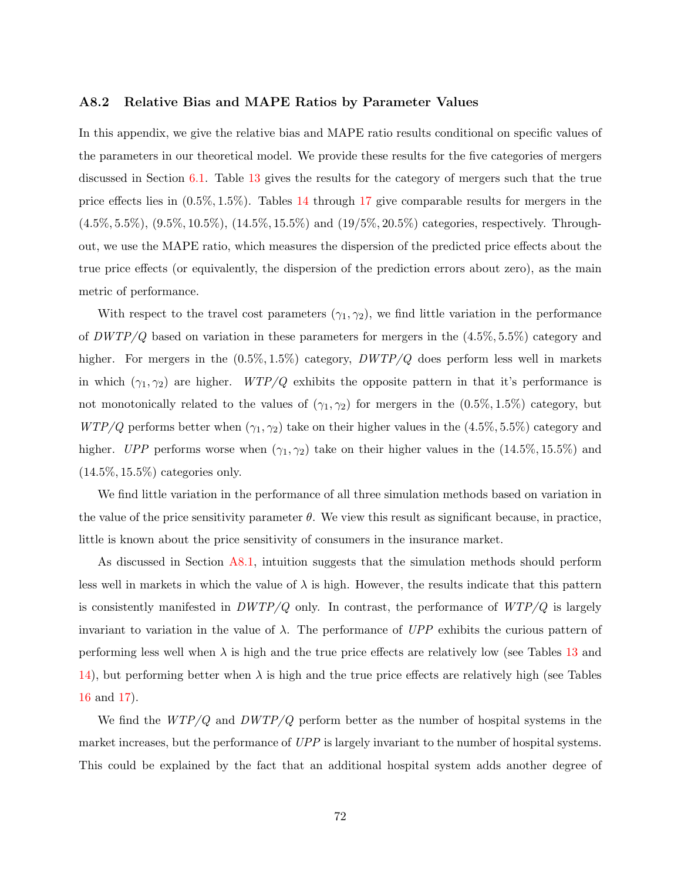### A8.2 Relative Bias and MAPE Ratios by Parameter Values

In this appendix, we give the relative bias and MAPE ratio results conditional on specific values of the parameters in our theoretical model. We provide these results for the five categories of mergers discussed in Section [6.1.](#page-21-0) Table [13](#page-75-0) gives the results for the category of mergers such that the true price effects lies in (0.5%, 1.5%). Tables [14](#page-76-0) through [17](#page-79-0) give comparable results for mergers in the (4.5%, 5.5%), (9.5%, 10.5%), (14.5%, 15.5%) and (19/5%, 20.5%) categories, respectively. Throughout, we use the MAPE ratio, which measures the dispersion of the predicted price effects about the true price effects (or equivalently, the dispersion of the prediction errors about zero), as the main metric of performance.

With respect to the travel cost parameters  $(\gamma_1, \gamma_2)$ , we find little variation in the performance of  $DWTP/Q$  based on variation in these parameters for mergers in the  $(4.5\%, 5.5\%)$  category and higher. For mergers in the  $(0.5\%, 1.5\%)$  category,  $DWTP/Q$  does perform less well in markets in which  $(\gamma_1, \gamma_2)$  are higher.  $WTP/Q$  exhibits the opposite pattern in that it's performance is not monotonically related to the values of  $(\gamma_1, \gamma_2)$  for mergers in the  $(0.5\%, 1.5\%)$  category, but  $WTP/Q$  performs better when  $(\gamma_1, \gamma_2)$  take on their higher values in the  $(4.5\%, 5.5\%)$  category and higher. UPP performs worse when  $(\gamma_1, \gamma_2)$  take on their higher values in the  $(14.5\%, 15.5\%)$  and  $(14.5\%, 15.5\%)$  categories only.

We find little variation in the performance of all three simulation methods based on variation in the value of the price sensitivity parameter  $\theta$ . We view this result as significant because, in practice, little is known about the price sensitivity of consumers in the insurance market.

As discussed in Section [A8.1,](#page-68-0) intuition suggests that the simulation methods should perform less well in markets in which the value of  $\lambda$  is high. However, the results indicate that this pattern is consistently manifested in  $DWTP/Q$  only. In contrast, the performance of  $WTP/Q$  is largely invariant to variation in the value of  $\lambda$ . The performance of UPP exhibits the curious pattern of performing less well when  $\lambda$  is high and the true price effects are relatively low (see Tables [13](#page-75-0) and [14\)](#page-76-0), but performing better when  $\lambda$  is high and the true price effects are relatively high (see Tables [16](#page-78-0) and [17\)](#page-79-0).

We find the  $WTP/Q$  and  $DWTP/Q$  perform better as the number of hospital systems in the market increases, but the performance of UPP is largely invariant to the number of hospital systems. This could be explained by the fact that an additional hospital system adds another degree of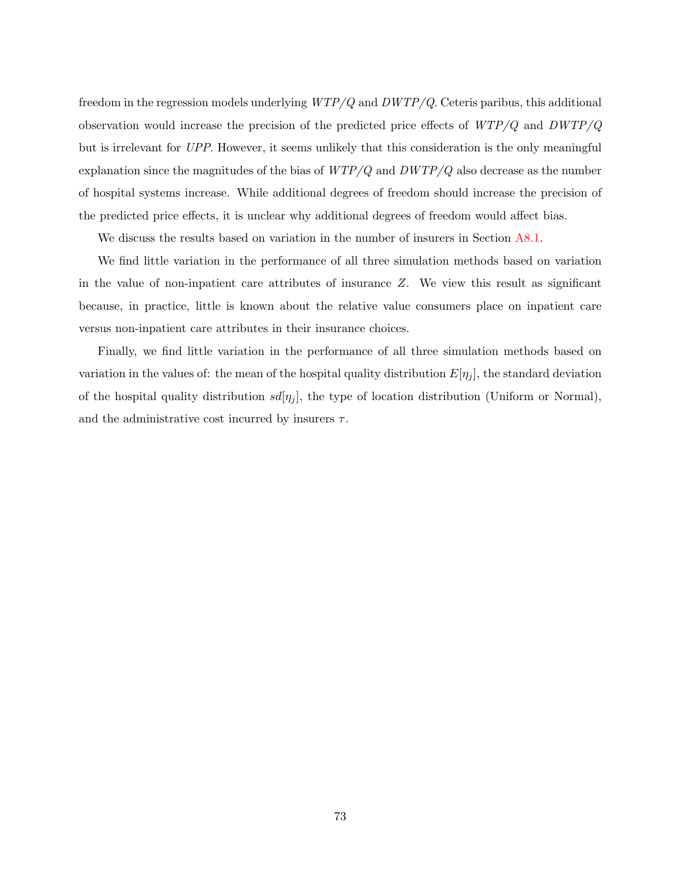freedom in the regression models underlying  $WTP/Q$  and  $DWTP/Q$ . Ceteris paribus, this additional observation would increase the precision of the predicted price effects of  $WTP/Q$  and  $DWTP/Q$ but is irrelevant for UPP. However, it seems unlikely that this consideration is the only meaningful explanation since the magnitudes of the bias of  $WTP/Q$  and  $DWTP/Q$  also decrease as the number of hospital systems increase. While additional degrees of freedom should increase the precision of the predicted price effects, it is unclear why additional degrees of freedom would affect bias.

We discuss the results based on variation in the number of insurers in Section [A8.1.](#page-68-0)

We find little variation in the performance of all three simulation methods based on variation in the value of non-inpatient care attributes of insurance Z. We view this result as significant because, in practice, little is known about the relative value consumers place on inpatient care versus non-inpatient care attributes in their insurance choices.

Finally, we find little variation in the performance of all three simulation methods based on variation in the values of: the mean of the hospital quality distribution  $E[\eta_j]$ , the standard deviation of the hospital quality distribution  $sd[\eta_j]$ , the type of location distribution (Uniform or Normal), and the administrative cost incurred by insurers  $\tau$ .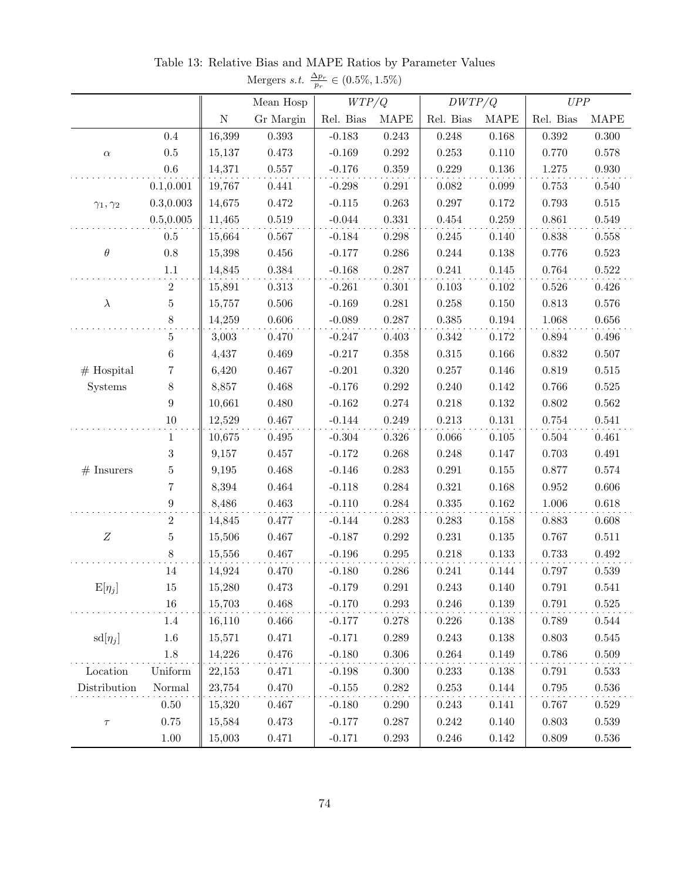| $p_r$                   |                  |             |             |           |             |           |             |             |             |
|-------------------------|------------------|-------------|-------------|-----------|-------------|-----------|-------------|-------------|-------------|
|                         |                  |             | Mean Hosp   | WTP/Q     |             | DWTP/Q    |             | UPP         |             |
|                         |                  | $\mathbf N$ | Gr Margin   | Rel. Bias | <b>MAPE</b> | Rel. Bias | <b>MAPE</b> | Rel. Bias   | <b>MAPE</b> |
|                         | $0.4\,$          | 16,399      | $0.393\,$   | $-0.183$  | $\,0.243\,$ | 0.248     | 0.168       | $\,0.392\,$ | $0.300\,$   |
| $\alpha$                | $0.5\,$          | 15,137      | $0.473\,$   | $-0.169$  | $0.292\,$   | 0.253     | 0.110       | 0.770       | 0.578       |
|                         | $0.6\,$          | 14,371      | $0.557\,$   | $-0.176$  | $0.359\,$   | 0.229     | $0.136\,$   | 1.275       | $0.930\,$   |
|                         | 0.1, 0.001       | 19,767      | 0.441       | $-0.298$  | 0.291       | 0.082     | 0.099       | 0.753       | 0.540       |
| $\gamma_1,\gamma_2$     | 0.3, 0.003       | 14,675      | $0.472\,$   | $-0.115$  | $\,0.263\,$ | 0.297     | $0.172\,$   | 0.793       | $0.515\,$   |
|                         | 0.5, 0.005       | 11,465      | $\,0.519\,$ | $-0.044$  | $\rm 0.331$ | $0.454\,$ | 0.259       | 0.861       | 0.549       |
|                         | $0.5\,$          | 15,664      | 0.567       | $-0.184$  | $0.298\,$   | $0.245\,$ | 0.140       | 0.838       | $0.558\,$   |
| $\theta$                | $0.8\,$          | 15,398      | $0.456\,$   | $-0.177$  | $0.286\,$   | 0.244     | 0.138       | 0.776       | $\,0.523\,$ |
|                         | $1.1\,$          | 14,845      | $\,0.384\,$ | $-0.168$  | $0.287\,$   | $0.241\,$ | $0.145\,$   | $0.764\,$   | $0.522\,$   |
|                         | $\sqrt{2}$       | 15,891      | $0.313\,$   | $-0.261$  | $0.301\,$   | 0.103     | 0.102       | 0.526       | 0.426       |
| $\lambda$               | $\bf 5$          | 15,757      | $0.506\,$   | $-0.169$  | $0.281\,$   | 0.258     | $0.150\,$   | 0.813       | $0.576\,$   |
|                         | 8                | 14,259      | $0.606\,$   | $-0.089$  | 0.287       | 0.385     | 0.194       | 1.068       | $0.656\,$   |
|                         | $\bf 5$          | 3,003       | $0.470\,$   | $-0.247$  | $0.403\,$   | 0.342     | $0.172\,$   | 0.894       | $0.496\,$   |
| $#$ Hospital<br>Systems | $\,6\,$          | 4,437       | 0.469       | $-0.217$  | $0.358\,$   | $0.315\,$ | $0.166\,$   | 0.832       | $0.507\,$   |
|                         | 7                | 6,420       | $0.467\,$   | $-0.201$  | $0.320\,$   | 0.257     | 0.146       | 0.819       | $0.515\,$   |
|                         | $8\,$            | 8,857       | $0.468\,$   | $-0.176$  | $0.292\,$   | 0.240     | 0.142       | 0.766       | 0.525       |
|                         | $\boldsymbol{9}$ | 10,661      | 0.480       | $-0.162$  | $0.274\,$   | 0.218     | $0.132\,$   | $0.802\,$   | $0.562\,$   |
|                         | $10\,$           | 12,529      | $0.467\,$   | $-0.144$  | 0.249       | 0.213     | $0.131\,$   | 0.754       | 0.541       |
|                         | $\mathbf{1}$     | 10,675      | $0.495\,$   | $-0.304$  | $0.326\,$   | 0.066     | 0.105       | $\,0.504\,$ | 0.461       |
|                         | $\,3$            | 9,157       | 0.457       | $-0.172$  | $0.268\,$   | 0.248     | 0.147       | 0.703       | $\,0.491\,$ |
| $#$ Insurers            | $\bf 5$          | 9,195       | 0.468       | $-0.146$  | $0.283\,$   | $0.291\,$ | $0.155\,$   | $0.877\,$   | $0.574\,$   |
|                         | $\overline{7}$   | 8,394       | $\,0.464\,$ | $-0.118$  | 0.284       | 0.321     | 0.168       | $\,0.952\,$ | $0.606\,$   |
|                         | $\boldsymbol{9}$ | 8,486       | $\,0.463\,$ | $-0.110$  | $0.284\,$   | $0.335\,$ | $0.162\,$   | 1.006       | $0.618\,$   |
|                         | $\,2$            | 14,845      | 0.477       | $-0.144$  | 0.283       | 0.283     | 0.158       | 0.883       | 0.608       |
| $\boldsymbol{Z}$        | $\bf 5$          | 15,506      | $0.467\,$   | $-0.187$  | $0.292\,$   | 0.231     | $0.135\,$   | 0.767       | 0.511       |
|                         | $8\,$            | 15,556      | 0.467       | $-0.196$  | 0.295       | 0.218     | $0.133\,$   | 0.733       | $\,0.492\,$ |
|                         | 14               | 14,924      | 0.470       | $-0.180$  | 0.286       | 0.241     | 0.144       | 0.797       | 0.539       |
| $E[\eta_j]$             | $15\,$           | 15,280      | $0.473\,$   | $-0.179$  | $0.291\,$   | 0.243     | 0.140       | $0.791\,$   | 0.541       |
|                         | $16\,$           | 15,703      | $0.468\,$   | $-0.170$  | $0.293\,$   | $0.246\,$ | $0.139\,$   | 0.791       | $0.525\,$   |
|                         | 1.4              | 16,110      | 0.466       | $-0.177$  | 0.278       | 0.226     | 0.138       | 0.789       | 0.544       |
| $sd[\eta_j]$            | $1.6\,$          | 15,571      | 0.471       | $-0.171$  | 0.289       | 0.243     | 0.138       | 0.803       | $0.545\,$   |
|                         | 1.8              | 14,226      | 0.476       | $-0.180$  | $0.306\,$   | 0.264     | 0.149       | 0.786       | $0.509\,$   |
| Location                | Uniform          | 22,153      | 0.471       | $-0.198$  | 0.300       | 0.233     | 0.138       | 0.791       | 0.533       |
| Distribution            | Normal           | 23,754      | $0.470\,$   | $-0.155$  | 0.282       | 0.253     | 0.144       | 0.795       | 0.536       |
|                         | $0.50\,$         | 15,320      | 0.467       | $-0.180$  | 0.290       | 0.243     | 0.141       | 0.767       | 0.529       |
| $\tau$                  | $0.75\,$         | 15,584      | 0.473       | $-0.177$  | 0.287       | 0.242     | 0.140       | 0.803       | 0.539       |
|                         | 1.00             | 15,003      | 0.471       | $-0.171$  | 0.293       | $0.246\,$ | 0.142       | 0.809       | $0.536\,$   |

<span id="page-75-0"></span>Table 13: Relative Bias and MAPE Ratios by Parameter Values Mergers *s.t.*  $\frac{\Delta p_r}{p_r} \in (0.5\%, 1.5\%)$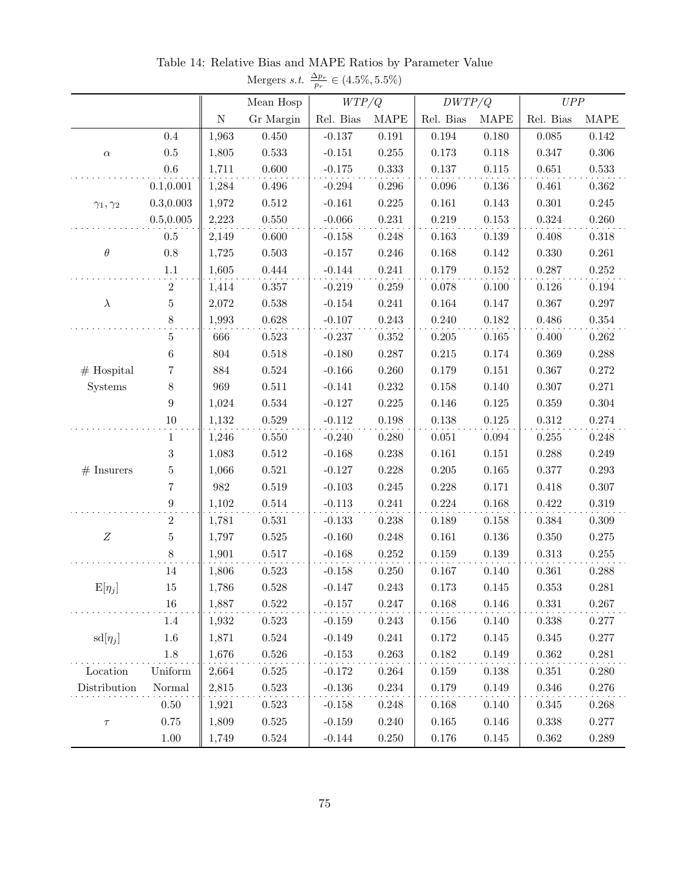|                     |                  |           |             | $_{\mu_r}$ |             | DWTP/Q      |             | UPP         |             |
|---------------------|------------------|-----------|-------------|------------|-------------|-------------|-------------|-------------|-------------|
|                     |                  |           | Mean Hosp   | WTP/Q      |             |             |             |             |             |
|                     |                  | ${\bf N}$ | Gr Margin   | Rel. Bias  | <b>MAPE</b> | Rel. Bias   | <b>MAPE</b> | Rel. Bias   | <b>MAPE</b> |
|                     | 0.4              | 1,963     | 0.450       | $-0.137$   | $\rm 0.191$ | $\,0.194\,$ | $0.180\,$   | $\,0.085\,$ | $0.142\,$   |
| $\alpha$            | $0.5\,$          | 1,805     | 0.533       | $-0.151$   | 0.255       | 0.173       | $0.118\,$   | 0.347       | $0.306\,$   |
|                     | $0.6\,$          | 1,711     | 0.600       | $-0.175$   | 0.333       | $0.137\,$   | $0.115\,$   | 0.651       | $\,0.533\,$ |
|                     | 0.1, 0.001       | 1,284     | $0.496\,$   | $-0.294$   | $0.296\,$   | $\,0.096\,$ | $0.136\,$   | 0.461       | 0.362       |
| $\gamma_1,\gamma_2$ | 0.3, 0.003       | 1,972     | $0.512\,$   | $-0.161$   | $0.225\,$   | 0.161       | $0.143\,$   | 0.301       | $0.245\,$   |
|                     | 0.5, 0.005       | 2,223     | $0.550\,$   | $-0.066$   | $0.231\,$   | $0.219\,$   | $0.153\,$   | 0.324       | $0.260\,$   |
|                     | $0.5\,$          | 2,149     | 0.600       | $-0.158$   | 0.248       | $\,0.163\,$ | $0.139\,$   | 0.408       | $0.318\,$   |
| $\theta$            | $0.8\,$          | 1,725     | $0.503\,$   | $-0.157$   | 0.246       | 0.168       | $0.142\,$   | 0.330       | 0.261       |
|                     | $1.1\,$          | 1,605     | $0.444\,$   | $-0.144$   | 0.241       | $0.179\,$   | $0.152\,$   | 0.287       | $0.252\,$   |
|                     | $\,2$            | 1,414     | 0.357       | $-0.219$   | $0.259\,$   | 0.078       | 0.100       | 0.126       | $\,0.194\,$ |
| $\lambda$           | $\bf 5$          | 2,072     | 0.538       | $-0.154$   | 0.241       | $\,0.164\,$ | $0.147\,$   | 0.367       | $0.297\,$   |
|                     | $8\,$            | 1,993     | $0.628\,$   | $-0.107$   | $0.243\,$   | $0.240\,$   | $0.182\,$   | 0.486       | $0.354\,$   |
|                     | $\bf 5$          | 666       | $\,0.523\,$ | $-0.237$   | $0.352\,$   | $0.205\,$   | $0.165\,$   | 0.400       | $0.262\,$   |
|                     | $\,6$            | 804       | $0.518\,$   | $-0.180$   | 0.287       | $0.215\,$   | $0.174\,$   | 0.369       | $0.288\,$   |
| $#$ Hospital        | 7                | 884       | $\,0.524\,$ | $-0.166$   | 0.260       | $0.179\,$   | $0.151\,$   | 0.367       | $0.272\,$   |
| Systems             | $8\,$            | 969       | 0.511       | $-0.141$   | $0.232\,$   | 0.158       | 0.140       | 0.307       | 0.271       |
|                     | $\boldsymbol{9}$ | 1,024     | $\,0.534\,$ | $-0.127$   | $0.225\,$   | 0.146       | $0.125\,$   | 0.359       | $0.304\,$   |
|                     | $10\,$           | 1,132     | $0.529\,$   | $-0.112$   | $0.198\,$   | $0.138\,$   | $0.125\,$   | $0.312\,$   | $0.274\,$   |
|                     | $\mathbf{1}$     | 1,246     | 0.550       | $-0.240$   | 0.280       | 0.051       | $\,0.094\,$ | $0.255\,$   | $0.248\,$   |
|                     | $\sqrt{3}$       | 1,083     | $0.512\,$   | $-0.168$   | $0.238\,$   | $\,0.161\,$ | $0.151\,$   | 0.288       | $0.249\,$   |
| $#$ Insurers        | $\bf 5$          | 1,066     | $\,0.521\,$ | $-0.127$   | 0.228       | $0.205\,$   | $0.165\,$   | 0.377       | $0.293\,$   |
|                     | $\overline{7}$   | $982\,$   | $\,0.519\,$ | $-0.103$   | 0.245       | 0.228       | $0.171\,$   | 0.418       | $0.307\,$   |
|                     | $\boldsymbol{9}$ | 1,102     | $0.514\,$   | $-0.113$   | $0.241\,$   | $0.224\,$   | $0.168\,$   | 0.422       | $0.319\,$   |
|                     | $\,2$            | 1,781     | 0.531       | $-0.133$   | $0.238\,$   | $0.189\,$   | 0.158       | 0.384       | 0.309       |
| $\boldsymbol{Z}$    | $\bf 5$          | 1,797     | $0.525\,$   | $-0.160$   | 0.248       | $\,0.161\,$ | $0.136\,$   | 0.350       | $0.275\,$   |
|                     | $8\,$            | 1,901     | $0.517\,$   | $-0.168$   | $0.252\,$   | $0.159\,$   | $0.139\,$   | 0.313       | $0.255\,$   |
|                     | 14               | 1,806     | $0.523\,$   | $-0.158$   | $0.250\,$   | $0.167\,$   | 0.140       | 0.361       | 0.288       |
| $E[\eta_j]$         | 15               | 1,786     | 0.528       | $-0.147$   | 0.243       | 0.173       | 0.145       | 0.353       | 0.281       |
|                     | $16\,$           | 1,887     | $0.522\,$   | $-0.157$   | $0.247\,$   | $0.168\,$   | $0.146\,$   | $\rm 0.331$ | $0.267\,$   |
|                     | 1.4              | 1,932     | 0.523       | $-0.159$   | 0.243       | 0.156       | 0.140       | 0.338       | 0.277       |
| $sd[\eta_j]$        | $1.6\,$          | 1,871     | 0.524       | $-0.149$   | 0.241       | 0.172       | 0.145       | 0.345       | 0.277       |
|                     | $1.8\,$          | 1,676     | $0.526\,$   | $-0.153$   | 0.263       | 0.182       | 0.149       | 0.362       | 0.281       |
| Location            | Uniform          | 2,664     | 0.525       | $-0.172$   | 0.264       | 0.159       | 0.138       | 0.351       | 0.280       |
| Distribution        | Normal           | 2,815     | 0.523       | $-0.136$   | 0.234       | 0.179       | 0.149       | 0.346       | 0.276       |
|                     | $0.50\,$         | 1,921     | 0.523       | $-0.158$   | 0.248       | 0.168       | 0.140       | 0.345       | 0.268       |
| $\tau$              | 0.75             | 1,809     | $0.525\,$   | $-0.159$   | 0.240       | $0.165\,$   | 0.146       | 0.338       | 0.277       |
|                     | $1.00\,$         | 1,749     | 0.524       | $-0.144$   | 0.250       | 0.176       | 0.145       | 0.362       | 0.289       |

<span id="page-76-0"></span>Table 14: Relative Bias and MAPE Ratios by Parameter Value Mergers s.t.  $\frac{\Delta p_r}{p_r} \in (4.5\%, 5.5\%)$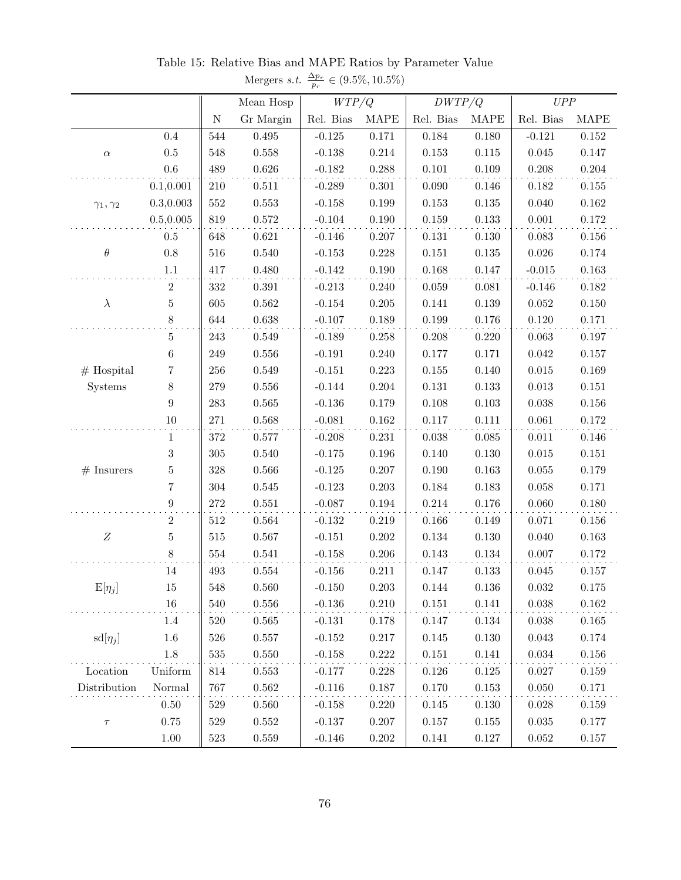|                     |                  |           |             | $_{Pr}$   |             | DWTP/Q      |             | UPP         |             |
|---------------------|------------------|-----------|-------------|-----------|-------------|-------------|-------------|-------------|-------------|
|                     |                  |           | Mean Hosp   | WTP/Q     |             |             |             |             |             |
|                     |                  | ${\rm N}$ | Gr Margin   | Rel. Bias | <b>MAPE</b> | Rel. Bias   | <b>MAPE</b> | Rel. Bias   | <b>MAPE</b> |
|                     | $0.4\,$          | 544       | $\,0.495\,$ | $-0.125$  | $0.171\,$   | $\,0.184\,$ | 0.180       | $-0.121$    | $0.152\,$   |
| $\alpha$            | $0.5\,$          | 548       | $0.558\,$   | $-0.138$  | 0.214       | 0.153       | 0.115       | 0.045       | 0.147       |
|                     | $0.6\,$          | 489       | $0.626\,$   | $-0.182$  | 0.288       | 0.101       | 0.109       | 0.208       | $0.204\,$   |
|                     | 0.1, 0.001       | $210\,$   | 0.511       | $-0.289$  | 0.301       | 0.090       | 0.146       | $0.182\,$   | 0.155       |
| $\gamma_1,\gamma_2$ | 0.3, 0.003       | $552\,$   | $\,0.553\,$ | $-0.158$  | 0.199       | $0.153\,$   | $0.135\,$   | 0.040       | $\,0.162\,$ |
|                     | 0.5, 0.005       | 819       | $0.572\,$   | $-0.104$  | $0.190\,$   | $0.159\,$   | 0.133       | $0.001\,$   | $0.172\,$   |
|                     | $0.5\,$          | 648       | 0.621       | $-0.146$  | 0.207       | $0.131\,$   | 0.130       | 0.083       | $0.156\,$   |
| $\theta$            | $0.8\,$          | 516       | 0.540       | $-0.153$  | 0.228       | $0.151\,$   | $0.135\,$   | 0.026       | $0.174\,$   |
|                     | $1.1\,$          | 417       | $0.480\,$   | $-0.142$  | 0.190       | $0.168\,$   | $0.147\,$   | $-0.015$    | $\,0.163\,$ |
|                     | 2                | 332       | 0.391       | $-0.213$  | 0.240       | 0.059       | 0.081       | $-0.146$    | 0.182       |
| $\lambda$           | $\bf 5$          | 605       | 0.562       | $-0.154$  | 0.205       | $0.141\,$   | 0.139       | 0.052       | 0.150       |
|                     | $8\,$            | 644       | $0.638\,$   | $-0.107$  | 0.189       | $0.199\,$   | 0.176       | $0.120\,$   | 0.171       |
|                     | $\mathbf 5$      | 243       | 0.549       | $-0.189$  | $0.258\,$   | 0.208       | 0.220       | 0.063       | $0.197\,$   |
|                     | 6                | 249       | $0.556\,$   | $-0.191$  | 0.240       | $0.177\,$   | 0.171       | 0.042       | $0.157\,$   |
| $#$ Hospital        | 7                | 256       | 0.549       | $-0.151$  | 0.223       | $0.155\,$   | 0.140       | $\,0.015\,$ | 0.169       |
| Systems             | 8                | 279       | $0.556\,$   | $-0.144$  | 0.204       | $0.131\,$   | 0.133       | 0.013       | $0.151\,$   |
|                     | $\boldsymbol{9}$ | 283       | 0.565       | $-0.136$  | 0.179       | $0.108\,$   | 0.103       | 0.038       | $0.156\,$   |
|                     | $10\,$           | 271       | $\,0.568\,$ | $-0.081$  | $\,0.162\,$ | $0.117\,$   | 0.111       | 0.061       | $0.172\,$   |
|                     | $\mathbf{1}$     | 372       | $0.577\,$   | $-0.208$  | 0.231       | 0.038       | 0.085       | 0.011       | 0.146       |
|                     | $\boldsymbol{3}$ | 305       | 0.540       | $-0.175$  | $0.196\,$   | 0.140       | 0.130       | $\,0.015\,$ | $0.151\,$   |
| $#$ Insurers        | $\overline{5}$   | 328       | $0.566\,$   | $-0.125$  | 0.207       | $0.190\,$   | 0.163       | 0.055       | 0.179       |
|                     | $\!\!7$          | 304       | $0.545\,$   | $-0.123$  | 0.203       | $0.184\,$   | 0.183       | 0.058       | 0.171       |
|                     | $\boldsymbol{9}$ | $272\,$   | $0.551\,$   | $-0.087$  | 0.194       | $0.214\,$   | 0.176       | 0.060       | 0.180       |
|                     | $\boldsymbol{2}$ | 512       | 0.564       | $-0.132$  | 0.219       | 0.166       | 0.149       | 0.071       | $0.156\,$   |
| $\boldsymbol{Z}$    | $\overline{5}$   | $515\,$   | $0.567\,$   | $-0.151$  | $0.202\,$   | $0.134\,$   | 0.130       | 0.040       | $\,0.163\,$ |
|                     | 8                | 554       | $\!0.541$   | $-0.158$  | $0.206\,$   | $0.143\,$   | $0.134\,$   | 0.007       | $0.172\,$   |
|                     | 14               | 493       | 0.554       | $-0.156$  | 0.211       | $0.147\,$   | 0.133       | $0.045\,$   | 0.157       |
| $E[\eta_j]$         | 15               | 548       | 0.560       | $-0.150$  | 0.203       | 0.144       | 0.136       | 0.032       | 0.175       |
|                     | $16\,$           | 540       | $0.556\,$   | $-0.136$  | 0.210       | $0.151\,$   | $0.141\,$   | $\,0.038\,$ | $0.162\,$   |
|                     | 1.4              | 520       | 0.565       | $-0.131$  | 0.178       | 0.147       | 0.134       | 0.038       | 0.165       |
| $sd[\eta_j]$        | $1.6\,$          | 526       | 0.557       | $-0.152$  | 0.217       | $0.145\,$   | $0.130\,$   | $\,0.043\,$ | $0.174\,$   |
|                     | 1.8              | 535       | 0.550       | $-0.158$  | 0.222       | $0.151\,$   | 0.141       | $\,0.034\,$ | $0.156\,$   |
| Location            | Uniform          | 814       | 0.553       | $-0.177$  | 0.228       | 0.126       | 0.125       | 0.027       | 0.159       |
| Distribution        | Normal           | 767       | $0.562\,$   | $-0.116$  | 0.187       | 0.170       | 0.153       | 0.050       | 0.171       |
|                     | $0.50\,$         | 529       | 0.560       | $-0.158$  | 0.220       | 0.145       | 0.130       | 0.028       | 0.159       |
| $\tau$              | 0.75             | 529       | $0.552\,$   | $-0.137$  | 0.207       | $0.157\,$   | 0.155       | 0.035       | 0.177       |
|                     | $1.00\,$         | $523\,$   | $0.559\,$   | $-0.146$  | 0.202       | $0.141\,$   | 0.127       | 0.052       | 0.157       |

Table 15: Relative Bias and MAPE Ratios by Parameter Value Mergers *s.t.*  $\frac{\Delta p_r}{p_r} \in (9.5\%, 10.5\%)$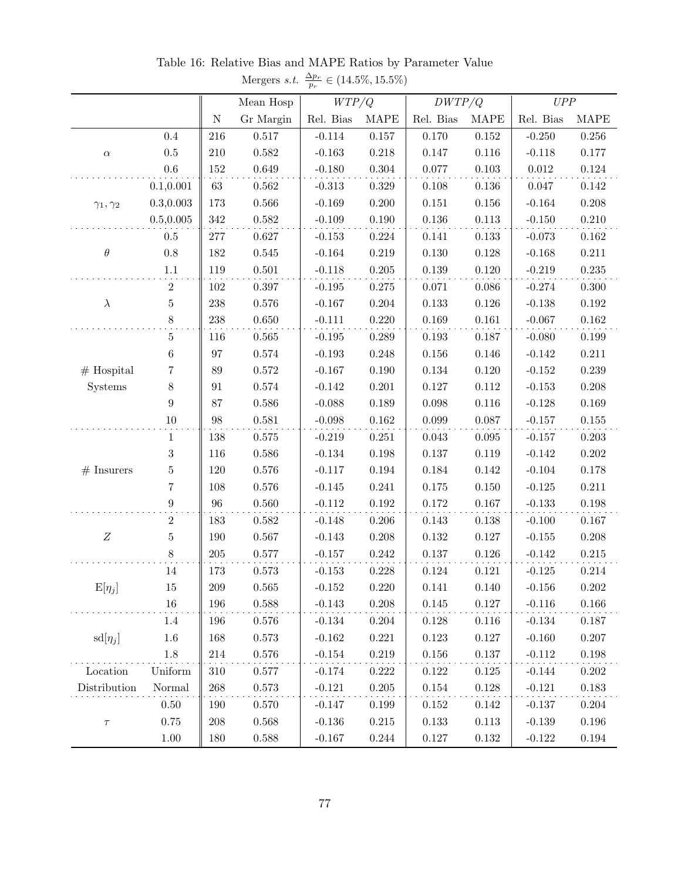|                     |                  |             |             | $\mu_r$   |             |             |             |           |             |
|---------------------|------------------|-------------|-------------|-----------|-------------|-------------|-------------|-----------|-------------|
|                     |                  |             | Mean Hosp   | WTP/Q     |             | DWTP/Q      |             | UPP       |             |
|                     |                  | $\mathbf N$ | Gr Margin   | Rel. Bias | <b>MAPE</b> | Rel. Bias   | <b>MAPE</b> | Rel. Bias | <b>MAPE</b> |
|                     | $0.4\,$          | 216         | 0.517       | $-0.114$  | $0.157\,$   | $0.170\,$   | $0.152\,$   | $-0.250$  | $0.256\,$   |
| $\alpha$            | $0.5\,$          | 210         | $\!0.582\!$ | $-0.163$  | 0.218       | 0.147       | 0.116       | $-0.118$  | 0.177       |
|                     | $0.6\,$          | 152         | 0.649       | $-0.180$  | $0.304\,$   | 0.077       | $0.103\,$   | 0.012     | $0.124\,$   |
|                     | 0.1, 0.001       | $63\,$      | 0.562       | $-0.313$  | $0.329\,$   | 0.108       | 0.136       | 0.047     | 0.142       |
| $\gamma_1,\gamma_2$ | 0.3, 0.003       | 173         | 0.566       | $-0.169$  | 0.200       | 0.151       | 0.156       | $-0.164$  | 0.208       |
|                     | 0.5, 0.005       | 342         | 0.582       | $-0.109$  | $0.190\,$   | $0.136\,$   | $0.113\,$   | $-0.150$  | 0.210       |
|                     | $0.5\,$          | $277\,$     | 0.627       | $-0.153$  | $0.224\,$   | 0.141       | 0.133       | $-0.073$  | $\,0.162\,$ |
| $\theta$            | $0.8\,$          | 182         | $0.545\,$   | $-0.164$  | $0.219\,$   | $0.130\,$   | 0.128       | $-0.168$  | 0.211       |
|                     | 1.1              | 119         | 0.501       | $-0.118$  | 0.205       | $0.139\,$   | $0.120\,$   | $-0.219$  | $0.235\,$   |
|                     | $\boldsymbol{2}$ | 102         | 0.397       | $-0.195$  | $0.275\,$   | 0.071       | 0.086       | $-0.274$  | 0.300       |
| $\lambda$           | $\bf 5$          | 238         | $0.576\,$   | $-0.167$  | $0.204\,$   | 0.133       | 0.126       | $-0.138$  | $\,0.192\,$ |
|                     | 8                | 238         | 0.650       | $-0.111$  | 0.220       | $\,0.169\,$ | $0.161\,$   | $-0.067$  | $\,0.162\,$ |
| $#$ Hospital        | $\overline{5}$   | 116         | 0.565       | $-0.195$  | 0.289       | $0.193\,$   | 0.187       | $-0.080$  | $0.199\,$   |
|                     | $\;6\;$          | 97          | $0.574\,$   | $-0.193$  | 0.248       | $0.156\,$   | 0.146       | $-0.142$  | $0.211\,$   |
|                     | 7                | $89\,$      | $0.572\,$   | $-0.167$  | 0.190       | $0.134\,$   | 0.120       | $-0.152$  | $\,0.239\,$ |
| Systems             | $8\,$            | 91          | $0.574\,$   | $-0.142$  | 0.201       | $0.127\,$   | 0.112       | $-0.153$  | 0.208       |
|                     | $\boldsymbol{9}$ | 87          | $0.586\,$   | $-0.088$  | $0.189\,$   | 0.098       | 0.116       | $-0.128$  | $\,0.169\,$ |
|                     | $10\,$           | 98          | 0.581       | $-0.098$  | $0.162\,$   | 0.099       | 0.087       | $-0.157$  | $0.155\,$   |
|                     | $\mathbf 1$      | 138         | $0.575\,$   | $-0.219$  | 0.251       | $\,0.043\,$ | $\,0.095\,$ | $-0.157$  | $0.203\,$   |
|                     | $\sqrt{3}$       | 116         | 0.586       | $-0.134$  | $0.198\,$   | $0.137\,$   | 0.119       | $-0.142$  | $0.202\,$   |
| $#$ Insurers        | $\overline{5}$   | 120         | $0.576\,$   | $-0.117$  | $\,0.194\,$ | 0.184       | $0.142\,$   | $-0.104$  | 0.178       |
|                     | $\!\!7$          | 108         | $0.576\,$   | $-0.145$  | 0.241       | $0.175\,$   | 0.150       | $-0.125$  | $0.211\,$   |
|                     | $\boldsymbol{9}$ | 96          | $0.560\,$   | $-0.112$  | $0.192\,$   | $0.172\,$   | 0.167       | $-0.133$  | 0.198       |
|                     | 2                | 183         | 0.582       | $-0.148$  | $0.206\,$   | $0.143\,$   | 0.138       | $-0.100$  | 0.167       |
| $\boldsymbol{Z}$    | $\overline{5}$   | 190         | $0.567\,$   | $-0.143$  | $0.208\,$   | $0.132\,$   | $0.127\,$   | $-0.155$  | 0.208       |
|                     | 8                | $205\,$     | $0.577\,$   | $-0.157$  | $0.242\,$   | $0.137\,$   | $0.126\,$   | $-0.142$  | $\,0.215\,$ |
|                     | 14               | 173         | 0.573       | $-0.153$  | 0.228       | $0.124\,$   | 0.121       | $-0.125$  | $0.214\,$   |
| $E[\eta_j]$         | 15               | 209         | 0.565       | $-0.152$  | 0.220       | 0.141       | 0.140       | $-0.156$  | 0.202       |
|                     | $16\,$           | 196         | $0.588\,$   | $-0.143$  | $0.208\,$   | $0.145\,$   | $0.127\,$   | $-0.116$  | $0.166\,$   |
|                     | 1.4              | 196         | 0.576       | $-0.134$  | 0.204       | 0.128       | 0.116       | $-0.134$  | 0.187       |
| $sd[\eta_j]$        | $1.6\,$          | 168         | 0.573       | $-0.162$  | 0.221       | $0.123\,$   | 0.127       | $-0.160$  | 0.207       |
|                     | 1.8              | 214         | $0.576\,$   | $-0.154$  | 0.219       | $0.156\,$   | 0.137       | $-0.112$  | 0.198       |
| Location            | Uniform          | 310         | 0.577       | $-0.174$  | 0.222       | 0.122       | 0.125       | $-0.144$  | $0.202\,$   |
| Distribution        | Normal           | 268         | 0.573       | $-0.121$  | $0.205\,$   | $0.154\,$   | 0.128       | $-0.121$  | 0.183       |
|                     | $0.50\,$         | 190         | 0.570       | $-0.147$  | 0.199       | 0.152       | 0.142       | $-0.137$  | 0.204       |
| $\tau$              | 0.75             | 208         | $\,0.568\,$ | $-0.136$  | $0.215\,$   | 0.133       | 0.113       | $-0.139$  | $0.196\,$   |
|                     | $1.00\,$         | 180         | 0.588       | $-0.167$  | 0.244       | $0.127\,$   | 0.132       | $-0.122$  | 0.194       |

<span id="page-78-0"></span>Table 16: Relative Bias and MAPE Ratios by Parameter Value Mergers *s.t.*  $\frac{\Delta p_r}{p_r} \in (14.5\%, 15.5\%)$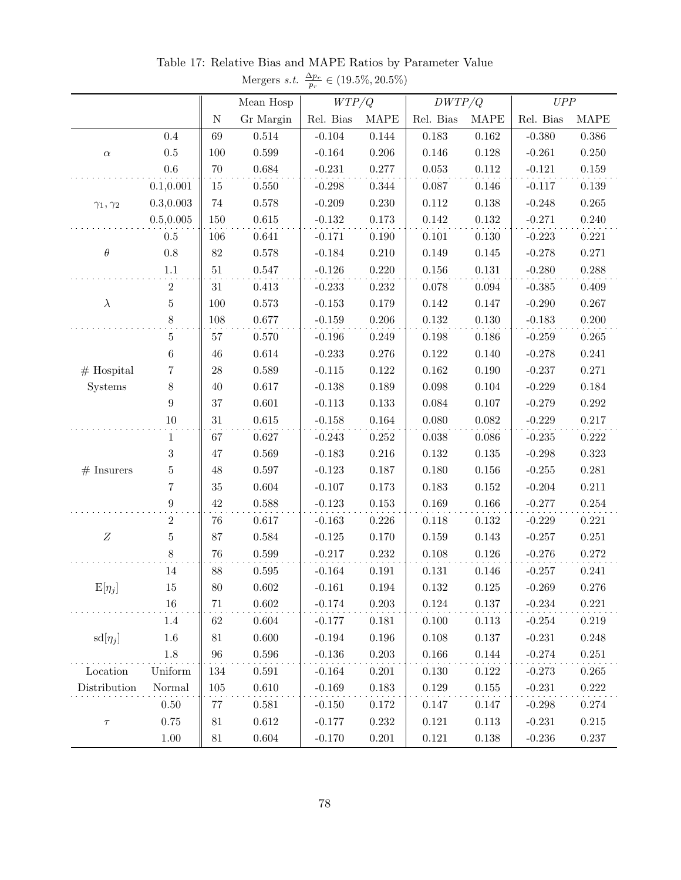|                         |                  |             |             | $\mu_r$   |             |             |             |           |             |
|-------------------------|------------------|-------------|-------------|-----------|-------------|-------------|-------------|-----------|-------------|
|                         |                  |             | Mean Hosp   | WTP/Q     |             | DWTP/Q      |             | UPP       |             |
|                         |                  | $\mathbf N$ | Gr Margin   | Rel. Bias | <b>MAPE</b> | Rel. Bias   | <b>MAPE</b> | Rel. Bias | <b>MAPE</b> |
|                         | $0.4\,$          | 69          | $0.514\,$   | $-0.104$  | 0.144       | 0.183       | $\,0.162\,$ | $-0.380$  | $0.386\,$   |
| $\alpha$                | $0.5\,$          | 100         | $\,0.599\,$ | $-0.164$  | 0.206       | $0.146\,$   | 0.128       | $-0.261$  | 0.250       |
|                         | $0.6\,$          | $70\,$      | $\,0.684\,$ | $-0.231$  | 0.277       | 0.053       | $0.112\,$   | $-0.121$  | $0.159\,$   |
|                         | 0.1, 0.001       | 15          | 0.550       | $-0.298$  | $0.344\,$   | 0.087       | 0.146       | $-0.117$  | 0.139       |
| $\gamma_1,\gamma_2$     | 0.3, 0.003       | $74\,$      | 0.578       | $-0.209$  | 0.230       | $0.112\,$   | 0.138       | $-0.248$  | $0.265\,$   |
|                         | 0.5, 0.005       | 150         | 0.615       | $-0.132$  | $0.173\,$   | $0.142\,$   | $0.132\,$   | $-0.271$  | 0.240       |
|                         | $0.5\,$          | 106         | 0.641       | $-0.171$  | $0.190\,$   | $0.101\,$   | 0.130       | $-0.223$  | 0.221       |
| $\theta$                | $0.8\,$          | $82\,$      | 0.578       | $-0.184$  | 0.210       | $0.149\,$   | 0.145       | $-0.278$  | 0.271       |
|                         | $1.1\,$          | 51          | $0.547\,$   | $-0.126$  | 0.220       | $0.156\,$   | $0.131\,$   | $-0.280$  | $0.288\,$   |
|                         | $\boldsymbol{2}$ | 31          | $0.413\,$   | $-0.233$  | $0.232\,$   | 0.078       | $\,0.094\,$ | $-0.385$  | 0.409       |
| $\lambda$               | $\overline{5}$   | 100         | $0.573\,$   | $-0.153$  | 0.179       | $0.142\,$   | 0.147       | $-0.290$  | 0.267       |
|                         | $8\,$            | 108         | $0.677\,$   | $-0.159$  | $0.206\,$   | $0.132\,$   | 0.130       | $-0.183$  | 0.200       |
|                         | $\mathbf 5$      | 57          | $0.570\,$   | $-0.196$  | 0.249       | 0.198       | 0.186       | $-0.259$  | $\,0.265\,$ |
| $#$ Hospital<br>Systems | $\;6\;$          | 46          | $0.614\,$   | $-0.233$  | 0.276       | $0.122\,$   | 0.140       | $-0.278$  | 0.241       |
|                         | 7                | $28\,$      | $\,0.589\,$ | $-0.115$  | $0.122\,$   | $\,0.162\,$ | 0.190       | $-0.237$  | 0.271       |
|                         | 8                | 40          | $0.617\,$   | $-0.138$  | 0.189       | 0.098       | 0.104       | $-0.229$  | $0.184\,$   |
|                         | $\boldsymbol{9}$ | $37\,$      | $0.601\,$   | $-0.113$  | $0.133\,$   | 0.084       | 0.107       | $-0.279$  | $0.292\,$   |
|                         | $10\,$           | 31          | $0.615\,$   | $-0.158$  | $\,0.164\,$ | 0.080       | 0.082       | $-0.229$  | 0.217       |
|                         | $\mathbf{1}$     | 67          | 0.627       | $-0.243$  | $0.252\,$   | $0.038\,$   | $0.086\,$   | $-0.235$  | $0.222\,$   |
|                         | $\boldsymbol{3}$ | 47          | $\,0.569\,$ | $-0.183$  | 0.216       | $0.132\,$   | $0.135\,$   | $-0.298$  | 0.323       |
| $#$ Insurers            | $\overline{5}$   | 48          | $0.597\,$   | $-0.123$  | $0.187\,$   | $0.180\,$   | $0.156\,$   | $-0.255$  | 0.281       |
|                         | $\!\!7$          | 35          | $0.604\,$   | $-0.107$  | $0.173\,$   | $0.183\,$   | $0.152\,$   | $-0.204$  | 0.211       |
|                         | $\boldsymbol{9}$ | $42\,$      | 0.588       | $-0.123$  | $0.153\,$   | 0.169       | 0.166       | $-0.277$  | $0.254\,$   |
|                         | $\overline{2}$   | 76          | 0.617       | $-0.163$  | 0.226       | $0.118\,$   | 0.132       | $-0.229$  | 0.221       |
| $\boldsymbol{Z}$        | $\overline{5}$   | $87\,$      | $\,0.584\,$ | $-0.125$  | 0.170       | $\,0.159\,$ | 0.143       | $-0.257$  | $0.251\,$   |
|                         | $8\,$            | $76\,$      | $0.599\,$   | $-0.217$  | 0.232       | $0.108\,$   | $0.126\,$   | $-0.276$  | $0.272\,$   |
|                         | 14               | 88          | 0.595       | $-0.164$  | 0.191       | $0.131\,$   | 0.146       | $-0.257$  | 0.241       |
| $E[\eta_j]$             | 15               | 80          | 0.602       | $-0.161$  | 0.194       | 0.132       | 0.125       | $-0.269$  | 0.276       |
|                         | $16\,$           | 71          | $0.602\,$   | $-0.174$  | $0.203\,$   | $0.124\,$   | $0.137\,$   | $-0.234$  | 0.221       |
|                         | 1.4              | 62          | 0.604       | $-0.177$  | 0.181       | 0.100       | 0.113       | $-0.254$  | 0.219       |
| $sd[\eta_j]$            | $1.6\,$          | 81          | 0.600       | $-0.194$  | 0.196       | $0.108\,$   | 0.137       | $-0.231$  | 0.248       |
|                         | 1.8              | 96          | $0.596\,$   | $-0.136$  | 0.203       | 0.166       | 0.144       | $-0.274$  | 0.251       |
| Location                | Uniform          | 134         | 0.591       | $-0.164$  | 0.201       | 0.130       | $0.122\,$   | $-0.273$  | 0.265       |
| Distribution            | Normal           | 105         | 0.610       | $-0.169$  | 0.183       | $0.129\,$   | 0.155       | $-0.231$  | 0.222       |
|                         | $0.50\,$         | 77          | 0.581       | $-0.150$  | 0.172       | 0.147       | 0.147       | $-0.298$  | 0.274       |
| $\tau$                  | 0.75             | 81          | $0.612\,$   | $-0.177$  | 0.232       | $0.121\,$   | 0.113       | $-0.231$  | $0.215\,$   |
|                         | $1.00\,$         | 81          | $0.604\,$   | $-0.170$  | 0.201       | $0.121\,$   | 0.138       | $-0.236$  | 0.237       |

<span id="page-79-0"></span>Table 17: Relative Bias and MAPE Ratios by Parameter Value Mergers *s.t.*  $\frac{\Delta p_r}{p_r} \in (19.5\%, 20.5\%)$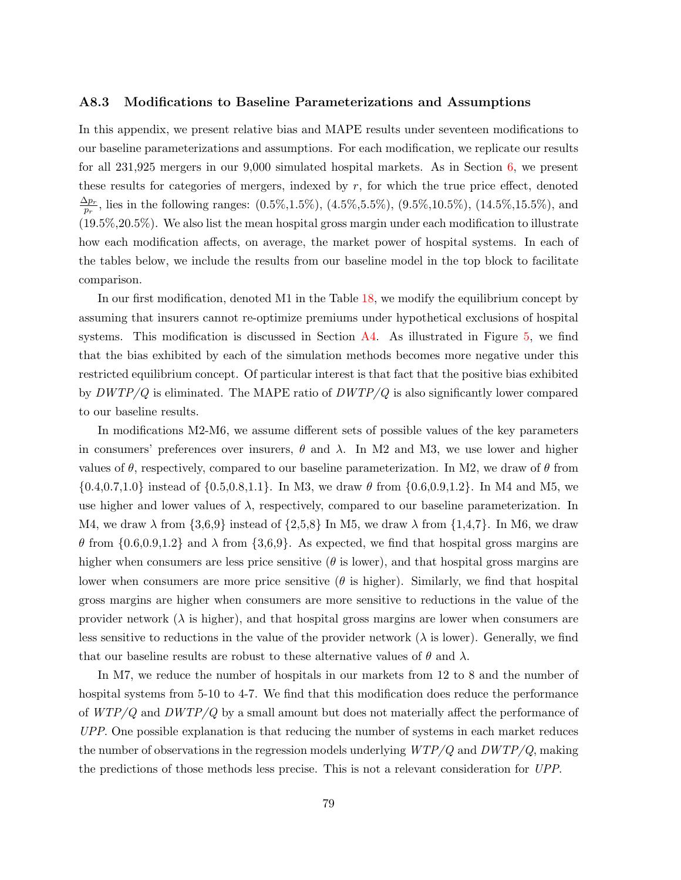#### A8.3 Modifications to Baseline Parameterizations and Assumptions

In this appendix, we present relative bias and MAPE results under seventeen modifications to our baseline parameterizations and assumptions. For each modification, we replicate our results for all 231,925 mergers in our 9,000 simulated hospital markets. As in Section [6,](#page-19-0) we present these results for categories of mergers, indexed by  $r$ , for which the true price effect, denoted  $\Delta p_r$  $\frac{\Delta p_r}{p_r}$ , lies in the following ranges:  $(0.5\%, 1.5\%)$ ,  $(4.5\%, 5.5\%)$ ,  $(9.5\%, 10.5\%)$ ,  $(14.5\%, 15.5\%)$ , and (19.5%,20.5%). We also list the mean hospital gross margin under each modification to illustrate how each modification affects, on average, the market power of hospital systems. In each of the tables below, we include the results from our baseline model in the top block to facilitate comparison.

In our first modification, denoted M1 in the Table [18,](#page-84-0) we modify the equilibrium concept by assuming that insurers cannot re-optimize premiums under hypothetical exclusions of hospital systems. This modification is discussed in Section [A4.](#page-55-0) As illustrated in Figure [5,](#page-57-0) we find that the bias exhibited by each of the simulation methods becomes more negative under this restricted equilibrium concept. Of particular interest is that fact that the positive bias exhibited by  $DWTP/Q$  is eliminated. The MAPE ratio of  $DWTP/Q$  is also significantly lower compared to our baseline results.

In modifications M2-M6, we assume different sets of possible values of the key parameters in consumers' preferences over insurers,  $\theta$  and  $\lambda$ . In M2 and M3, we use lower and higher values of  $\theta$ , respectively, compared to our baseline parameterization. In M2, we draw of  $\theta$  from  $\{0.4, 0.7, 1.0\}$  instead of  $\{0.5, 0.8, 1.1\}$ . In M3, we draw  $\theta$  from  $\{0.6, 0.9, 1.2\}$ . In M4 and M5, we use higher and lower values of  $\lambda$ , respectively, compared to our baseline parameterization. In M4, we draw  $\lambda$  from  $\{3,6,9\}$  instead of  $\{2,5,8\}$  In M5, we draw  $\lambda$  from  $\{1,4,7\}$ . In M6, we draw  $\theta$  from  $\{0.6, 0.9, 1.2\}$  and  $\lambda$  from  $\{3.6, 9\}$ . As expected, we find that hospital gross margins are higher when consumers are less price sensitive  $(\theta \text{ is lower})$ , and that hospital gross margins are lower when consumers are more price sensitive ( $\theta$  is higher). Similarly, we find that hospital gross margins are higher when consumers are more sensitive to reductions in the value of the provider network  $(\lambda)$  is higher), and that hospital gross margins are lower when consumers are less sensitive to reductions in the value of the provider network  $(\lambda)$  is lower). Generally, we find that our baseline results are robust to these alternative values of  $\theta$  and  $\lambda$ .

In M7, we reduce the number of hospitals in our markets from 12 to 8 and the number of hospital systems from 5-10 to 4-7. We find that this modification does reduce the performance of  $WTP/Q$  and  $DWTP/Q$  by a small amount but does not materially affect the performance of UPP. One possible explanation is that reducing the number of systems in each market reduces the number of observations in the regression models underlying  $WTP/Q$  and  $DWTP/Q$ , making the predictions of those methods less precise. This is not a relevant consideration for UPP.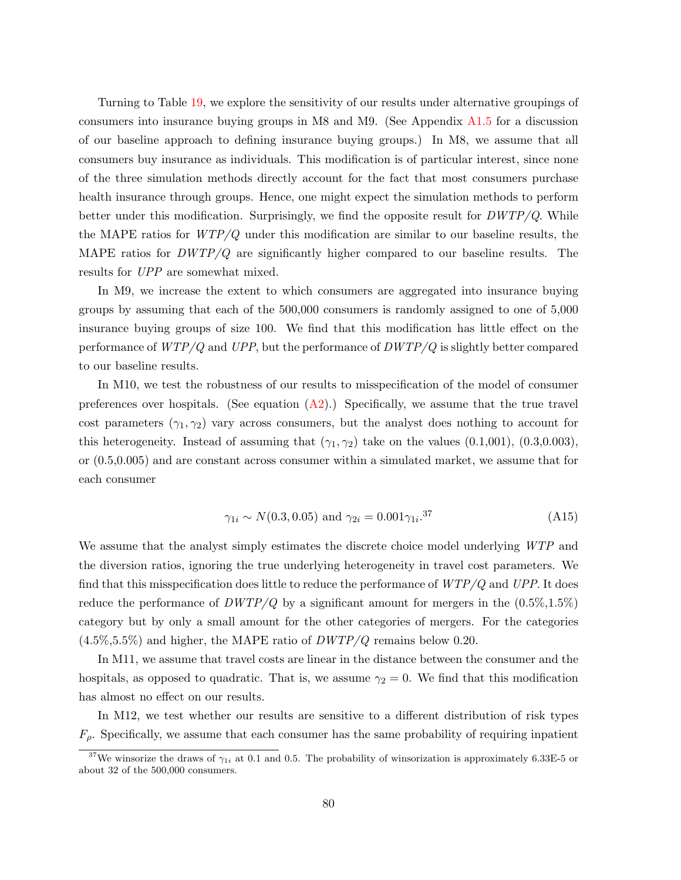Turning to Table [19,](#page-85-0) we explore the sensitivity of our results under alternative groupings of consumers into insurance buying groups in M8 and M9. (See Appendix [A1.5](#page-42-0) for a discussion of our baseline approach to defining insurance buying groups.) In M8, we assume that all consumers buy insurance as individuals. This modification is of particular interest, since none of the three simulation methods directly account for the fact that most consumers purchase health insurance through groups. Hence, one might expect the simulation methods to perform better under this modification. Surprisingly, we find the opposite result for  $DWTP/Q$ . While the MAPE ratios for  $WTP/Q$  under this modification are similar to our baseline results, the MAPE ratios for  $DWTP/Q$  are significantly higher compared to our baseline results. The results for UPP are somewhat mixed.

In M9, we increase the extent to which consumers are aggregated into insurance buying groups by assuming that each of the 500,000 consumers is randomly assigned to one of 5,000 insurance buying groups of size 100. We find that this modification has little effect on the performance of  $WTP/Q$  and UPP, but the performance of  $DWTP/Q$  is slightly better compared to our baseline results.

In M10, we test the robustness of our results to misspecification of the model of consumer preferences over hospitals. (See equation  $(A2)$ .) Specifically, we assume that the true travel cost parameters  $(\gamma_1, \gamma_2)$  vary across consumers, but the analyst does nothing to account for this heterogeneity. Instead of assuming that  $(\gamma_1, \gamma_2)$  take on the values  $(0.1,001)$ ,  $(0.3,0.003)$ , or (0.5,0.005) and are constant across consumer within a simulated market, we assume that for each consumer

$$
\gamma_{1i} \sim N(0.3, 0.05)
$$
 and  $\gamma_{2i} = 0.001 \gamma_{1i}$ .<sup>37</sup> (A15)

We assume that the analyst simply estimates the discrete choice model underlying WTP and the diversion ratios, ignoring the true underlying heterogeneity in travel cost parameters. We find that this misspecification does little to reduce the performance of  $WTP/Q$  and  $UPP$ . It does reduce the performance of  $DWTP/Q$  by a significant amount for mergers in the  $(0.5\%,1.5\%)$ category but by only a small amount for the other categories of mergers. For the categories  $(4.5\%, 5.5\%)$  and higher, the MAPE ratio of  $DWTP/Q$  remains below 0.20.

In M11, we assume that travel costs are linear in the distance between the consumer and the hospitals, as opposed to quadratic. That is, we assume  $\gamma_2 = 0$ . We find that this modification has almost no effect on our results.

In M12, we test whether our results are sensitive to a different distribution of risk types  $F<sub>o</sub>$ . Specifically, we assume that each consumer has the same probability of requiring inpatient

<sup>&</sup>lt;sup>37</sup>We winsorize the draws of  $\gamma_{1i}$  at 0.1 and 0.5. The probability of winsorization is approximately 6.33E-5 or about 32 of the 500,000 consumers.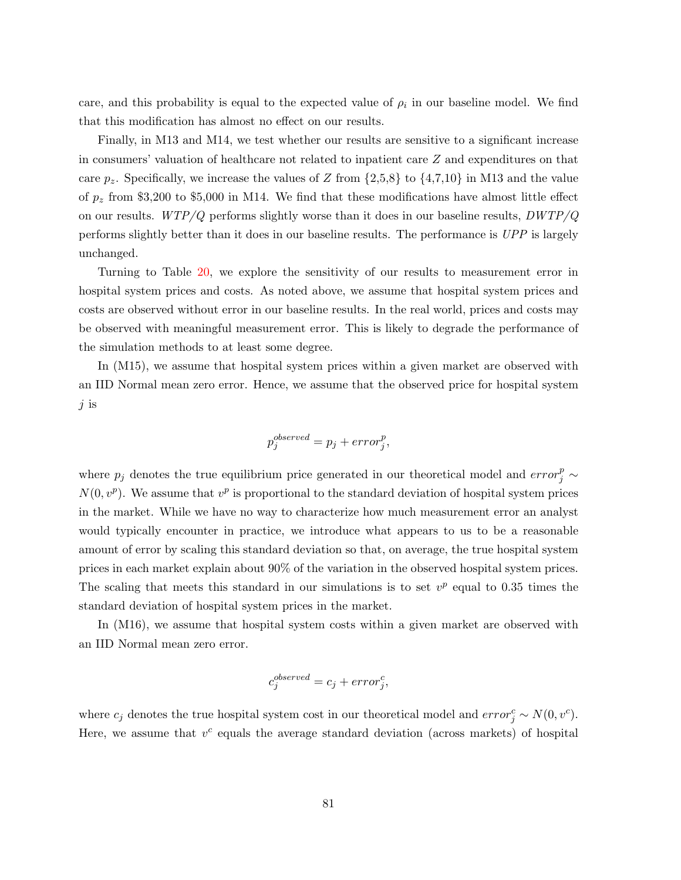care, and this probability is equal to the expected value of  $\rho_i$  in our baseline model. We find that this modification has almost no effect on our results.

Finally, in M13 and M14, we test whether our results are sensitive to a significant increase in consumers' valuation of healthcare not related to inpatient care Z and expenditures on that care  $p_z$ . Specifically, we increase the values of Z from  $\{2,5,8\}$  to  $\{4,7,10\}$  in M13 and the value of  $p_z$  from \$3,200 to \$5,000 in M14. We find that these modifications have almost little effect on our results.  $WTP/Q$  performs slightly worse than it does in our baseline results,  $DWTP/Q$ performs slightly better than it does in our baseline results. The performance is UPP is largely unchanged.

Turning to Table [20,](#page-86-0) we explore the sensitivity of our results to measurement error in hospital system prices and costs. As noted above, we assume that hospital system prices and costs are observed without error in our baseline results. In the real world, prices and costs may be observed with meaningful measurement error. This is likely to degrade the performance of the simulation methods to at least some degree.

In (M15), we assume that hospital system prices within a given market are observed with an IID Normal mean zero error. Hence, we assume that the observed price for hospital system j is

$$
p_j^{observed} = p_j + error_j^p,
$$

where  $p_j$  denotes the true equilibrium price generated in our theoretical model and  $error_j^p \sim$  $N(0, v^p)$ . We assume that  $v^p$  is proportional to the standard deviation of hospital system prices in the market. While we have no way to characterize how much measurement error an analyst would typically encounter in practice, we introduce what appears to us to be a reasonable amount of error by scaling this standard deviation so that, on average, the true hospital system prices in each market explain about 90% of the variation in the observed hospital system prices. The scaling that meets this standard in our simulations is to set  $v^p$  equal to 0.35 times the standard deviation of hospital system prices in the market.

In (M16), we assume that hospital system costs within a given market are observed with an IID Normal mean zero error.

$$
c_j^{observed} = c_j + error_j^c,
$$

where  $c_j$  denotes the true hospital system cost in our theoretical model and  $error_j^c \sim N(0, v^c)$ . Here, we assume that  $v^c$  equals the average standard deviation (across markets) of hospital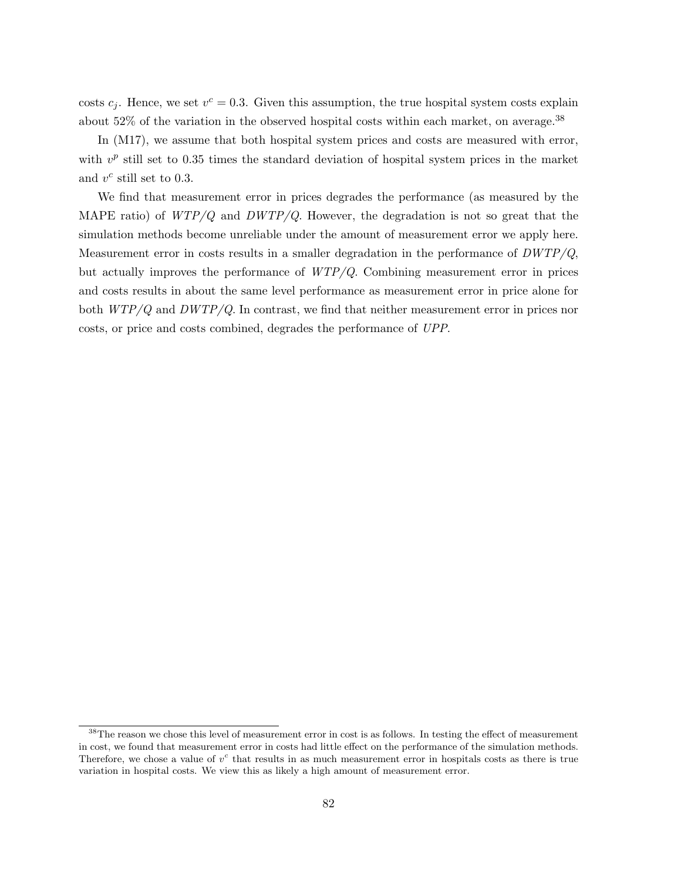costs  $c_j$ . Hence, we set  $v^c = 0.3$ . Given this assumption, the true hospital system costs explain about 52% of the variation in the observed hospital costs within each market, on average.<sup>38</sup>

In  $(M17)$ , we assume that both hospital system prices and costs are measured with error, with  $v^p$  still set to 0.35 times the standard deviation of hospital system prices in the market and  $v^c$  still set to 0.3.

We find that measurement error in prices degrades the performance (as measured by the MAPE ratio) of  $WTP/Q$  and  $DWTP/Q$ . However, the degradation is not so great that the simulation methods become unreliable under the amount of measurement error we apply here. Measurement error in costs results in a smaller degradation in the performance of  $DWTP/Q$ , but actually improves the performance of WTP/Q. Combining measurement error in prices and costs results in about the same level performance as measurement error in price alone for both  $WTP/Q$  and  $DWTP/Q$ . In contrast, we find that neither measurement error in prices nor costs, or price and costs combined, degrades the performance of UPP.

 $38$ The reason we chose this level of measurement error in cost is as follows. In testing the effect of measurement in cost, we found that measurement error in costs had little effect on the performance of the simulation methods. Therefore, we chose a value of  $v^c$  that results in as much measurement error in hospitals costs as there is true variation in hospital costs. We view this as likely a high amount of measurement error.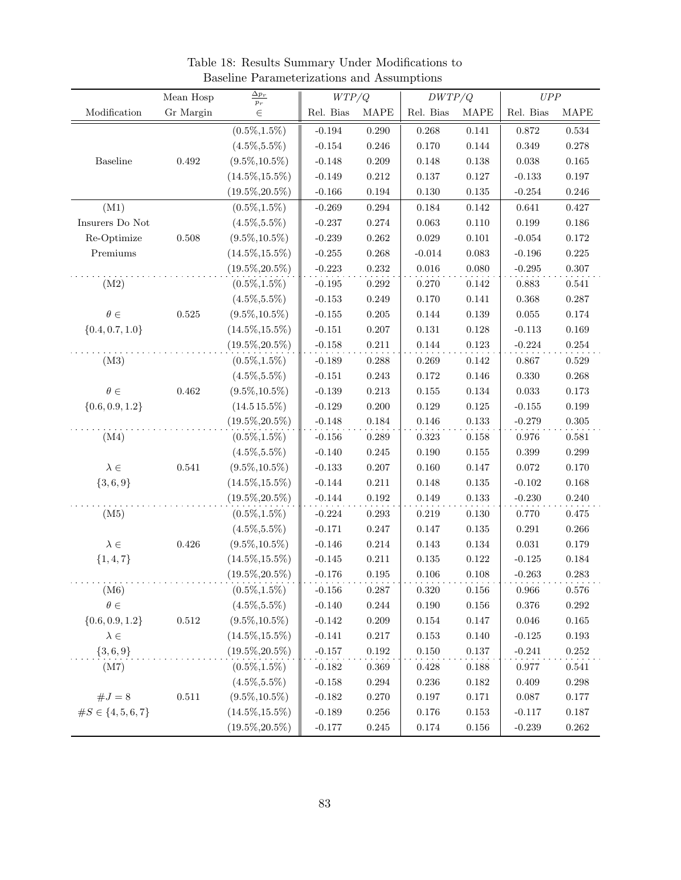|                          | Mean Hosp   | $\Delta p_T$       | WTP/Q     |             | DWTP/Q      |             | UPP         |             |
|--------------------------|-------------|--------------------|-----------|-------------|-------------|-------------|-------------|-------------|
| Modification             | Gr Margin   | $p_r$<br>$\in$     | Rel. Bias | <b>MAPE</b> | Rel. Bias   | <b>MAPE</b> | Rel. Bias   | MAPE        |
|                          |             | $(0.5\%, 1.5\%)$   | $-0.194$  | 0.290       | 0.268       | 0.141       | $0.872\,$   | $\,0.534\,$ |
|                          |             | $(4.5\%, 5.5\%)$   | $-0.154$  | $0.246\,$   | 0.170       | 0.144       | 0.349       | 0.278       |
| Baseline                 | $\,0.492\,$ | $(9.5\%, 10.5\%)$  | $-0.148$  | $0.209\,$   | 0.148       | 0.138       | 0.038       | 0.165       |
|                          |             | $(14.5\%, 15.5\%)$ | $-0.149$  | $0.212\,$   | 0.137       | $0.127\,$   | $-0.133$    | $0.197\,$   |
|                          |             | $(19.5\%, 20.5\%)$ | $-0.166$  | $\,0.194\,$ | $0.130\,$   | 0.135       | $-0.254$    | $0.246\,$   |
| (M1)                     |             | $(0.5\%, 1.5\%)$   | $-0.269$  | $0.294\,$   | $0.184\,$   | $\rm 0.142$ | $\,0.641\,$ | 0.427       |
| Insurers Do Not          |             | $(4.5\%, 5.5\%)$   | $-0.237$  | 0.274       | 0.063       | 0.110       | 0.199       | 0.186       |
| Re-Optimize              | $0.508\,$   | $(9.5\%, 10.5\%)$  | $-0.239$  | $0.262\,$   | 0.029       | 0.101       | $-0.054$    | $0.172\,$   |
| Premiums                 |             | $(14.5\%, 15.5\%)$ | $-0.255$  | $0.268\,$   | $-0.014$    | 0.083       | $-0.196$    | 0.225       |
|                          |             | $(19.5\%, 20.5\%)$ | $-0.223$  | $0.232\,$   | $0.016\,$   | 0.080       | $-0.295$    | 0.307       |
| (M2)                     |             | $(0.5\%, 1.5\%)$   | $-0.195$  | $0.292\,$   | 0.270       | 0.142       | 0.883       | 0.541       |
|                          |             | $(4.5\%, 5.5\%)$   | $-0.153$  | 0.249       | 0.170       | 0.141       | 0.368       | $0.287\,$   |
| $\theta \in$             | 0.525       | $(9.5\%, 10.5\%)$  | $-0.155$  | 0.205       | 0.144       | 0.139       | 0.055       | $0.174\,$   |
| $\{0.4, 0.7, 1.0\}$      |             | $(14.5\%, 15.5\%)$ | $-0.151$  | 0.207       | 0.131       | 0.128       | $-0.113$    | 0.169       |
|                          |             | $(19.5\%, 20.5\%)$ | $-0.158$  | 0.211       | $0.144\,$   | $\rm 0.123$ | $-0.224$    | $0.254\,$   |
| (M3)                     |             | $(0.5\%, 1.5\%)$   | $-0.189$  | 0.288       | 0.269       | 0.142       | 0.867       | 0.529       |
|                          |             | $(4.5\%, 5.5\%)$   | $-0.151$  | $0.243\,$   | 0.172       | 0.146       | 0.330       | 0.268       |
| $\theta \in$             | $\,0.462\,$ | $(9.5\%, 10.5\%)$  | $-0.139$  | $0.213\,$   | $0.155\,$   | $0.134\,$   | $\,0.033\,$ | $0.173\,$   |
| $\{0.6, 0.9, 1.2\}$      |             | $(14.515.5\%)$     | $-0.129$  | $0.200\,$   | 0.129       | 0.125       | $-0.155$    | 0.199       |
|                          |             | $(19.5\%, 20.5\%)$ | $-0.148$  | 0.184       | 0.146       | 0.133       | $-0.279$    | 0.305       |
| (M4)                     |             | $(0.5\%, 1.5\%)$   | $-0.156$  | 0.289       | 0.323       | 0.158       | 0.976       | 0.581       |
|                          |             | $(4.5\%, 5.5\%)$   | $-0.140$  | $0.245\,$   | 0.190       | 0.155       | 0.399       | 0.299       |
| $\lambda \in$            | $\,0.541\,$ | $(9.5\%, 10.5\%)$  | $-0.133$  | $0.207\,$   | 0.160       | 0.147       | 0.072       | 0.170       |
| ${3, 6, 9}$              |             | $(14.5\%, 15.5\%)$ | $-0.144$  | $0.211\,$   | 0.148       | 0.135       | $-0.102$    | 0.168       |
|                          |             | $(19.5\%, 20.5\%)$ | $-0.144$  | $0.192\,$   | 0.149       | $\rm 0.133$ | $-0.230$    | $0.240\,$   |
| (M5)                     |             | $(0.5\%, 1.5\%)$   | $-0.224$  | 0.293       | 0.219       | 0.130       | 0.770       | 0.475       |
|                          |             | $(4.5\%, 5.5\%)$   | $-0.171$  | 0.247       | 0.147       | 0.135       | 0.291       | 0.266       |
| $\lambda \in$            | $0.426\,$   | $(9.5\%, 10.5\%)$  | $-0.146$  | $0.214\,$   | $\,0.143\,$ | $0.134\,$   | $\,0.031\,$ | $0.179\,$   |
| $\{1, 4, 7\}$            |             | $(14.5\%, 15.5\%)$ | $-0.145$  | $0.211\,$   | $0.135\,$   | 0.122       | $-0.125$    | $0.184\,$   |
|                          |             | $(19.5\%, 20.5\%)$ | $-0.176$  | $0.195\,$   | $0.106\,$   | 0.108       | $-0.263$    | 0.283       |
| (M6)                     |             | $(0.5\%, 1.5\%)$   | $-0.156$  | 0.287       | $0.320\,$   | $0.156\,$   | $\,0.966\,$ | $0.576\,$   |
| $\theta \in$             |             | $(4.5\%, 5.5\%)$   | $-0.140$  | $0.244\,$   | $0.190\,$   | $0.156\,$   | $0.376\,$   | $0.292\,$   |
| $\{0.6, 0.9, 1.2\}$      | $0.512\,$   | $(9.5\%, 10.5\%)$  | $-0.142$  | $0.209\,$   | $\,0.154\,$ | $0.147\,$   | $0.046\,$   | $0.165\,$   |
| $\lambda \in$            |             | $(14.5\%, 15.5\%)$ | $-0.141$  | $0.217\,$   | 0.153       | 0.140       | $-0.125$    | $\,0.193\,$ |
| $\{3,6,9\}$              |             | $(19.5\%, 20.5\%)$ | $-0.157$  | 0.192       | 0.150       | 0.137       | $-0.241$    | 0.252       |
| (M7)                     |             | $(0.5\%, 1.5\%)$   | $-0.182$  | $\,0.369\,$ | 0.428       | 0.188       | 0.977       | 0.541       |
|                          |             | $(4.5\%, 5.5\%)$   | $-0.158$  | 0.294       | 0.236       | 0.182       | 0.409       | 0.298       |
| $#J = 8$                 | $0.511\,$   | $(9.5\%, 10.5\%)$  | $-0.182$  | $0.270\,$   | 0.197       | 0.171       | 0.087       | 0.177       |
| $\#S \in \{4, 5, 6, 7\}$ |             | $(14.5\%, 15.5\%)$ | $-0.189$  | $0.256\,$   | $0.176\,$   | $\,0.153\,$ | $-0.117$    | $0.187\,$   |
|                          |             | $(19.5\%, 20.5\%)$ | $-0.177$  | $0.245\,$   | $0.174\,$   | $0.156\,$   | $-0.239$    | $0.262\,$   |

<span id="page-84-0"></span>Table 18: Results Summary Under Modifications to Baseline Parameterizations and Assumptions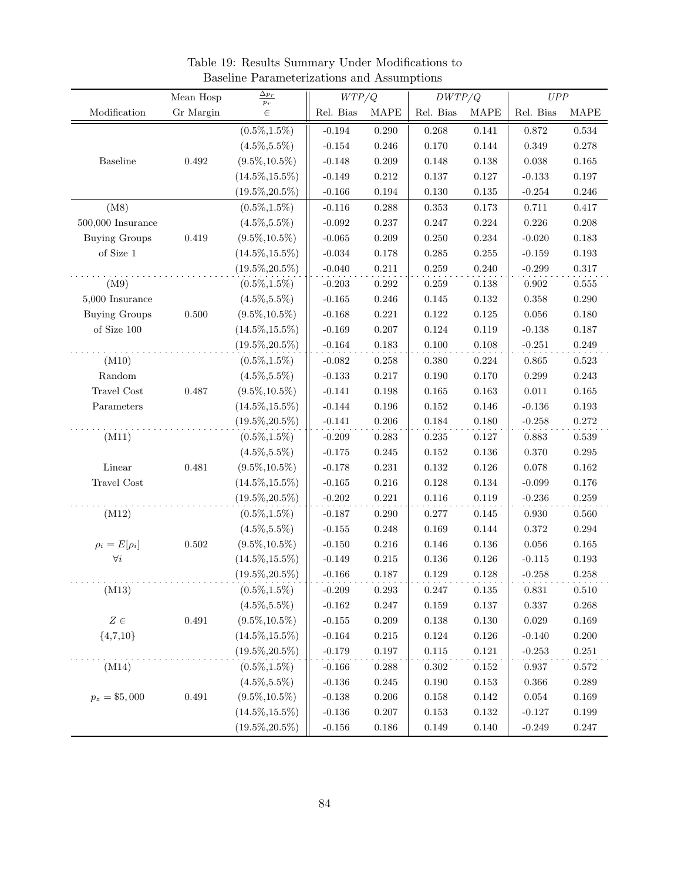|                       | Mean Hosp   | $\mathop{\underline{\Delta p_{r}}}$<br>$p_{\scriptscriptstyle T}$ | WTP/Q     |             | DWTP/Q      |             | UPP         |             |
|-----------------------|-------------|-------------------------------------------------------------------|-----------|-------------|-------------|-------------|-------------|-------------|
| Modification          | Gr Margin   | $\in$                                                             | Rel. Bias | MAPE        | Rel. Bias   | <b>MAPE</b> | Rel. Bias   | MAPE        |
|                       |             | $(0.5\%, 1.5\%)$                                                  | $-0.194$  | 0.290       | 0.268       | 0.141       | 0.872       | $\,0.534\,$ |
|                       |             | $(4.5\%, 5.5\%)$                                                  | $-0.154$  | 0.246       | 0.170       | 0.144       | 0.349       | 0.278       |
| Baseline              | $\,0.492\,$ | $(9.5\%, 10.5\%)$                                                 | $-0.148$  | 0.209       | 0.148       | 0.138       | 0.038       | 0.165       |
|                       |             | $(14.5\%, 15.5\%)$                                                | $-0.149$  | $\rm 0.212$ | 0.137       | $0.127\,$   | $-0.133$    | $0.197\,$   |
|                       |             | $(19.5\%, 20.5\%)$                                                | $-0.166$  | $\,0.194\,$ | $0.130\,$   | 0.135       | $-0.254$    | 0.246       |
| (M8)                  |             | $(0.5\%, 1.5\%)$                                                  | $-0.116$  | $0.288\,$   | 0.353       | 0.173       | 0.711       | 0.417       |
| $500,\!000$ Insurance |             | $(4.5\%, 5.5\%)$                                                  | $-0.092$  | 0.237       | 0.247       | 0.224       | 0.226       | 0.208       |
| <b>Buying Groups</b>  | $0.419\,$   | $(9.5\%, 10.5\%)$                                                 | $-0.065$  | $0.209\,$   | 0.250       | $\,0.234\,$ | $-0.020$    | 0.183       |
| of Size 1             |             | $(14.5\%, 15.5\%)$                                                | $-0.034$  | $0.178\,$   | 0.285       | $0.255\,$   | $-0.159$    | $\,0.193\,$ |
|                       |             | $(19.5\%, 20.5\%)$                                                | $-0.040$  | 0.211       | 0.259       | 0.240       | $-0.299$    | 0.317       |
| (M9)                  |             | $(0.5\%, 1.5\%)$                                                  | $-0.203$  | $\,0.292\,$ | 0.259       | 0.138       | 0.902       | 0.555       |
| $5,000$ Insurance     |             | $(4.5\%, 5.5\%)$                                                  | $-0.165$  | $0.246\,$   | 0.145       | $0.132\,$   | 0.358       | $0.290\,$   |
| <b>Buying Groups</b>  | $0.500\,$   | $(9.5\%, 10.5\%)$                                                 | $-0.168$  | 0.221       | 0.122       | 0.125       | 0.056       | $0.180\,$   |
| of Size 100           |             | $(14.5\%, 15.5\%)$                                                | $-0.169$  | 0.207       | 0.124       | 0.119       | $-0.138$    | $0.187\,$   |
|                       |             | $(19.5\%, 20.5\%)$                                                | $-0.164$  | 0.183       | $0.100\,$   | $0.108\,$   | $-0.251$    | $0.249\,$   |
| (M10)                 |             | $(0.5\%, 1.5\%)$                                                  | $-0.082$  | 0.258       | 0.380       | 0.224       | 0.865       | $\,0.523\,$ |
| Random                |             | $(4.5\%, 5.5\%)$                                                  | $-0.133$  | $0.217\,$   | 0.190       | 0.170       | 0.299       | 0.243       |
| Travel Cost           | 0.487       | $(9.5\%, 10.5\%)$                                                 | $-0.141$  | $0.198\,$   | 0.165       | $\,0.163\,$ | $0.011\,$   | $0.165\,$   |
| Parameters            |             | $(14.5\%, 15.5\%)$                                                | $-0.144$  | $\,0.196\,$ | 0.152       | 0.146       | $-0.136$    | $\,0.193\,$ |
|                       |             | $(19.5\%, 20.5\%)$                                                | $-0.141$  | 0.206       | 0.184       | 0.180       | $-0.258$    | 0.272       |
| (M11)                 |             | $(0.5\%, 1.5\%)$                                                  | $-0.209$  | 0.283       | $0.235\,$   | 0.127       | 0.883       | 0.539       |
|                       |             | $(4.5\%, 5.5\%)$                                                  | $-0.175$  | $0.245\,$   | 0.152       | 0.136       | 0.370       | $0.295\,$   |
| Linear                | 0.481       | $(9.5\%, 10.5\%)$                                                 | $-0.178$  | $0.231\,$   | 0.132       | 0.126       | 0.078       | 0.162       |
| Travel Cost           |             | $(14.5\%, 15.5\%)$                                                | $-0.165$  | $\,0.216\,$ | 0.128       | 0.134       | $-0.099$    | 0.176       |
|                       |             | $(19.5\%, 20.5\%)$                                                | $-0.202$  | 0.221       | 0.116       | 0.119       | $-0.236$    | $0.259\,$   |
| (M12)                 |             | $(0.5\%, 1.5\%)$                                                  | $-0.187$  | 0.290       | 0.277       | 0.145       | 0.930       | $0.560\,$   |
|                       |             | $(4.5\%, 5.5\%)$                                                  | $-0.155$  | 0.248       | 0.169       | 0.144       | 0.372       | $0.294\,$   |
| $\rho_i = E[\rho_i]$  | 0.502       | $(9.5\%, 10.5\%)$                                                 | $-0.150$  | 0.216       | $0.146\,$   | $0.136\,$   | $0.056\,$   | $\,0.165\,$ |
| $\forall i$           |             | $(14.5\%, 15.5\%)$                                                | $-0.149$  | $\rm 0.215$ | $0.136\,$   | 0.126       | $-0.115$    | $\,0.193\,$ |
|                       |             | $(19.5\%, 20.5\%)$                                                | $-0.166$  | $0.187\,$   | 0.129       | 0.128       | $-0.258$    | 0.258       |
| (M13)                 |             | $(0.5\%, 1.5\%)$                                                  | $-0.209$  | $\,0.293\,$ | $0.247\,$   | $0.135\,$   | $\,0.831\,$ | $0.510\,$   |
|                       |             | $(4.5\%, 5.5\%)$                                                  | $-0.162$  | $0.247\,$   | $\,0.159\,$ | $0.137\,$   | 0.337       | 0.268       |
| $Z\in$                | 0.491       | $(9.5\%, 10.5\%)$                                                 | $-0.155$  | $0.209\,$   | 0.138       | 0.130       | $\,0.029\,$ | $\,0.169\,$ |
| ${4,7,10}$            |             | $(14.5\%, 15.5\%)$                                                | $-0.164$  | $\rm 0.215$ | $0.124\,$   | $0.126\,$   | $-0.140$    | $0.200\,$   |
|                       |             | $(19.5\%, 20.5\%)$                                                | $-0.179$  | $0.197\,$   | $0.115\,$   | $\rm 0.121$ | $-0.253$    | 0.251       |
| (M14)                 |             | $(0.5\%, 1.5\%)$                                                  | $-0.166$  | $0.288\,$   | $0.302\,$   | $0.152\,$   | 0.937       | 0.572       |
|                       |             | $(4.5\%, 5.5\%)$                                                  | $-0.136$  | $0.245\,$   | $0.190\,$   | 0.153       | 0.366       | 0.289       |
| $p_z = $5,000$        | $\,0.491\,$ | $(9.5\%, 10.5\%)$                                                 | $-0.138$  | $0.206\,$   | $0.158\,$   | $0.142\,$   | $\,0.054\,$ | $\,0.169\,$ |
|                       |             | $(14.5\%, 15.5\%)$                                                | $-0.136$  | $0.207\,$   | $\,0.153\,$ | $0.132\,$   | $-0.127$    | $0.199\,$   |
|                       |             | $(19.5\%, 20.5\%)$                                                | $-0.156$  | $0.186\,$   | $0.149\,$   | $0.140\,$   | $-0.249$    | 0.247       |

<span id="page-85-0"></span>Table 19: Results Summary Under Modifications to Baseline Parameterizations and Assumptions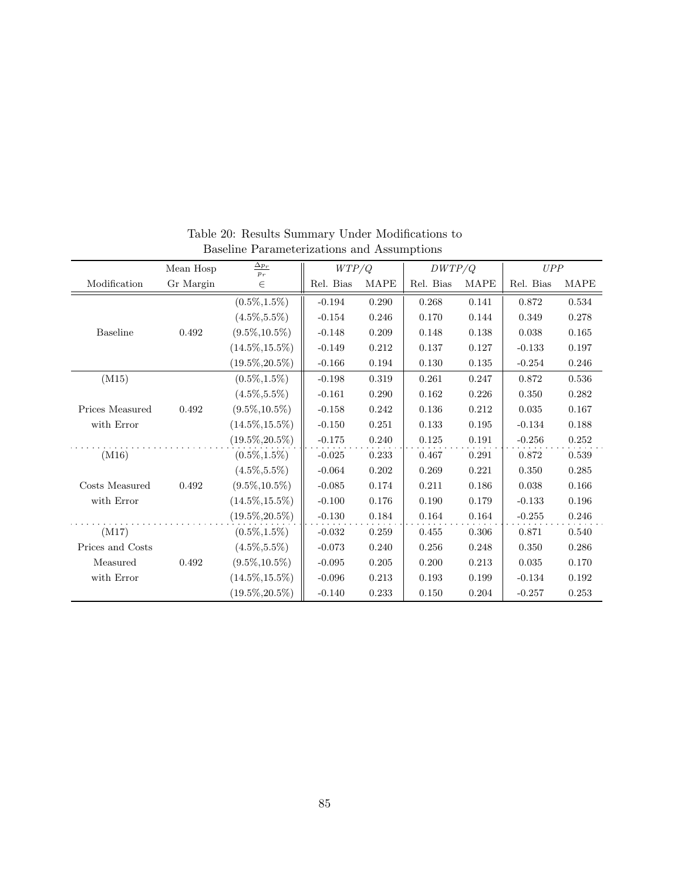|                  | Mean Hosp | $\Delta p_T$<br>$p_r$ | WTP/Q     |             | DWTP/Q    |             | UPP       |             |
|------------------|-----------|-----------------------|-----------|-------------|-----------|-------------|-----------|-------------|
| Modification     | Gr Margin | $\in$                 | Rel. Bias | <b>MAPE</b> | Rel. Bias | <b>MAPE</b> | Rel. Bias | <b>MAPE</b> |
|                  |           | $(0.5\%, 1.5\%)$      | $-0.194$  | 0.290       | 0.268     | 0.141       | 0.872     | 0.534       |
|                  |           | $(4.5\%, 5.5\%)$      | $-0.154$  | 0.246       | 0.170     | 0.144       | 0.349     | 0.278       |
| <b>Baseline</b>  | 0.492     | $(9.5\%, 10.5\%)$     | $-0.148$  | 0.209       | 0.148     | 0.138       | 0.038     | 0.165       |
|                  |           | $(14.5\%, 15.5\%)$    | $-0.149$  | 0.212       | 0.137     | 0.127       | $-0.133$  | 0.197       |
|                  |           | $(19.5\%, 20.5\%)$    | $-0.166$  | 0.194       | 0.130     | 0.135       | $-0.254$  | 0.246       |
| (M15)            |           | $(0.5\%, 1.5\%)$      | $-0.198$  | 0.319       | 0.261     | 0.247       | 0.872     | 0.536       |
|                  |           | $(4.5\%, 5.5\%)$      | $-0.161$  | 0.290       | 0.162     | 0.226       | 0.350     | 0.282       |
| Prices Measured  | 0.492     | $(9.5\%, 10.5\%)$     | $-0.158$  | 0.242       | 0.136     | 0.212       | 0.035     | 0.167       |
| with Error       |           | $(14.5\%, 15.5\%)$    | $-0.150$  | 0.251       | 0.133     | 0.195       | $-0.134$  | 0.188       |
|                  |           | $(19.5\%, 20.5\%)$    | $-0.175$  | 0.240       | 0.125     | 0.191       | $-0.256$  | 0.252       |
| (M16)            |           | $(0.5\%, 1.5\%)$      | $-0.025$  | 0.233       | 0.467     | 0.291       | 0.872     | 0.539       |
|                  |           | $(4.5\%, 5.5\%)$      | $-0.064$  | 0.202       | 0.269     | 0.221       | 0.350     | 0.285       |
| Costs Measured   | 0.492     | $(9.5\%, 10.5\%)$     | $-0.085$  | 0.174       | 0.211     | 0.186       | 0.038     | 0.166       |
| with Error       |           | $(14.5\%, 15.5\%)$    | $-0.100$  | 0.176       | 0.190     | 0.179       | $-0.133$  | 0.196       |
|                  |           | $(19.5\%, 20.5\%)$    | $-0.130$  | 0.184       | 0.164     | 0.164       | $-0.255$  | 0.246       |
| (M17)            |           | $(0.5\%, 1.5\%)$      | $-0.032$  | 0.259       | 0.455     | 0.306       | 0.871     | 0.540       |
| Prices and Costs |           | $(4.5\%, 5.5\%)$      | $-0.073$  | 0.240       | 0.256     | 0.248       | 0.350     | 0.286       |
| Measured         | 0.492     | $(9.5\%, 10.5\%)$     | $-0.095$  | 0.205       | 0.200     | 0.213       | 0.035     | 0.170       |
| with Error       |           | $(14.5\%, 15.5\%)$    | $-0.096$  | 0.213       | 0.193     | 0.199       | $-0.134$  | 0.192       |
|                  |           | $(19.5\%, 20.5\%)$    | $-0.140$  | 0.233       | 0.150     | 0.204       | $-0.257$  | 0.253       |

<span id="page-86-0"></span>Table 20: Results Summary Under Modifications to Baseline Parameterizations and Assumptions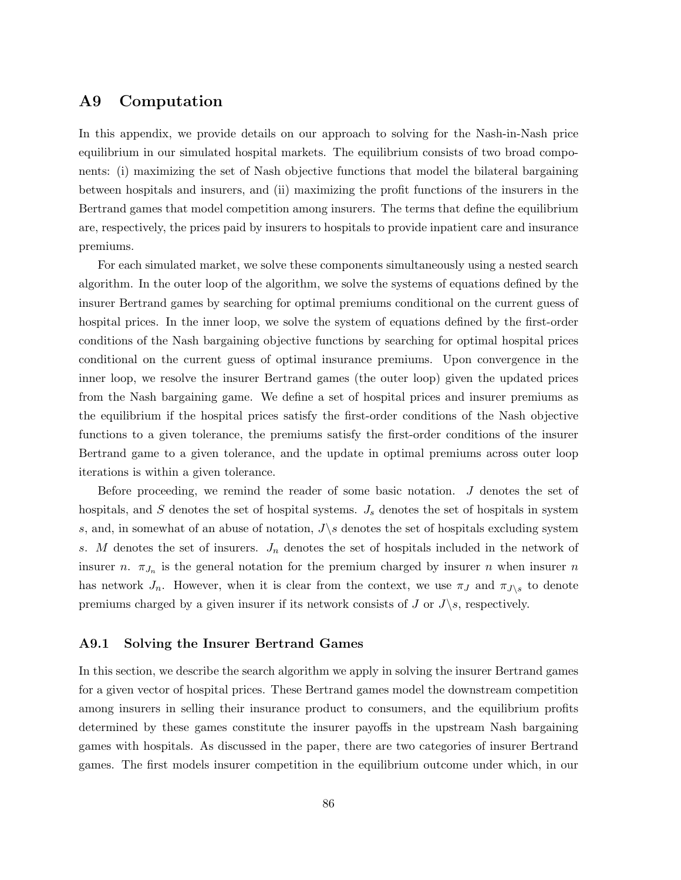## A9 Computation

In this appendix, we provide details on our approach to solving for the Nash-in-Nash price equilibrium in our simulated hospital markets. The equilibrium consists of two broad components: (i) maximizing the set of Nash objective functions that model the bilateral bargaining between hospitals and insurers, and (ii) maximizing the profit functions of the insurers in the Bertrand games that model competition among insurers. The terms that define the equilibrium are, respectively, the prices paid by insurers to hospitals to provide inpatient care and insurance premiums.

For each simulated market, we solve these components simultaneously using a nested search algorithm. In the outer loop of the algorithm, we solve the systems of equations defined by the insurer Bertrand games by searching for optimal premiums conditional on the current guess of hospital prices. In the inner loop, we solve the system of equations defined by the first-order conditions of the Nash bargaining objective functions by searching for optimal hospital prices conditional on the current guess of optimal insurance premiums. Upon convergence in the inner loop, we resolve the insurer Bertrand games (the outer loop) given the updated prices from the Nash bargaining game. We define a set of hospital prices and insurer premiums as the equilibrium if the hospital prices satisfy the first-order conditions of the Nash objective functions to a given tolerance, the premiums satisfy the first-order conditions of the insurer Bertrand game to a given tolerance, and the update in optimal premiums across outer loop iterations is within a given tolerance.

Before proceeding, we remind the reader of some basic notation.  $J$  denotes the set of hospitals, and  $S$  denotes the set of hospital systems.  $J_s$  denotes the set of hospitals in system s, and, in somewhat of an abuse of notation,  $J\$ s denotes the set of hospitals excluding system s. M denotes the set of insurers.  $J_n$  denotes the set of hospitals included in the network of insurer n.  $\pi_{J_n}$  is the general notation for the premium charged by insurer n when insurer n has network  $J_n$ . However, when it is clear from the context, we use  $\pi_J$  and  $\pi_{J\setminus s}$  to denote premiums charged by a given insurer if its network consists of J or  $J\backslash s$ , respectively.

### A9.1 Solving the Insurer Bertrand Games

In this section, we describe the search algorithm we apply in solving the insurer Bertrand games for a given vector of hospital prices. These Bertrand games model the downstream competition among insurers in selling their insurance product to consumers, and the equilibrium profits determined by these games constitute the insurer payoffs in the upstream Nash bargaining games with hospitals. As discussed in the paper, there are two categories of insurer Bertrand games. The first models insurer competition in the equilibrium outcome under which, in our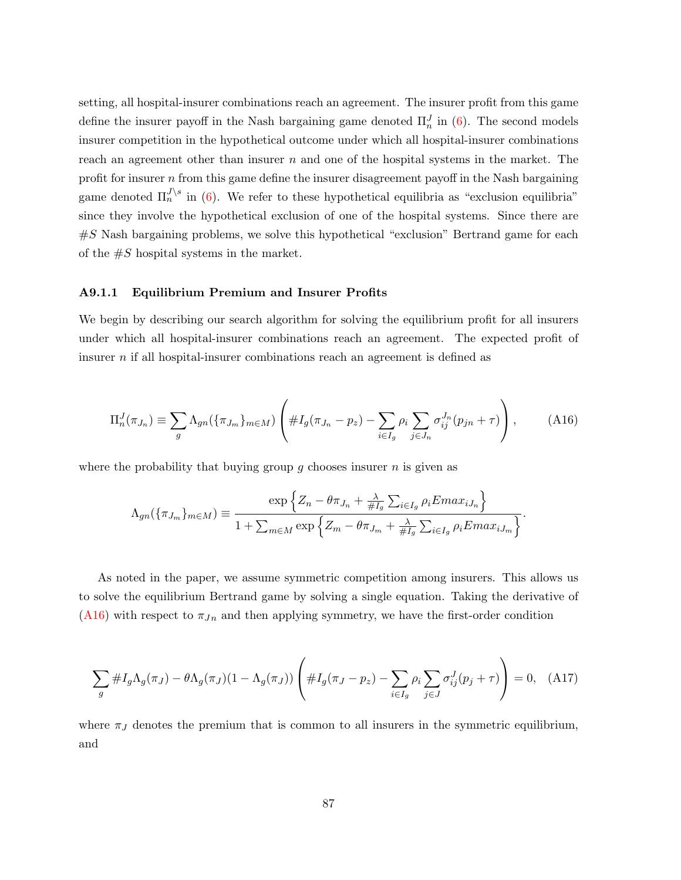setting, all hospital-insurer combinations reach an agreement. The insurer profit from this game define the insurer payoff in the Nash bargaining game denoted  $\Pi_n^J$  in [\(6\)](#page-11-0). The second models insurer competition in the hypothetical outcome under which all hospital-insurer combinations reach an agreement other than insurer  $n$  and one of the hospital systems in the market. The profit for insurer  $n$  from this game define the insurer disagreement payoff in the Nash bargaining game denoted  $\Pi_n^{J \setminus s}$  in [\(6\)](#page-11-0). We refer to these hypothetical equilibria as "exclusion equilibria" since they involve the hypothetical exclusion of one of the hospital systems. Since there are  $\#S$  Nash bargaining problems, we solve this hypothetical "exclusion" Bertrand game for each of the  $\#S$  hospital systems in the market.

#### A9.1.1 Equilibrium Premium and Insurer Profits

We begin by describing our search algorithm for solving the equilibrium profit for all insurers under which all hospital-insurer combinations reach an agreement. The expected profit of insurer  $n$  if all hospital-insurer combinations reach an agreement is defined as

<span id="page-88-0"></span>
$$
\Pi_n^J(\pi_{J_n}) \equiv \sum_g \Lambda_{gn}(\{\pi_{J_m}\}_{m \in M}) \left( \#I_g(\pi_{J_n} - p_z) - \sum_{i \in I_g} \rho_i \sum_{j \in J_n} \sigma_{ij}^{J_n}(p_{jn} + \tau) \right), \tag{A16}
$$

where the probability that buying group  $g$  chooses insurer  $n$  is given as

$$
\Lambda_{gn}(\{\pi_{J_m}\}_{m\in M}) \equiv \frac{\exp\left\{Z_n - \theta\pi_{J_n} + \frac{\lambda}{\#I_g}\sum_{i\in I_g}\rho_i Emax_{iJ_n}\right\}}{1 + \sum_{m\in M}\exp\left\{Z_m - \theta\pi_{J_m} + \frac{\lambda}{\#I_g}\sum_{i\in I_g}\rho_i Emax_{iJ_m}\right\}}.
$$

As noted in the paper, we assume symmetric competition among insurers. This allows us to solve the equilibrium Bertrand game by solving a single equation. Taking the derivative of [\(A16\)](#page-88-0) with respect to  $\pi_{J_n}$  and then applying symmetry, we have the first-order condition

<span id="page-88-1"></span>
$$
\sum_{g} \#I_g \Lambda_g(\pi_J) - \theta \Lambda_g(\pi_J)(1 - \Lambda_g(\pi_J)) \left( \#I_g(\pi_J - p_z) - \sum_{i \in I_g} \rho_i \sum_{j \in J} \sigma_{ij}^J(p_j + \tau) \right) = 0, \quad (A17)
$$

where  $\pi_J$  denotes the premium that is common to all insurers in the symmetric equilibrium, and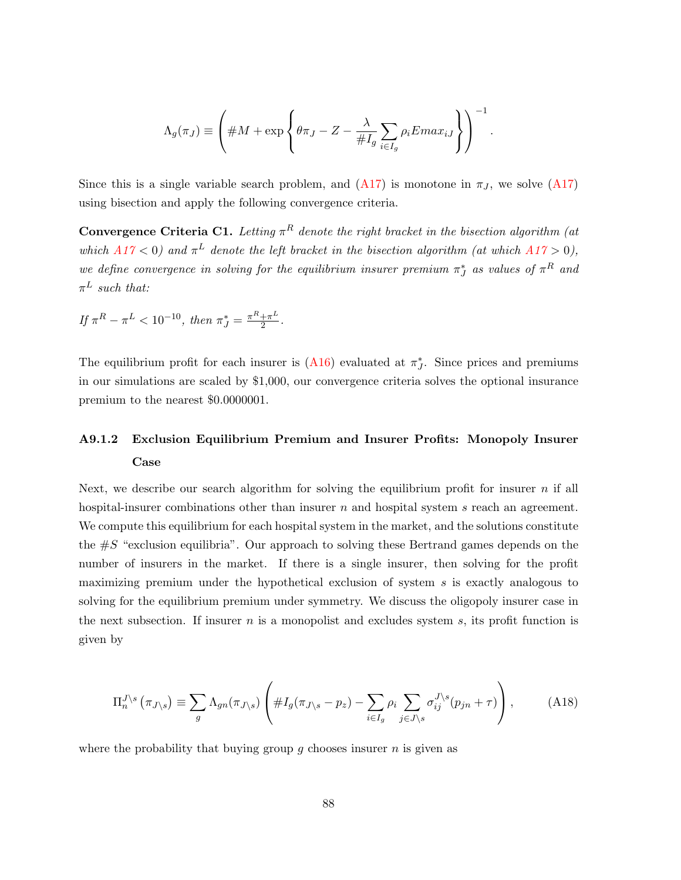$$
\Lambda_g(\pi_J) \equiv \left( \# M + \exp \left\{ \theta \pi_J - Z - \frac{\lambda}{\# I_g} \sum_{i \in I_g} \rho_i E \, \text{max}_{iJ} \right\} \right)^{-1}.
$$

Since this is a single variable search problem, and  $(A17)$  is monotone in  $\pi<sub>J</sub>$ , we solve  $(A17)$ using bisection and apply the following convergence criteria.

<span id="page-89-1"></span>**Convergence Criteria C1.** Letting  $\pi^R$  denote the right bracket in the bisection algorithm (at which  $A17 < 0$  $A17 < 0$ ) and  $\pi^L$  denote the left bracket in the bisection algorithm (at which  $A17 > 0$ ), we define convergence in solving for the equilibrium insurer premium  $\pi_J^*$  as values of  $\pi^R$  and  $\pi^L$  such that:

$$
If \ \pi^R - \pi^L < 10^{-10}, \ then \ \pi_J^* = \frac{\pi^R + \pi^L}{2}.
$$

The equilibrium profit for each insurer is  $(A16)$  evaluated at  $\pi_J^*$ . Since prices and premiums in our simulations are scaled by \$1,000, our convergence criteria solves the optional insurance premium to the nearest \$0.0000001.

# A9.1.2 Exclusion Equilibrium Premium and Insurer Profits: Monopoly Insurer Case

Next, we describe our search algorithm for solving the equilibrium profit for insurer  $n$  if all hospital-insurer combinations other than insurer  $n$  and hospital system  $s$  reach an agreement. We compute this equilibrium for each hospital system in the market, and the solutions constitute the  $\#S$  "exclusion equilibria". Our approach to solving these Bertrand games depends on the number of insurers in the market. If there is a single insurer, then solving for the profit maximizing premium under the hypothetical exclusion of system s is exactly analogous to solving for the equilibrium premium under symmetry. We discuss the oligopoly insurer case in the next subsection. If insurer  $n$  is a monopolist and excludes system  $s$ , its profit function is given by

<span id="page-89-0"></span>
$$
\Pi_n^{J \setminus s} \left( \pi_{J \setminus s} \right) \equiv \sum_g \Lambda_{gn}(\pi_{J \setminus s}) \left( \#I_g(\pi_{J \setminus s} - p_z) - \sum_{i \in I_g} \rho_i \sum_{j \in J \setminus s} \sigma_{ij}^{J \setminus s} (p_{jn} + \tau) \right), \tag{A18}
$$

where the probability that buying group  $g$  chooses insurer  $n$  is given as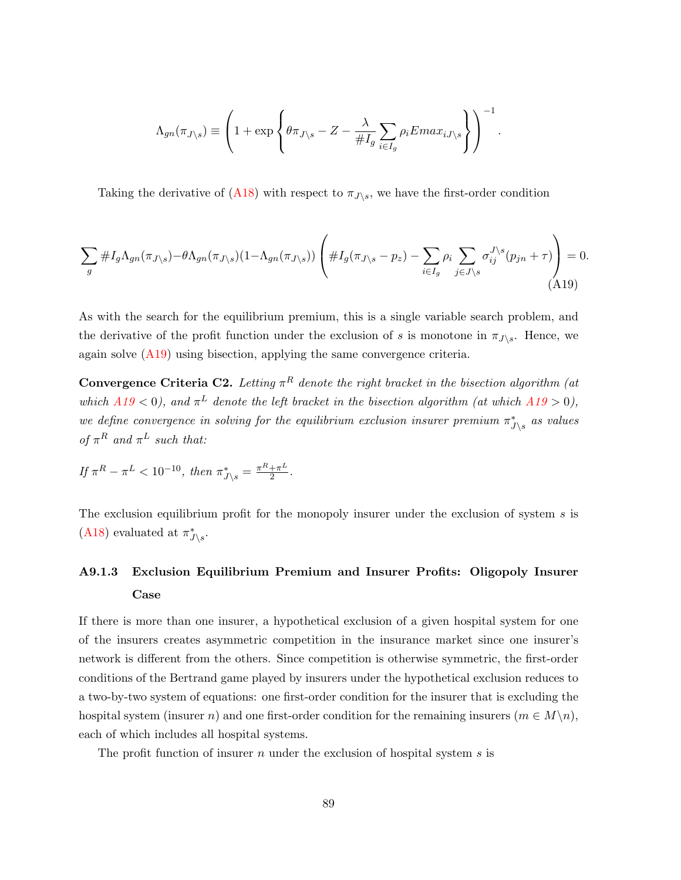$$
\Lambda_{gn}(\pi_{J \setminus s}) \equiv \left(1 + \exp\left\{\theta \pi_{J \setminus s} - Z - \frac{\lambda}{\#I_g} \sum_{i \in I_g} \rho_i E max_{iJ \setminus s}\right\}\right)^{-1}.
$$

Taking the derivative of [\(A18\)](#page-89-0) with respect to  $\pi_{J\setminus s}$ , we have the first-order condition

<span id="page-90-0"></span>
$$
\sum_{g} \#I_{g}\Lambda_{gn}(\pi_{J\setminus s}) - \theta \Lambda_{gn}(\pi_{J\setminus s})(1 - \Lambda_{gn}(\pi_{J\setminus s})) \left( \#I_{g}(\pi_{J\setminus s} - p_{z}) - \sum_{i \in I_{g}} \rho_{i} \sum_{j \in J\setminus s} \sigma_{ij}^{J\setminus s}(p_{jn} + \tau) \right) = 0.
$$
\n(A19)

As with the search for the equilibrium premium, this is a single variable search problem, and the derivative of the profit function under the exclusion of s is monotone in  $\pi_{J\setminus s}$ . Hence, we again solve [\(A19\)](#page-90-0) using bisection, applying the same convergence criteria.

<span id="page-90-1"></span>**Convergence Criteria C2.** Letting  $\pi^R$  denote the right bracket in the bisection algorithm (at which  $A19 < 0$  $A19 < 0$ ), and  $\pi^L$  denote the left bracket in the bisection algorithm (at which  $A19 > 0$ ), we define convergence in solving for the equilibrium exclusion insurer premium  $\pi_{J\setminus s}^*$  as values of  $\pi^R$  and  $\pi^L$  such that:

$$
If \ \pi^R - \pi^L < 10^{-10}, \ then \ \pi^*_{J \setminus s} = \frac{\pi^R + \pi^L}{2}.
$$

The exclusion equilibrium profit for the monopoly insurer under the exclusion of system s is [\(A18\)](#page-89-0) evaluated at  $\pi^*_{J\setminus s}$ .

# A9.1.3 Exclusion Equilibrium Premium and Insurer Profits: Oligopoly Insurer Case

If there is more than one insurer, a hypothetical exclusion of a given hospital system for one of the insurers creates asymmetric competition in the insurance market since one insurer's network is different from the others. Since competition is otherwise symmetric, the first-order conditions of the Bertrand game played by insurers under the hypothetical exclusion reduces to a two-by-two system of equations: one first-order condition for the insurer that is excluding the hospital system (insurer n) and one first-order condition for the remaining insurers  $(m \in M\backslash n)$ , each of which includes all hospital systems.

The profit function of insurer n under the exclusion of hospital system s is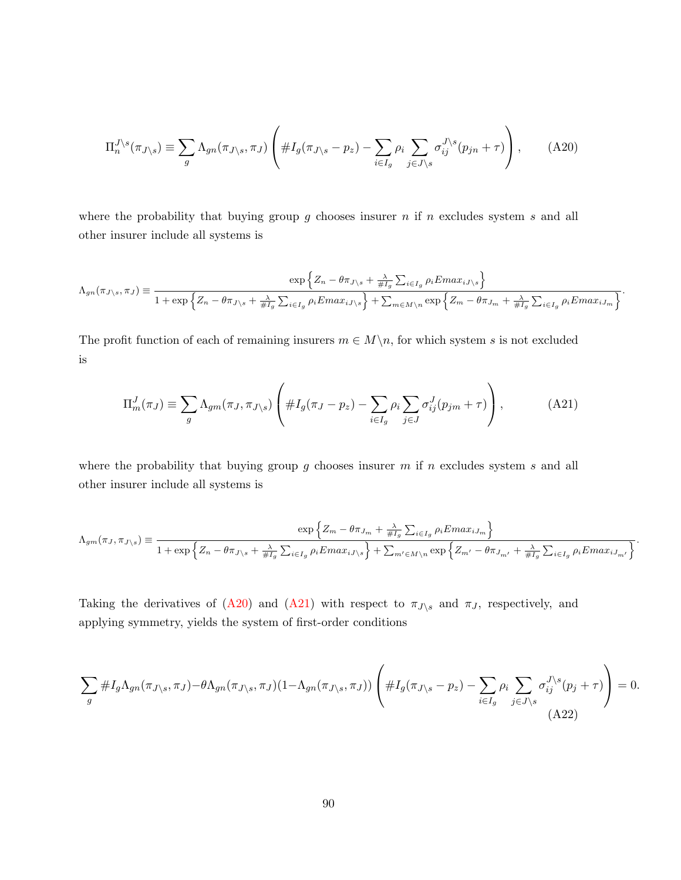<span id="page-91-0"></span>
$$
\Pi_n^{J \setminus s}(\pi_{J \setminus s}) \equiv \sum_g \Lambda_{gn}(\pi_{J \setminus s}, \pi_J) \left( \#I_g(\pi_{J \setminus s} - p_z) - \sum_{i \in I_g} \rho_i \sum_{j \in J \setminus s} \sigma_{ij}^{J \setminus s} (p_{jn} + \tau) \right), \tag{A20}
$$

where the probability that buying group  $g$  chooses insurer  $n$  if  $n$  excludes system  $s$  and all other insurer include all systems is

$$
\Lambda_{gn}(\pi_{J \setminus s}, \pi_J) \equiv \frac{\exp\left\{Z_n - \theta \pi_{J \setminus s} + \frac{\lambda}{\#I_g} \sum_{i \in I_g} \rho_i Emax_{iJ \setminus s}\right\}}{1 + \exp\left\{Z_n - \theta \pi_{J \setminus s} + \frac{\lambda}{\#I_g} \sum_{i \in I_g} \rho_i Emax_{iJ \setminus s}\right\} + \sum_{m \in M \setminus n} \exp\left\{Z_m - \theta \pi_{J_m} + \frac{\lambda}{\#I_g} \sum_{i \in I_g} \rho_i Emax_{iJ_m}\right\}}.
$$

The profit function of each of remaining insurers  $m \in M \setminus n$ , for which system s is not excluded is

<span id="page-91-1"></span>
$$
\Pi_m^J(\pi_J) \equiv \sum_g \Lambda_{gm}(\pi_J, \pi_{J \setminus s}) \left( \#I_g(\pi_J - p_z) - \sum_{i \in I_g} \rho_i \sum_{j \in J} \sigma_{ij}^J(p_{jm} + \tau) \right), \tag{A21}
$$

where the probability that buying group  $g$  chooses insurer  $m$  if  $n$  excludes system  $s$  and all other insurer include all systems is

$$
\Lambda_{gm}(\pi_J, \pi_{J \setminus s}) \equiv \frac{\exp\left\{Z_m - \theta \pi_{J_m} + \frac{\lambda}{\#I_g} \sum_{i \in I_g} \rho_i Emax_{iJ_m}\right\}}{1 + \exp\left\{Z_n - \theta \pi_{J \setminus s} + \frac{\lambda}{\#I_g} \sum_{i \in I_g} \rho_i Emax_{iJ \setminus s}\right\} + \sum_{m' \in M \setminus n} \exp\left\{Z_{m'} - \theta \pi_{J_{m'}} + \frac{\lambda}{\#I_g} \sum_{i \in I_g} \rho_i Emax_{iJ_{m'}}\right\}}.
$$

Taking the derivatives of [\(A20\)](#page-91-0) and [\(A21\)](#page-91-1) with respect to  $\pi_{J\setminus s}$  and  $\pi_{J}$ , respectively, and applying symmetry, yields the system of first-order conditions

<span id="page-91-2"></span>
$$
\sum_{g} \#I_{g}\Lambda_{gn}(\pi_{J\setminus s}, \pi_{J}) - \theta \Lambda_{gn}(\pi_{J\setminus s}, \pi_{J})(1 - \Lambda_{gn}(\pi_{J\setminus s}, \pi_{J})) \left( \#I_{g}(\pi_{J\setminus s} - p_{z}) - \sum_{i \in I_{g}} \rho_{i} \sum_{j \in J\setminus s} \sigma_{ij}^{J\setminus s}(p_{j} + \tau) \right) = 0.
$$
\n(A22)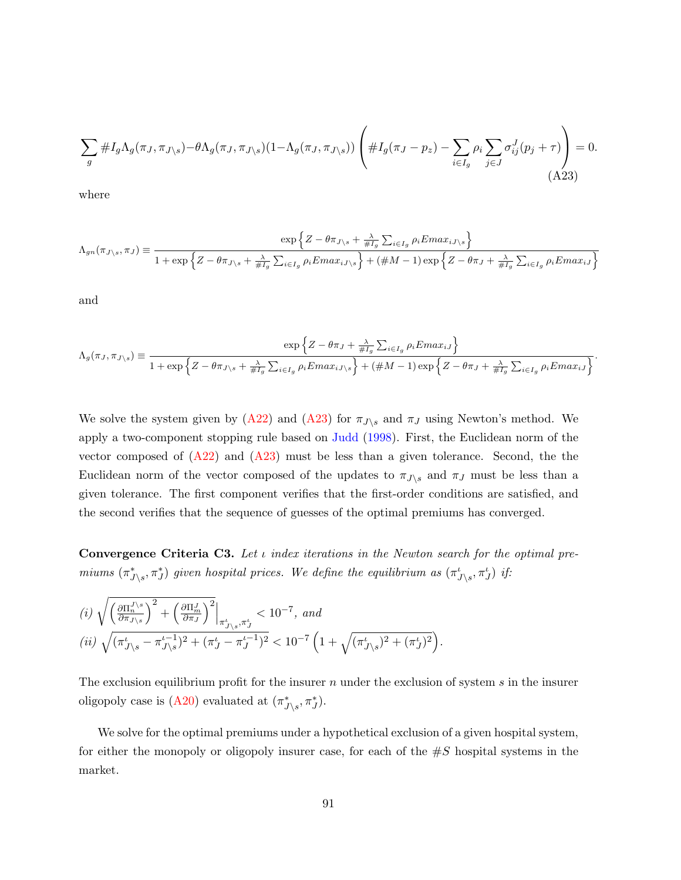<span id="page-92-0"></span>
$$
\sum_{g} \#I_{g}\Lambda_{g}(\pi_{J}, \pi_{J\setminus s}) - \theta \Lambda_{g}(\pi_{J}, \pi_{J\setminus s}) (1 - \Lambda_{g}(\pi_{J}, \pi_{J\setminus s})) \left( \#I_{g}(\pi_{J} - p_{z}) - \sum_{i \in I_{g}} \rho_{i} \sum_{j \in J} \sigma_{ij}^{J}(p_{j} + \tau) \right) = 0.
$$
\n(A23)

where

$$
\Lambda_{gn}(\pi_{J \setminus s}, \pi_J) \equiv \frac{\exp\left\{Z - \theta \pi_{J \setminus s} + \frac{\lambda}{\#I_g} \sum_{i \in I_g} \rho_i Emax_{iJ \setminus s}\right\}}{1 + \exp\left\{Z - \theta \pi_{J \setminus s} + \frac{\lambda}{\#I_g} \sum_{i \in I_g} \rho_i Emax_{iJ \setminus s}\right\} + (\#M - 1) \exp\left\{Z - \theta \pi_J + \frac{\lambda}{\#I_g} \sum_{i \in I_g} \rho_i Emax_{iJ}\right\}}
$$

and

$$
\Lambda_g(\pi_J, \pi_{J \setminus s}) \equiv \frac{\exp\left\{Z - \theta \pi_J + \frac{\lambda}{\#I_g} \sum_{i \in I_g} \rho_i Emax_{iJ}\right\}}{1 + \exp\left\{Z - \theta \pi_{J \setminus s} + \frac{\lambda}{\#I_g} \sum_{i \in I_g} \rho_i Emax_{iJ \setminus s}\right\} + (\#M - 1) \exp\left\{Z - \theta \pi_J + \frac{\lambda}{\#I_g} \sum_{i \in I_g} \rho_i Emax_{iJ}\right\}}.
$$

We solve the system given by [\(A22\)](#page-91-2) and [\(A23\)](#page-92-0) for  $\pi_{J\setminus s}$  and  $\pi_J$  using Newton's method. We apply a two-component stopping rule based on [Judd](#page-99-0) [\(1998\)](#page-99-0). First, the Euclidean norm of the vector composed of  $(A22)$  and  $(A23)$  must be less than a given tolerance. Second, the the Euclidean norm of the vector composed of the updates to  $\pi_{J\setminus s}$  and  $\pi_J$  must be less than a given tolerance. The first component verifies that the first-order conditions are satisfied, and the second verifies that the sequence of guesses of the optimal premiums has converged.

<span id="page-92-1"></span>**Convergence Criteria C3.** Let  $\iota$  index iterations in the Newton search for the optimal premiums  $(\pi^*_{J\setminus s}, \pi^*_J)$  given hospital prices. We define the equilibrium as  $(\pi^t_{J\setminus s}, \pi^t_{J})$  if:

$$
\begin{split} &\left(i\right)\sqrt{\left(\tfrac{\partial\Pi_{n}^{J\backslash s}}{\partial\pi_{J\backslash s}}\right)^{2}+\left(\tfrac{\partial\Pi_{m}^{J}}{\partial\pi_{J}}\right)^{2}}\Big|_{\pi_{J\backslash s}^{\iota},\pi_{J}^{\iota}}<10^{-7}, \;and \\ &\left(ii\right)\sqrt{(\pi_{J\backslash s}^{\iota}-\pi_{J\backslash s}^{\iota-1})^{2}+(\pi_{J}^{\iota}-\pi_{J}^{\iota-1})^{2}}<10^{-7}\left(1+\sqrt{(\pi_{J\backslash s}^{\iota})^{2}+(\pi_{J}^{\iota})^{2}}\right). \end{split}
$$

The exclusion equilibrium profit for the insurer  $n$  under the exclusion of system  $s$  in the insurer oligopoly case is [\(A20\)](#page-91-0) evaluated at  $(\pi^*_{J\setminus s}, \pi^*_J)$ .

We solve for the optimal premiums under a hypothetical exclusion of a given hospital system, for either the monopoly or oligopoly insurer case, for each of the  $\#S$  hospital systems in the market.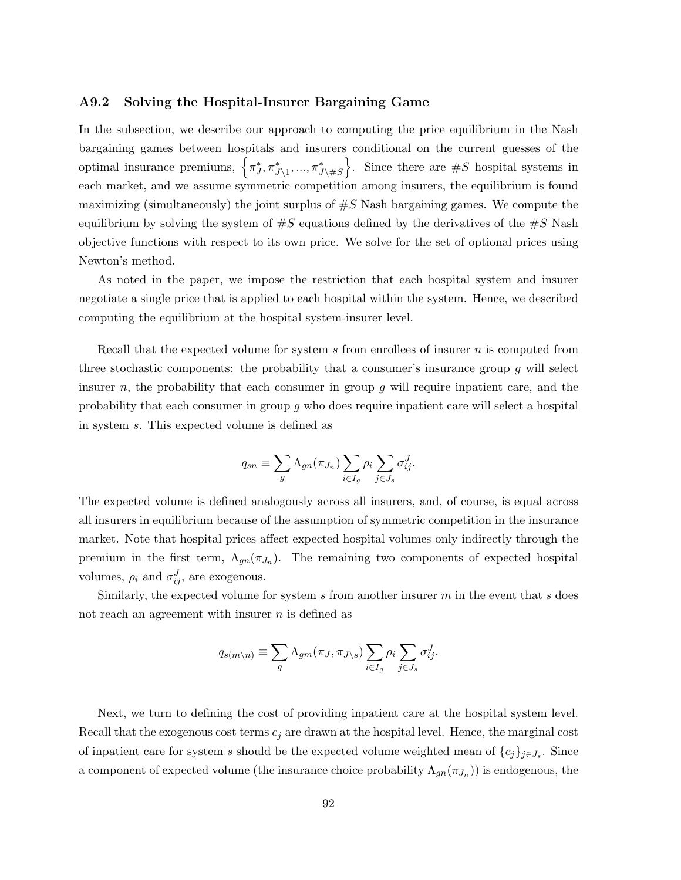### A9.2 Solving the Hospital-Insurer Bargaining Game

In the subsection, we describe our approach to computing the price equilibrium in the Nash bargaining games between hospitals and insurers conditional on the current guesses of the optimal insurance premiums,  $\left\{\pi_J^*, \pi_{J\setminus 1}^*, ..., \pi_{J\setminus \#S}^*\right\}$ . Since there are  $\#S$  hospital systems in each market, and we assume symmetric competition among insurers, the equilibrium is found maximizing (simultaneously) the joint surplus of  $\#S$  Nash bargaining games. We compute the equilibrium by solving the system of  $\#S$  equations defined by the derivatives of the  $\#S$  Nash objective functions with respect to its own price. We solve for the set of optional prices using Newton's method.

As noted in the paper, we impose the restriction that each hospital system and insurer negotiate a single price that is applied to each hospital within the system. Hence, we described computing the equilibrium at the hospital system-insurer level.

Recall that the expected volume for system s from enrollees of insurer  $n$  is computed from three stochastic components: the probability that a consumer's insurance group  $q$  will select insurer n, the probability that each consumer in group q will require inpatient care, and the probability that each consumer in group g who does require inpatient care will select a hospital in system s. This expected volume is defined as

$$
q_{sn} \equiv \sum_{g} \Lambda_{gn}(\pi_{J_n}) \sum_{i \in I_g} \rho_i \sum_{j \in J_s} \sigma_{ij}^J.
$$

The expected volume is defined analogously across all insurers, and, of course, is equal across all insurers in equilibrium because of the assumption of symmetric competition in the insurance market. Note that hospital prices affect expected hospital volumes only indirectly through the premium in the first term,  $\Lambda_{gn}(\pi_{J_n})$ . The remaining two components of expected hospital volumes,  $\rho_i$  and  $\sigma_{ij}^J$ , are exogenous.

Similarly, the expected volume for system s from another insurer  $m$  in the event that s does not reach an agreement with insurer *n* is defined as

$$
q_{s(m \backslash n)} \equiv \sum_{g} \Lambda_{gm}(\pi_J, \pi_{J \backslash s}) \sum_{i \in I_g} \rho_i \sum_{j \in J_s} \sigma_{ij}^J.
$$

Next, we turn to defining the cost of providing inpatient care at the hospital system level. Recall that the exogenous cost terms  $c_j$  are drawn at the hospital level. Hence, the marginal cost of inpatient care for system s should be the expected volume weighted mean of  $\{c_j\}_{j\in J_s}$ . Since a component of expected volume (the insurance choice probability  $\Lambda_{gn}(\pi_{J_n})$ ) is endogenous, the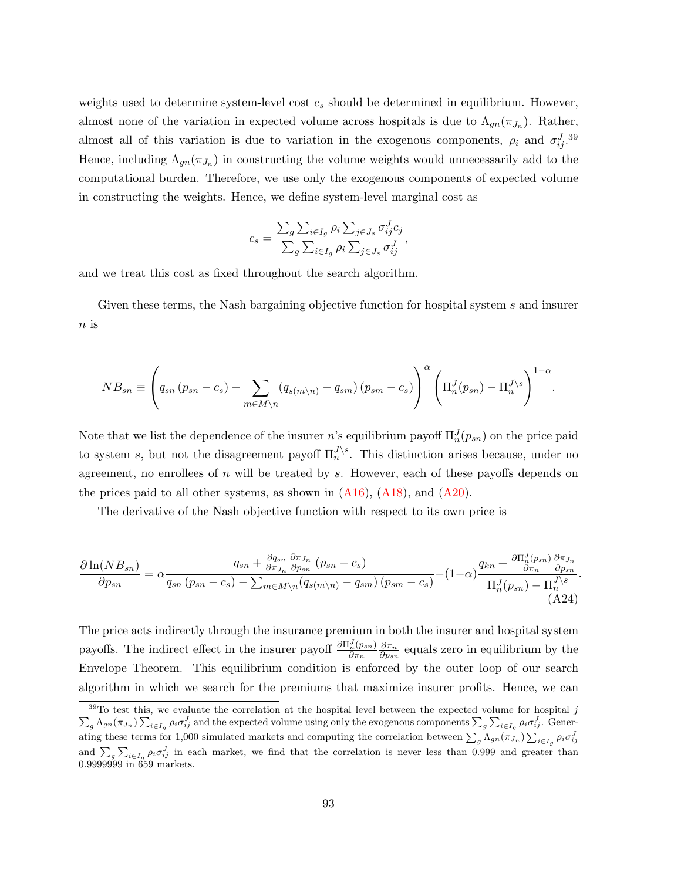weights used to determine system-level cost  $c_s$  should be determined in equilibrium. However, almost none of the variation in expected volume across hospitals is due to  $\Lambda_{gn}(\pi_{J_n})$ . Rather, almost all of this variation is due to variation in the exogenous components,  $\rho_i$  and  $\sigma_{ij}^{J}$ .<sup>39</sup> Hence, including  $\Lambda_{gn}(\pi_{J_n})$  in constructing the volume weights would unnecessarily add to the computational burden. Therefore, we use only the exogenous components of expected volume in constructing the weights. Hence, we define system-level marginal cost as

$$
c_s = \frac{\sum_{g}\sum_{i \in I_g} \rho_i \sum_{j \in J_s} \sigma_{ij}^J c_j}{\sum_{g}\sum_{i \in I_g} \rho_i \sum_{j \in J_s} \sigma_{ij}^J},
$$

and we treat this cost as fixed throughout the search algorithm.

Given these terms, the Nash bargaining objective function for hospital system s and insurer  $n$  is

$$
NB_{sn} \equiv \left(q_{sn} (p_{sn} - c_s) - \sum_{m \in M \backslash n} (q_{s(m \backslash n)} - q_{sm}) (p_{sm} - c_s)\right)^{\alpha} \left(\Pi_n^J(p_{sn}) - \Pi_n^{J \backslash s}\right)^{1-\alpha}.
$$

Note that we list the dependence of the insurer n's equilibrium payoff  $\Pi_n^J(p_{sn})$  on the price paid to system s, but not the disagreement payoff  $\Pi_n^{J \setminus s}$ . This distinction arises because, under no agreement, no enrollees of  $n$  will be treated by  $s$ . However, each of these payoffs depends on the prices paid to all other systems, as shown in  $(A16)$ ,  $(A18)$ , and  $(A20)$ .

The derivative of the Nash objective function with respect to its own price is

<span id="page-94-0"></span>
$$
\frac{\partial \ln(NB_{sn})}{\partial p_{sn}} = \alpha \frac{q_{sn} + \frac{\partial q_{sn}}{\partial \pi_{J_n}} \frac{\partial \pi_{J_n}}{\partial p_{sn}} (p_{sn} - c_s)}{q_{sn} (p_{sn} - c_s) - \sum_{m \in M \backslash n} (q_{s(m \backslash n)} - q_{sm}) (p_{sm} - c_s)} - (1 - \alpha) \frac{q_{kn} + \frac{\partial \Pi_n^J(p_{sn})}{\partial \pi_n} \frac{\partial \pi_{J_n}}{\partial p_{sn}}}{\Pi_n^J(p_{sn}) - \Pi_n^{J \backslash s}}.
$$
\n(A24)

The price acts indirectly through the insurance premium in both the insurer and hospital system payoffs. The indirect effect in the insurer payoff  $\frac{\partial \Pi_n^J(p_{sn})}{\partial \tau}$  $\partial \pi_n$  $\partial \pi_n$  $\frac{\partial \pi_n}{\partial p_{sn}}$  equals zero in equilibrium by the Envelope Theorem. This equilibrium condition is enforced by the outer loop of our search algorithm in which we search for the premiums that maximize insurer profits. Hence, we can

 $39$ To test this, we evaluate the correlation at the hospital level between the expected volume for hospital j  $\sum_{g} \Lambda_{gn}(\pi_{J_n}) \sum_{i \in I_g} \rho_i \sigma_{ij}^J$  and the expected volume using only the exogenous components  $\sum_{g} \sum_{i \in I_g} \rho_i \sigma_{ij}^J$ . Generating these terms for 1,000 simulated markets and computing the correlation between  $\sum_{g} \Lambda_{gn}(\pi_{J_n}) \sum_{i \in I_g} \rho_i \sigma_{ij}^J$ and  $\sum_{g} \sum_{i\in I_g} \rho_i \sigma_{ij}^J$  in each market, we find that the correlation is never less than 0.999 and greater than 0.9999999 in 659 markets.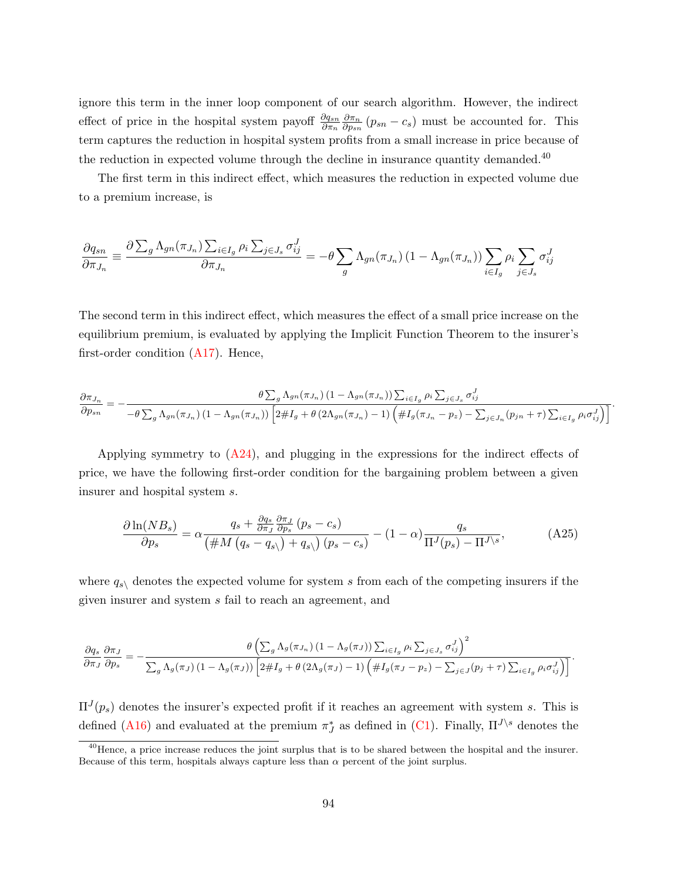ignore this term in the inner loop component of our search algorithm. However, the indirect effect of price in the hospital system payoff  $\frac{\partial q_{sn}}{\partial \pi_n}$  $\partial \pi_n$  $\frac{\partial \pi_n}{\partial p_{sn}}(p_{sn}-c_s)$  must be accounted for. This term captures the reduction in hospital system profits from a small increase in price because of the reduction in expected volume through the decline in insurance quantity demanded.<sup>40</sup>

The first term in this indirect effect, which measures the reduction in expected volume due to a premium increase, is

$$
\frac{\partial q_{sn}}{\partial \pi_{J_n}} \equiv \frac{\partial \sum_g \Lambda_{gn}(\pi_{J_n}) \sum_{i \in I_g} \rho_i \sum_{j \in J_s} \sigma_{ij}^J}{\partial \pi_{J_n}} = -\theta \sum_g \Lambda_{gn}(\pi_{J_n}) \left(1 - \Lambda_{gn}(\pi_{J_n})\right) \sum_{i \in I_g} \rho_i \sum_{j \in J_s} \sigma_{ij}^J
$$

The second term in this indirect effect, which measures the effect of a small price increase on the equilibrium premium, is evaluated by applying the Implicit Function Theorem to the insurer's first-order condition  $(A17)$ . Hence,

$$
\frac{\partial \pi_{J_n}}{\partial p_{sn}} = -\frac{\theta \sum_{g} \Lambda_{gn}(\pi_{J_n}) (1 - \Lambda_{gn}(\pi_{J_n})) \sum_{i \in I_g} \rho_i \sum_{j \in J_s} \sigma_{ij}^J}{-\theta \sum_{g} \Lambda_{gn}(\pi_{J_n}) (1 - \Lambda_{gn}(\pi_{J_n})) \left[2 \#I_g + \theta (2\Lambda_{gn}(\pi_{J_n}) - 1) \left(\#I_g(\pi_{J_n} - p_z) - \sum_{j \in J_n} (p_{jn} + \tau) \sum_{i \in I_g} \rho_i \sigma_{ij}^J\right)\right]}.
$$

Applying symmetry to  $(A24)$ , and plugging in the expressions for the indirect effects of price, we have the following first-order condition for the bargaining problem between a given insurer and hospital system s.

$$
\frac{\partial \ln(NB_s)}{\partial p_s} = \alpha \frac{q_s + \frac{\partial q_s}{\partial \pi_J} \frac{\partial \pi_J}{\partial p_s} (p_s - c_s)}{\left(\#M \left(q_s - q_s\right) + q_s\right) (p_s - c_s)} - (1 - \alpha) \frac{q_s}{\Pi^J(p_s) - \Pi^{J \setminus s}},\tag{A25}
$$

where  $q_{s\setminus}$  denotes the expected volume for system s from each of the competing insurers if the given insurer and system s fail to reach an agreement, and

$$
\frac{\partial q_s}{\partial \pi_J} \frac{\partial \pi_J}{\partial p_s} = -\frac{\theta \left( \sum_g \Lambda_g(\pi_{J_n}) \left(1 - \Lambda_g(\pi_J)\right) \sum_{i \in I_g} \rho_i \sum_{j \in J_s} \sigma_{ij}^J\right)^2}{\sum_g \Lambda_g(\pi_J) \left(1 - \Lambda_g(\pi_J)\right) \left[2 \# I_g + \theta \left(2 \Lambda_g(\pi_J) - 1\right) \left(\# I_g(\pi_J - p_z) - \sum_{j \in J} (p_j + \tau) \sum_{i \in I_g} \rho_i \sigma_{ij}^J\right)\right]}.
$$

 $\Pi^{J}(p_s)$  denotes the insurer's expected profit if it reaches an agreement with system s. This is defined [\(A16\)](#page-88-0) and evaluated at the premium  $\pi_J^*$  as defined in [\(C1\)](#page-89-1). Finally,  $\Pi^{J \setminus s}$  denotes the

<sup>&</sup>lt;sup>40</sup>Hence, a price increase reduces the joint surplus that is to be shared between the hospital and the insurer. Because of this term, hospitals always capture less than  $\alpha$  percent of the joint surplus.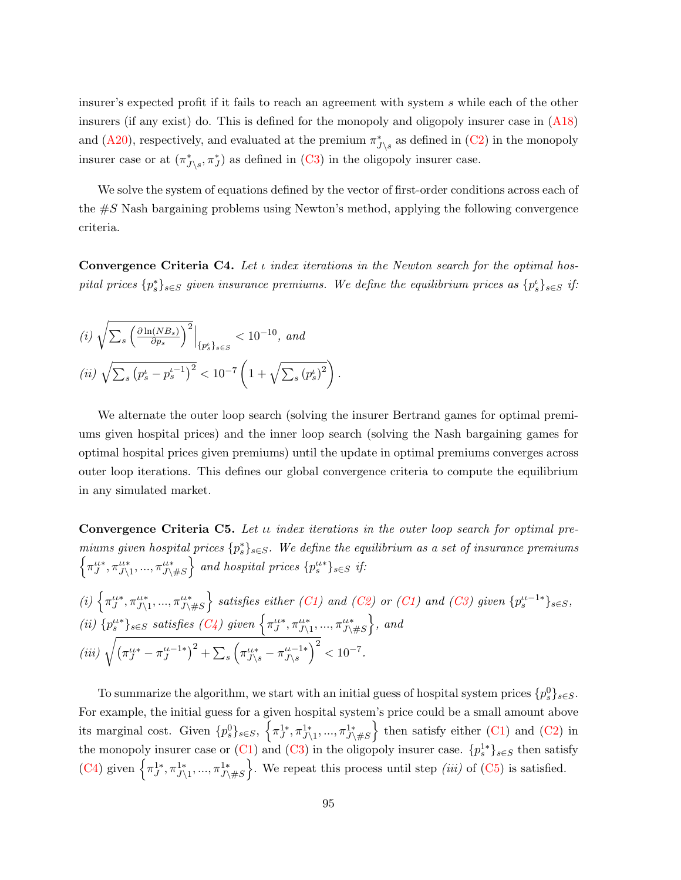insurer's expected profit if it fails to reach an agreement with system s while each of the other insurers (if any exist) do. This is defined for the monopoly and oligopoly insurer case in [\(A18\)](#page-89-0) and [\(A20\)](#page-91-0), respectively, and evaluated at the premium  $\pi_{J\setminus s}^*$  as defined in [\(C2\)](#page-90-1) in the monopoly insurer case or at  $(\pi^*_{J\setminus s}, \pi^*_J)$  as defined in [\(C3\)](#page-92-1) in the oligopoly insurer case.

We solve the system of equations defined by the vector of first-order conditions across each of the  $\#S$  Nash bargaining problems using Newton's method, applying the following convergence criteria.

<span id="page-96-0"></span>**Convergence Criteria C4.** Let  $\iota$  index iterations in the Newton search for the optimal hospital prices  $\{p_s^*\}_{s\in S}$  given insurance premiums. We define the equilibrium prices as  $\{p_s^i\}_{s\in S}$  if:

(i) 
$$
\sqrt{\sum_{s} \left(\frac{\partial \ln(NB_s)}{\partial p_s}\right)^2} \Big|_{\{p_s^t\}_{s \in S}} < 10^{-10}
$$
, and  
(ii)  $\sqrt{\sum_{s} (p_s^t - p_s^{t-1})^2} < 10^{-7} \left(1 + \sqrt{\sum_{s} (p_s^t)^2}\right)$ 

We alternate the outer loop search (solving the insurer Bertrand games for optimal premiums given hospital prices) and the inner loop search (solving the Nash bargaining games for optimal hospital prices given premiums) until the update in optimal premiums converges across outer loop iterations. This defines our global convergence criteria to compute the equilibrium in any simulated market.

.

<span id="page-96-1"></span>**Convergence Criteria C5.** Let  $\mu$  index iterations in the outer loop search for optimal premiums given hospital prices  $\{p_s^*\}_{s\in S}$ . We define the equilibrium as a set of insurance premiums  $\left\{\pi_J^{u*}, \pi_{J\setminus 1}^{u*}, ..., \pi_{J\setminus\#S}^{u*}\right\}$  and hospital prices  $\{p_s^{u*}\}_{s\in S}$  if:

(i) 
$$
\{\pi_{J}^{u*}, \pi_{J\setminus 1}^{u*}, ..., \pi_{J\setminus \#S}^{u*}\}
$$
 satisfies either (C1) and (C2) or (C1) and (C3) given  $\{p_s^{u+1*}\}_{s \in S}$ ,  
\n(ii)  $\{p_s^{u*}\}_{s \in S}$  satisfies (C4) given  $\{\pi_{J}^{u*}, \pi_{J\setminus 1}^{u*}, ..., \pi_{J\setminus \#S}^{u*}\}$ , and  
\n(iii)  $\sqrt{(\pi_{J}^{u*} - \pi_{J}^{u-1*})^2 + \sum_{s} (\pi_{J\setminus s}^{u*} - \pi_{J\setminus s}^{u-1*})^2} < 10^{-7}$ .

To summarize the algorithm, we start with an initial guess of hospital system prices  $\{p_s^0\}_{s\in S}$ . For example, the initial guess for a given hospital system's price could be a small amount above its marginal cost. Given  $\{p_s^0\}_{s\in S}$ ,  $\left\{\pi_J^{1*}, \pi_{J\setminus 1}^{1*}, ..., \pi_{J\setminus\#S}^{1*}\right\}$  then satisfy either [\(C1\)](#page-89-1) and [\(C2\)](#page-90-1) in the monopoly insurer case or [\(C1\)](#page-89-1) and [\(C3\)](#page-92-1) in the oligopoly insurer case.  $\{p_s^{1*}\}_{s\in S}$  then satisfy [\(C4\)](#page-96-0) given  $\left\{\pi_{J}^{1*}, \pi_{J\setminus 1}^{1*}, ..., \pi_{J\setminus\#S}^{1*}\right\}$ . We repeat this process until step *(iii)* of [\(C5\)](#page-96-1) is satisfied.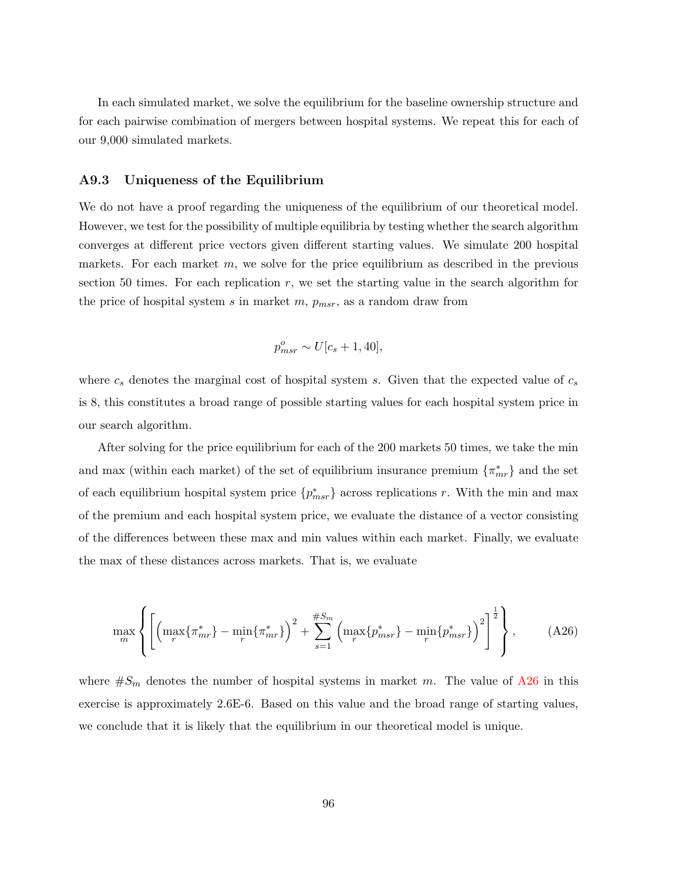In each simulated market, we solve the equilibrium for the baseline ownership structure and for each pairwise combination of mergers between hospital systems. We repeat this for each of our 9,000 simulated markets.

### A9.3 Uniqueness of the Equilibrium

We do not have a proof regarding the uniqueness of the equilibrium of our theoretical model. However, we test for the possibility of multiple equilibria by testing whether the search algorithm converges at different price vectors given different starting values. We simulate 200 hospital markets. For each market  $m$ , we solve for the price equilibrium as described in the previous section 50 times. For each replication  $r$ , we set the starting value in the search algorithm for the price of hospital system s in market m,  $p_{msr}$ , as a random draw from

$$
p_{msr}^o \sim U[c_s + 1, 40],
$$

where  $c_s$  denotes the marginal cost of hospital system s. Given that the expected value of  $c_s$ is 8, this constitutes a broad range of possible starting values for each hospital system price in our search algorithm.

After solving for the price equilibrium for each of the 200 markets 50 times, we take the min and max (within each market) of the set of equilibrium insurance premium  $\{\pi_{mr}^*\}$  and the set of each equilibrium hospital system price  $\{p_{msr}^*\}$  across replications r. With the min and max of the premium and each hospital system price, we evaluate the distance of a vector consisting of the differences between these max and min values within each market. Finally, we evaluate the max of these distances across markets. That is, we evaluate

<span id="page-97-0"></span>
$$
\max_{m} \left\{ \left[ \left( \max_{r} \{ \pi_{mr}^* \} - \min_{r} \{ \pi_{mr}^* \} \right)^2 + \sum_{s=1}^{\#S_m} \left( \max_{r} \{ p_{msr}^* \} - \min_{r} \{ p_{msr}^* \} \right)^2 \right]^{\frac{1}{2}} \right\},
$$
 (A26)

where  $\#S_m$  denotes the number of hospital systems in market m. The value of [A26](#page-97-0) in this exercise is approximately 2.6E-6. Based on this value and the broad range of starting values, we conclude that it is likely that the equilibrium in our theoretical model is unique.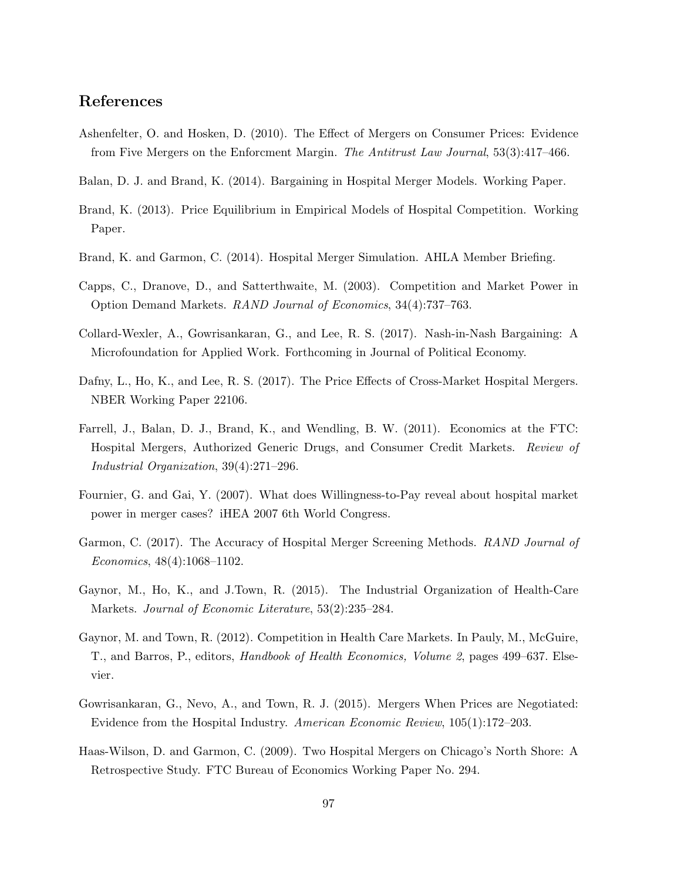## References

- Ashenfelter, O. and Hosken, D. (2010). The Effect of Mergers on Consumer Prices: Evidence from Five Mergers on the Enforcment Margin. The Antitrust Law Journal, 53(3):417-466.
- Balan, D. J. and Brand, K. (2014). Bargaining in Hospital Merger Models. Working Paper.
- Brand, K. (2013). Price Equilibrium in Empirical Models of Hospital Competition. Working Paper.
- Brand, K. and Garmon, C. (2014). Hospital Merger Simulation. AHLA Member Briefing.
- Capps, C., Dranove, D., and Satterthwaite, M. (2003). Competition and Market Power in Option Demand Markets. RAND Journal of Economics, 34(4):737–763.
- Collard-Wexler, A., Gowrisankaran, G., and Lee, R. S. (2017). Nash-in-Nash Bargaining: A Microfoundation for Applied Work. Forthcoming in Journal of Political Economy.
- Dafny, L., Ho, K., and Lee, R. S. (2017). The Price Effects of Cross-Market Hospital Mergers. NBER Working Paper 22106.
- Farrell, J., Balan, D. J., Brand, K., and Wendling, B. W. (2011). Economics at the FTC: Hospital Mergers, Authorized Generic Drugs, and Consumer Credit Markets. Review of Industrial Organization, 39(4):271–296.
- Fournier, G. and Gai, Y. (2007). What does Willingness-to-Pay reveal about hospital market power in merger cases? iHEA 2007 6th World Congress.
- Garmon, C. (2017). The Accuracy of Hospital Merger Screening Methods. RAND Journal of Economics, 48(4):1068–1102.
- Gaynor, M., Ho, K., and J.Town, R. (2015). The Industrial Organization of Health-Care Markets. Journal of Economic Literature, 53(2):235–284.
- Gaynor, M. and Town, R. (2012). Competition in Health Care Markets. In Pauly, M., McGuire, T., and Barros, P., editors, Handbook of Health Economics, Volume 2, pages 499–637. Elsevier.
- Gowrisankaran, G., Nevo, A., and Town, R. J. (2015). Mergers When Prices are Negotiated: Evidence from the Hospital Industry. American Economic Review, 105(1):172–203.
- Haas-Wilson, D. and Garmon, C. (2009). Two Hospital Mergers on Chicago's North Shore: A Retrospective Study. FTC Bureau of Economics Working Paper No. 294.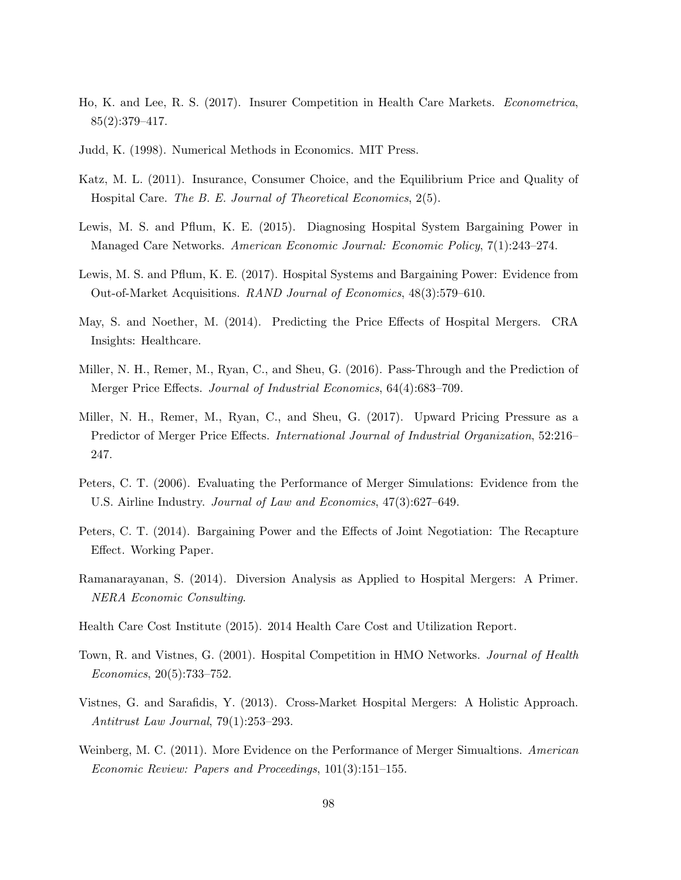- Ho, K. and Lee, R. S. (2017). Insurer Competition in Health Care Markets. Econometrica,  $85(2):379-417.$
- <span id="page-99-0"></span>Judd, K. (1998). Numerical Methods in Economics. MIT Press.
- Katz, M. L. (2011). Insurance, Consumer Choice, and the Equilibrium Price and Quality of Hospital Care. The B. E. Journal of Theoretical Economics, 2(5).
- Lewis, M. S. and Pflum, K. E. (2015). Diagnosing Hospital System Bargaining Power in Managed Care Networks. American Economic Journal: Economic Policy, 7(1):243–274.
- Lewis, M. S. and Pflum, K. E. (2017). Hospital Systems and Bargaining Power: Evidence from Out-of-Market Acquisitions. RAND Journal of Economics, 48(3):579–610.
- May, S. and Noether, M. (2014). Predicting the Price Effects of Hospital Mergers. CRA Insights: Healthcare.
- Miller, N. H., Remer, M., Ryan, C., and Sheu, G. (2016). Pass-Through and the Prediction of Merger Price Effects. Journal of Industrial Economics, 64(4):683–709.
- Miller, N. H., Remer, M., Ryan, C., and Sheu, G. (2017). Upward Pricing Pressure as a Predictor of Merger Price Effects. *International Journal of Industrial Organization*, 52:216– 247.
- Peters, C. T. (2006). Evaluating the Performance of Merger Simulations: Evidence from the U.S. Airline Industry. Journal of Law and Economics, 47(3):627–649.
- Peters, C. T. (2014). Bargaining Power and the Effects of Joint Negotiation: The Recapture Effect. Working Paper.
- Ramanarayanan, S. (2014). Diversion Analysis as Applied to Hospital Mergers: A Primer. NERA Economic Consulting.
- Health Care Cost Institute (2015). 2014 Health Care Cost and Utilization Report.
- Town, R. and Vistnes, G. (2001). Hospital Competition in HMO Networks. Journal of Health Economics, 20(5):733–752.
- Vistnes, G. and Sarafidis, Y. (2013). Cross-Market Hospital Mergers: A Holistic Approach. Antitrust Law Journal, 79(1):253–293.
- Weinberg, M. C. (2011). More Evidence on the Performance of Merger Simualtions. American Economic Review: Papers and Proceedings, 101(3):151–155.